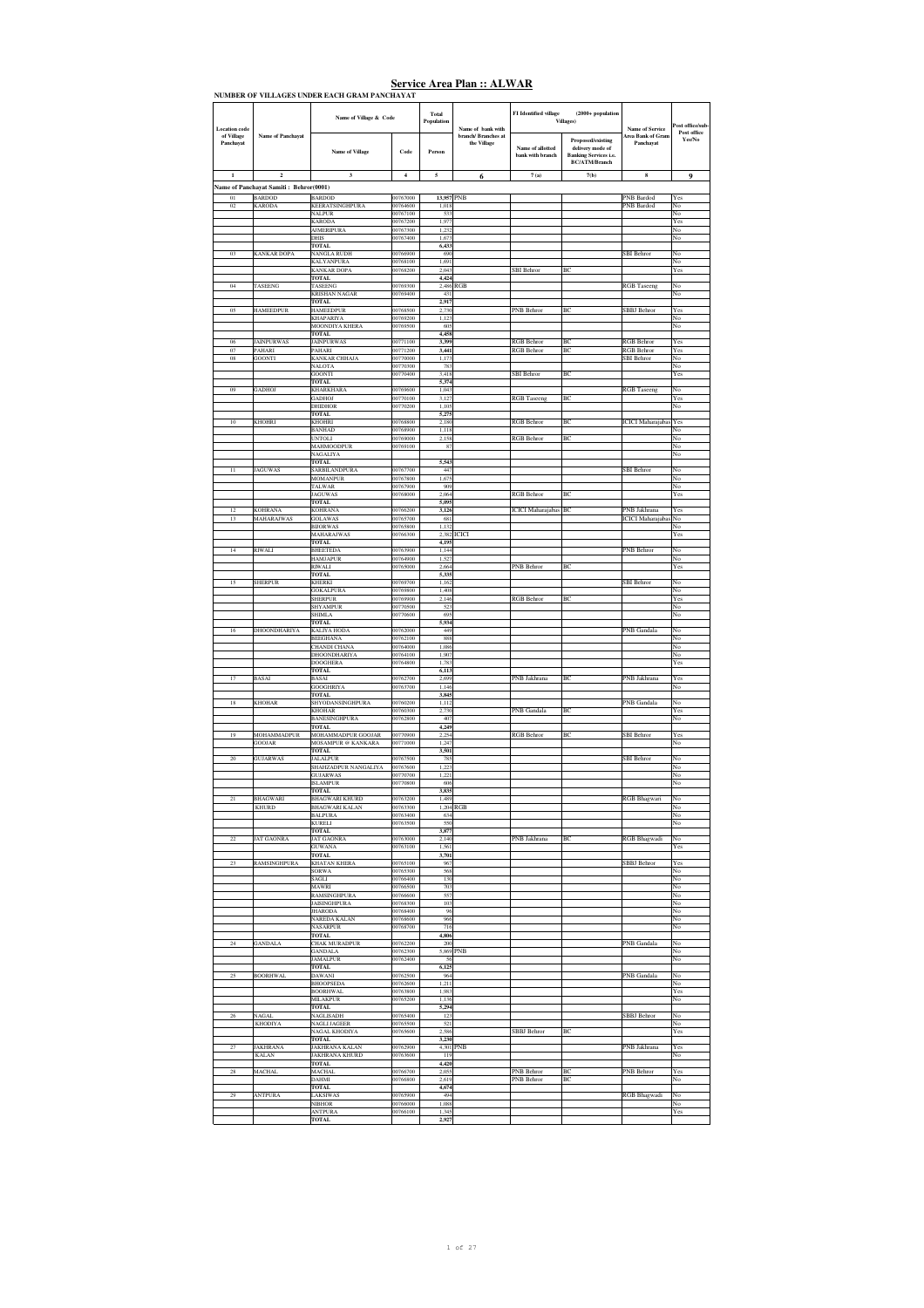| <b>Location</b> code    |                                                         | Name of Village & Code                         |                      | Total<br>Population | Name of bank with                  | FI Identified village                | $(2000 + population$<br><b>Villages</b> )                                                            | <b>Name of Service</b>                   | Post office/sub-<br>Post office |
|-------------------------|---------------------------------------------------------|------------------------------------------------|----------------------|---------------------|------------------------------------|--------------------------------------|------------------------------------------------------------------------------------------------------|------------------------------------------|---------------------------------|
| of Village<br>Panchayat | <b>Name of Panchayat</b>                                | Name of Village                                | Code                 | Person              | branch/ Branches at<br>the Village | Name of allotted<br>bank with branch | <b>Proposed/existing</b><br>delivery mode of<br><b>Banking Services i.e.</b><br><b>BC/ATM/Branch</b> | Area Bank of Gram<br>Panchayat           | Yes/No                          |
| $\mathbf 1$             | $\mathbf 2$                                             | $\mathbf 3$                                    | $\boldsymbol{4}$     | 5                   | 6                                  | 7(a)                                 | 7(b)                                                                                                 | $\bf8$                                   | 9                               |
| 01                      | Name of Panchayat Samiti: Behror(0001)<br><b>BARDOD</b> | <b>BARDOD</b>                                  | 00767000             | 13,957 PNB          |                                    |                                      |                                                                                                      | <b>PNB</b> Bardod                        | Yes                             |
| 02                      | <b>KARODA</b>                                           | <b>KEERATSINGHPURA</b>                         | 00764600             | 1,018               |                                    |                                      |                                                                                                      | <b>PNB</b> Bardod                        | No                              |
|                         |                                                         | <b>NALPUR</b><br>KARODA                        | 00767100<br>00767200 | 533<br>1,977        |                                    |                                      |                                                                                                      |                                          | No<br>Yes                       |
|                         |                                                         | <b>AJMERIPURA</b><br><b>DHIS</b>               | 00767300<br>00767400 | 1,232<br>1,673      |                                    |                                      |                                                                                                      |                                          | No<br>No                        |
|                         |                                                         | <b>TOTAL</b>                                   |                      | 6,433               |                                    |                                      |                                                                                                      |                                          |                                 |
| 03                      | <b>KANKAR DOPA</b>                                      | <b>NANGLA RUDH</b><br><b>KALYANPURA</b>        | 00766900<br>00768100 | 690<br>1,691        |                                    |                                      |                                                                                                      | SBI Behror                               | No<br>No                        |
|                         |                                                         | <b>KANKAR DOPA</b><br><b>TOTAL</b>             | 00768200             | 2.043<br>4,424      |                                    | <b>SBI</b> Behror                    | ВC                                                                                                   |                                          | Yes                             |
| 04                      | TASEENG                                                 | TASEENG<br><b>KRISHAN NAGAR</b>                | 00769300<br>00769400 | 2.486<br>431        | <b>RGB</b>                         |                                      |                                                                                                      | <b>RGB</b> Taseeng                       | No<br>No                        |
| 05                      | <b>HAMEEDPUR</b>                                        | <b>TOTAL</b><br><b>HAMEEDPUR</b>               | 00768500             | 2,917<br>2,730      |                                    | PNB Behror                           | BC                                                                                                   | SBBJ Behror                              | Yes                             |
|                         |                                                         | <b>KHAPARIYA</b>                               | 00769200             | 1,123               |                                    |                                      |                                                                                                      |                                          | No                              |
|                         |                                                         | MOONDIYA KHERA<br><b>TOTAL</b>                 | 00769500             | 605<br>4,458        |                                    |                                      |                                                                                                      |                                          | No                              |
| 06<br>$07\,$            | <b>JAINPURWAS</b><br>PAHARI                             | <b>JAINPURWAS</b><br>PAHARI                    | 00771100<br>00771200 | 3,399<br>3,441      |                                    | <b>RGB</b> Behror<br>RGB Behror      | BC<br>BC                                                                                             | <b>RGB</b> Behror<br><b>RGB</b> Behror   | Yes<br>Yes                      |
| 08                      | <b>GOONTI</b>                                           | <b>KANKAR CHHAJA</b><br>NALOTA                 | 00770000<br>00770300 | 1,173<br>783        |                                    |                                      |                                                                                                      | <b>SBI</b> Behror                        | No<br>No                        |
|                         |                                                         | <b>GOONTI</b>                                  | 00770400             | 3,418               |                                    | SBI Behror                           | BC                                                                                                   |                                          | Yes                             |
| 09                      | <b>ADHOJ</b>                                            | <b>TOTAL</b><br>KHARKHARA                      | 00769600             | 5,374<br>1,043      |                                    |                                      |                                                                                                      | <b>RGB</b> Taseeng                       | No                              |
|                         |                                                         | GADHOJ<br><b>DHIDHOR</b>                       | 00770100<br>00770200 | 3,127<br>1,105      |                                    | <b>RGB</b> Taseeng                   | BC                                                                                                   |                                          | Yes<br>No                       |
| 10                      | KHOHRI                                                  | <b>TOTAL</b><br>KHOHRI                         | 00768800             | 5.275<br>2,180      |                                    | <b>RGB</b> Behror                    | ВC                                                                                                   | <b>ICICI</b> Maharajabas                 | Yes                             |
|                         |                                                         | <b>BANHAD</b>                                  | 00768900<br>00769000 | 1.118               |                                    |                                      |                                                                                                      |                                          | N٥                              |
|                         |                                                         | <b>UNTOLI</b><br><b>MAHMOODPUR</b>             | 00769100             | 2,158<br>87         |                                    | RGB Behror                           | BC                                                                                                   |                                          | No<br>No                        |
|                         |                                                         | NAGALIYA<br><b>TOTAL</b>                       |                      | 5,543               |                                    |                                      |                                                                                                      |                                          | No                              |
| 11                      | <b>JAGUWAS</b>                                          | <b>SARBILANDPURA</b><br><b>MOMANPUR</b>        | 00767700<br>00767800 | 447<br>1,675        |                                    |                                      |                                                                                                      | <b>SBI Behror</b>                        | No<br>No                        |
|                         |                                                         | <b>TALWAR</b><br><b>JAGUWAS</b>                | 00767900<br>00768000 | 909<br>2,064        |                                    | <b>RGB</b> Behror                    | BC                                                                                                   |                                          | No<br>Yes                       |
|                         |                                                         | <b>TOTAL</b>                                   |                      | 5,095               |                                    |                                      |                                                                                                      |                                          |                                 |
| 12<br>13                | KOHRANA<br><b>MAHARAJWAS</b>                            | <b>KOHRANA</b><br><b>GOLAWAS</b>               | 00766200<br>00765700 | 3,126<br>681        |                                    | ICICI Maharajabas BC                 |                                                                                                      | PNB Jakhrana<br><b>ICICI</b> Maharajaba: | Yes<br>$_{\rm No}$              |
|                         |                                                         | <b>BHORWAS</b><br>MAHARAJWAS                   | 00765800<br>00766300 | 1,132<br>2,382      | ICICI                              |                                      |                                                                                                      |                                          | No<br>Yes                       |
| $14\,$                  | <b>RIWALI</b>                                           | TOTAL<br><b>BHEETEDA</b>                       | 00763900             | 4.195<br>1,144      |                                    |                                      |                                                                                                      | PNB Behror                               | No                              |
|                         |                                                         | <b>HAMJAPUR</b>                                | 00764900             | 1.527               |                                    |                                      |                                                                                                      |                                          | No                              |
|                         |                                                         | RIWALI<br><b>TOTAL</b>                         | 00765000             | 2,664<br>5,335      |                                    | PNB Behror                           | ВC                                                                                                   |                                          | Yes                             |
| 15                      | <b>SHERPUR</b>                                          | <b>KHERKI</b><br><b>GOKALPURA</b>              | 00769700<br>00769800 | 1,162<br>1,408      |                                    |                                      |                                                                                                      | <b>SBI</b> Behror                        | No<br>No                        |
|                         |                                                         | <b>SHERPUR</b><br><b>SHYAMPUR</b>              | 00769900<br>00770500 | 2,146<br>523        |                                    | RGB Behror                           | BC                                                                                                   |                                          | Yes<br>No                       |
|                         |                                                         | <b>SHIMLA</b>                                  | 00770600             | 695                 |                                    |                                      |                                                                                                      |                                          | No                              |
|                         | <b>DHOONDHARIYA</b>                                     | TOTAL<br><b>KALIYA HODA</b>                    | 00762000             | 5,934<br>449        |                                    |                                      |                                                                                                      | PNB Gandala                              | No                              |
|                         |                                                         | <b>BEEGHANA</b><br><b>HANDI CHANA</b>          | 00762100<br>00764000 | 888<br>1,086        |                                    |                                      |                                                                                                      |                                          | No<br>No                        |
|                         |                                                         | DHOONDHARIYA<br><b>DOOGHERA</b>                | 00764100<br>00764800 | 1,907<br>1,783      |                                    |                                      |                                                                                                      |                                          | No<br>Yes                       |
| 17                      |                                                         | TOTAL<br><b>BASAI</b>                          | 00762700             | 6,113<br>2,699      |                                    |                                      | ВC                                                                                                   | PNB Jakhrana                             |                                 |
|                         | BASAI                                                   | <b>GOOGHRIYA</b>                               | 00763700             | 1.146               |                                    | PNB Jakhrana                         |                                                                                                      |                                          | Yes<br>No                       |
| 18                      | <b>KHOHAR</b>                                           | <b>TOTAL</b><br>SHYODANSINGHPURA               | 00760200             | 3,845<br>1,112      |                                    |                                      |                                                                                                      | PNB Gandala                              | No                              |
|                         |                                                         | KHOHAR<br><b>BANESINGHPURA</b>                 | 00760300<br>00762800 | 2,730<br>407        |                                    | PNB Gandala                          | BC                                                                                                   |                                          | Yes<br>No                       |
| 19                      | <b>AOHAMMADPUR</b>                                      | <b>TOTAL</b><br>MOHAMMADPUR GOOJAR             | 00770900             | 4,249<br>2,254      |                                    | RGB Behror                           | BC                                                                                                   | <b>BI</b> Behror                         | Yes                             |
|                         | <b>GOOJAR</b>                                           | <b>MOSAMPUR @ KANKARA</b>                      | 00771000             | 1,247               |                                    |                                      |                                                                                                      |                                          | No                              |
| 20                      | <b>GUJARWAS</b>                                         | <b>TOTAL</b><br><b>JALALPUR</b>                | 00767500             | 3,501<br>785        |                                    |                                      |                                                                                                      | <b>SBI</b> Behror                        | No                              |
|                         |                                                         | <b>SHAHZADPUR NANGALIYA</b><br><b>GUJARWAS</b> | 00767600<br>00770700 | 1,223<br>1,221      |                                    |                                      |                                                                                                      |                                          | No<br>No                        |
|                         |                                                         | <b>ISLAMPUR</b><br><b>TOTAL</b>                | 00770800             | 606<br>3,835        |                                    |                                      |                                                                                                      |                                          | No                              |
| 21                      | <b>BHAGWARI</b>                                         | <b>BHAGWARI KHURD</b>                          | 00763200             | 1,489               |                                    |                                      |                                                                                                      | <b>RGB</b> Bhagwari                      | No                              |
|                         | <b>KHURD</b>                                            | <b>BHAGWARI KALAN</b><br><b>BALPURA</b>        | 00763300<br>00763400 | 634                 | 1,204 RGB                          |                                      |                                                                                                      |                                          | No<br>No                        |
|                         |                                                         | KURELI<br><b>TOTAL</b>                         | 00763500             | 550<br>3,877        |                                    |                                      |                                                                                                      |                                          | No                              |
| $22\,$                  | <b>JAT GAONRA</b>                                       | <b>JAT GAONRA</b><br>GUWANA                    | 00763000<br>00763100 | 2,140<br>1,561      |                                    | PNB Jakhrana                         | ВC                                                                                                   | <b>RGB</b> Bhagwadi                      | $_{\rm No}$<br>Yes              |
| 23                      | RAMSINGHPURA                                            | TOTAL<br><b>KHATAN KHERA</b>                   | 00765100             | 3,701<br>967        |                                    |                                      |                                                                                                      | <b>SBBJ</b> Behror                       | Yes                             |
|                         |                                                         | <b>SORWA</b>                                   | 00765300<br>00766400 | 568                 |                                    |                                      |                                                                                                      |                                          | No                              |
|                         |                                                         | SAGLI<br><b>MAWRI</b>                          | 00766500             | 130<br>703          |                                    |                                      |                                                                                                      |                                          | No<br>No                        |
|                         |                                                         | <b>RAMSINGHPURA</b><br><b>JAISINGHPURA</b>     | 00766600<br>00768300 | 557<br>103          |                                    |                                      |                                                                                                      |                                          | No<br>No                        |
|                         |                                                         | <b>JHARODA</b><br><b>NAREDA KALAN</b>          | 00768400<br>00768600 | 96<br>966           |                                    |                                      |                                                                                                      |                                          | No<br>No                        |
|                         |                                                         | <b>NASARPUR</b>                                | 00768700             | 716                 |                                    |                                      |                                                                                                      |                                          | No                              |
| 24                      | <b>GANDALA</b>                                          | <b>TOTAL</b><br><b>CHAK MURADPUR</b>           | 00762200             | 4,806<br>200        |                                    |                                      |                                                                                                      | PNB Gandala                              | No                              |
|                         |                                                         | <b>GANDALA</b><br><b>JAMALPUR</b>              | 00762300<br>00762400 | 5,869 PNB<br>56     |                                    |                                      |                                                                                                      |                                          | No<br>No                        |
| 25                      | <b>BOORHWAL</b>                                         | <b>TOTAL</b><br><b>DAWANI</b>                  | 00762500             | 6,125<br>964        |                                    |                                      |                                                                                                      | PNB Gandala                              | No                              |
|                         |                                                         | <b>BHOOPSEDA</b><br><b>BOORHWAL</b>            | 00762600<br>00763800 | 1,211<br>1,983      |                                    |                                      |                                                                                                      |                                          | No<br>Yes                       |
|                         |                                                         | MILAKPUR                                       | 00765200             | 1,136               |                                    |                                      |                                                                                                      |                                          | No                              |
| 26                      | <b>NAGAL</b>                                            | TOTAL<br><b>NAGLISADH</b>                      | 00765400             | 5,294<br>123        |                                    |                                      |                                                                                                      | <b>SBBJ</b> Behror                       | No                              |
|                         | <b>KHODIYA</b>                                          | <b>NAGLI JAGEER</b><br><b>NAGAL KHODIYA</b>    | 00765500<br>00765600 | 521<br>2.586        |                                    | SBBJ Behror                          | BC                                                                                                   |                                          | No<br>Yes                       |
| 27                      | <b>AKHRANA</b>                                          | TOTAL<br>JAKHRANA KALAN                        | 00762900             | 3,230<br>4,301      | 'NB                                |                                      |                                                                                                      | PNB Jakhrana                             | Yes                             |
|                         | <b>KALAN</b>                                            | JAKHRANA KHURD<br><b>TOTAL</b>                 | 00763600             | 119<br>4,420        |                                    |                                      |                                                                                                      |                                          | No                              |
| 28                      | MACHAL                                                  | <b>MACHAL</b>                                  | 00766700             | 2.055               |                                    | PNB Behror                           | BC                                                                                                   | PNB Behror                               | Yes                             |
|                         |                                                         | DAHMI<br><b>TOTAL</b>                          | 00766800             | 2,619<br>4,674      |                                    | PNB Behror                           | BC                                                                                                   |                                          | No                              |
| $\boldsymbol{29}$       | <b>ANTPURA</b>                                          | LAKSIWAS<br><b>NIBHOR</b>                      | 00765900<br>00766000 | 494<br>1.088        |                                    |                                      |                                                                                                      | <b>RGB</b> Bhagwadi                      | No<br>No.                       |
|                         |                                                         | ANTPURA<br><b>TOTAL</b>                        | 00766100             | 1,345<br>2,927      |                                    |                                      |                                                                                                      |                                          | Yes                             |
|                         |                                                         |                                                |                      |                     |                                    |                                      |                                                                                                      |                                          |                                 |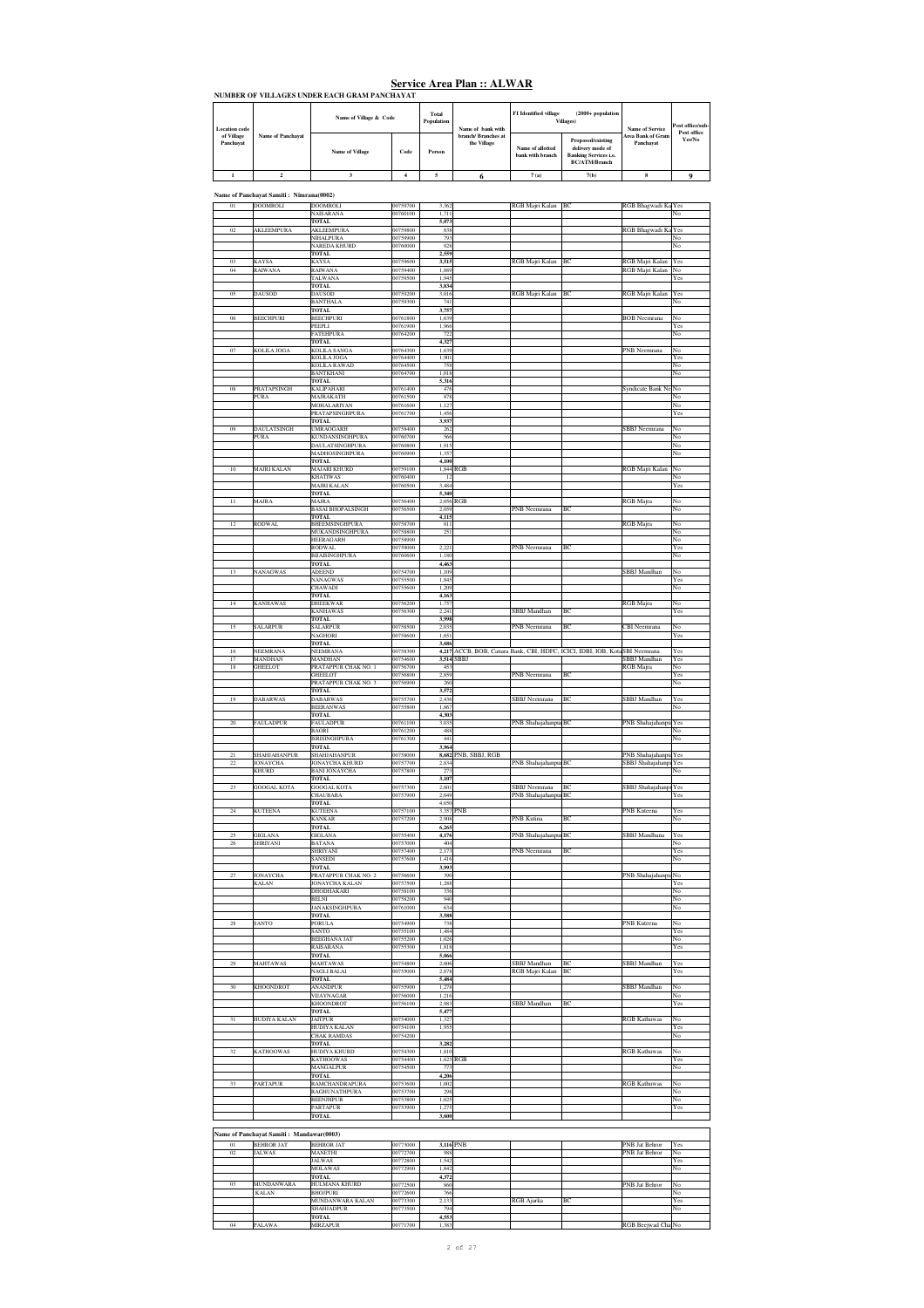|                         | эсг нес та са т кан  тап о так |                                              |      |                                                                                               |                                    |                                      |                                                                                               |                                |          |  |  |
|-------------------------|--------------------------------|----------------------------------------------|------|-----------------------------------------------------------------------------------------------|------------------------------------|--------------------------------------|-----------------------------------------------------------------------------------------------|--------------------------------|----------|--|--|
|                         |                                | NUMBER OF VILLAGES UNDER EACH GRAM PANCHAYAT |      |                                                                                               |                                    |                                      |                                                                                               |                                |          |  |  |
| <b>Location</b> code    |                                | Name of Village & Code                       |      | Total<br><b>FI</b> Identified village<br><b>Villages</b> )<br>Population<br>Name of bank with | $(2000 +$ population               | <b>Name of Service</b>               | Post office/sub-<br>Post office                                                               |                                |          |  |  |
| of Village<br>Panchavat | Name of Panchayat              | Name of Village                              | Code | Person                                                                                        | branch/ Branches at<br>the Village | Name of allotted<br>hank with branch | Proposed/existing<br>delivery mode of<br><b>Banking Services i.e.</b><br><b>BC/ATM/Rranch</b> | Area Bank of Gram<br>Panchavat | Yes/No   |  |  |
|                         |                                |                                              |      |                                                                                               |                                    | 7(a)                                 | 7(b)                                                                                          |                                | $\Omega$ |  |  |

**Name of Panchayat Samiti : Nimrana(0002)**

| 01              |                                          |                                         |                      |                |                      |                      |                                                           |                                  |           |
|-----------------|------------------------------------------|-----------------------------------------|----------------------|----------------|----------------------|----------------------|-----------------------------------------------------------|----------------------------------|-----------|
|                 | DOOMROLI                                 | DOOMROLI                                | 00759700             | 3,362<br>1.711 |                      | RGB Majri Kalan BC   |                                                           | RGB Bhagwadi Ka Yes              |           |
|                 |                                          | NAISARANA<br>TOTAL                      | 00760100             | 5,073          |                      |                      |                                                           |                                  | No        |
| 02              | AKLEEMPURA                               | <b>AKLEEMPURA</b>                       | 00759800             | 838            |                      |                      |                                                           | RGB Bhagwadi Ka                  | Yes       |
|                 |                                          | NIHALPURA                               | 00759900             | 793            |                      |                      |                                                           |                                  | No        |
|                 |                                          | <b>NAREDA KHURD</b>                     | 00760000             | 928            |                      |                      |                                                           |                                  | No        |
| 03              | KAYSA                                    | TOTAL<br>KAYSA                          | 00759600             | 2,559<br>3,515 |                      | RGB Majri Kalan      | BC                                                        | RGB Majri Kalan                  | Yes       |
| 04              | RAIWANA                                  | RAIWANA                                 | 00759400             | 1,889          |                      |                      |                                                           | RGB Majri Kalan                  | No        |
|                 |                                          | TALWANA                                 | 00759500             | 1,945          |                      |                      |                                                           |                                  | Yes       |
|                 |                                          | <b>TOTAL</b>                            |                      | 3,834          |                      |                      |                                                           |                                  |           |
| 05              | DAUSOD                                   | <b>DAUSOD</b><br><b>BANTHALA</b>        | 00759200<br>00759300 | 3,016<br>741   |                      | RGB Majri Kalan      | BC                                                        | RGB Majri Kalan                  | Yes<br>No |
|                 |                                          | TOTAL                                   |                      | 3,757          |                      |                      |                                                           |                                  |           |
| 06              | BEECHPURI                                | BEECHPURI                               | 00761800             | 1,639          |                      |                      |                                                           | <b>BOB</b> Neemrana              | No        |
|                 |                                          | PEEPLI                                  | 00761900             | 1,966          |                      |                      |                                                           |                                  | Yes       |
|                 |                                          | <b>FATEHPURA</b>                        | 00764200             | 722            |                      |                      |                                                           |                                  | No        |
| 07              | KOLILA JOGA                              | <b>TOTAL</b><br>KOLILA SANGA            | 00764300             | 4,327<br>1,639 |                      |                      |                                                           | PNB Neemrana                     | No        |
|                 |                                          | KOLILA JOGA                             | 00764400             | 1,901          |                      |                      |                                                           |                                  | Yes       |
|                 |                                          | KOLILA RAWAD                            | 00764500             | 758            |                      |                      |                                                           |                                  | No        |
|                 |                                          | BANTKHANI                               | 00764700             | 1,018          |                      |                      |                                                           |                                  | No        |
| ${\bf 08}$      | PRATAPSINGH                              | <b>TOTAL</b><br>KALIPAHARI              | 00761400             | 5,316<br>476   |                      |                      |                                                           | Syndicate Bank Ne                | No        |
|                 | PURA                                     | MAJRAKATH                               | 00761500             | 878            |                      |                      |                                                           |                                  | No        |
|                 |                                          | <b>MOHALARIYAN</b>                      | 00761600             | 1,127          |                      |                      |                                                           |                                  | No        |
|                 |                                          | PRATAPSINGHPURA                         | 00761700             | 1,456          |                      |                      |                                                           |                                  | Yes       |
| 09              | DAULATSINGH                              | <b>TOTAL</b><br>UMRAOGARH               | 00758400             | 3,937<br>262   |                      |                      |                                                           | SBBJ Neemrana                    | No        |
|                 | PURA                                     | <b>KUNDANSINGHPURA</b>                  | 00760700             | 566            |                      |                      |                                                           |                                  | No        |
|                 |                                          | DAULATSINGHPURA                         | 00760800             | 1,915          |                      |                      |                                                           |                                  | No        |
|                 |                                          | MADHOSINGHPURA                          | 00760900             | 1,357          |                      |                      |                                                           |                                  | No        |
|                 |                                          | <b>TOTAL</b>                            |                      | 4,100          |                      |                      |                                                           |                                  |           |
| $10\,$          | MAJRI KALAN                              | MAJARI KHURD<br><b>KHATIWAS</b>         | 00759100<br>00760400 | 12             | 1,844 RGB            |                      |                                                           | RGB Majri Kalan                  | No<br>No  |
|                 |                                          | MAJRI KALAN                             | 00760500             | 3,484          |                      |                      |                                                           |                                  | Yes       |
|                 |                                          | <b>TOTAL</b>                            |                      | 5,340          |                      |                      |                                                           |                                  |           |
| $11\,$          | MAJRA                                    | MAJRA                                   | 00756400             |                | 2,056 RGB            |                      |                                                           | RGB Majra                        | No        |
|                 |                                          | <b>BASAI BHOPALSINGH</b><br>TOTAL       | 00756500             | 2,059<br>4,115 |                      | PNB Neemrana         | BC                                                        |                                  | No        |
| 12              | RODWAL                                   | BHEEMSINGHPURA                          | 00758700             | 811            |                      |                      |                                                           | RGB Majra                        | No        |
|                 |                                          | MUKANDSINGHPURA                         | 00758800             | 251            |                      |                      |                                                           |                                  | No        |
|                 |                                          | <b>HEERAGARH</b>                        | 00758900             |                |                      |                      |                                                           |                                  | No        |
|                 |                                          | <b>RODWAL</b><br><b>BIJAISINGHPURA</b>  | 00759000<br>00760600 | 2,221<br>1,180 |                      | PNB Neemrana         | BC                                                        |                                  | Yes<br>No |
|                 |                                          | TOTAL                                   |                      | 4,463          |                      |                      |                                                           |                                  |           |
| $13\,$          | NANAGWAS                                 | <b>ADEEND</b>                           | 00754700             | 1,109          |                      |                      |                                                           | <b>SBBJ</b> Mandhan              | No        |
|                 |                                          | NANAGWAS                                | 00755500             | 1,843          |                      |                      |                                                           |                                  | Yes       |
|                 |                                          | CHAWADI<br><b>TOTAL</b>                 | 00755600             | 1,209<br>4.163 |                      |                      |                                                           |                                  | No        |
| $14\,$          | <b>KANHAWAS</b>                          | <b>DHEEKWAR</b>                         | 00756200             | 1,757          |                      |                      |                                                           | RGB Majra                        | No        |
|                 |                                          | KANHAWAS                                | 00756300             | 2,241          |                      | SBBJ Mandhan         |                                                           |                                  | Yes       |
|                 |                                          | <b>TOTAL</b>                            |                      | 3,998          |                      |                      |                                                           |                                  |           |
| 15              | <b>SALARPUR</b>                          | <b>SALARPUR</b><br><b>NAGHORI</b>       | 00758500<br>00758600 | 2,035<br>1.651 |                      | PNB Neemrana         | BС                                                        | CBI Neemrana                     | No<br>Yes |
|                 |                                          | TOTAL                                   |                      | 3,686          |                      |                      |                                                           |                                  |           |
| 16              | NEEMRANA                                 | NEEMRANA                                | 00758300             | 4,217          |                      |                      | ACCB, BOB, Canara Bank, CBI, HDFC, ICICI, IDBI, IOB, Kota | SBI Neemrana                     | Yes       |
| 17              | MANDHAN                                  | MANDHAN                                 | 00754600             |                | 3,514 SBBJ           |                      |                                                           | SBBJ Mandhan                     | Yes       |
| $18\,$          | GHEELOT                                  | PRATAPPUR CHAK NO.<br><b>GHEELOT</b>    | 00756700<br>00756800 | 453<br>2.859   |                      | PNB Neemrana         | BC                                                        | RGB Majra                        | No<br>Yes |
|                 |                                          | PRATAPPUR CHAK NO. 3                    | 00756900             | 260            |                      |                      |                                                           |                                  | No        |
|                 |                                          | <b>TOTAL</b>                            |                      | 3,572          |                      |                      |                                                           |                                  |           |
| 19              | DABARWAS                                 | <b>DABARWAS</b>                         | 00755700             | 2,436          |                      | SBBJ Neemrana        | BC                                                        | SBBJ Mandhan                     | Yes       |
|                 |                                          |                                         |                      |                |                      |                      |                                                           |                                  | No        |
|                 |                                          | <b>BEERANWAS</b>                        | 00755800             | 1,867          |                      |                      |                                                           |                                  |           |
|                 |                                          | <b>TOTAL</b>                            |                      | 4,303          |                      |                      |                                                           |                                  |           |
| 20              | FAULADPUR                                | FAULADPUR<br><b>BAORI</b>               | 00761100<br>00761200 | 3,035<br>488   |                      | PNB Shahajahanpur BC |                                                           | PNB Shahajahanpu                 | Yes<br>No |
|                 |                                          | <b>ISRISINGHPURA</b>                    | 00761300             | 441            |                      |                      |                                                           |                                  | No        |
|                 |                                          | <b>TOTAL</b>                            |                      | 3,964          |                      |                      |                                                           |                                  |           |
| 21              | SHAHJAHANPUR                             | SHAHJAHANPUR                            | 00758000             |                | 8,682 PNB, SBBJ, RGB |                      |                                                           | PNB Shahajahanpu                 | Yes       |
| $22\,$          | JONAYCHA<br><b>KHURD</b>                 | <b>JONAYCHA KHURD</b>                   | 00757700             | 2,834<br>273   |                      | PNB Shahajahanpur BC |                                                           | SBBJ Shahajahanpi Yes            |           |
|                 |                                          | <b>BANI JONAYCHA</b><br><b>TOTAL</b>    | 00757800             | 3,107          |                      |                      |                                                           |                                  | No        |
| 23              | <b>GOOGAL KOTA</b>                       | <b>GOOGAL KOTA</b>                      | 00757300             | 2.601          |                      | SBBJ Neemrana        | ВC                                                        | SBBJ Shahajahanpu                | Yes       |
|                 |                                          | <b>CHAUBARA</b>                         | 00757900             | 2,049          |                      | PNB ShahajahanpurBC  |                                                           |                                  | Yes       |
|                 |                                          | <b>TOTAL</b>                            |                      | 4.650          |                      |                      |                                                           |                                  |           |
| $\sqrt{24}$     | KUTEENA                                  | KUTEENA<br><b>KANKAR</b>                | 00757100<br>00757200 | 3,357<br>2,908 | PNB                  | PNB Kutina           | BC                                                        | PNB Kuteena                      | Yes<br>No |
|                 |                                          | TOTAL                                   |                      | 6,265          |                      |                      |                                                           |                                  |           |
| 25              | <b>GIGLANA</b>                           | <b>GIGLANA</b>                          | 00755400             | 4,176          |                      | PNB Shahajahanpur BC |                                                           | <b>SBBJ</b> Mandhana             | Yes       |
| 26              | SHRIYANI                                 | <b>BATANA</b>                           | 00757000             | 404            |                      |                      |                                                           |                                  | No        |
|                 |                                          | SHRIYANI<br><b>SANSEDI</b>              | 00757400<br>00757600 | 2,173<br>1.416 |                      | PNB Neemrana         | ВC                                                        |                                  | Yes<br>No |
|                 |                                          | TOTAL                                   |                      | 3,993          |                      |                      |                                                           |                                  |           |
| 27              | <b>JONAYCHA</b>                          | PRATAPPUR CHAK NO. 2                    | 00756600             | 390            |                      |                      |                                                           | PNB Shahajahanpu                 | No        |
|                 | KALAN                                    | JONAYCHA KALAN                          | 00757500             | 1,288          |                      |                      |                                                           |                                  | Yes       |
|                 |                                          | DHODHAKARI                              | 00758100             | 336<br>940     |                      |                      |                                                           |                                  | No        |
|                 |                                          | <b>BELNI</b><br><b>JANAKSINGHPURA</b>   | 00758200<br>00761000 | 634            |                      |                      |                                                           |                                  | No<br>No  |
|                 |                                          | TOTAL                                   |                      | 3,588          |                      |                      |                                                           |                                  |           |
| 28              | SANTO                                    | PORULA                                  | 00754900             | 738            |                      |                      |                                                           | PNB Kuteena                      | No        |
|                 |                                          | SANTO                                   | 00755100             | 1.484          |                      |                      |                                                           |                                  | Yes       |
|                 |                                          | <b>BEEGHANA JAT</b><br><b>RAISARANA</b> | 00755200<br>00755300 | 1,026<br>1.818 |                      |                      |                                                           |                                  | No<br>Yes |
|                 |                                          | <b>TOTAL</b>                            |                      | 5,066          |                      |                      |                                                           |                                  |           |
| 29              | <b>MAHTAWAS</b>                          | <b>MAHTAWAS</b>                         | 00754800             | 2,606          |                      | SBBJ Mandhan         | BC                                                        | <b>SBBJ</b> Mandhan              | Yes       |
|                 |                                          | <b>NAGLI BALAI</b>                      | 00755000             | 2,878          |                      | RGB Majri Kalan      | BC                                                        |                                  | Yes       |
| 30              | <b>KHOONDROT</b>                         | <b>TOTAL</b><br><b>ANANDPUR</b>         | 00755900             | 5,484<br>1,278 |                      |                      |                                                           | SBBJ Mandhan                     | No        |
|                 |                                          | VIJAYNAGAR                              | 00756000             | 1,216          |                      |                      |                                                           |                                  | No        |
|                 |                                          | KHOONDROT                               | 00756100             | 2.983          |                      | SBBJ Mandhan         | BC                                                        |                                  | Yes       |
|                 |                                          | TOTAL                                   |                      | 5,477          |                      |                      |                                                           |                                  |           |
| $\overline{31}$ | HUDIYA KALAN                             | <b>JAITPUR</b>                          | 00754000             | 1,327          |                      |                      |                                                           | <b>RGB</b> Kathuwas              | No        |
|                 |                                          | HUDIYA KALAN<br><b>CHAK RAMDAS</b>      | 00754100<br>00754200 | 1,955          |                      |                      |                                                           |                                  | Yes<br>No |
|                 |                                          | <b>TOTAL</b>                            |                      | 3,282          |                      |                      |                                                           |                                  |           |
| 32              | <b>KATHOOWAS</b>                         | HUDIYA KHURD                            | 00754300             | 1,810          |                      |                      |                                                           | <b>RGB Kathuwas</b>              | No        |
|                 |                                          | <b>KATHOOWAS</b>                        | 00754400             |                | 1.623 RGB            |                      |                                                           |                                  | Yes       |
|                 |                                          | <b>MANGALPUR</b><br><b>TOTAL</b>        | 00754500             | 773<br>4,206   |                      |                      |                                                           |                                  | No        |
| $33\,$          | PARTAPUR                                 | RAMCHANDRAPURA                          | 00753600             | 1,002          |                      |                      |                                                           | <b>RGB</b> Kathuwas              | No        |
|                 |                                          | RAGHUNATHPURA                           | 00753700             | 298            |                      |                      |                                                           |                                  | No        |
|                 |                                          | <b>BEENJHPUR</b>                        | 00753800             | 1,025          |                      |                      |                                                           |                                  | No        |
|                 |                                          | <b>PARTAPUR</b>                         | 00753900             | 1,275          |                      |                      |                                                           |                                  | Yes       |
|                 |                                          | <b>TOTAL</b>                            |                      | 3,600          |                      |                      |                                                           |                                  |           |
|                 |                                          |                                         |                      |                |                      |                      |                                                           |                                  |           |
|                 | Name of Panchayat Samiti: Mandawar(0003) |                                         |                      |                |                      |                      |                                                           |                                  |           |
| 01<br>02        | <b>BEHROR JAT</b><br><b>JALWAS</b>       | <b>BEHROR JAT</b><br><b>MANETHI</b>     | 00773000<br>00772700 | 988            | 3,116 PNB            |                      |                                                           | PNB Jat Behror<br>PNB Jat Behror | Yes<br>No |
|                 |                                          | <b>JALWAS</b>                           | 00772800             | 1,542          |                      |                      |                                                           |                                  | Yes       |
|                 |                                          | <b>MOLAWAS</b>                          | 00772900             | 1,842          |                      |                      |                                                           |                                  | No        |
| 03              | MUNDANWARA                               | TOTAL<br>HULMANA KHURD                  | 00772500             | 4,372<br>860   |                      |                      |                                                           | PNB Jat Behror                   | No        |

**TOTAL 4,553**

KALAN BHOJPURI 00772600 766 No MUNDANWARA KALAN 00773300 2,133 RGB Ajarka BC 7 Yes SHAHJADPUR 00773500 794 No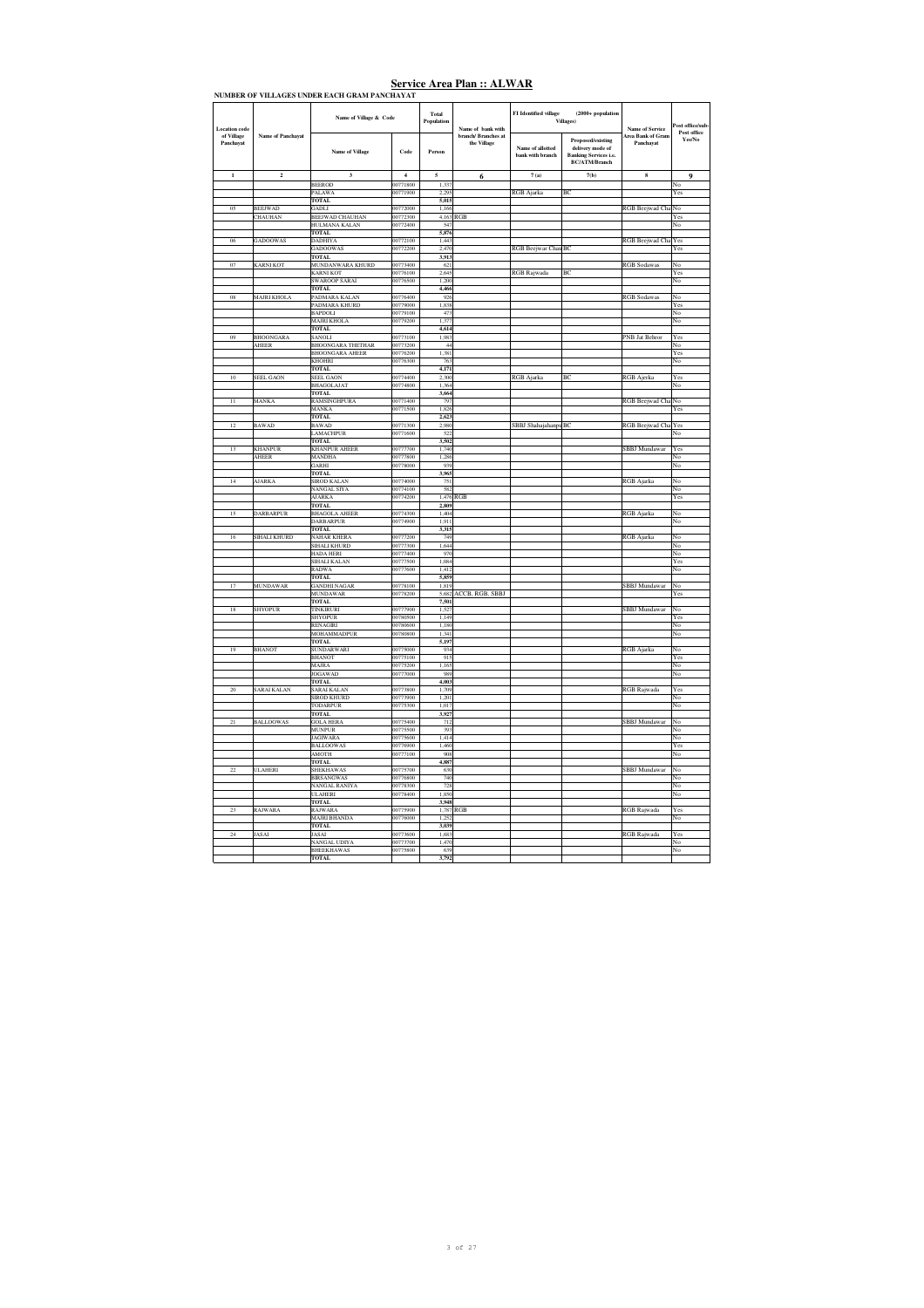| <b>Location</b> code    |                                  | Name of Village & Code                    |                      | Total<br>Population | Name of bank with                  | FI Identified village                | $(2000 + population$<br>Villages)                                                             | <b>Name of Service</b>         | st office/sub<br>Post office                                                           |
|-------------------------|----------------------------------|-------------------------------------------|----------------------|---------------------|------------------------------------|--------------------------------------|-----------------------------------------------------------------------------------------------|--------------------------------|----------------------------------------------------------------------------------------|
| of Village<br>Panchayat | <b>Name of Panchayat</b>         | <b>Name of Village</b>                    | Code                 | Person              | branch/ Branches at<br>the Village | Name of allotted<br>bank with branch | Proposed/existing<br>delivery mode of<br><b>Banking Services i.e.</b><br><b>BC/ATM/Branch</b> | Area Bank of Gram<br>Panchayat | Yes/No.                                                                                |
| $\,$ 1 $\,$             | $\mathbf 2$                      | $\mathbf{3}$                              | $\overline{4}$       | 5                   | 6                                  | $7\;(\mathrm{a})$                    | 7(b)                                                                                          | 8                              | 9                                                                                      |
|                         |                                  | <b>BEEROD</b>                             | 00771800             | 1,337               |                                    |                                      |                                                                                               |                                | No                                                                                     |
|                         |                                  | PALAWA                                    | 00771900             | 2,295               |                                    | RGB Ajarka                           | BC                                                                                            |                                | Yes                                                                                    |
|                         |                                  | TOTAL.                                    |                      | 5.015               |                                    |                                      |                                                                                               |                                |                                                                                        |
| 05                      | <b>REEIWAD</b><br><b>CHAUHAN</b> | GADLI.<br><b>BEEJWAD CHAUHAN</b>          | 00772000<br>00772300 | 1 1 6 6             | 4,163 RGB                          |                                      |                                                                                               | RGB Beejwad Cha                | No<br>Yes                                                                              |
|                         |                                  | HULMANA KALAN                             | 00772400             | 547                 |                                    |                                      |                                                                                               |                                | No                                                                                     |
|                         |                                  | <b>TOTAL</b>                              |                      | 5,876               |                                    |                                      |                                                                                               |                                |                                                                                        |
| 06                      | <b>GADOOWAS</b>                  | DADHIYA                                   | 00772100             | 1,443               |                                    |                                      |                                                                                               | RGB Beejwad Cha                | Yes                                                                                    |
|                         |                                  | <b>GADOOWAS</b>                           | 00772200             | 2,470               |                                    | RGB Beejwar Chau BC                  |                                                                                               |                                | Yes                                                                                    |
| 07                      |                                  | <b>TOTAL</b>                              | 00773400             | 3.913<br>621        |                                    |                                      |                                                                                               |                                | No                                                                                     |
|                         | <b>KARNI KOT</b>                 | MUNDANWARA KHURD<br><b>KARNI KOT</b>      | 00776100             | 2.645               |                                    | RGB Rajwada                          | RC                                                                                            | <b>RGB</b> Sodawas             | Yes                                                                                    |
|                         |                                  | SWAROOP SARAI                             | 00776500             | 1,200               |                                    |                                      |                                                                                               |                                | No                                                                                     |
|                         |                                  | TOTAL                                     |                      | 4,466               |                                    |                                      |                                                                                               |                                |                                                                                        |
| 08                      | <b>MAJRI KHOLA</b>               | PADMARA KALAN                             | 00776400             | 926                 |                                    |                                      |                                                                                               | <b>RGB</b> Sodawas             | No                                                                                     |
|                         |                                  | PADMARA KHURD                             | 00779000             | 1.838               |                                    |                                      |                                                                                               |                                | Yes                                                                                    |
|                         |                                  | <b>BAPDOLI</b>                            | 00779100             | 473                 |                                    |                                      |                                                                                               |                                | No                                                                                     |
|                         |                                  | <b>MAIRLKHOLA</b><br>TOTAL                | 00779200             | 1377<br>4,614       |                                    |                                      |                                                                                               |                                | No                                                                                     |
| 09                      | <b>BHOONGARA</b>                 | SANOLI                                    | 00773100             | 1,983               |                                    |                                      |                                                                                               | PNB Jat Behror                 | Yes                                                                                    |
|                         | AHEER                            | <b>BHOONGARA THETHAR</b>                  | 00773200             | 44                  |                                    |                                      |                                                                                               |                                | No                                                                                     |
|                         |                                  | <b>BHOONGARA AHEER</b>                    | 00776200             | 1,381               |                                    |                                      |                                                                                               |                                | Yes                                                                                    |
|                         |                                  | <b>KHOHRI</b>                             | 00776300             | 763                 |                                    |                                      |                                                                                               |                                | No                                                                                     |
| 10                      | <b>SEEL GAON</b>                 | <b>TOTAL</b><br><b>SEEL GAON</b>          | 00774400             | 4.171<br>2.300      |                                    |                                      | BC                                                                                            | <b>RGB</b> Ajerka              | Yes                                                                                    |
|                         |                                  | <b>BHAGOLAJAT</b>                         | 00774800             | 1364                |                                    | RGB Ajarka                           |                                                                                               |                                | No                                                                                     |
|                         |                                  | <b>TOTAL</b>                              |                      | 3,664               |                                    |                                      |                                                                                               |                                |                                                                                        |
| $\overline{11}$         | MANKA                            | RAMSINGHPURA                              | 00771400             | 797                 |                                    |                                      |                                                                                               | RGB Beejwad Cha                | No                                                                                     |
|                         |                                  | MANKA                                     | 00771500             | 1,826               |                                    |                                      |                                                                                               |                                | Yes                                                                                    |
|                         |                                  | <b>TOTAL</b>                              |                      | 2,623               |                                    |                                      |                                                                                               |                                |                                                                                        |
| 12                      | <b>BAWAD</b>                     | <b>BAWAD</b>                              | 00771300             | 2.980               |                                    | SBBJ Shahajahanpu BC                 |                                                                                               | RGB Beejwad Cha                | Yes                                                                                    |
|                         |                                  | <b>LAMACHPUR</b><br>TOTAL                 | 00771600             | 522<br>3,502        |                                    |                                      |                                                                                               |                                | No                                                                                     |
| 13                      | <b>KHANPUR</b>                   | <b>KHANPUR AHEER</b>                      | 00777700             | 1,740               |                                    |                                      |                                                                                               | SBBJ Mundawar                  | Yes                                                                                    |
|                         | AHEER                            | MANDHA                                    | 00777800             | 1,286               |                                    |                                      |                                                                                               |                                | No                                                                                     |
|                         |                                  | GARHI                                     | 00778000             | 939                 |                                    |                                      |                                                                                               |                                | No                                                                                     |
|                         |                                  | <b>TOTAL</b>                              |                      | 3.965               |                                    |                                      |                                                                                               |                                |                                                                                        |
| 14                      | <b>NARKA</b>                     | SIROD KALAN                               | 00774000             | 751                 |                                    |                                      |                                                                                               | <b>RGB</b> Ajarka              | No                                                                                     |
|                         |                                  | <b>NANGAL SIYA</b><br><b>AJARKA</b>       | 00774100<br>00774200 | 582                 | 1,476 RGB                          |                                      |                                                                                               |                                | No.<br>$\operatorname*{Yes}% \left( X\right) \equiv\operatorname*{Yes}\left( X\right)$ |
|                         |                                  | <b>TOTAL</b>                              |                      | 2,809               |                                    |                                      |                                                                                               |                                |                                                                                        |
| 15                      | <b>DARBARPUR</b>                 | <b>BHAGOLA AHEER</b>                      | 00774300             | 1,404               |                                    |                                      |                                                                                               | <b>RGB</b> Ajarka              | No                                                                                     |
|                         |                                  | DARBARPUR                                 | 00774900             | 1,911               |                                    |                                      |                                                                                               |                                | No                                                                                     |
|                         |                                  | TOTAL                                     |                      | 3,315               |                                    |                                      |                                                                                               |                                |                                                                                        |
| 16                      | <b>SIHALI KHURD</b>              | <b>NAHAR KHERA</b><br><b>SIHALI KHURD</b> | 00777200<br>00777300 | 749<br>1.644        |                                    |                                      |                                                                                               | <b>RGB</b> Ajarka              | No<br>No                                                                               |
|                         |                                  | HADA HERI                                 | 00777400             | 970                 |                                    |                                      |                                                                                               |                                | No                                                                                     |
|                         |                                  | SIHALI KALAN                              | 00777500             | 1,084               |                                    |                                      |                                                                                               |                                | $\operatorname*{Yes}% \left( X\right) \equiv\operatorname*{Yes}\left( X\right)$        |
|                         |                                  | RADWA                                     | 00777600             | 1,412               |                                    |                                      |                                                                                               |                                | No                                                                                     |
|                         |                                  | <b>TOTAL</b>                              |                      | 5,859               |                                    |                                      |                                                                                               |                                |                                                                                        |
| 17                      | <b>MUNDAWAR</b>                  | <b>GANDHI NAGAR</b>                       | 00778100<br>00778200 | 1,819<br>5.682      |                                    |                                      |                                                                                               | SBBJ Mundawar                  | No                                                                                     |
|                         |                                  | MUNDAWAR<br>TOTAL.                        |                      | 7.501               | ACCB, RGB, SBBJ                    |                                      |                                                                                               |                                | Yes                                                                                    |
| 18                      | <b>SHYOPUR</b>                   | <b>TINKIRURI</b>                          | 00777900             | 1,527               |                                    |                                      |                                                                                               | SBBJ Mundawar                  | No                                                                                     |
|                         |                                  | <b>SHYOPUR</b>                            | 00780500             | 1,149               |                                    |                                      |                                                                                               |                                | Yes                                                                                    |
|                         |                                  | RENAGIRI                                  | 00780600             | 1,180               |                                    |                                      |                                                                                               |                                | No                                                                                     |
|                         |                                  | MOHAMMADPUR                               | 00780800             | 1.341               |                                    |                                      |                                                                                               |                                | No                                                                                     |
| 19                      | <b>BHANOT</b>                    | TOTAL<br>SUNDARWARI                       | 00775000             | 5,197<br>93         |                                    |                                      |                                                                                               | <b>RGB</b> Ajarka              | No                                                                                     |
|                         |                                  | <b>BHANOT</b>                             | 00775100             | 915                 |                                    |                                      |                                                                                               |                                | Yes                                                                                    |
|                         |                                  | <b>MAIRA</b>                              | 00775200             | 1.165               |                                    |                                      |                                                                                               |                                | No                                                                                     |
|                         |                                  | <b>JOGAWAD</b>                            | 00777000             | 989                 |                                    |                                      |                                                                                               |                                | No                                                                                     |
|                         |                                  | <b>TOTAL</b>                              |                      | 4.003               |                                    |                                      |                                                                                               |                                |                                                                                        |
| $\overline{20}$         | SARAI KALAN                      | ARAI KALAN                                | 00773800             | 1,709               |                                    |                                      |                                                                                               | RGB Rajwada                    | Yes                                                                                    |
|                         |                                  | <b>SIROD KHURD</b><br>TODARPUR            | 00773900<br>00775300 | 1,201<br>1.017      |                                    |                                      |                                                                                               |                                | No<br>No                                                                               |
|                         |                                  | <b>TOTAL</b>                              |                      | 3.927               |                                    |                                      |                                                                                               |                                |                                                                                        |
| 21                      | <b>BALLOOWAS</b>                 | <b>GOLA HERA</b>                          | 00775400             | 712                 |                                    |                                      |                                                                                               | SBBJ Mundawar                  | No                                                                                     |
|                         |                                  | <b>MUNPUR</b>                             | 00775500             | 393                 |                                    |                                      |                                                                                               |                                | No                                                                                     |
|                         |                                  | <b>JAGIWARA</b>                           | 00775600             | 1,414               |                                    |                                      |                                                                                               |                                | No                                                                                     |
|                         |                                  | <b>BALLOOWAS</b>                          | 00776900             | 1.460               |                                    |                                      |                                                                                               |                                | Yes                                                                                    |
|                         |                                  | AMOTH<br><b>TOTAL</b>                     | 00777100             | 908<br>4,887        |                                    |                                      |                                                                                               |                                | No                                                                                     |
| $\overline{22}$         | <b>ULAHERI</b>                   | <b>SHEKHAWAS</b>                          | 00775700             | 630                 |                                    |                                      |                                                                                               | <b>SBBJ</b> Mundawar           | No                                                                                     |
|                         |                                  | <b>BIRSANGWAS</b>                         | 00776800             | 740                 |                                    |                                      |                                                                                               |                                | No                                                                                     |
|                         |                                  | NANGAL RANIYA                             | 00778300             | 728                 |                                    |                                      |                                                                                               |                                | No                                                                                     |
|                         |                                  | <b>ULAHERI</b>                            | 00778400             | 1.850               |                                    |                                      |                                                                                               |                                | No                                                                                     |
|                         |                                  | <b>TOTAL</b>                              |                      | 3,948               |                                    |                                      |                                                                                               |                                |                                                                                        |
| 23                      | <b>RAJWARA</b>                   | <b>RAJWARA</b><br>MAJRI BHANDA            | 00775900<br>00776000 | 1,252               | 1,787 RGB                          |                                      |                                                                                               | RGB Rajwada                    | Yes<br>No                                                                              |
|                         |                                  | <b>TOTAL</b>                              |                      | 3.039               |                                    |                                      |                                                                                               |                                |                                                                                        |
| 24                      | <b>JASAI</b>                     | <b>JASAI</b>                              | 00773600             | 1.683               |                                    |                                      |                                                                                               | RGB Rajwada                    | Yes                                                                                    |
|                         |                                  | NANGAL UDIYA                              | 00773700             | 1,470               |                                    |                                      |                                                                                               |                                | No                                                                                     |
|                         |                                  | <b>BHEEKHAWAS</b>                         | 00775800             | 639                 |                                    |                                      |                                                                                               |                                | No                                                                                     |
|                         |                                  | <b>TOTAL</b>                              |                      | 3,792               |                                    |                                      |                                                                                               |                                |                                                                                        |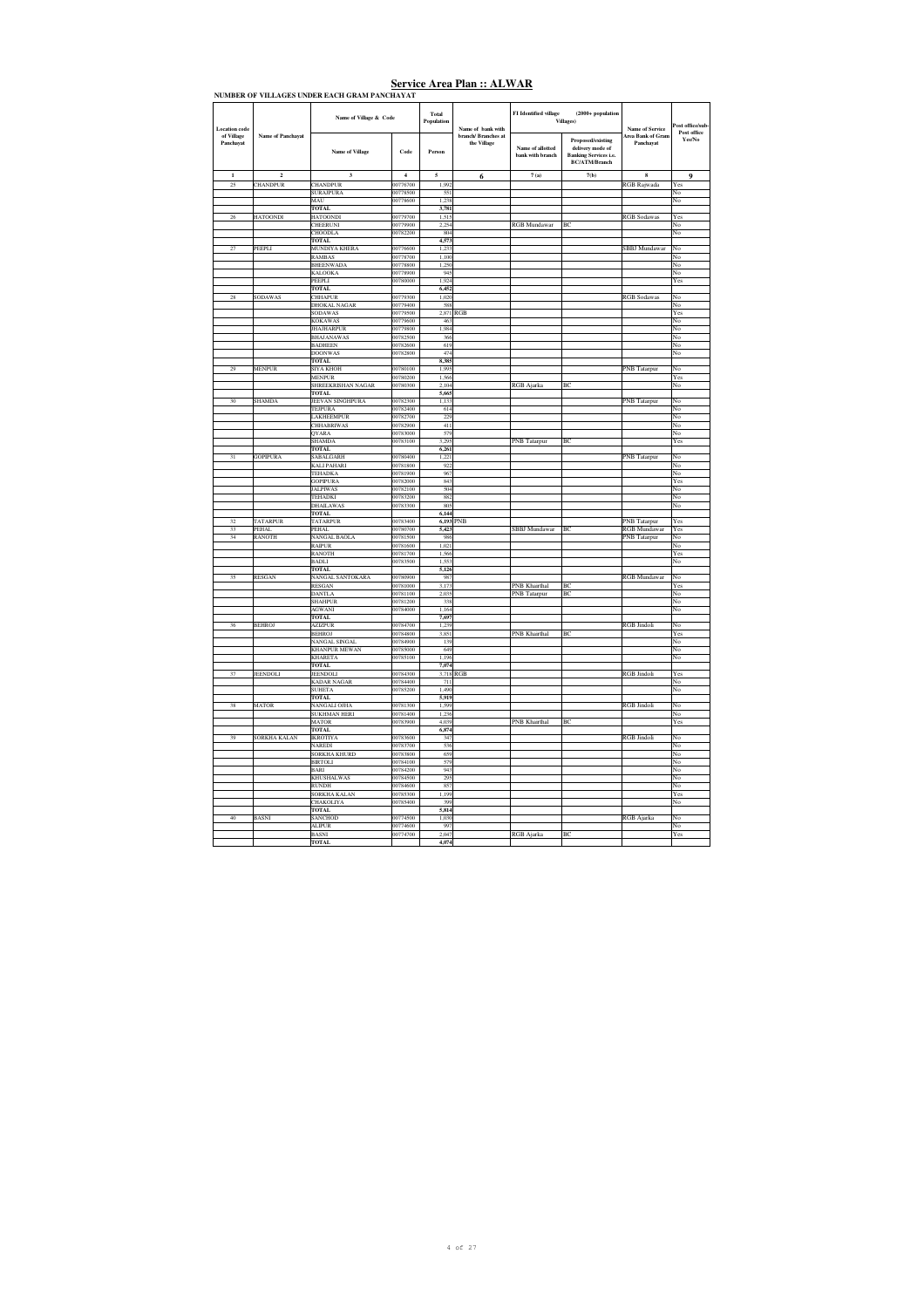|                         |                          | NUMBER OF VILLAGES UNDER EACH GRAM PANCHAYAT |                      |                     |                                    |                                      |                                                                                                      |                                       |                                                                                 |
|-------------------------|--------------------------|----------------------------------------------|----------------------|---------------------|------------------------------------|--------------------------------------|------------------------------------------------------------------------------------------------------|---------------------------------------|---------------------------------------------------------------------------------|
| <b>Location</b> code    |                          | Name of Village & Code                       |                      | Total<br>Population | Name of bank with                  | FI Identified village (Villages)     | $(2000 + population$                                                                                 | <b>Name of Service</b>                | ost office/sub-<br>Post office                                                  |
| of Village<br>Panchayat | <b>Name of Panchavat</b> | <b>Name of Village</b>                       | Code                 | Person              | branch/ Branches at<br>the Village | Name of allotted<br>bank with branch | <b>Proposed/existing</b><br>delivery mode of<br><b>Banking Services i.e.</b><br><b>BC/ATM/Branch</b> | <b>Area Bank of Gram</b><br>Panchavat | Yes/No                                                                          |
| $\mathbf{1}$            | $\overline{2}$           | 3                                            | $\,$ 4 $\,$          | 5                   | 6                                  | 7(a)                                 | 7(b)                                                                                                 | $\bf{8}$                              | 9                                                                               |
| 25                      | CHANDPUR                 | CHANDPUR                                     | 00776700             | 1,992               |                                    |                                      |                                                                                                      | RGB Rajwada                           | Yes                                                                             |
|                         |                          | <b>SURAJPURA</b><br>MAU                      | 00778500<br>00778600 | 551<br>1,238        |                                    |                                      |                                                                                                      |                                       | No<br>No                                                                        |
|                         |                          | <b>TOTAL</b>                                 |                      | 3,781               |                                    |                                      |                                                                                                      |                                       |                                                                                 |
| 26                      | <b>HATOONDI</b>          | <b>HATOONDI</b>                              | 00779700             | 1.515               |                                    |                                      |                                                                                                      | <b>RGB Sodawas</b>                    | Yes                                                                             |
|                         |                          | CHEERUNI                                     | 00779900             | 2.254               |                                    | RGB Mundawar                         | BC                                                                                                   |                                       | No                                                                              |
|                         |                          | CHOODLA                                      | 00782200             | 804                 |                                    |                                      |                                                                                                      |                                       | No                                                                              |
| 27                      | PEEPLI                   | <b>TOTAL</b><br>MUNDIYA KHERA                | 00776600             | 4,573<br>1.233      |                                    |                                      |                                                                                                      | <b>SBBJ</b> Mundawar                  | No                                                                              |
|                         |                          | <b>RAMBAS</b>                                | 00778700             | 1 100               |                                    |                                      |                                                                                                      |                                       | No                                                                              |
|                         |                          | <b>BHEENWADA</b>                             | 00778800             | 1.250               |                                    |                                      |                                                                                                      |                                       | $_{\rm No}$                                                                     |
|                         |                          | KALOOKA                                      | 00778900             | 945                 |                                    |                                      |                                                                                                      |                                       | No                                                                              |
|                         |                          | PEEPLI<br><b>TOTAL</b>                       | 00780000             | 1,924<br>6,452      |                                    |                                      |                                                                                                      |                                       | Yes                                                                             |
| 28                      | <b>SODAWAS</b>           | <b>CHHAPUR</b>                               | 00779300             | 1.020               |                                    |                                      |                                                                                                      | <b>RGB</b> Sodawas                    | No                                                                              |
|                         |                          | <b>DHOKAL NAGAR</b>                          | 00779400             | 588                 |                                    |                                      |                                                                                                      |                                       | No                                                                              |
|                         |                          | <b>SODAWAS</b>                               | 00779500             | 2,871 RGB           |                                    |                                      |                                                                                                      |                                       | Yes                                                                             |
|                         |                          | <b>KOKAWAS</b>                               | 00779600             | 463                 |                                    |                                      |                                                                                                      |                                       | No                                                                              |
|                         |                          | <b>JHAJHARPUR</b><br><b>BHAJANAWAS</b>       | 00779800<br>00782500 | 1,984<br>366        |                                    |                                      |                                                                                                      |                                       | No<br>No                                                                        |
|                         |                          | <b>BADHEEN</b>                               | 00782600             | 619                 |                                    |                                      |                                                                                                      |                                       | No                                                                              |
|                         |                          | <b>DOONWAS</b>                               | 00782800             | 474                 |                                    |                                      |                                                                                                      |                                       | No                                                                              |
|                         |                          | <b>TOTAL</b>                                 |                      | 8,385               |                                    |                                      |                                                                                                      |                                       |                                                                                 |
| 29                      | <b>MENPUR</b>            | <b>SIYA KHOH</b><br>MENPUR                   | 00780100<br>00780200 | 1,995<br>1,566      |                                    |                                      |                                                                                                      | <b>PNB</b> Tatarpur                   | No<br>Yes                                                                       |
|                         |                          | SHREEKRISHAN NAGAR                           | 00780300             | 2.104               |                                    | <b>RGB</b> Ajarka                    | BC                                                                                                   |                                       | No                                                                              |
|                         |                          | TOTAL.                                       |                      | 5.665               |                                    |                                      |                                                                                                      |                                       |                                                                                 |
| 30                      | SHAMDA                   | JEEVAN SINGHPURA                             | 00782300             | 1,133               |                                    |                                      |                                                                                                      | PNB Tatarpur                          | No                                                                              |
|                         |                          | TEJPURA                                      | 00782400             | 614<br>229          |                                    |                                      |                                                                                                      |                                       | No                                                                              |
|                         |                          | LAKHEEMPUR<br>CHHABRIWAS                     | 00782700<br>00782900 | 411                 |                                    |                                      |                                                                                                      |                                       | No<br>No                                                                        |
|                         |                          | <b>OYARA</b>                                 | 00783000             | 579                 |                                    |                                      |                                                                                                      |                                       | No                                                                              |
|                         |                          | <b>SHAMDA</b>                                | 00783100             | 3.295               |                                    | PNB Tatarpur                         | BC                                                                                                   |                                       | $\operatorname*{Yes}% \left( X\right) \equiv\operatorname*{Yes}\left( X\right)$ |
|                         |                          | <b>TOTAL</b>                                 |                      | 6,261               |                                    |                                      |                                                                                                      |                                       |                                                                                 |
|                         | GOPIPURA                 | SABALGARH<br><b>KALI PAHARI</b>              | 00780400<br>00781800 | 1,221<br>922        |                                    |                                      |                                                                                                      | PNB Tatarpur                          | No<br>No                                                                        |
|                         |                          | <b>TEHADKA</b>                               | 00781900             | 967                 |                                    |                                      |                                                                                                      |                                       | No                                                                              |
|                         |                          | <b>GOPIPURA</b>                              | 00782000             | 843                 |                                    |                                      |                                                                                                      |                                       | Yes                                                                             |
|                         |                          | <b>JALPIWAS</b>                              | 00782100             | 504                 |                                    |                                      |                                                                                                      |                                       | No                                                                              |
|                         |                          | TEHADKI                                      | 00783200             | 882                 |                                    |                                      |                                                                                                      |                                       | No                                                                              |
|                         |                          | <b>DHAILAWAS</b><br><b>TOTAL</b>             | 00783300             | 805<br>6,144        |                                    |                                      |                                                                                                      |                                       | No                                                                              |
| 32                      | <b>TATARPUR</b>          | <b>TATARPUR</b>                              | 00783400             | 6.193 PNB           |                                    |                                      |                                                                                                      | <b>PNB</b> Tatarpur                   | Yes                                                                             |
| 33                      | PEHAL                    | <b>PEHAL</b>                                 | 00780700             | 5,423               |                                    | SBBJ Mundawar                        | BC                                                                                                   | <b>RGB</b> Mundawar                   | Yes                                                                             |
| 34                      | RANOTH                   | <b>NANGAL BAOLA</b>                          | 00781500             | 986                 |                                    |                                      |                                                                                                      | <b>PNB</b> Tatarpur                   | No                                                                              |
|                         |                          | <b>RAIPUR</b><br><b>RANOTH</b>               | 00781600<br>00781700 | 1,021<br>1,566      |                                    |                                      |                                                                                                      |                                       | No<br>Yes                                                                       |
|                         |                          | <b>BADLI</b>                                 | 00783500             | 1,553               |                                    |                                      |                                                                                                      |                                       | No                                                                              |
|                         |                          | TOTAL                                        |                      | 5.126               |                                    |                                      |                                                                                                      |                                       |                                                                                 |
| $\overline{\mathbf{3}}$ | RESGAN                   | NANGAL SANTOKARA                             | 00780900             | 987                 |                                    |                                      | BC                                                                                                   | <b>RGB</b> Mundawar                   | No                                                                              |
|                         |                          | <b>RESGAN</b><br><b>DANTLA</b>               | 00781000<br>00781100 | 3,173<br>2,035      |                                    | PNB Khairthal<br><b>PNB</b> Tatarpur | BC                                                                                                   |                                       | Yes<br>No                                                                       |
|                         |                          | <b>SHAHPUR</b>                               | 00781200             | 338                 |                                    |                                      |                                                                                                      |                                       | No                                                                              |
|                         |                          | <b>AGWANI</b>                                | 00784000             | 1 1 6 4             |                                    |                                      |                                                                                                      |                                       | No                                                                              |
|                         |                          | TOTAL.                                       |                      | 7.697               |                                    |                                      |                                                                                                      |                                       |                                                                                 |
| 36                      | <b>BEHROJ</b>            | <b>AZIZPUR</b><br><b>BEHROJ</b>              | 00784700<br>00784800 | 1,239<br>3,851      |                                    | PNB Khairthal                        | BC                                                                                                   | <b>RGB</b> Jindoli                    | No<br>Yes                                                                       |
|                         |                          | <b>NANGAL SINGAL</b>                         | 00784900             | 139                 |                                    |                                      |                                                                                                      |                                       | No                                                                              |
|                         |                          | <b>KHANPUR MEWAN</b>                         | 00785000             | 649                 |                                    |                                      |                                                                                                      |                                       | No                                                                              |
|                         |                          | <b>KHARETA</b>                               | 00785100             | 1 1 9 6             |                                    |                                      |                                                                                                      |                                       | No                                                                              |
| 37                      | <b>JEENDOLI</b>          | <b>TOTAL</b><br><b>JEENDOLI</b>              | 00784300             | 7,074<br>3,718 RGB  |                                    |                                      |                                                                                                      | <b>RGB</b> Jindoli                    | Yes                                                                             |
|                         |                          | <b>KADAR NAGAR</b>                           | 00784400             | 711                 |                                    |                                      |                                                                                                      |                                       | No                                                                              |
|                         |                          | <b>SUHETA</b>                                | 00785200             | 1,490               |                                    |                                      |                                                                                                      |                                       | No                                                                              |
|                         |                          | <b>TOTAL</b>                                 |                      | 5.919               |                                    |                                      |                                                                                                      |                                       |                                                                                 |
| 38                      | <b>MATOR</b>             | NANGALI OJHA<br><b>SUKHMAN HERI</b>          | 00781300<br>00781400 | 1.599<br>1,236      |                                    |                                      |                                                                                                      | <b>RGB</b> Jindoli                    | No<br>No                                                                        |
|                         |                          | <b>MATOR</b>                                 | 00783900             | 4,039               |                                    | PNB Khairthal                        | BC                                                                                                   |                                       | Yes                                                                             |
|                         |                          | <b>TOTAL</b>                                 |                      | 6,874               |                                    |                                      |                                                                                                      |                                       |                                                                                 |
| 39                      | SORKHA KALAN             | <b>IKROTIYA</b>                              | 00783600             | 347                 |                                    |                                      |                                                                                                      | <b>RGB</b> Jindoli                    | No                                                                              |
|                         |                          | <b>NAREDI</b><br><b>SORKHA KHURD</b>         | 00783700<br>00783800 | 536<br>659          |                                    |                                      |                                                                                                      |                                       | No<br>No                                                                        |
|                         |                          | <b>BIRTOLI</b>                               | 00784100             | 579                 |                                    |                                      |                                                                                                      |                                       | No                                                                              |
|                         |                          | BARI                                         | 00784200             | 943                 |                                    |                                      |                                                                                                      |                                       | No                                                                              |
|                         |                          | <b>KHUSHALWAS</b>                            | 00784500             | 295                 |                                    |                                      |                                                                                                      |                                       | No                                                                              |
|                         |                          | <b>RUNDH</b><br><b>SORKHA KALAN</b>          | 00784600<br>00785300 | 857<br>1 1 9 9      |                                    |                                      |                                                                                                      |                                       | No<br>Yes                                                                       |
|                         |                          | CHAKOLIYA                                    | 00785400             | 399                 |                                    |                                      |                                                                                                      |                                       | No                                                                              |
|                         |                          | <b>TOTAL</b>                                 |                      | 5,814               |                                    |                                      |                                                                                                      |                                       |                                                                                 |
| 40                      | <b>BASNI</b>             | SANCHOD                                      | 00774500             | 1,030               |                                    |                                      |                                                                                                      | <b>RGB</b> Ajarka                     | No                                                                              |
|                         |                          | <b>ALIPUR</b><br><b>BASNI</b>                | 00774600<br>00774700 | 997<br>2.047        |                                    |                                      | BC                                                                                                   |                                       | No<br>Yes                                                                       |
|                         |                          | <b>TOTAL</b>                                 |                      | 4,074               |                                    | RGB Ajarka                           |                                                                                                      |                                       |                                                                                 |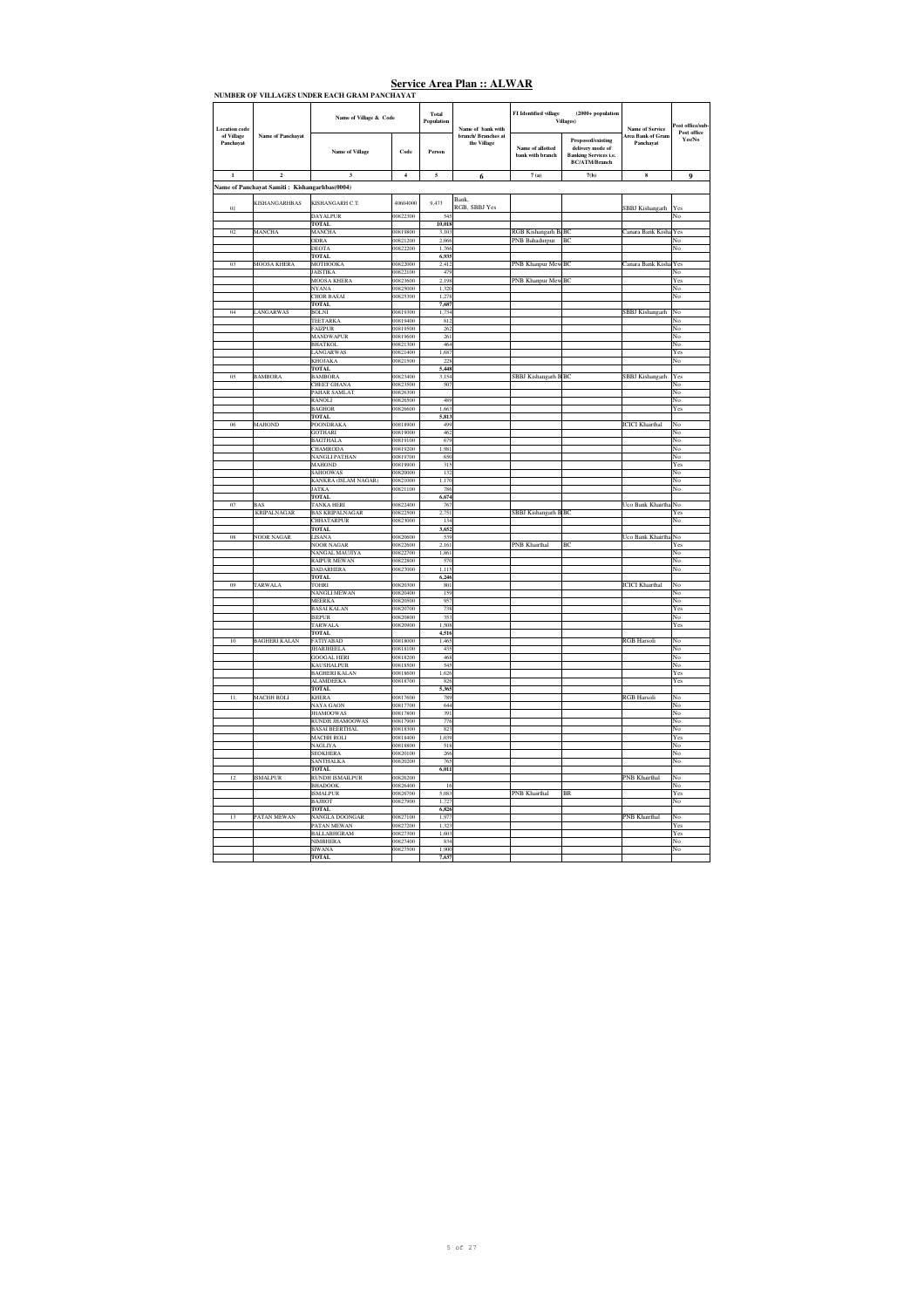|                                    | <b>LEEPLOTS OF DETA</b>                       | Name of Village & Code                         |                         | Total          |                                          | FI Identified village                 | $(2000 + population$                                                                          |                                                    |                               |
|------------------------------------|-----------------------------------------------|------------------------------------------------|-------------------------|----------------|------------------------------------------|---------------------------------------|-----------------------------------------------------------------------------------------------|----------------------------------------------------|-------------------------------|
| <b>Location</b> code<br>of Village | Name of Panchayat                             |                                                |                         | Population     | Name of bank with<br>branch/ Branches at |                                       | Villages)                                                                                     | <b>Name of Service</b><br><b>Area Bank of Gram</b> | ost office/sub<br>Post office |
| Panchavat                          |                                               | <b>Name of Village</b>                         | Code                    | Person         | the Village                              | Name of allotted<br>bank with branch  | Proposed/existing<br>delivery mode of<br><b>Banking Services i.e.</b><br><b>BC/ATM/Branch</b> | Panchayat                                          | Yes/No                        |
| $\mathbf{1}$                       | $\mathbf 2$                                   | $\overline{\mathbf{3}}$                        | $\overline{\mathbf{4}}$ | 5              | 6                                        | $7\,\mathrm{(a)}$                     | 7(b)                                                                                          | 8                                                  | 9                             |
|                                    | Name of Panchayat Samiti: Kishangarhbas(0004) |                                                |                         |                |                                          |                                       |                                                                                               |                                                    |                               |
|                                    | KISHANGARHBAS                                 | KISHANGARH C.T.                                | 40604000                | 9.473          | <b>Bank</b>                              |                                       |                                                                                               |                                                    |                               |
| $_{01}$                            |                                               | <b>DAYALPUR</b>                                | 00822300                | 545            | RGB, SBBJ Yes                            |                                       |                                                                                               | SBBJ Kishangarh                                    | Yes<br>No                     |
|                                    |                                               | <b>TOTAL</b>                                   |                         | 10,018         |                                          |                                       |                                                                                               |                                                    |                               |
| 0 <sup>2</sup>                     | MANCHA                                        | <b>MANCHA</b><br><b>ODRA</b>                   | 00819800<br>00821200    | 3.103<br>2.066 |                                          | RGB Kishangarh BaBC<br>PNB Bahadurpur | BC                                                                                            | Canara Bank Kisha                                  | Yes<br>No                     |
|                                    |                                               | <b>DEOTA</b>                                   | 00822200                | 1.766          |                                          |                                       |                                                                                               |                                                    | No                            |
| 03                                 |                                               | <b>TOTAL</b>                                   | 00822000                | 6,935          |                                          |                                       | BC                                                                                            |                                                    |                               |
|                                    | MOOSA KHERA                                   | MOTHOOKA<br><b>JAISTIKA</b>                    | 00822100                | 2,412<br>479   |                                          | PNB Khanpur Mew                       |                                                                                               | Canara Bank Kisha                                  | Yes<br>No                     |
|                                    |                                               | <b>MOOSA KHERA</b>                             | 00823600                | 2,198          |                                          | PNB Khanpur MewBC                     |                                                                                               |                                                    | Yes                           |
|                                    |                                               | <b>NYANA</b><br><b>CHOR BASAI</b>              | 00825000<br>00825300    | 1.320<br>1.278 |                                          |                                       |                                                                                               |                                                    | No<br>No                      |
|                                    |                                               | <b>TOTAL</b>                                   |                         | 7,687          |                                          |                                       |                                                                                               |                                                    |                               |
| 04                                 | LANGARWAS                                     | <b>BOLNI</b><br>TEETARKA                       | 00819300<br>00819400    | 1,734<br>812   |                                          |                                       |                                                                                               | SBBJ Kishangarh                                    | No<br>No                      |
|                                    |                                               | <b>FAIZPUR</b>                                 | 00819500                | 262            |                                          |                                       |                                                                                               |                                                    | No                            |
|                                    |                                               | <b>MANDWAPUR</b><br><b>BHATKOL</b>             | 00819600<br>00821300    | 261<br>464     |                                          |                                       |                                                                                               |                                                    | No<br>No                      |
|                                    |                                               | <b>LANGARWAS</b>                               | 00821400                | 1.687          |                                          |                                       |                                                                                               |                                                    | Yes                           |
|                                    |                                               | KHOJAKA                                        | 00821500                | 228            |                                          |                                       |                                                                                               |                                                    | No                            |
| 05                                 | <b>BAMBORA</b>                                | <b>TOTAL</b><br>BAMBORA                        | 00823400                | 5,448<br>3,154 |                                          | SBBJ Kishangarh BBC                   |                                                                                               | <b>SBBJ</b> Kishangarh                             | Yes                           |
|                                    |                                               | <b>CHEET GHANA</b>                             | 00823500                | 507            |                                          |                                       |                                                                                               |                                                    | Ńо                            |
|                                    |                                               | PAHAR SAMLAT<br><b>RANOLI</b>                  | 00826300<br>00826500    | 489            |                                          |                                       |                                                                                               |                                                    | No<br>No                      |
|                                    |                                               | <b>BAGHOR</b>                                  | 00826600                | 1.663          |                                          |                                       |                                                                                               |                                                    | Yes                           |
| 06                                 | MAHOND                                        | <b>TOTAL</b><br><b>POONDRAKA</b>               | 00818900                | 5,813<br>499   |                                          |                                       |                                                                                               | <b>ICICI Khairthal</b>                             | No                            |
|                                    |                                               | <b>GOTHARI</b>                                 | 00819000                | 462            |                                          |                                       |                                                                                               |                                                    | No                            |
|                                    |                                               | <b>BAGTHALA</b><br>CHAMRODA                    | 00819100<br>00819200    | 679<br>1.981   |                                          |                                       |                                                                                               |                                                    | No<br>No                      |
|                                    |                                               | <b>NANGLI PATHAN</b>                           | 00819700                | 650            |                                          |                                       |                                                                                               |                                                    | No                            |
|                                    |                                               | <b>MAHOND</b>                                  | 00819900                | 315            |                                          |                                       |                                                                                               |                                                    | Yes                           |
|                                    |                                               | <b>SAHOOWAS</b><br><b>KANKRA</b> (ISLAM NAGAR) | 00820000<br>00821000    | 132<br>1,170   |                                          |                                       |                                                                                               |                                                    | No<br>No                      |
|                                    |                                               | <b>JATKA</b>                                   | 00821100                | 786            |                                          |                                       |                                                                                               |                                                    | No                            |
| 07                                 | <b>BAS</b>                                    | <b>TOTAL</b><br><b>TANKA HERI</b>              | 00822400                | 6,674<br>767   |                                          |                                       |                                                                                               | Uco Bank Khairth                                   | No                            |
|                                    | <b>KRIPALNAGAR</b>                            | <b>BAS KRIPALNAGAR</b>                         | 00822500                | 2.751          |                                          | SBBJ Kishangarh BBC                   |                                                                                               |                                                    | Yes                           |
|                                    |                                               | <b>CHHATARPUR</b><br><b>TOTAL</b>              | 00823000                | 134<br>3,652   |                                          |                                       |                                                                                               |                                                    | No                            |
| 08                                 | <b>NOOR NAGAR</b>                             | LISANA                                         | 00820600                | 539            |                                          |                                       |                                                                                               | Uco Bank Khairtha                                  | No                            |
|                                    |                                               | NOOR NAGAR<br>NANGAL MAUJIYA                   | 00822600<br>00822700    | 2,161<br>1,861 |                                          | PNB Khairthal                         | B                                                                                             |                                                    | Yes<br>No                     |
|                                    |                                               | <b>RAIPUR MEWAN</b>                            | 00822800                | 570            |                                          |                                       |                                                                                               |                                                    | No                            |
|                                    |                                               | <b>DADARHERA</b>                               | 00827000                | 1.115          |                                          |                                       |                                                                                               |                                                    | No                            |
| 09                                 | TARWALA                                       | <b>TOTAL</b><br><b>TOHRI</b>                   | 00820300                | 6,246<br>801   |                                          |                                       |                                                                                               | <b>ICICI</b> Khairthal                             | No                            |
|                                    |                                               | NANGLI MEWAN                                   | 00820400                | 159            |                                          |                                       |                                                                                               |                                                    | No                            |
|                                    |                                               | MEERKA<br><b>BASAI KALAN</b>                   | 00820500<br>00820700    | 957<br>738     |                                          |                                       |                                                                                               |                                                    | No<br>Yes                     |
|                                    |                                               | <b>ISEPUR</b>                                  | 00820800                | 353            |                                          |                                       |                                                                                               |                                                    | No                            |
|                                    |                                               | <b>TARWALA</b><br><b>TOTAL</b>                 | 00820900                | 1.508<br>4,516 |                                          |                                       |                                                                                               |                                                    | Yes                           |
| 10                                 | <b>BAGHERI KALAN</b>                          | <b>FATIYABAD</b>                               | 00818000                | 1,465          |                                          |                                       |                                                                                               | <b>RGB</b> Harsoli                                 | No                            |
|                                    |                                               | <b>JHARJHEELA</b><br><b>GOOGAL HERI</b>        | 00818100<br>00818200    | 435<br>468     |                                          |                                       |                                                                                               |                                                    | No<br>No                      |
|                                    |                                               | <b>KAUSHALPUR</b>                              | 00818500                | 545            |                                          |                                       |                                                                                               |                                                    | No                            |
|                                    |                                               | <b>BAGHERI KALAN</b>                           | 00818600                | 1.626          |                                          |                                       |                                                                                               |                                                    | Yes                           |
|                                    |                                               | <b>ALAMDEEKA</b><br><b>TOTAL</b>               | 00818700                | 826<br>5,365   |                                          |                                       |                                                                                               |                                                    | Yes                           |
| $\overline{11}$                    | <b>MACHH ROLI</b>                             | KHERA                                          | 00817600                | 78S            |                                          |                                       |                                                                                               | <b>RGB</b> Harsoli                                 | No                            |
|                                    |                                               | <b>NAYA GAON</b><br><b>JHAMOOWAS</b>           | 00817700<br>00817800    | 644<br>391     |                                          |                                       |                                                                                               |                                                    | No<br>No                      |
|                                    |                                               | RUNDH JHAMOOWAS                                | 00817900                | 776            |                                          |                                       |                                                                                               |                                                    | No                            |
|                                    |                                               | <b>BASAI BEERTHAL</b><br><b>MACHH ROLI</b>     | 00818300<br>00818400    | 823<br>1,039   |                                          |                                       |                                                                                               |                                                    | No                            |
|                                    |                                               | <b>NAGLIYA</b>                                 | 00818800                | 518            |                                          |                                       |                                                                                               |                                                    | Yes<br>No                     |
|                                    |                                               | <b>SEOKHERA</b>                                | 00820100                | 266            |                                          |                                       |                                                                                               |                                                    | No                            |
|                                    |                                               | SANTHALKA<br><b>TOTAL</b>                      | 00820200                | 765<br>6,011   |                                          |                                       |                                                                                               |                                                    | No                            |
| 12                                 | <b>ISMALPUR</b>                               | <b>RUNDH ISMAILPUR</b>                         | 00826200                |                |                                          |                                       |                                                                                               | PNB Khairthal                                      | No                            |
|                                    |                                               | <b>BHADOOK</b><br><b>ISMALPUR</b>              | 00826400<br>00826700    | 16<br>5.083    |                                          | PNB Khairthal                         | BR                                                                                            |                                                    | No<br>Yes                     |
|                                    |                                               | <b>BAJHOT</b>                                  | 00827900                | 1,727          |                                          |                                       |                                                                                               |                                                    | No                            |
| 13                                 | PATAN MEWAN                                   | <b>TOTAL</b>                                   | 00827100                | 6,826          |                                          |                                       |                                                                                               | <b>PNB</b> Khairthal                               | No                            |
|                                    |                                               | NANGLA DOONGAR<br>PATAN MEWAN                  | 00827200                | 1,977<br>1,32  |                                          |                                       |                                                                                               |                                                    | Yes                           |
|                                    |                                               | <b>BALLABHGRAM</b>                             | 00827300                | 1.603          |                                          |                                       |                                                                                               |                                                    | Yes                           |
|                                    |                                               | <b>NIMBHERA</b><br><b>SIWANA</b>               | 00827400<br>00827500    | 834<br>1,900   |                                          |                                       |                                                                                               |                                                    | No<br>No                      |
|                                    |                                               | <b>TOTAL</b>                                   |                         | 7.637          |                                          |                                       |                                                                                               |                                                    |                               |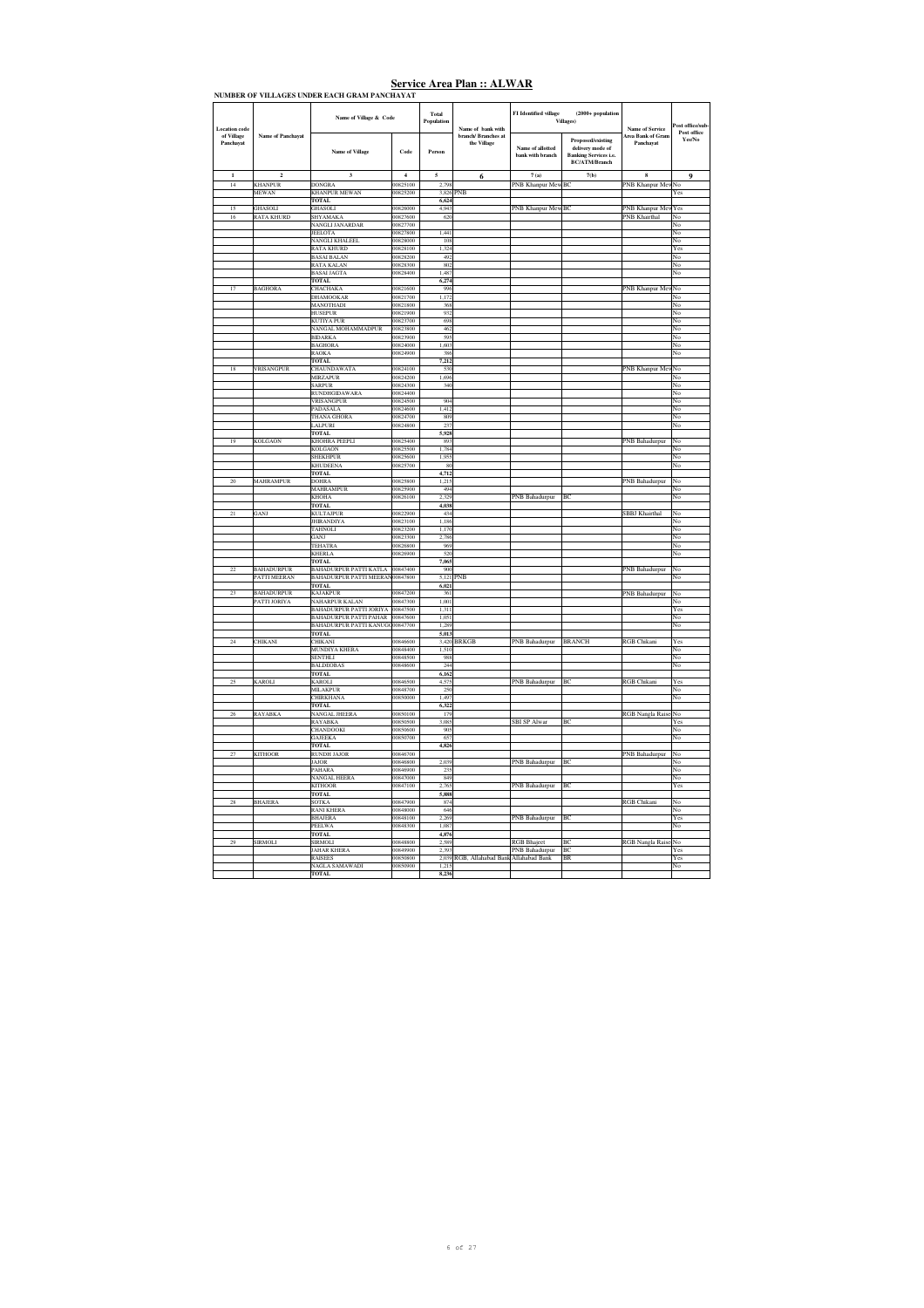| Location code           |                   | Name of Village & Code               |                      | Total<br>Population | Name of bank with                        | FI Identified village                | $(2000 + population$<br>Villages)                                                             | <b>Name of Service</b>                | ost office/sub<br>Post office<br>Yes/No |
|-------------------------|-------------------|--------------------------------------|----------------------|---------------------|------------------------------------------|--------------------------------------|-----------------------------------------------------------------------------------------------|---------------------------------------|-----------------------------------------|
| of Village<br>Panchayat | Name of Panchayat | <b>Name of Village</b>               | Code                 | Person              | branch/ Branches at<br>the Village       | Name of allotted<br>bank with branch | Proposed/existing<br>delivery mode of<br><b>Banking Services i.e.</b><br><b>BC/ATM/Branch</b> | <b>Area Bank of Gran</b><br>Panchavat |                                         |
| $\mathbf 1$             | $\overline{2}$    | 3                                    | $\overline{4}$       | $\mathbf{5}$        | 6                                        | 7(a)                                 | 7(b)                                                                                          | $\bf{8}$                              | $\overline{9}$                          |
| 14                      | <b>KHANPUR</b>    | <b>DONGRA</b>                        | 00825100             | 2.798               |                                          | PNB Khanpur MewBC                    |                                                                                               | PNB Khanpur MewNo                     |                                         |
|                         | <b>MEWAN</b>      | <b>KHANPUR MEWAN</b>                 | 00825200             |                     | 3.826 PNR                                |                                      |                                                                                               |                                       | Yes                                     |
|                         |                   | <b>TOTAL</b>                         |                      | 6,624               |                                          |                                      |                                                                                               |                                       |                                         |
| $\overline{15}$         | <b>GHASOLI</b>    | <b>GHASOLI</b>                       | 00826000             | 4.943               |                                          | PNB Khanpur MewBC                    |                                                                                               | PNB Khanpur Me                        | Yes                                     |
| 16                      | <b>RATA KHURD</b> | SHYAMAKA<br>NANGLI JANARDAR          | 00827600<br>00827700 | 620                 |                                          |                                      |                                                                                               | PNB Khairthal                         | No<br>No                                |
|                         |                   | <b>JEELOTA</b>                       | 00827800             | 1,441               |                                          |                                      |                                                                                               |                                       | No                                      |
|                         |                   | NANGLI KHALEEL                       | 00828000             | 108                 |                                          |                                      |                                                                                               |                                       | No                                      |
|                         |                   | RATA KHURD                           | 00828100             | 1,324               |                                          |                                      |                                                                                               |                                       | Yes                                     |
|                         |                   | <b>BASAI BALAN</b>                   | 00828200             | 492                 |                                          |                                      |                                                                                               |                                       | No                                      |
|                         |                   | <b>RATA KALAN</b>                    | 00828300             | 802                 |                                          |                                      |                                                                                               |                                       | No                                      |
|                         |                   | <b>BASAI JAGTA</b><br><b>TOTAL</b>   | 00828400             | 1,487<br>6,274      |                                          |                                      |                                                                                               |                                       | No                                      |
| 17                      | <b>BAGHORA</b>    | <b>CHACHAKA</b>                      | 00821600             | 996                 |                                          |                                      |                                                                                               | PNB Khanpur Mew No                    |                                         |
|                         |                   | DHAMOOKAR                            | 00821700             | 1 172               |                                          |                                      |                                                                                               |                                       | No                                      |
|                         |                   | MANOTHADI                            | 00821800             | 368                 |                                          |                                      |                                                                                               |                                       | No                                      |
|                         |                   | <b>HUSEPUR</b>                       | 00821900             | 932                 |                                          |                                      |                                                                                               |                                       | No                                      |
|                         |                   | <b>KUTIYA PUR</b>                    | 00823700             | 698                 |                                          |                                      |                                                                                               |                                       | No                                      |
|                         |                   | NANGAL MOHAMMADPUR                   | 00823800             | 462                 |                                          |                                      |                                                                                               |                                       | No                                      |
|                         |                   | <b>BIDARKA</b><br><b>BAGHORA</b>     | 00823900<br>00824000 | 595<br>1,603        |                                          |                                      |                                                                                               |                                       | No<br>No                                |
|                         |                   | RAOKA                                | 00824900             | 386                 |                                          |                                      |                                                                                               |                                       | No                                      |
|                         |                   | <b>TOTAL</b>                         |                      | 7,212               |                                          |                                      |                                                                                               |                                       |                                         |
| 18                      | VRISANGPUR        | CHAUNDAWATA                          | 00824100             | 530                 |                                          |                                      |                                                                                               | PNB Khanpur Mev                       | No                                      |
|                         |                   | <b>MIRZAPUR</b>                      | 00824200             | 1,696               |                                          |                                      |                                                                                               |                                       | No                                      |
|                         |                   | <b>SARPUR</b>                        | 00824300             | 340                 |                                          |                                      |                                                                                               |                                       | No                                      |
|                         |                   | <b>RUNDHGIDAWARA</b>                 | 00824400             |                     |                                          |                                      |                                                                                               |                                       | No                                      |
|                         |                   | <b>VRISANGPUR</b><br><b>PADASALA</b> | 00824500<br>00824600 | 904<br>1.412        |                                          |                                      |                                                                                               |                                       | No<br>No                                |
|                         |                   | <b>THANA GHORA</b>                   | 00824700             | 809                 |                                          |                                      |                                                                                               |                                       | No                                      |
|                         |                   | <b>LALPURI</b>                       | 00824800             | 237                 |                                          |                                      |                                                                                               |                                       | No                                      |
|                         |                   | <b>TOTAL</b>                         |                      | 5,928               |                                          |                                      |                                                                                               |                                       |                                         |
| 19                      | KOLGAON           | KHOHRA PEEPLI                        | 00825400             | 893                 |                                          |                                      |                                                                                               | PNB Bahadurpur                        | No                                      |
|                         |                   | KOLGAON                              | 00825500             | 1,784               |                                          |                                      |                                                                                               |                                       | No                                      |
|                         |                   | SHEKHPUR                             | 00825600             | 1,955               |                                          |                                      |                                                                                               |                                       | No                                      |
|                         |                   | <b>KHUDEENA</b>                      | 00825700             | 80                  |                                          |                                      |                                                                                               |                                       | No                                      |
| $20\,$                  | MAHRAMPUR         | <b>TOTAL</b><br><b>DOHRA</b>         | 00825800             | 4,712<br>1,215      |                                          |                                      |                                                                                               | PNB Bahadurpur                        | No                                      |
|                         |                   | MAHRAMPUR                            | 00825900             | 494                 |                                          |                                      |                                                                                               |                                       | No                                      |
|                         |                   | <b>КНОНА</b>                         | 00826100             | 2.329               |                                          | PNB Bahadurpur                       | BC                                                                                            |                                       | No                                      |
|                         |                   | <b>TOTAL</b>                         |                      | 4.038               |                                          |                                      |                                                                                               |                                       |                                         |
| $\overline{21}$         | GANJ              | <b>KULTAJPUR</b>                     | 00822900             | 434                 |                                          |                                      |                                                                                               | SBBJ Khairthal                        | No                                      |
|                         |                   | <b>THIR ANDIYA</b>                   | 00823100             | 1 1 8 6             |                                          |                                      |                                                                                               |                                       | No                                      |
|                         |                   | <b>TAHNOLI</b>                       | 00823200             | 1.170               |                                          |                                      |                                                                                               |                                       | No                                      |
|                         |                   | GANJ<br><b>TEHATRA</b>               | 00823300<br>00826800 | 2,786<br>969        |                                          |                                      |                                                                                               |                                       | No<br>No                                |
|                         |                   | <b>KHERLA</b>                        | 00826900             | 520                 |                                          |                                      |                                                                                               |                                       | No                                      |
|                         |                   | <b>TOTAL</b>                         |                      | 7,065               |                                          |                                      |                                                                                               |                                       |                                         |
| $^{22}$                 | <b>BAHADURPUR</b> | BAHADURPUR PATTI KATLA 00847400      |                      | 900                 |                                          |                                      |                                                                                               | PNB Bahadurpur                        | No                                      |
|                         | PATTI MEERAN      | <b>BAHADURPUR PATTI MEERAN</b>       | 00847800             | 5,121               | PNB                                      |                                      |                                                                                               |                                       | No                                      |
| 23                      | <b>BAHADURPUR</b> | <b>TOTAL</b><br>KAJAKPUR             | 0847200              | 6,021<br>361        |                                          |                                      |                                                                                               |                                       |                                         |
|                         | PATTI JORIYA      | <b>NAHARPUR KALAN</b>                | 00847300             | 1.001               |                                          |                                      |                                                                                               | PNB Bahadurpur                        | No<br>No                                |
|                         |                   | <b>BAHADURPUR PATTI JORIYA</b>       | 00847500             | 1.311               |                                          |                                      |                                                                                               |                                       | Yes                                     |
|                         |                   | BAHADURPUR PATTI PAHAR 00847600      |                      | 1.051               |                                          |                                      |                                                                                               |                                       | No                                      |
|                         |                   | BAHADURPUR PATTI KANUGO0847700       |                      | 1.289               |                                          |                                      |                                                                                               |                                       | No                                      |
|                         |                   | <b>TOTAL</b>                         |                      | 5.013               |                                          |                                      |                                                                                               |                                       |                                         |
| $^{24}$                 | CHIKANI           | CHIKANI                              | 00846600<br>00848400 |                     | 3,420 BRKGB                              | PNB Bahadurpur                       | <b>BRANCH</b>                                                                                 | RGB Chikani                           | Yes                                     |
|                         |                   | MUNDIYA KHERA<br><b>SENTHLI</b>      | 00848500             | 1.510<br>988        |                                          |                                      |                                                                                               |                                       | No<br>No                                |
|                         |                   | <b>BALDEOBAS</b>                     | 00848600             | 244                 |                                          |                                      |                                                                                               |                                       | No                                      |
|                         |                   | <b>TOTAL</b>                         |                      | 6,162               |                                          |                                      |                                                                                               |                                       |                                         |
| 25                      | KAROLI            | <b>CAROLI</b>                        | 00846500             | 4,575               |                                          | PNB Bahadurpur                       | BC                                                                                            | <b>RGB</b> Chikani                    | Yes                                     |
|                         |                   | MILAKPUR                             | 00848700             | 250                 |                                          |                                      |                                                                                               |                                       | No                                      |
|                         |                   | CHIRKHANA                            | 00850000             | 1,497               |                                          |                                      |                                                                                               |                                       | No                                      |
|                         |                   | <b>TOTAL</b><br>NANGAL JHEERA        | 00850100             | 6,322               |                                          |                                      |                                                                                               | RGB Nangla Raise                      |                                         |
| 26                      | <b>RAYABKA</b>    | <b>RAYABKA</b>                       | 00850500             | 179<br>3.085        |                                          | <b>SBI SP Alwar</b>                  | BC                                                                                            |                                       | No<br>Yes                               |
|                         |                   | CHANDOOKI                            | 00850600             | 905                 |                                          |                                      |                                                                                               |                                       | No                                      |
|                         |                   | <b>GAJEEKA</b>                       | 00850700             | 657                 |                                          |                                      |                                                                                               |                                       | No                                      |
|                         |                   | <b>TOTAL</b>                         |                      | 4,826               |                                          |                                      |                                                                                               |                                       |                                         |
| 27                      | <b>KITHOOR</b>    | <b>RUNDH JAJOR</b>                   | 00846700             |                     |                                          |                                      |                                                                                               | PNB Bahadurpur                        | No                                      |
|                         |                   | <b>JAJOR</b>                         | 00846800             | 2.039               |                                          | PNB Bahadurpur                       | BC                                                                                            |                                       | No                                      |
|                         |                   | <b>PAHARA</b>                        | 00846900             | 235                 |                                          |                                      |                                                                                               |                                       | No                                      |
|                         |                   | <b>NANGAL HEERA</b><br>KITHOOR       | 00847000<br>00847100 | 849<br>2,765        |                                          | PNB Bahadurpur                       | BC                                                                                            |                                       | No<br>Yes                               |
|                         |                   | TOTAL                                |                      | 5,888               |                                          |                                      |                                                                                               |                                       |                                         |
| 28                      | <b>BHAJERA</b>    | SOTKA                                | 00847900             | 874                 |                                          |                                      |                                                                                               | <b>RGB</b> Chikani                    | No                                      |
|                         |                   | <b>RANI KHERA</b>                    | 00848000             | 646                 |                                          |                                      |                                                                                               |                                       | No                                      |
|                         |                   | <b>BHAJERA</b>                       | 00848100             | 2,269               |                                          | <b>PNB</b> Bahadurpur                | BC                                                                                            |                                       | Yes                                     |
|                         |                   | <b>PEELWA</b>                        | 00848300             | 1.087               |                                          |                                      |                                                                                               |                                       | No                                      |
| 29                      |                   | <b>TOTAL</b><br>STRMOLT              | 00848800             | 4,876<br>2.589      |                                          |                                      | <b>BC</b>                                                                                     |                                       |                                         |
|                         | <b>SIRMOLI</b>    | <b>JAHAR KHERA</b>                   | 00849900             | 2.393               |                                          | <b>RGB</b> Bhaject<br>PNB Bahadurpur | <b>BC</b>                                                                                     | RGB Nangla Raise No                   | Yes                                     |
|                         |                   | <b>RAISEES</b>                       | 00850800             |                     | 2,039 RGB, Allahabad Bank Allahabad Bank |                                      | <b>BR</b>                                                                                     |                                       | Yes                                     |
|                         |                   | NAGLA SAMAWADI                       | 00850900             | 1,215               |                                          |                                      |                                                                                               |                                       | No                                      |
|                         |                   | <b>TOTAL</b>                         |                      | 8,236               |                                          |                                      |                                                                                               |                                       |                                         |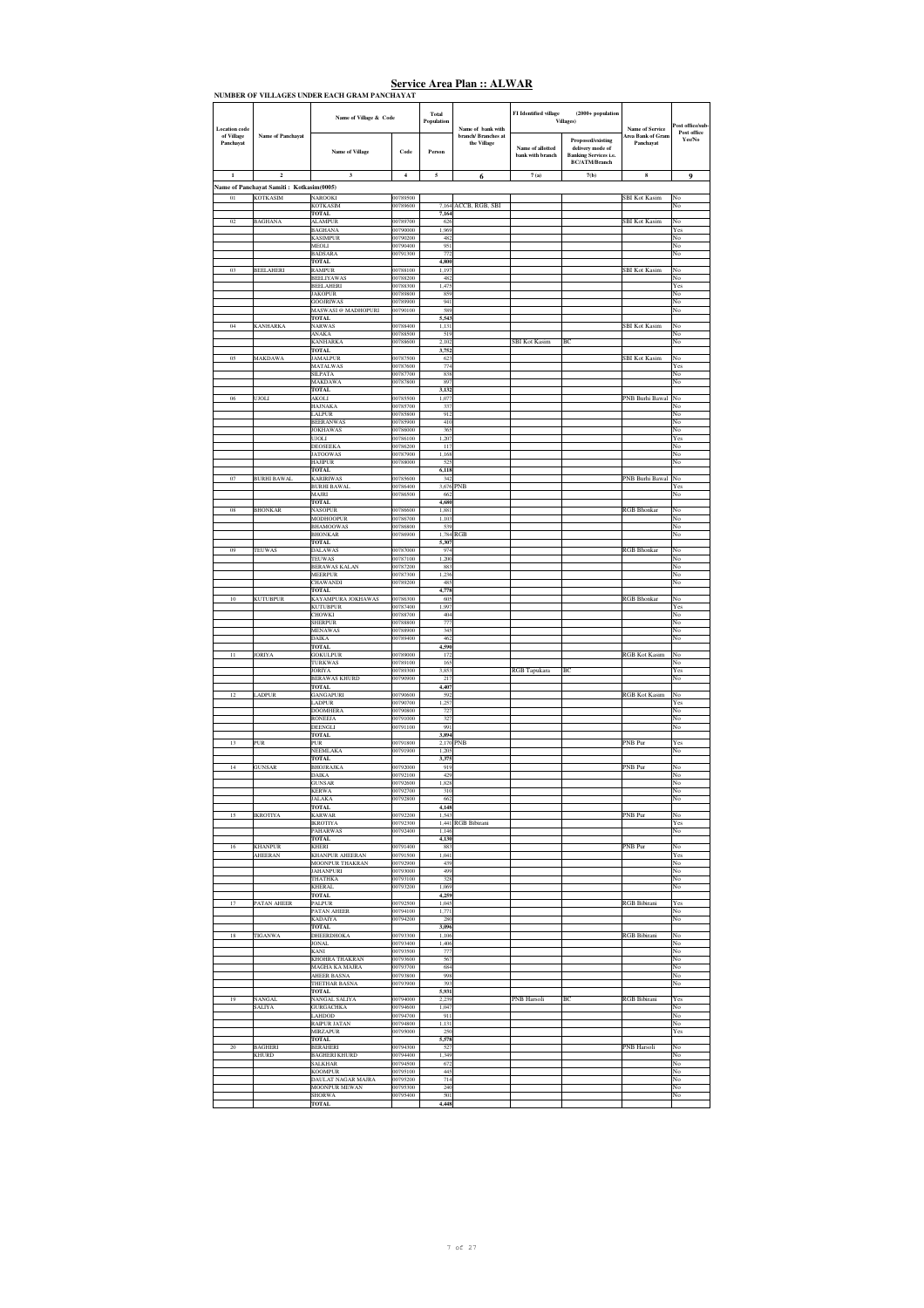| <b>Location</b> code    |                                                             | Name of Village & Code                           |                         | Total<br>Population | Name of bank with                  | FI Identified village                | $(2000 + population$<br><b>Villages</b> )                                                     | <b>Name of Service</b>         | ost office/sub-       |
|-------------------------|-------------------------------------------------------------|--------------------------------------------------|-------------------------|---------------------|------------------------------------|--------------------------------------|-----------------------------------------------------------------------------------------------|--------------------------------|-----------------------|
| of Village<br>Panchayat | Name of Panchayat                                           | <b>Name of Village</b>                           | Code                    | Person              | branch/ Branches at<br>the Village | Name of allotted<br>bank with branch | Proposed/existing<br>delivery mode of<br><b>Banking Services i.e.</b><br><b>BC/ATM/Branch</b> | Area Bank of Gram<br>Panchayat | Post office<br>Yes/No |
| $\mathbf{1}$            | $\overline{2}$                                              | 3                                                | $\overline{\mathbf{4}}$ | 5                   | 6                                  | 7(a)                                 | 7(b)                                                                                          | $\bf8$                         | 9                     |
| 01                      | Name of Panchayat Samiti: Kotkasim(0005)<br><b>KOTKASIM</b> | NAROOKI                                          | 00789500                |                     |                                    |                                      |                                                                                               | <b>SBI Kot Kasim</b>           | No                    |
|                         |                                                             | <b>KOTKASIM</b><br><b>TOTAL</b>                  | 00789600                | 7,164<br>7,164      | ACCB, RGB, SBI                     |                                      |                                                                                               |                                | No                    |
| 02                      | <b>BAGHANA</b>                                              | <b>ALAMPUR</b><br><b>BAGHANA</b>                 | 00789700<br>00790000    | 626<br>1,969        |                                    |                                      |                                                                                               | SBI Kot Kasim                  | No<br>Yes             |
|                         |                                                             | <b>KASIMPUR</b><br>MEOLI                         | 00790200<br>00790400    | 482<br>951          |                                    |                                      |                                                                                               |                                | No<br>No              |
|                         |                                                             | <b>BADSARA</b><br>TOTAL                          | 00791300                | 772<br>4,800        |                                    |                                      |                                                                                               |                                | No                    |
| 03                      | BEELAHERI                                                   | RAMPUR<br><b>BEELIYAWAS</b>                      | 00788100<br>00788200    | 1,197<br>482        |                                    |                                      |                                                                                               | <b>SBI</b> Kot Kasim           | No<br>No              |
|                         |                                                             | <b>BEELAHERI</b><br><b>JAKOPUR</b>               | 00788300<br>00789800    | 1,475<br>859        |                                    |                                      |                                                                                               |                                | Yes<br>No             |
|                         |                                                             | <b>GOOJRIWAS</b><br><b>MASWASI @ MADHOPURI</b>   | 00789900<br>00790100    | 941<br>589          |                                    |                                      |                                                                                               |                                | No<br>No              |
| 04                      |                                                             | <b>TOTAL</b><br><b>NARWAS</b>                    | 00788400                | 5,543<br>1.131      |                                    |                                      |                                                                                               |                                | No                    |
|                         | <b>KANHARKA</b>                                             | ANAKA                                            | 00788500                | 519                 |                                    |                                      |                                                                                               | <b>SBI</b> Kot Kasim           | No                    |
|                         |                                                             | <b>KANHARKA</b><br><b>TOTAL</b>                  | 00788600                | 2,102<br>3,752      |                                    | <b>SBI Kot Kasim</b>                 | BC                                                                                            |                                | No                    |
| 05                      | MAKDAWA                                                     | <b>JAMALPUR</b><br><b>MATALWAS</b>               | 00787500<br>00787600    | 623<br>774          |                                    |                                      |                                                                                               | <b>SBI</b> Kot Kasim           | No<br>Yes             |
|                         |                                                             | <b>SILPATA</b><br><b>MAKDAWA</b>                 | 00787700<br>00787800    | 838<br>897          |                                    |                                      |                                                                                               |                                | No<br>No              |
| 06                      | <b>UJOLI</b>                                                | <b>TOTAL</b><br><b>AKOLI</b>                     | 00785500                | 3,132<br>1.077      |                                    |                                      |                                                                                               | PNB Burhi Bawal                | No                    |
|                         |                                                             | <b>HAJNAKA</b><br><b>ALPUR</b>                   | 00785700<br>00785800    | 337<br>912          |                                    |                                      |                                                                                               |                                | No<br>No              |
|                         |                                                             | <b>BEERANWAS</b><br><b>JOKHAWAS</b>              | 00785900<br>00786000    | 410<br>365          |                                    |                                      |                                                                                               |                                | No<br>No              |
|                         |                                                             | <b>LIOU</b><br><b>DEOSEEKA</b>                   | 00786100<br>00786200    | 1.207<br>117        |                                    |                                      |                                                                                               |                                | Yes<br>No             |
|                         |                                                             | <b>JATOOWAS</b><br><b>HAJIPUR</b>                | 00787900<br>00788000    | 1.168<br>525        |                                    |                                      |                                                                                               |                                | No<br>No              |
| 07                      | BURHI BAWAL                                                 | <b>TOTAL</b><br><b>KARIRIWAS</b>                 | 00785600                | 6,118<br>342        |                                    |                                      |                                                                                               | PNB Burhi Bawal                | No                    |
|                         |                                                             | <b>BURHI BAWAL</b><br>MAJRI                      | 00786400<br>00786500    | 3,676<br>662        | PNB                                |                                      |                                                                                               |                                | Yes<br>No             |
| 08                      | <b>BHONKAR</b>                                              | <b>TOTAL</b><br><b>NASOPHR</b>                   | 00786600                | 4,680<br>1.881      |                                    |                                      |                                                                                               | <b>RGB</b> Bhonkar             | No                    |
|                         |                                                             | <b>MODHOOPUR</b><br><b>BHAMOOWAS</b>             | 00786700<br>00786800    | 1,103<br>539        |                                    |                                      |                                                                                               |                                | No<br>No              |
|                         |                                                             | <b>BHONKAR</b><br><b>TOTAL</b>                   | 00786900                | 1,784<br>5,307      | RGB                                |                                      |                                                                                               |                                | No                    |
| 09                      | TEUWAS                                                      | <b>DALAWAS</b><br><b>TEUWAS</b>                  | 00787000<br>00787100    | 974<br>1,200        |                                    |                                      |                                                                                               | <b>RGB</b> Bhonkar             | No<br>No              |
|                         |                                                             | <b>BERAWAS KALAN</b><br><b>MEERPUR</b>           | 00787200<br>00787300    | 883<br>1,236        |                                    |                                      |                                                                                               |                                | No<br>No              |
|                         |                                                             | <b>CHAWANDI</b><br>TOTAL                         | 00789200                | 485<br>4,778        |                                    |                                      |                                                                                               |                                | No                    |
| 10                      | <b>KUTUBPUR</b>                                             | KAYAMPURA JOKHAWAS<br><b>KUTUBPUR</b>            | 00786300<br>00787400    | 605<br>1,997        |                                    |                                      |                                                                                               | <b>RGB Bhonkar</b>             | No<br>Yes             |
|                         |                                                             | <b>HOWKI</b><br>SHERPUR                          | 00788700<br>00788800    | 404<br>777          |                                    |                                      |                                                                                               |                                | No<br>No              |
|                         |                                                             | <b>MENAWAS</b><br><b>DAIKA</b>                   | 00788900<br>00789400    | 345<br>462          |                                    |                                      |                                                                                               |                                | No<br>No              |
| 11                      | <b>JORIYA</b>                                               | <b>TOTAL</b><br><b>GOKULPUR</b>                  | 00789000                | 4,590<br>172        |                                    |                                      |                                                                                               | <b>RGB</b> Kot Kasim           | No                    |
|                         |                                                             | <b>TURKWAS</b><br><b>JORIYA</b>                  | 00789100<br>00789300    | 165<br>3,853        |                                    | RGB Tapukara                         | BC                                                                                            |                                | No<br>Yes             |
|                         |                                                             | <b>BERAWAS KHURD</b><br><b>TOTAL</b>             | 00790900                | 217<br>4,407        |                                    |                                      |                                                                                               |                                | No                    |
| 12                      | .ADPUR                                                      | GANGAPURI<br><b>ADPUR</b>                        | 00790600<br>00790700    | 592<br>1,257        |                                    |                                      |                                                                                               | <b>RGB</b> Kot Kasim           | No<br>Yes             |
|                         |                                                             | <b>DOOMHERA</b><br><b>RONEEJA</b>                | 00790800<br>00791000    | 727<br>327          |                                    |                                      |                                                                                               |                                | No<br>No              |
|                         |                                                             | DEENGLI<br><b>TOTAL</b>                          | 00791100                | 991<br>3,894        |                                    |                                      |                                                                                               |                                | No                    |
| 13                      | PUR                                                         | PUR<br><b>NEEMLAKA</b>                           | 00791800<br>00791900    | 2,170<br>1.205      | PNB                                |                                      |                                                                                               | PNB Pur                        | Yes<br>No             |
| 14                      | <b>GUNSAR</b>                                               | <b>TOTAL</b><br><b>BHOJRAJKA</b>                 | 00792000                | 3,375<br>919        |                                    |                                      |                                                                                               | PNB Pur                        | No                    |
|                         |                                                             | <b>DAIKA</b><br><b>GUNSAR</b>                    | 00792100<br>00792600    | 429<br>1.828        |                                    |                                      |                                                                                               |                                | No<br>No              |
|                         |                                                             | <b>KERWA</b><br><b>JALAKA</b>                    | 00792700<br>00792800    | 310<br>662          |                                    |                                      |                                                                                               |                                | No<br>No              |
| 15                      | <b>IKROTIYA</b>                                             | <b>TOTAL</b><br><b>KARWAR</b>                    | 00792200                | 4,148<br>1,543      |                                    |                                      |                                                                                               | PNB Pur                        | No                    |
|                         |                                                             | <b>IKROTIYA</b><br><b>PAHARWAS</b>               | 00792300<br>00792400    | 1,146               | 1,441 RGB Bibirani                 |                                      |                                                                                               |                                | Yes<br>$_{\rm No}$    |
| 16                      | <b>KHANPUR</b>                                              | <b>TOTAL</b><br>KHERI                            | 00791400                | 4,130<br>883        |                                    |                                      |                                                                                               | PNB Pur                        | No                    |
|                         | AHEERAN                                                     | <b>KHANPUR AHEERAN</b><br><b>MOONPUR THAKRAN</b> | 00791500<br>00792900    | 1.041<br>439        |                                    |                                      |                                                                                               |                                | Yes<br>$_{\rm No}$    |
|                         |                                                             | <b>JAHANPURI</b><br>THATHKA                      | 00793000<br>00793100    | 499<br>328          |                                    |                                      |                                                                                               |                                | No<br>No              |
|                         |                                                             | <b>KHERAL</b><br>TOTAL                           | 00793200                | 1,069<br>4,259      |                                    |                                      |                                                                                               |                                | No                    |
| 17                      | <b>PATAN AHEER</b>                                          | PALPUR<br>PATAN AHEER                            | 00792500<br>00794100    | 1,045<br>1,771      |                                    |                                      |                                                                                               | <b>RGB Bibirani</b>            | Yes<br>No             |
|                         |                                                             | <b>KADAIYA</b><br><b>TOTAL</b>                   | 00794200                | 280<br>3,096        |                                    |                                      |                                                                                               |                                | No                    |
| 18                      | TIGANWA                                                     | <b>DHEERDHOKA</b><br><b>JONAL</b>                | 00793300<br>00793400    | 1,106<br>1,406      |                                    |                                      |                                                                                               | <b>RGB Bibirani</b>            | No<br>No              |
|                         |                                                             | <b>KANI</b><br><b>KHOHRA THAKRAN</b>             | 00793500<br>00793600    | 777<br>567          |                                    |                                      |                                                                                               |                                | No<br>No              |
|                         |                                                             | <b>MAGHA KA MAJRA</b><br><b>AHEER BASNA</b>      | 00793700<br>00793800    | 684<br>998          |                                    |                                      |                                                                                               |                                | No<br>No              |
|                         |                                                             | <b>THETHAR BASNA</b><br><b>TOTAL</b>             | 00793900                | 393<br>5,931        |                                    |                                      |                                                                                               |                                | No                    |
| 19                      | <b>NANGAL</b><br><b>SALIYA</b>                              | NANGAL SALIYA<br><b>GURGACHKA</b>                | 00794000<br>00794600    | 2.239<br>1,047      |                                    | PNB Harsoli                          | BC                                                                                            | <b>RGB</b> Bibirani            | Yes<br>No             |
|                         |                                                             | LAHDOD<br>RAIPUR JATAN                           | 00794700<br>00794800    | 911<br>1,131        |                                    |                                      |                                                                                               |                                | No<br>No              |
|                         |                                                             | <b>MIRZAPUR</b><br>TOTAL                         | 00795000                | 250<br>5,578        |                                    |                                      |                                                                                               |                                | Yes                   |
| 20                      | <b>BAGHERI</b><br><b>KHURD</b>                              | BERAHERI<br><b>BAGHERI KHURD</b>                 | 00794300<br>00794400    | 527<br>1.349        |                                    |                                      |                                                                                               | <b>PNB</b> Harsoli             | No<br>No              |
|                         |                                                             | <b>SALKHAR</b><br><b>KOOMPUR</b>                 | 00794500<br>00795100    | 672<br>445          |                                    |                                      |                                                                                               |                                | No<br>No              |
|                         |                                                             | DAULAT NAGAR MAJRA<br>MOONPUR MEWAN              | 00795200<br>00795300    | 714<br>240          |                                    |                                      |                                                                                               |                                | No<br>No              |
|                         |                                                             | <b>SHORWA</b><br><b>TOTAL</b>                    | 00795400                | 501<br>4,448        |                                    |                                      |                                                                                               |                                | No                    |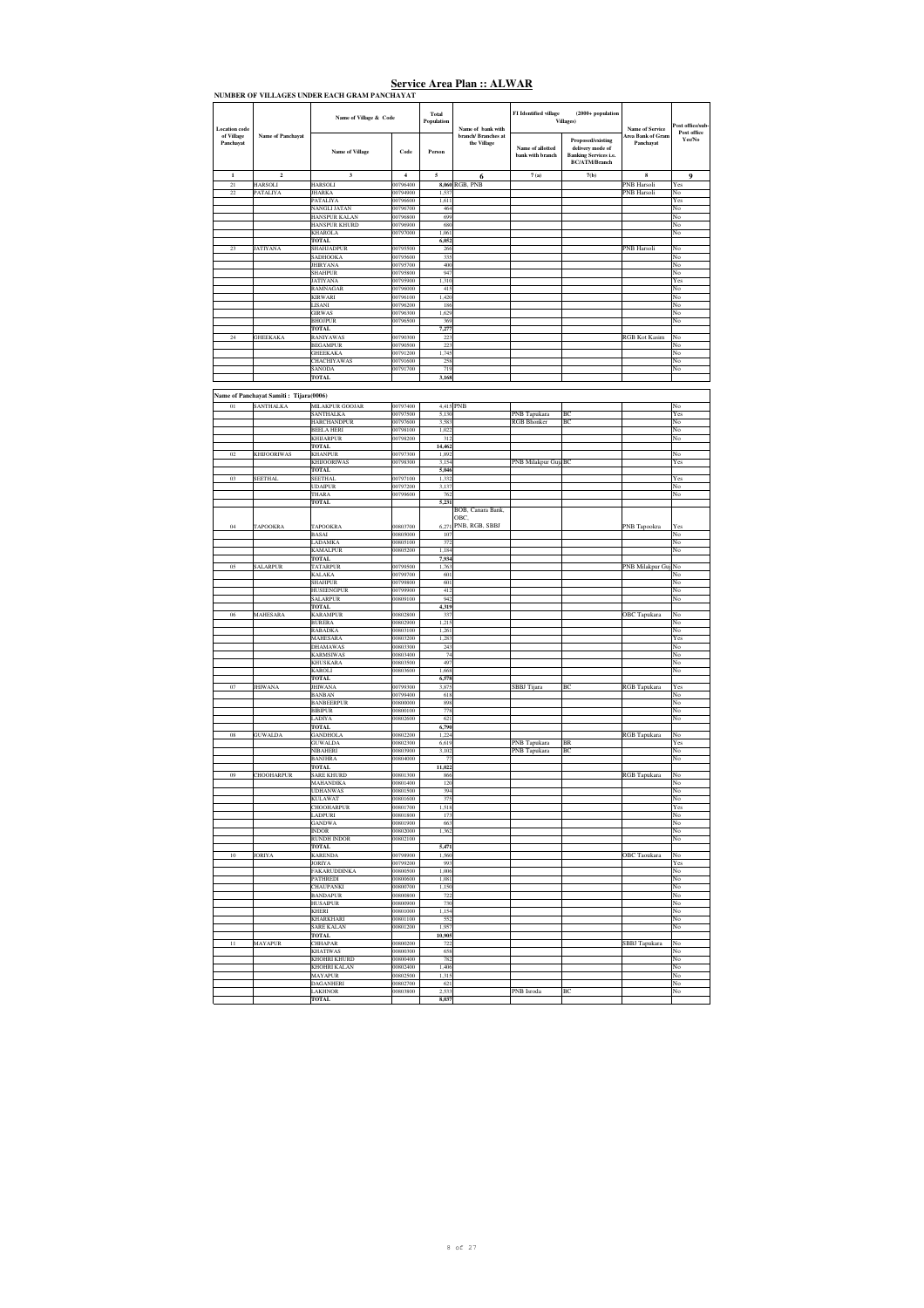| <b>Location</b> code    |                                        | Name of Village & Code                |                      | Total<br>Population | Name of bank with                  | FI Identified village                | $(2000 + population$<br>Villages)                                                             | <b>Name of Service</b>            | Post office/sub-      |
|-------------------------|----------------------------------------|---------------------------------------|----------------------|---------------------|------------------------------------|--------------------------------------|-----------------------------------------------------------------------------------------------|-----------------------------------|-----------------------|
| of Village<br>Panchayat | <b>Name of Panchayat</b>               | Name of Village                       | Code                 | Person              | branch/ Branches at<br>the Village | Name of allotted<br>bank with branch | Proposed/existing<br>delivery mode of<br><b>Banking Services i.e.</b><br><b>BC/ATM/Branch</b> | Area Bank of Gram<br>Panchayat    | Post office<br>Yes/No |
| $\mathbf 1$             | $\mathbf 2$                            | $\mathbf 3$                           | $\boldsymbol{4}$     | 5                   | 6                                  | 7(a)                                 | 7(b)                                                                                          | $\bf8$                            | 9                     |
| 21<br>22                | HARSOLI<br>PATALIYA                    | HARSOLI<br><b>JHARKA</b>              | 00796400<br>00794900 | 8,060<br>1.537      | RGB, PNB                           |                                      |                                                                                               | PNB Harsoli<br><b>PNB</b> Harsoli | Yes<br>No             |
|                         |                                        | PATALIYA                              | 00796600             | 1,611               |                                    |                                      |                                                                                               |                                   | Yes                   |
|                         |                                        | NANGLI JATAN                          | 00796700<br>00796800 | 464<br>699          |                                    |                                      |                                                                                               |                                   | No                    |
|                         |                                        | HANSPUR KALAN<br><b>HANSPUR KHURD</b> | 00796900             | 680                 |                                    |                                      |                                                                                               |                                   | No<br>No              |
|                         |                                        | KHAROLA                               | 00797000             | 1.061<br>6,052      |                                    |                                      |                                                                                               |                                   | No                    |
|                         | <b>JATIYANA</b>                        | <b>TOTAL</b><br><b>SHAHJADPUR</b>     | 00795500             | 266                 |                                    |                                      |                                                                                               | PNB Harsol                        | No                    |
|                         |                                        | SADHOOKA                              | 00795600             | 335                 |                                    |                                      |                                                                                               |                                   | No                    |
|                         |                                        | <b>JHIRYANA</b><br>SHAHPUR            | 00795700<br>00795800 | 400<br>947          |                                    |                                      |                                                                                               |                                   | No<br>No              |
|                         |                                        | JATIYANA                              | 00795900             | 1,310               |                                    |                                      |                                                                                               |                                   | Yes                   |
|                         |                                        | RAMNAGAR<br><b>KIRWARI</b>            | 00796000<br>00796100 | 415<br>1,420        |                                    |                                      |                                                                                               |                                   | No<br>No              |
|                         |                                        | LISANI                                | 00796200             | 186                 |                                    |                                      |                                                                                               |                                   | No                    |
|                         |                                        | <b>GIRWAS</b><br><b>BHOJPUR</b>       | 00796300<br>00796500 | 1,629<br>369        |                                    |                                      |                                                                                               |                                   | No<br>No              |
|                         |                                        | <b>TOTAL</b>                          |                      | 7,277               |                                    |                                      |                                                                                               |                                   |                       |
|                         | <b>GHEEKAKA</b>                        | <b>RANIYAWAS</b><br><b>BEGAMPUR</b>   | 00790300<br>00790500 | 223<br>223          |                                    |                                      |                                                                                               | <b>RGB</b> Kot Kasim              | No<br>No              |
|                         |                                        | <b>GHEEKAKA</b>                       | 00791200             | 1,745               |                                    |                                      |                                                                                               |                                   | No                    |
|                         |                                        | CHACHIYAWAS                           | 00791600             | 258                 |                                    |                                      |                                                                                               |                                   | No                    |
|                         |                                        | SANODA<br><b>TOTAL</b>                | 00791700             | 719<br>3,168        |                                    |                                      |                                                                                               |                                   | No                    |
|                         |                                        |                                       |                      |                     |                                    |                                      |                                                                                               |                                   |                       |
|                         | Name of Panchayat Samiti: Tijara(0006) |                                       |                      |                     |                                    |                                      |                                                                                               |                                   |                       |
| 01                      | SANTHALKA                              | MILAKPUR GOOJAR<br><b>SANTHALKA</b>   | 00797400<br>00797500 | 4,415 PNB<br>5.130  |                                    | PNB Tapukara                         | BC                                                                                            |                                   | No<br>Yes             |
|                         |                                        | <b>HARCHANDPUR</b>                    | 00797600             | 3,583               |                                    | <b>RGB</b> Bhonker                   | BC                                                                                            |                                   | No                    |
|                         |                                        | <b>BEELA HERI</b>                     | 00798100             | 1,022               |                                    |                                      |                                                                                               |                                   | No                    |
|                         |                                        | <b>KHIJARPUR</b><br><b>TOTAL</b>      | 00798200             | 312<br>14,462       |                                    |                                      |                                                                                               |                                   | No                    |
| 02                      | <b>KHIJOORIWAS</b>                     | <b>KHANPUR</b>                        | 00797300             | 1,892               |                                    |                                      |                                                                                               |                                   | No                    |
|                         |                                        | <b>KHIJOORIWAS</b><br><b>TOTAL</b>    | 00798300             | 3,154<br>5.046      |                                    | PNB Milakpur GujaBC                  |                                                                                               |                                   | Yes                   |
| 03                      | SEETHAL                                | <b>SEETHAL</b>                        | 00797100             | 1,332               |                                    |                                      |                                                                                               |                                   | Yes                   |
|                         |                                        | <b>UDAIPUR</b><br>THARA               | 00797200<br>00799600 | 3.137<br>762        |                                    |                                      |                                                                                               |                                   | No<br>No              |
|                         |                                        | <b>TOTAL</b>                          |                      | 5,231               |                                    |                                      |                                                                                               |                                   |                       |
|                         |                                        |                                       |                      |                     | BOB, Canara Bank,<br>OBC,          |                                      |                                                                                               |                                   |                       |
| 04                      | TAPOOKRA                               | TAPOOKRA                              | 00803700             | 6.271               | PNB, RGB, SBBJ                     |                                      |                                                                                               | PNB Tapookra                      | Yes                   |
|                         |                                        | <b>BASAI</b>                          | 00805000             | 107                 |                                    |                                      |                                                                                               |                                   | No                    |
|                         |                                        | <b>LADAMKA</b><br><b>KAMALPUR</b>     | 00805100<br>00805200 | 372<br>1,184        |                                    |                                      |                                                                                               |                                   | No<br>No              |
|                         |                                        | <b>TOTAL</b>                          |                      | 7,934               |                                    |                                      |                                                                                               |                                   |                       |
| 05                      | <b>SALARPUR</b>                        | TATARPUR<br><b>KALAKA</b>             | 00799500<br>00799700 | 1,763<br>601        |                                    |                                      |                                                                                               | PNB Milakpur Guj                  | No<br>No              |
|                         |                                        | <b>SHAHPUR</b>                        | 00799800             | 601                 |                                    |                                      |                                                                                               |                                   | No                    |
|                         |                                        | <b>HUSEENGPUR</b>                     | 00799900             | 412                 |                                    |                                      |                                                                                               |                                   | No                    |
|                         |                                        | SALARPUR<br><b>TOTAL</b>              | 00809100             | 942<br>4,319        |                                    |                                      |                                                                                               |                                   | No                    |
| 06                      | MAHESARA                               | <b>KARAMPUR</b>                       | 00802800             | 337                 |                                    |                                      |                                                                                               | <b>OBC</b> Tapukara               | No                    |
|                         |                                        | <b>BURERA</b><br><b>RABADKA</b>       | 00802900<br>00803100 | 1,215<br>1.261      |                                    |                                      |                                                                                               |                                   | No<br>No              |
|                         |                                        | MAHESARA                              | 00803200             | 1,283               |                                    |                                      |                                                                                               |                                   | Yes                   |
|                         |                                        | <b>DHAMAWAS</b><br>KARMSIWAS          | 00803300<br>00803400 | 243<br>74           |                                    |                                      |                                                                                               |                                   | No<br>No              |
|                         |                                        | <b>KHUSKARA</b>                       | 00803500             | 497                 |                                    |                                      |                                                                                               |                                   | No                    |
|                         |                                        | <b>KAROLI</b><br><b>TOTAL</b>         | 00803600             | 1.668<br>6,578      |                                    |                                      |                                                                                               |                                   | No                    |
|                         | <b>JHIWANA</b>                         | <b>JHIWANA</b>                        | 00799300             | 3.875               |                                    | SBBJ Tijara                          | BC                                                                                            | <b>RGB</b> Tapukara               | Yes                   |
|                         |                                        | <b>BANBAN</b>                         | 00799400             | 618                 |                                    |                                      |                                                                                               |                                   | No                    |
|                         |                                        | <b>BANBEERPUR</b><br><b>BIBIPUR</b>   | 00800000<br>00800100 | 898<br>778          |                                    |                                      |                                                                                               |                                   | No<br>No              |
|                         |                                        | LADIYA                                | 00802600             | 621                 |                                    |                                      |                                                                                               |                                   | No                    |
| 08                      | <b>GUWALDA</b>                         | TOTAL<br><b>GANDHOLA</b>              | 00802200             | 6,790<br>1,224      |                                    |                                      |                                                                                               | RGB Tapukara                      | No                    |
|                         |                                        | <b>GUWALDA</b>                        | 00802300             | 6,619               |                                    | PNB Tapukara                         | <b>BR</b>                                                                                     |                                   | Yes                   |
|                         |                                        | NIBAHERI<br><b>BANJHRA</b>            | 00803900<br>00804000 | 3,102<br>77         |                                    | PNB Tapukara                         | BC                                                                                            |                                   | No<br>No              |
|                         |                                        | <b>TOTAL</b>                          |                      | 11,022              |                                    |                                      |                                                                                               |                                   |                       |
| 09                      | CHOOHARPUR                             | <b>SARE KHURD</b><br><b>MAHANDIKA</b> | 00801300<br>00801400 | 866<br>120          |                                    |                                      |                                                                                               | <b>RGB</b> Tapukara               | No<br>No              |
|                         |                                        | <b>UDHANWAS</b>                       | 00801500             | 394                 |                                    |                                      |                                                                                               |                                   | No                    |
|                         |                                        | <b>KULAWAT</b>                        | 00801600             | 375                 |                                    |                                      |                                                                                               |                                   | No                    |
|                         |                                        | <b>CHOOHARPUR</b><br><b>LADPURI</b>   | 00801700<br>00801800 | 1,518<br>173        |                                    |                                      |                                                                                               |                                   | Yes<br>No             |
|                         |                                        | <b>GANDWA</b>                         | 00801900             | 663                 |                                    |                                      |                                                                                               |                                   | No                    |
|                         |                                        | <b>INDOR</b><br><b>RUNDH INDOR</b>    | 00802000<br>00802100 | 1,362               |                                    |                                      |                                                                                               |                                   | No<br>No              |
|                         |                                        | <b>TOTAL</b>                          |                      | 5,471               |                                    |                                      |                                                                                               |                                   |                       |
| 10                      | <b>JORIYA</b>                          | <b>KARENDA</b><br><b>JORIYA</b>       | 00798900<br>00799200 | 1,560<br>993        |                                    |                                      |                                                                                               | <b>OBC</b> Taoukara               | No<br>Yes             |
|                         |                                        | <b>FAKARUDDINKA</b>                   | 00800500             | 1.006               |                                    |                                      |                                                                                               |                                   | No                    |
|                         |                                        | PATHREDI                              | 00800600             | 1,081               |                                    |                                      |                                                                                               |                                   | No<br>No              |
|                         |                                        | <b>CHAUPANKI</b><br><b>BANDAPUR</b>   | 00800700<br>00800800 | 1.150<br>722        |                                    |                                      |                                                                                               |                                   | No                    |
|                         |                                        | <b>HUSAIPUR</b>                       | 00800900             | 730                 |                                    |                                      |                                                                                               |                                   | No                    |
|                         |                                        | <b>KHERI</b><br><b>KHARKHARI</b>      | 00801000<br>00801100 | 1,154<br>552        |                                    |                                      |                                                                                               |                                   | No<br>No              |
|                         |                                        | <b>SARE KALAN</b>                     | 00801200             | 1,957               |                                    |                                      |                                                                                               |                                   | No                    |
| $1\,1$                  | MAYAPUR                                | <b>TOTAL</b><br><b>CHHAPAR</b>        | 00800200             | 10,905<br>722       |                                    |                                      |                                                                                               | SBBJ Tapukara                     | No                    |
|                         |                                        | <b>KHATIWAS</b>                       | 00800300             | 658                 |                                    |                                      |                                                                                               |                                   | No                    |
|                         |                                        | KHOHRI KHURD                          | 00800400             | 782                 |                                    |                                      |                                                                                               |                                   | No                    |
|                         |                                        | KHOHRI KALAN<br><b>MAYAPUR</b>        | 00802400<br>00802500 | 1,406<br>1,315      |                                    |                                      |                                                                                               |                                   | No<br>No              |
|                         |                                        | <b>DAGANHERI</b>                      | 00802700             | 621                 |                                    |                                      |                                                                                               |                                   | No                    |
|                         |                                        | LAKHNOR<br><b>TOTAL</b>               | 00803800             | 2,533<br>8,037      |                                    | PNB Isroda                           | BC                                                                                            |                                   | No                    |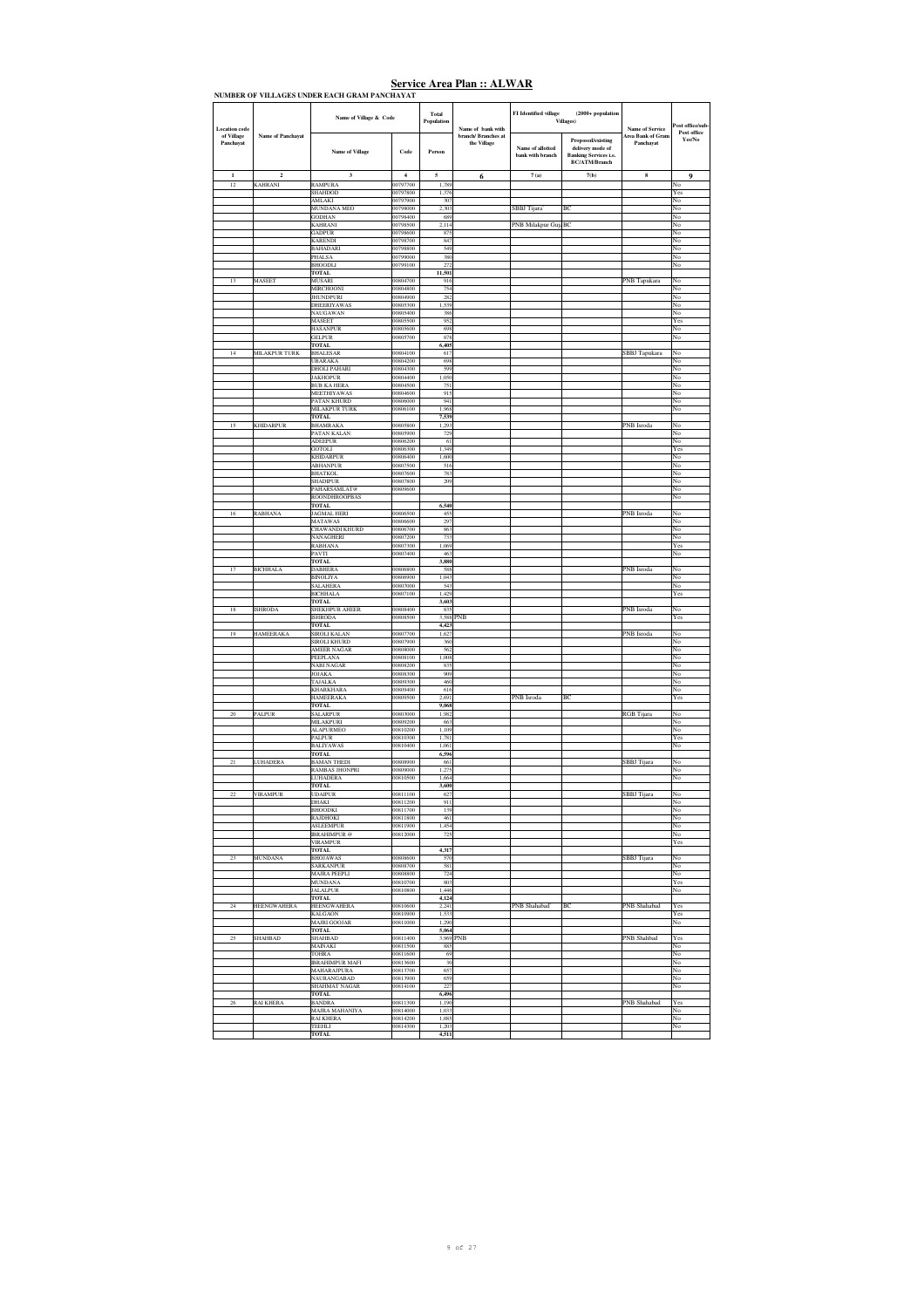| <b>Location</b> code    |                    | Name of Village & Code                  |                       | Total<br>Population | Name of bank with                  | FI Identified village                | $(2000 + population$<br><b>Villages</b> )                                                     | <b>Name of Service</b>         | ost office/sub-       |
|-------------------------|--------------------|-----------------------------------------|-----------------------|---------------------|------------------------------------|--------------------------------------|-----------------------------------------------------------------------------------------------|--------------------------------|-----------------------|
| of Village<br>Panchayat | Name of Panchayat  | <b>Name of Village</b>                  | Code                  | Person              | branch/ Branches at<br>the Village | Name of allotted<br>bank with branch | Proposed/existing<br>delivery mode of<br><b>Banking Services i.e.</b><br><b>BC/ATM/Branch</b> | Area Bank of Gram<br>Panchayat | Post office<br>Yes/No |
| $\mathbf{1}$<br>12      | $\overline{2}$     | 3                                       | $\overline{4}$        | 5                   | 6                                  | 7(a)                                 | 7(b)                                                                                          | $\bf8$                         | $\mathbf Q$           |
|                         | KAHRANI            | <b>RAMPURA</b><br><b>SHAHDOD</b>        | 00797700<br>00797800  | 1,789<br>1,376      |                                    |                                      |                                                                                               |                                | No<br>Yes             |
|                         |                    | <b>AMLAKI</b><br>MUNDANA MEO            | 00797900<br>00798000  | 307<br>2,303        |                                    | SBBJ Tijara                          | ВC                                                                                            |                                | No<br>No              |
|                         |                    | <b>GODHAN</b>                           | 00798400              | 689                 |                                    |                                      |                                                                                               |                                | No                    |
|                         |                    | <b>KAHRANI</b><br><b>GADPUR</b>         | 00798500<br>00798600  | 2,114<br>875        |                                    | PNB Milakpur GujaBC                  |                                                                                               |                                | No<br>No              |
|                         |                    | <b>KARENDI</b><br><b>BAHADARI</b>       | 00798700<br>00798800  | 847<br>549          |                                    |                                      |                                                                                               |                                | No<br>No              |
|                         |                    | PHALSA                                  | 00799000              | 380                 |                                    |                                      |                                                                                               |                                | No                    |
|                         |                    | <b>BHOODLI</b><br><b>TOTAL</b>          | 00799100              | 272<br>11,501       |                                    |                                      |                                                                                               |                                | No                    |
| 13                      | MASEET             | MUSARI                                  | 00804700              | 916                 |                                    |                                      |                                                                                               | PNB Tapukara                   | No                    |
|                         |                    | <b>MIRCHOONI</b><br><b>JHUNDPURI</b>    | 00804800<br>00804900  | 754<br>282          |                                    |                                      |                                                                                               |                                | No<br>No              |
|                         |                    | <b>DHEERIYAWAS</b><br>NAUGAWAN          | 00805300<br>00805400  | 1.539<br>386        |                                    |                                      |                                                                                               |                                | No<br>No              |
|                         |                    | MASEET                                  | 00805500              | 952                 |                                    |                                      |                                                                                               |                                | Yes                   |
|                         |                    | <b>HASANPUR</b><br><b>GELPUR</b>        | 00805600<br>00805700  | 698<br>878          |                                    |                                      |                                                                                               |                                | No<br>No              |
|                         |                    | <b>TOTAL</b>                            |                       | 6,405               |                                    |                                      |                                                                                               |                                |                       |
| 14                      | MILAKPUR TURK      | BHALESAR<br><b>UBARAKA</b>              | 00804100<br>00804200  | 617<br>698          |                                    |                                      |                                                                                               | SBBJ Tapukara                  | No<br>No              |
|                         |                    | <b>DHOLI PAHARI</b><br><b>JAKHOPUR</b>  | 00804300<br>00804400  | 599<br>1,050        |                                    |                                      |                                                                                               |                                | No<br>No              |
|                         |                    | <b>BUB KA HERA</b>                      | 00804500              | 751                 |                                    |                                      |                                                                                               |                                | No                    |
|                         |                    | MEETHIYAWAS<br>PATAN KHURD              | 00804600<br>00806000  | 915<br>941          |                                    |                                      |                                                                                               |                                | No<br>No              |
|                         |                    | MILAKPUR TURK                           | 00806100              | 1,968               |                                    |                                      |                                                                                               |                                | No                    |
| 15                      | <b>KHIDARPUR</b>   | <b>TOTAL</b><br><b>BHAMRAKA</b>         | 00805800              | 7.539<br>1,293      |                                    |                                      |                                                                                               | PNB Isroda                     | No                    |
|                         |                    | PATAN KALAN<br>ADEEPUR                  | 00805900<br>00806200  | 729<br>61           |                                    |                                      |                                                                                               |                                | No<br>No              |
|                         |                    | <b>GOTOLI</b>                           | 00806300              | 1,349               |                                    |                                      |                                                                                               |                                | Yes                   |
|                         |                    | <b>KHIDARPUR</b><br>ABHANPUR            | 00806400<br>00807500  | 1,600<br>516        |                                    |                                      |                                                                                               |                                | No<br>No              |
|                         |                    | <b>BHATKOL</b><br><b>SHADIPUR</b>       | 00807600<br>00807800  | 783                 |                                    |                                      |                                                                                               |                                | No                    |
|                         |                    | PAHARSAMLAT@                            | 00809600              | 209                 |                                    |                                      |                                                                                               |                                | No<br>No              |
|                         |                    | ROONDHROOPBAS<br><b>TOTAL</b>           |                       | 6,540               |                                    |                                      |                                                                                               |                                | No                    |
| 16                      | <b>RABHANA</b>     | <b>JAGMAL HERI</b>                      | 00806500              | 455                 |                                    |                                      |                                                                                               | PNB Isroda                     | No                    |
|                         |                    | <b>MATAWAS</b><br><b>CHAWANDI KHURD</b> | 00806600<br>00806700  | 297<br>863          |                                    |                                      |                                                                                               |                                | No<br>No              |
|                         |                    | NANAGHERI<br><b>RABHANA</b>             | 00807200<br>00807300  | 733<br>1.069        |                                    |                                      |                                                                                               |                                | No<br>Yes             |
|                         |                    | PAVTI                                   | 00807400              | 463                 |                                    |                                      |                                                                                               |                                | No                    |
| $17\,$                  | <b>BICHHALA</b>    | <b>TOTAL</b><br><b>DABHERA</b>          | 00806800              | 3,880<br>588        |                                    |                                      |                                                                                               | PNB Isroda                     | No                    |
|                         |                    | <b>BINOLIYA</b>                         | 00806900              | 1,043               |                                    |                                      |                                                                                               |                                | No                    |
|                         |                    | <b>SALAHERA</b><br><b>BICHHALA</b>      | 00807000<br>00807100  | 543<br>1,429        |                                    |                                      |                                                                                               |                                | No<br>Yes             |
|                         |                    | <b>TOTAL</b>                            |                       | 3,603               |                                    |                                      |                                                                                               |                                |                       |
| 18                      | <b>SHRODA</b>      | <b>SHEKHPUR AHEER</b><br><b>ISHRODA</b> | 00808400<br>00808500  | 835<br>3.588        | 'NB                                |                                      |                                                                                               | PNB Isroda                     | No<br>Yes             |
| 19                      | <b>HAMEERAKA</b>   | <b>TOTAL</b><br>SIROLI KALAN            | 00807700              | 4,423<br>1.627      |                                    |                                      |                                                                                               | PNB Isroda                     | No                    |
|                         |                    | <b>SIROLI KHURD</b>                     | 00807900              | 360                 |                                    |                                      |                                                                                               |                                | No                    |
|                         |                    | <b>AMEER NAGAR</b><br>PEEPLANA          | 00808000<br>00808100  | 562<br>1,008        |                                    |                                      |                                                                                               |                                | No<br>No              |
|                         |                    | <b>NABI NAGAR</b>                       | 00808200<br>00808300  | 835<br>909          |                                    |                                      |                                                                                               |                                | No                    |
|                         |                    | JOJAKA<br><b>TAJALKA</b>                | 00809300              | 460                 |                                    |                                      |                                                                                               |                                | No<br>No              |
|                         |                    | <b>KHARKHARA</b><br><b>HAMEERAKA</b>    | 00809400<br>00809500  | 616<br>2,691        |                                    | PNB Isroda                           | BC                                                                                            |                                | No<br>Yes             |
|                         |                    | <b>TOTAL</b>                            |                       | 9,068               |                                    |                                      |                                                                                               |                                |                       |
| 20                      | <b>PALPUR</b>      | <b>SALARPUR</b><br>MILAKPURI            | 000803000<br>00809200 | 1,982<br>663        |                                    |                                      |                                                                                               | RGB Tijara                     | No<br>No              |
|                         |                    | <b>ALAPURMEO</b><br>PALPUR              | 00810200              | 1,109               |                                    |                                      |                                                                                               |                                | No                    |
|                         |                    | <b>BALIYAWAS</b>                        | 00810300<br>00810400  | 1,781<br>1,061      |                                    |                                      |                                                                                               |                                | Yes<br>No             |
|                         | <b>LUHADERA</b>    | <b>TOTAL</b><br><b>BAMAN THEDI</b>      | 00808900              | 6,596<br>661        |                                    |                                      |                                                                                               | SBBJ Tijara                    | No                    |
|                         |                    | <b>RAMBAS JHONPRI</b>                   | 00809000              | 1,275               |                                    |                                      |                                                                                               |                                | No                    |
|                         |                    | <b>LUHADERA</b><br>TOTAL                | 00810500              | 1.664<br>3,600      |                                    |                                      |                                                                                               |                                | No                    |
|                         | VIRAMPUR           | <b>DAIPLIR</b><br><b>DHAKI</b>          | 00811100<br>00811200  | 62<br>911           |                                    |                                      |                                                                                               | <b>SBBJ</b> Tiia               | No                    |
|                         |                    | <b>BHOODKI</b>                          | 00811700              | 139                 |                                    |                                      |                                                                                               |                                | No                    |
|                         |                    | <b>RAJDHOKI</b><br><b>ASLEEMPUR</b>     | 00811800<br>00811900  | 461<br>1,454        |                                    |                                      |                                                                                               |                                | No<br>No              |
|                         |                    | <b>IRRAHIMPUR</b> @                     | 00812000              | 725                 |                                    |                                      |                                                                                               |                                | No                    |
|                         |                    | <b>VIRAMPUR</b><br><b>TOTAL</b>         |                       | 4,317               |                                    |                                      |                                                                                               |                                | Yes                   |
| $23\,$                  | <b>MUNDANA</b>     | <b>BHOJAWAS</b><br>SARKANPUR            | 00808600<br>00808700  | 570<br>581          |                                    |                                      |                                                                                               | SBBJ Tijara                    | No<br>No              |
|                         |                    | MAJRA PEEPLI                            | 00808800              | 724                 |                                    |                                      |                                                                                               |                                | No                    |
|                         |                    | <b>MUNDANA</b><br><b>JALALPUR</b>       | 00810700<br>00810800  | 803<br>1.446        |                                    |                                      |                                                                                               |                                | Yes<br>No.            |
|                         |                    | TOTAL                                   |                       | 4,124               |                                    |                                      |                                                                                               |                                |                       |
| 24                      | <b>HEENGWAHERA</b> | <b>HEENGWAHERA</b><br>KALGAON           | 00810600<br>00810900  | 2.241<br>1,533      |                                    | PNB Shahabad <sup>®</sup>            | BC                                                                                            | PNB Shahabad                   | Yes<br>Yes            |
|                         |                    | <b>MAJRI GOOJAR</b><br>TOTAL            | 00811000              | 1,290<br>5,064      |                                    |                                      |                                                                                               |                                | No                    |
| 25                      | SHAHBAD            | <b>SHAHBAD</b>                          | 00811400              | 3,969 PNB           |                                    |                                      |                                                                                               | PNB Shahbad                    | Yes                   |
|                         |                    | MAINAKI<br>TOHRA                        | 00811500<br>00811600  | 885<br>69           |                                    |                                      |                                                                                               |                                | No<br>No              |
|                         |                    | <b>IRRAHIMPUR MAFI</b>                  | 00813600              | 30                  |                                    |                                      |                                                                                               |                                | No                    |
|                         |                    | MAHARAJPURA<br><b>NAURANGARAD</b>       | 00813700<br>00813900  | 657<br>659          |                                    |                                      |                                                                                               |                                | No<br>No              |
|                         |                    | <b>SHAHMAT NAGAR</b><br><b>TOTAL</b>    | 00814100              | 227<br>6,496        |                                    |                                      |                                                                                               |                                | No                    |
| $\sqrt{26}$             | <b>RAI KHERA</b>   | <b>BANDRA</b>                           | 00811300              | 1,190               |                                    |                                      |                                                                                               | PNB Shahabad                   | Yes                   |
|                         |                    | MAJRA MAHANIYA<br><b>RAI KHERA</b>      | 00814000<br>00814200  | 1,033<br>1,085      |                                    |                                      |                                                                                               |                                | No<br>No              |
|                         |                    | TEEHLI<br><b>TOTAL</b>                  | 00814300              | 1,203<br>4,511      |                                    |                                      |                                                                                               |                                | No                    |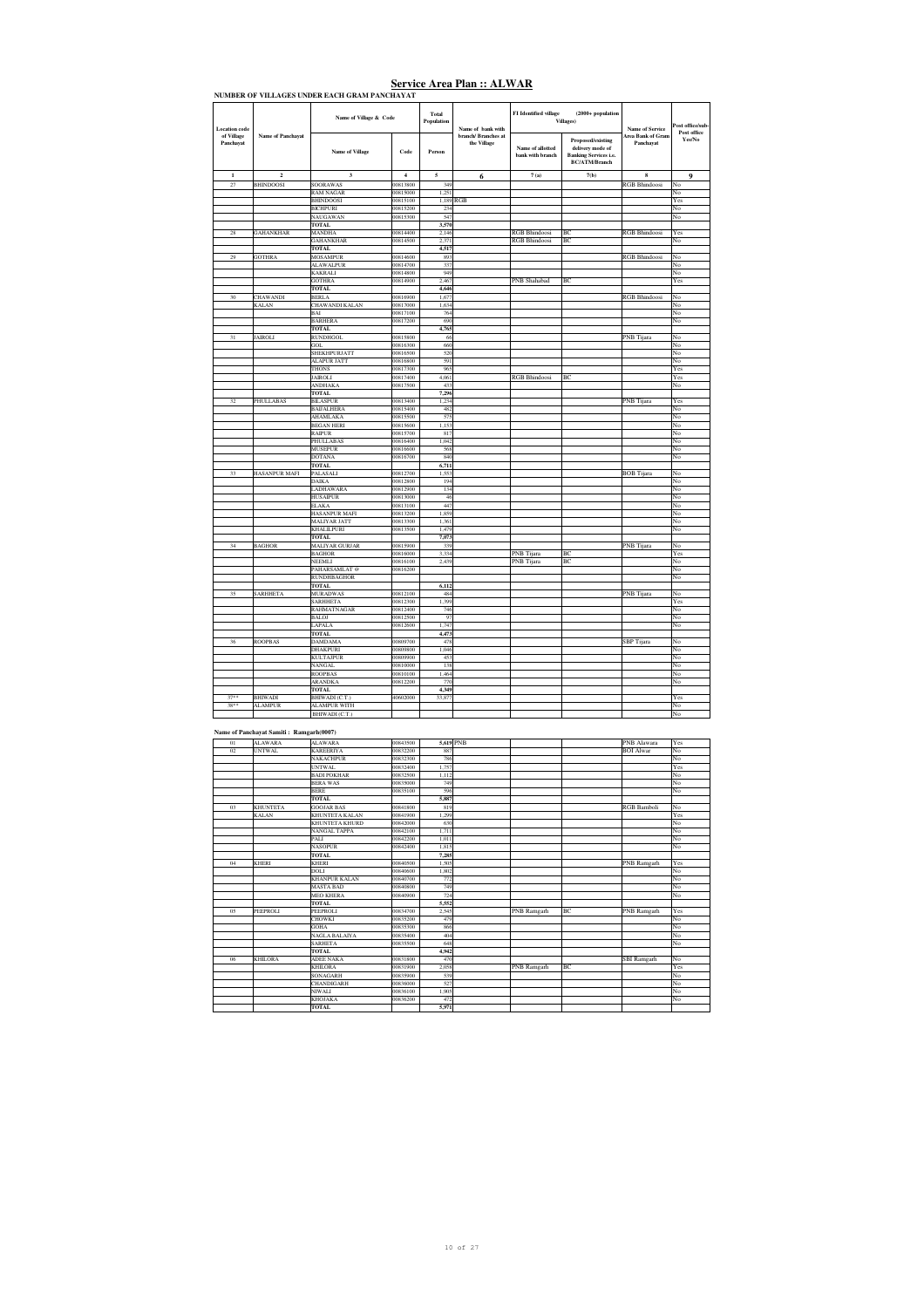| <b>Location</b> code    |                                                           | Name of Village & Code                |                         | Total<br>Population | Name of bank with                  | FI Identified village                        | $(2000 + population$<br><b>Villages</b> )                                                     | Name of Service                       | Post office/sub<br>Post office |
|-------------------------|-----------------------------------------------------------|---------------------------------------|-------------------------|---------------------|------------------------------------|----------------------------------------------|-----------------------------------------------------------------------------------------------|---------------------------------------|--------------------------------|
| of Village<br>Panchayat | <b>Name of Panchavat</b>                                  | <b>Name of Village</b>                | Code                    | Person              | branch/ Branches at<br>the Village | Name of allotted<br>bank with branch         | Proposed/existing<br>delivery mode of<br><b>Banking Services i.e.</b><br><b>BC/ATM/Branch</b> | <b>Area Bank of Gram</b><br>Panchayat | Yes/No                         |
| $\mathbf{1}$            | $\overline{2}$                                            | $\overline{\mathbf{3}}$               | $\overline{\mathbf{4}}$ | 5                   | 6                                  | 7(a)                                         | 7(b)                                                                                          | 8                                     | $\mathbf 0$                    |
| 27                      | <b>BHINDOOSI</b>                                          | <b>SOORAWAS</b><br><b>RAM NAGAR</b>   | 00813800<br>00815000    | 349<br>1,251        |                                    |                                              |                                                                                               | RGB Bhindoosi                         | No<br>No                       |
|                         |                                                           | <b>BHINDOOSI</b>                      | 00815100                |                     | 1.189 RGB                          |                                              |                                                                                               |                                       | Yes                            |
|                         |                                                           | <b>BICHPURI</b><br>NAUGAWAN           | 00815200<br>00815300    | 234<br>547          |                                    |                                              |                                                                                               |                                       | No<br>No                       |
|                         |                                                           | TOTAL                                 |                         | 3,570               |                                    |                                              |                                                                                               |                                       |                                |
| 28                      | <b>GAHANKHAR</b>                                          | <b>MANDHA</b><br><b>GAHANKHAR</b>     | 00814400<br>00814500    | 2,146<br>2.371      |                                    | <b>RGB Bhindoosi</b><br><b>RGB</b> Bhindoosi | B<br>BC                                                                                       | <b>RGB Bhindoosi</b>                  | Yes<br>No                      |
|                         |                                                           | <b>TOTAL</b>                          |                         | 4,517               |                                    |                                              |                                                                                               |                                       |                                |
| 29                      | <b>GOTHRA</b>                                             | <b>MOSAMPUR</b><br><b>ALAWALPUR</b>   | 00814600<br>00814700    | 893<br>337          |                                    |                                              |                                                                                               | <b>RGB</b> Bhindoosi                  | No<br>No                       |
|                         |                                                           | KAKRALI                               | 00814800                | 949                 |                                    |                                              |                                                                                               |                                       | No                             |
|                         |                                                           | <b>GOTHRA</b><br><b>TOTAL</b>         | 00814900                | 2,467<br>4,646      |                                    | PNB Shahabad                                 | BC                                                                                            |                                       | Yes                            |
| 30                      | CHAWANDI                                                  | <b>BERLA</b>                          | 00816900                | 1,677               |                                    |                                              |                                                                                               | <b>RGB</b> Bhindoosi                  | No                             |
|                         | <b>KALAN</b>                                              | <b>CHAWANDI KALAN</b><br>BAI          | 00817000<br>00817100    | 1,634<br>764        |                                    |                                              |                                                                                               |                                       | No<br>No                       |
|                         |                                                           | <b>BARHERA</b>                        | 00817200                | 690                 |                                    |                                              |                                                                                               |                                       | No                             |
| 31                      | <b>JAIROLI</b>                                            | <b>TOTAL</b><br><b>RUNDHGOL</b>       | 00815800                | 4,765<br>66         |                                    |                                              |                                                                                               | PNB Tijara                            | No                             |
|                         |                                                           | GOL                                   | 00816300                | 660                 |                                    |                                              |                                                                                               |                                       | No                             |
|                         |                                                           | SHEKHPURJATT<br><b>ALAPUR JATT</b>    | 00816500<br>00816800    | 520<br>591          |                                    |                                              |                                                                                               |                                       | No<br>No                       |
|                         |                                                           | <b>THONS</b>                          | 00817300                | 965                 |                                    |                                              |                                                                                               |                                       | Yes                            |
|                         |                                                           | JAIROLI<br><b>ANDHAKA</b>             | 00817400<br>00817500    | 4,061<br>433        |                                    | <b>RGB Bhindoosi</b>                         | ВC                                                                                            |                                       | Yes<br>No                      |
|                         |                                                           | TOTAL                                 |                         | 7,296               |                                    |                                              |                                                                                               |                                       |                                |
| 32                      | PHULLABAS                                                 | <b>BILASPUR</b><br><b>BAIJALHERA</b>  | 00813400<br>00815400    | 1,234<br>482        |                                    |                                              |                                                                                               | PNB Tijara                            | Yes<br>No                      |
|                         |                                                           | AHAMLAKA                              | 00815500                | 575                 |                                    |                                              |                                                                                               |                                       | No                             |
|                         |                                                           | <b>BEGAN HERI</b><br>RAIPUR           | 00815600<br>00815700    | 1,153<br>817        |                                    |                                              |                                                                                               |                                       | No<br>No                       |
|                         |                                                           | PHULLABAS                             | 00816400                | 1,042               |                                    |                                              |                                                                                               |                                       | No                             |
|                         |                                                           | <b>MUSEPUR</b><br><b>DOTANA</b>       | 00816600<br>00816700    | 568<br>840          |                                    |                                              |                                                                                               |                                       | No<br>No                       |
|                         |                                                           | TOTAL                                 |                         | 6,711               |                                    |                                              |                                                                                               |                                       |                                |
| 33                      | <b>HASANPUR MAFI</b>                                      | PALASALI<br><b>DAIKA</b>              | 00812700<br>00812800    | 1,553<br>194        |                                    |                                              |                                                                                               | <b>BOB</b> Tijara                     | No<br>No                       |
|                         |                                                           | LADHAWARA                             | 00812900                | 134                 |                                    |                                              |                                                                                               |                                       | No                             |
|                         |                                                           | <b>HUSAIPUR</b>                       | 00813000                | 46                  |                                    |                                              |                                                                                               |                                       | No                             |
|                         |                                                           | <b>ELAKA</b><br>HASANPUR MAFI         | 00813100<br>00813200    | 447<br>1,859        |                                    |                                              |                                                                                               |                                       | No<br>No                       |
|                         |                                                           | MALIYAR JATT                          | 00813300                | 1,361               |                                    |                                              |                                                                                               |                                       | No                             |
|                         |                                                           | <b>KHALILPURI</b><br>TOTAL            | 00813500                | 1.479<br>7,073      |                                    |                                              |                                                                                               |                                       | No                             |
| 34                      | <b>BAGHOR</b>                                             | MALIYAR GURJAR                        | 00815900                | 339                 |                                    |                                              |                                                                                               | PNB Tijara                            | N٥                             |
|                         |                                                           | <b>BAGHOR</b><br>NEEMLI               | 00816000<br>00816100    | 3,334<br>2,439      |                                    | PNB Tijara<br>PNB Tijara                     | BC<br>BC                                                                                      |                                       | Yes<br>No                      |
|                         |                                                           | PAHARSAMLAT @                         | 00816200                |                     |                                    |                                              |                                                                                               |                                       | No                             |
|                         |                                                           | RUNDHBAGHOR<br><b>TOTAL</b>           |                         | 6.112               |                                    |                                              |                                                                                               |                                       | No                             |
| 35                      | <b>SARHHETA</b>                                           | <b>MURADWAS</b>                       | 00812100                | 484                 |                                    |                                              |                                                                                               | PNB Tijara                            | No                             |
|                         |                                                           | <b>SARHHETA</b><br>RAHMATNAGAR        | 00812300<br>00812400    | 1,399<br>746        |                                    |                                              |                                                                                               |                                       | Yes<br>No                      |
|                         |                                                           | <b>BALOJ</b>                          | 00812500                | 97                  |                                    |                                              |                                                                                               |                                       | No                             |
|                         |                                                           | LAPALA<br><b>TOTAL</b>                | 00812600                | 1,747<br>4,473      |                                    |                                              |                                                                                               |                                       | No                             |
| 36                      | <b>ROOPBAS</b>                                            | <b>DAMDAMA</b>                        | 00809700                | 478                 |                                    |                                              |                                                                                               | SBP Tijara                            | No                             |
|                         |                                                           | DHAKPURI<br><b>KULTAJPUR</b>          | 00809800<br>00809900    | 1,046<br>453        |                                    |                                              |                                                                                               |                                       | No<br>No                       |
|                         |                                                           | <b>NANGAL</b>                         | 00810000                | 138                 |                                    |                                              |                                                                                               |                                       | No                             |
|                         |                                                           | <b>ROOPBAS</b><br><b>ARANDKA</b>      | 00810100<br>00812200    | 1.464<br>770        |                                    |                                              |                                                                                               |                                       | No<br>No                       |
|                         |                                                           | <b>TOTAL</b>                          |                         | 4,349               |                                    |                                              |                                                                                               |                                       |                                |
| $37**$<br>$38**$        | <b>BHIWADI</b><br><b>ALAMPUR</b>                          | BHIWADI (C.T.)<br><b>ALAMPUR WITH</b> | 40602000                | 33,877              |                                    |                                              |                                                                                               |                                       | Yes<br>No                      |
|                         |                                                           | BHIWADI (C.T.)                        |                         |                     |                                    |                                              |                                                                                               |                                       | No                             |
|                         |                                                           |                                       |                         |                     |                                    |                                              |                                                                                               |                                       |                                |
| 01                      | Name of Panchayat Samiti: Ramgarh(0007)<br><b>ALAWARA</b> | <b>ALAWARA</b>                        | 00843500                |                     | 5,619 PNB                          |                                              |                                                                                               | PNB Alawara                           | Yes                            |
| 0 <sup>2</sup>          | <b>UNTWAL</b>                                             | <b>KAREERIYA</b>                      | 00832200                | 887                 |                                    |                                              |                                                                                               | <b>BOI</b> Alwar                      | No                             |
|                         |                                                           | NAKACHPUR<br><b>UNTWAL</b>            | 00832300<br>00832400    | 786<br>1.757        |                                    |                                              |                                                                                               |                                       | No<br>Yes                      |
|                         |                                                           | <b>BADI POKHAR</b>                    | 00832500                | 1,112               |                                    |                                              |                                                                                               |                                       | No                             |
|                         |                                                           | BERA WAS                              | <b>XX35000</b>          | 749                 |                                    |                                              |                                                                                               |                                       | ۹o                             |
|                         |                                                           | <b>BERE</b><br><b>TOTAL</b>           | 00835100                | 596<br>5,887        |                                    |                                              |                                                                                               |                                       | No                             |
| 03                      | <b>KHUNTETA</b>                                           | <b>GOOJAR BAS</b>                     | 00841800                | 819                 |                                    |                                              |                                                                                               | <b>RGB</b> Bamboli                    | No                             |
|                         | KALAN                                                     | KHUNTETA KALAN<br>KHUNTETA KHURD      | 00841900<br>00842000    | 1,299<br>630        |                                    |                                              |                                                                                               |                                       | Yes<br>No                      |
|                         |                                                           | NANGAL TAPPA                          | 00842100                | 1,711               |                                    |                                              |                                                                                               |                                       | $_{\rm No}$                    |
|                         |                                                           | PALI<br><b>NASOPUR</b>                | 00842200<br>00842400    | 1.011<br>1,815      |                                    |                                              |                                                                                               |                                       | No<br>No                       |
|                         |                                                           | <b>TOTAL</b>                          |                         | 7,285               |                                    |                                              |                                                                                               |                                       |                                |
| $04\,$                  | KHERI                                                     | <b>KHERI</b><br>DOLI                  | 00840500<br>00840600    | 1,505<br>1,802      |                                    |                                              |                                                                                               | PNB Ramgarh                           | Yes<br>No                      |
|                         |                                                           | <b>KHANPUR KALAN</b>                  | 00840700                | 772                 |                                    |                                              |                                                                                               |                                       | $\overline{No}$                |
|                         |                                                           | <b>MASTA BAD</b><br><b>MEO KHERA</b>  | 00840800<br>00840900    | 749<br>724          |                                    |                                              |                                                                                               |                                       | No<br>No                       |
|                         |                                                           | <b>TOTAL</b>                          |                         | 5,552               |                                    |                                              |                                                                                               |                                       |                                |
| 05                      | PEEPROLI                                                  | PEEPROLI<br><b>CHOWKI</b>             | 00834700<br>00835200    | 2,545<br>479        |                                    | PNB Ramgarh                                  | BC                                                                                            | <b>PNB</b> Ramgarh                    | Yes<br>No                      |
|                         |                                                           | GOHA                                  | 00835300                | 866                 |                                    |                                              |                                                                                               |                                       | No                             |
|                         |                                                           | NAGLA BALAIYA<br>SARHETA              | 00835400<br>00835500    | 404<br>648          |                                    |                                              |                                                                                               |                                       | No<br>$_{\rm No}$              |
|                         |                                                           | <b>TOTAL</b>                          |                         | 4.942               |                                    |                                              |                                                                                               |                                       |                                |
| 06                      | <b>KHILORA</b>                                            | ADEE NAKA<br><b>KHILORA</b>           | 00831800<br>00831900    | 470<br>2.058        |                                    |                                              | BC                                                                                            | <b>SBI</b> Ramgarh                    | No<br>Yes                      |
|                         |                                                           | SONAGARH                              | 00835900                | 539                 |                                    | PNB Ramgarh                                  |                                                                                               |                                       | $_{\rm No}$                    |
|                         |                                                           | CHANDIGARH                            | 00836000                | 527                 |                                    |                                              |                                                                                               |                                       | No                             |
|                         |                                                           | NIWALI<br>KHOJAKA                     | 00836100<br>00836200    | 1,905<br>472        |                                    |                                              |                                                                                               |                                       | No<br>$_{\rm No}$              |
|                         |                                                           | <b>TOTAL</b>                          |                         | 5,971               |                                    |                                              |                                                                                               |                                       |                                |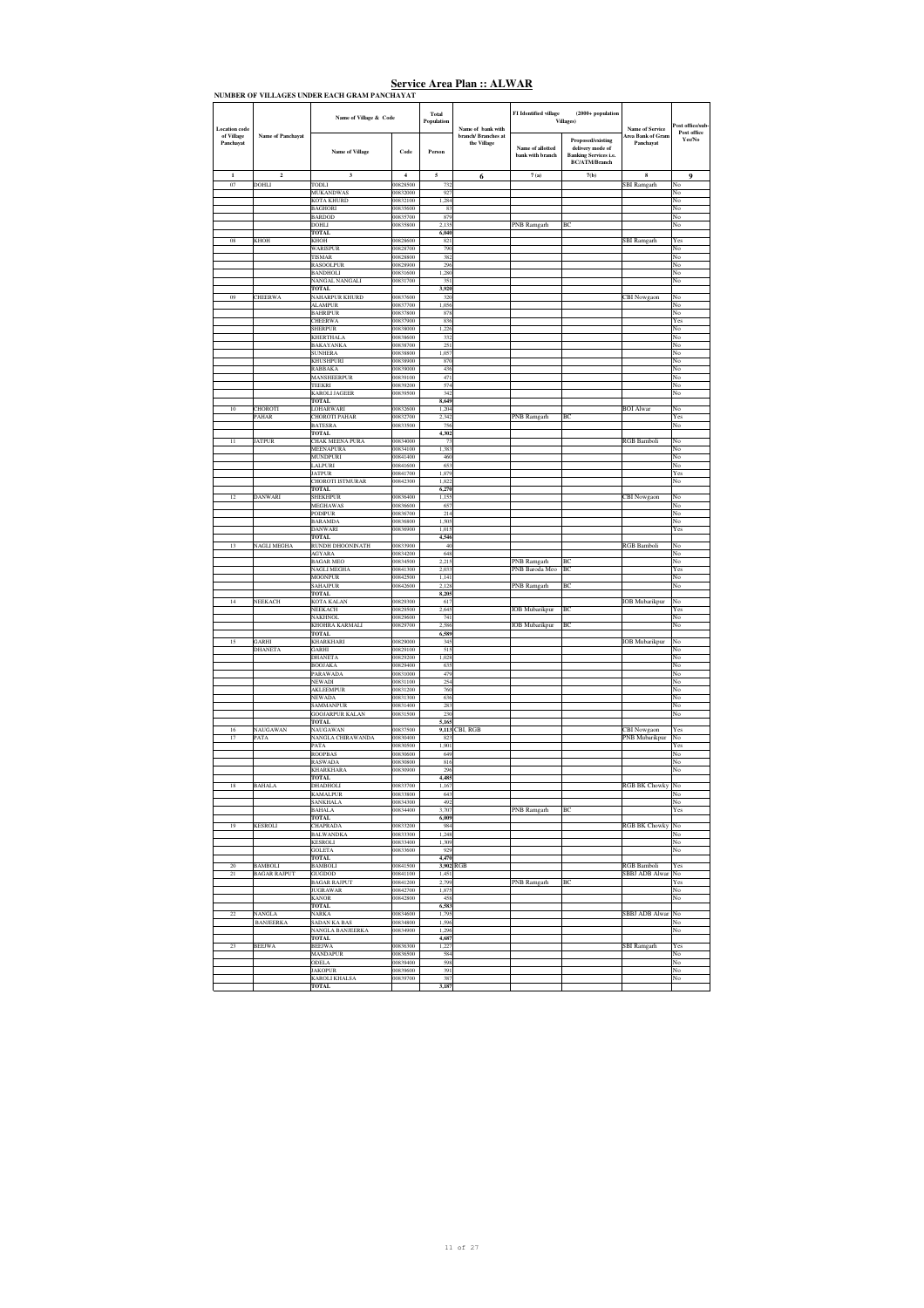| <b>Location</b> code    |                          | Name of Village & Code                   |                         | Total<br>Population | Name of bank with                  | FI Identified village                | $(2000 + population$<br><b>Villages</b> )                                                     | <b>Name of Service</b>                | ost office/sub-<br>Post office |
|-------------------------|--------------------------|------------------------------------------|-------------------------|---------------------|------------------------------------|--------------------------------------|-----------------------------------------------------------------------------------------------|---------------------------------------|--------------------------------|
| of Village<br>Panchayat | <b>Name of Panchavat</b> | <b>Name of Village</b>                   | Code                    | Person              | branch/ Branches at<br>the Village | Name of allotted<br>bank with branch | Proposed/existing<br>delivery mode of<br><b>Banking Services i.e.</b><br><b>BC/ATM/Branch</b> | <b>Area Bank of Gram</b><br>Panchavat | Yes/No                         |
| $\mathbf{1}$            | $\mathbf 2$              | $\overline{\mathbf{3}}$                  | $\overline{\mathbf{4}}$ | 5                   | 6                                  | 7(a)                                 | 7(b)                                                                                          | 8                                     | $\boldsymbol{9}$               |
| 07                      | DOHLI                    | TODLI<br><b>MUKANDWAS</b>                | 00828500<br>00832000    | 732<br>927          |                                    |                                      |                                                                                               | SBI Ramgarh                           | No<br>No                       |
|                         |                          | <b>KOTA KHURD</b>                        | 00832100                | 1.284               |                                    |                                      |                                                                                               |                                       | No                             |
|                         |                          | <b>BAGHORI</b><br><b>BARDOD</b>          | 00835600<br>00835700    | 83<br>879           |                                    |                                      |                                                                                               |                                       | No<br>No                       |
|                         |                          | <b>DOHLI</b>                             | 00835800                | 2,135               |                                    | PNB Ramgarh                          | BC                                                                                            |                                       | No                             |
| 08                      | <b>KHOH</b>              | <b>TOTAL</b><br><b>KHOH</b>              | 00828600                | 6,040<br>821        |                                    |                                      |                                                                                               | <b>SBI</b> Ramgarh                    | Yes                            |
|                         |                          | <b>WARISPUR</b>                          | 00828700                | 790                 |                                    |                                      |                                                                                               |                                       | No                             |
|                         |                          | <b>TISMAR</b><br>RASOOLPUR               | 00828800<br>00828900    | 382<br>296          |                                    |                                      |                                                                                               |                                       | No<br>No                       |
|                         |                          | <b>BANDHOLI</b>                          | 00831600                | 1,280               |                                    |                                      |                                                                                               |                                       | No                             |
|                         |                          | NANGAL NANGALI                           | 00831700                | 351                 |                                    |                                      |                                                                                               |                                       | No                             |
| 09                      | CHEERWA                  | <b>TOTAL</b><br>NAHARPUR KHURD           | 00837600                | 3,920<br>320        |                                    |                                      |                                                                                               | CBI Nowgaon                           | No                             |
|                         |                          | <b>ALAMPUR</b>                           | 00837700                | 1,056               |                                    |                                      |                                                                                               |                                       | No                             |
|                         |                          | <b>BAHRIPUR</b><br><b>CHEERWA</b>        | 00837800<br>00837900    | 878<br>836          |                                    |                                      |                                                                                               |                                       | No<br>Yes                      |
|                         |                          | <b>SHERPUR</b>                           | 00838000                | 1.226               |                                    |                                      |                                                                                               |                                       | No                             |
|                         |                          | <b>KHERTHALA</b><br>BAKAYANKA            | 00838600<br>00838700    | 332<br>251          |                                    |                                      |                                                                                               |                                       | No<br>No                       |
|                         |                          | <b>SUNHERA</b>                           | 00838800                | 1,057               |                                    |                                      |                                                                                               |                                       | No                             |
|                         |                          | KHUSHPURI<br><b>RABBAKA</b>              | 00838900<br>00839000    | 870<br>436          |                                    |                                      |                                                                                               |                                       | No<br>No                       |
|                         |                          | MANSHEERPUR                              | 00839100                | 471                 |                                    |                                      |                                                                                               |                                       | No                             |
|                         |                          | <b>TEEKRI</b><br><b>KAROLI JAGEER</b>    | 00839200<br>00839500    | 574<br>342          |                                    |                                      |                                                                                               |                                       | No<br>No                       |
|                         |                          | <b>TOTAL</b>                             |                         | 8,649               |                                    |                                      |                                                                                               |                                       |                                |
| 10                      | CHOROTI<br>PAHAR         | <b>LOHARWARI</b><br><b>CHOROTI PAHAR</b> | 00832600<br>00832700    | 1,204<br>2,342      |                                    | PNB Ramgarh                          | BC                                                                                            | <b>BOI</b> Alwar                      | No<br>Yes                      |
|                         |                          | <b>BATESRA</b>                           | 00833500                | 756                 |                                    |                                      |                                                                                               |                                       | No                             |
|                         |                          | <b>TOTAL</b>                             |                         | 4,302               |                                    |                                      |                                                                                               |                                       |                                |
| 11                      | <b>JATPUR</b>            | CHAK MEENA PURA<br>MEENAPURA             | 00834000<br>00834100    | 73<br>1,383         |                                    |                                      |                                                                                               | RGB Bamboli                           | No<br>No                       |
|                         |                          | MUNDPURI                                 | 00841400                | 460                 |                                    |                                      |                                                                                               |                                       | No                             |
|                         |                          | <b>LALPURI</b><br><b>JATPUR</b>          | 00841600<br>00841700    | 653<br>1.879        |                                    |                                      |                                                                                               |                                       | No<br>Yes                      |
|                         |                          | <b>CHOROTI ISTMURAR</b>                  | 00842300                | 1,822               |                                    |                                      |                                                                                               |                                       | No                             |
| 12                      | DANWARI                  | <b>TOTAL</b><br>SHEKHPUR                 | 00836400                | 6,270<br>1,155      |                                    |                                      |                                                                                               | CBI Nowgaon                           | No                             |
|                         |                          | MEGHAWAS                                 | 00836600                | 657                 |                                    |                                      |                                                                                               |                                       | No                             |
|                         |                          | <b>PODIPUR</b><br>BARAMDA                | 00836700<br>00836800    | 214<br>1,505        |                                    |                                      |                                                                                               |                                       | No<br>No                       |
|                         |                          | <b>DANWARI</b>                           | 00836900                | 1.015               |                                    |                                      |                                                                                               |                                       | Yes                            |
| 13                      | <b>NAGLI MEGHA</b>       | <b>TOTAL</b><br>RUNDH DHOONINATH         | 00833900                | 4,546<br>40         |                                    |                                      |                                                                                               | <b>RGB</b> Bamboli                    | N٥                             |
|                         |                          | AGYARA                                   | 00834200                | 648                 |                                    |                                      |                                                                                               |                                       | No                             |
|                         |                          | <b>BAGAR MEO</b><br>NAGLI MEGHA          | 00834500<br>00841300    | 2,215<br>2,033      |                                    | PNB Ramgarh<br>PNB Baroda Meo        | BC<br>BC                                                                                      |                                       | No<br>Yes                      |
|                         |                          | MOONPUR                                  | 00842500                | 1,141               |                                    |                                      |                                                                                               |                                       | No                             |
|                         |                          | <b>SAHAJPUR</b><br>TOTAL                 | 00842600                | 2.128<br>8,205      |                                    | PNB Ramgarh                          | ВC                                                                                            |                                       | No                             |
| 14                      | NEEKACH                  | KOTA KALAN                               | 00829300                | 617                 |                                    |                                      |                                                                                               | <b>IOB</b> Mubarikpur                 | No                             |
|                         |                          | NEEKACH<br>NAKHNOL                       | 00829500<br>00829600    | 2,645<br>741        |                                    | <b>IOB</b> Mubarikpur                | BC                                                                                            |                                       | Yes<br>No                      |
|                         |                          | KHOHRA KARMALI                           | 00829700                | 2.586               |                                    | <b>IOB</b> Mubarikpur                | BC                                                                                            |                                       | No                             |
|                         |                          | <b>TOTAL</b>                             |                         | 6,589               |                                    |                                      |                                                                                               |                                       |                                |
| 15                      | GARHI<br>DHANETA         | KHARKHARI<br>GARHI                       | 00829000<br>00829100    | 345<br>515          |                                    |                                      |                                                                                               | <b>IOB</b> Mubarikpur                 | No<br>No                       |
|                         |                          | <b>DHANETA</b>                           | 00829200                | 1.028               |                                    |                                      |                                                                                               |                                       | No                             |
|                         |                          | <b>BOOJAKA</b><br>PARAWADA               | 00829400<br>00831000    | 635<br>479          |                                    |                                      |                                                                                               |                                       | No<br>No                       |
|                         |                          | <b>NEWADI</b>                            | 00831100                | 254                 |                                    |                                      |                                                                                               |                                       | No                             |
|                         |                          | AKLEEMPUR<br><b>NEWADA</b>               | 00831200<br>00831300    | 760<br>636          |                                    |                                      |                                                                                               |                                       | No<br>No                       |
|                         |                          | SAMMANPUR                                | 00831400                | 283<br>230          |                                    |                                      |                                                                                               |                                       | No                             |
|                         |                          | GOOJARPUR KALAN<br><b>TOTAL</b>          | 00831500                | 5,165               |                                    |                                      |                                                                                               |                                       | No                             |
| 16                      | <b>NAUGAWAN</b>          | <b>NAUGAWAN</b>                          | 00837500                | 9,113               | CBI, RGB                           |                                      |                                                                                               | CBI Nowgaon                           | Yes                            |
| 17                      | PATA                     | NANGLA CHIRAWANDA<br>PATA                | 00830400<br>00830500    | 823<br>1.901        |                                    |                                      |                                                                                               | <b>PNB</b> Mubarikpur                 | No<br>Yes                      |
|                         |                          | <b>ROOPBAS</b>                           | 00830600                | 649                 |                                    |                                      |                                                                                               |                                       | No                             |
|                         |                          | <b>RASWADA</b><br><b>KHARKHARA</b>       | 00830800<br>00830900    | 816<br>296          |                                    |                                      |                                                                                               |                                       | No<br>No                       |
|                         |                          | TOTAL                                    | 00833700                | 4,485               |                                    |                                      |                                                                                               | <b>RGB BK Chowky</b>                  |                                |
| 18                      | <b>BAHALA</b>            | <b>DHADHOLI</b><br><b>KAMALPUR</b>       | 00833800                | 1,167<br>643        |                                    |                                      |                                                                                               |                                       | No<br>No                       |
|                         |                          | <b>SANKHALA</b>                          | 00834300                | 492                 |                                    |                                      |                                                                                               |                                       | No                             |
|                         |                          | <b>BAHALA</b><br><b>TOTAL</b>            | 00834400                | 3,707<br>6,009      |                                    | PNB Ramgarh                          | ВC                                                                                            |                                       | Yes                            |
| 19                      | <b>KESROLI</b>           | CHAPRADA                                 | 00833200                | 984                 |                                    |                                      |                                                                                               | <b>RGB BK Chowky</b>                  | No                             |
|                         |                          | <b>BALWANDKA</b><br><b>KESROLI</b>       | 00833300<br>00833400    | 1,248<br>1,309      |                                    |                                      |                                                                                               |                                       | No<br>No                       |
|                         |                          | <b>GOLETA</b>                            | 00833600                | 929                 |                                    |                                      |                                                                                               |                                       | No                             |
| 20                      | <b>BAMBOLI</b>           | <b>TOTAL</b><br><b>BAMBOLI</b>           | 00841500                | 4,470               | 3,902 RGB                          |                                      |                                                                                               | <b>RGB</b> Bamboli                    | Yes                            |
| 21                      | <b>BAGAR RAJPUT</b>      | GUGDOD                                   | 00841100                | 1.451               |                                    |                                      |                                                                                               | SBBJ ADB Alwar                        | No                             |
|                         |                          | <b>BAGAR RAJPUT</b><br><b>JUGRAWAR</b>   | 00841200<br>00842700    | 2,799<br>1,875      |                                    | PNB Ramgarh                          | BC                                                                                            |                                       | Yes<br>No                      |
|                         |                          | <b>KANOR</b>                             | 00842800                | 458                 |                                    |                                      |                                                                                               |                                       | No                             |
| 22                      | <b>NANGLA</b>            | <b>TOTAL</b><br><b>NARKA</b>             | 00834600                | 6,583<br>1,795      |                                    |                                      |                                                                                               | <b>SBBJ ADB Alwar</b>                 | No                             |
|                         | <b>BANJEERKA</b>         | SADAN KA BAS                             | 00834800                | 1,596               |                                    |                                      |                                                                                               |                                       | No                             |
|                         |                          | NANGLA BANJEERKA<br><b>TOTAL</b>         | 00834900                | 1.296<br>4,687      |                                    |                                      |                                                                                               |                                       | No                             |
| 23                      | <b>BEEJWA</b>            | <b>BEEJWA</b>                            | 00836300                | 1,227               |                                    |                                      |                                                                                               | SBI Ramgarh                           | Yes                            |
|                         |                          | <b>MANDAPUR</b><br>ODELA                 | 00836500<br>00839400    | 584<br>598          |                                    |                                      |                                                                                               |                                       | No<br>No                       |
|                         |                          | <b>JAKOPUR</b>                           | 00839600                | 391                 |                                    |                                      |                                                                                               |                                       | No                             |
|                         |                          | KAROLI KHALSA<br><b>TOTAL</b>            | 00839700                | 387<br>3.187        |                                    |                                      |                                                                                               |                                       | No                             |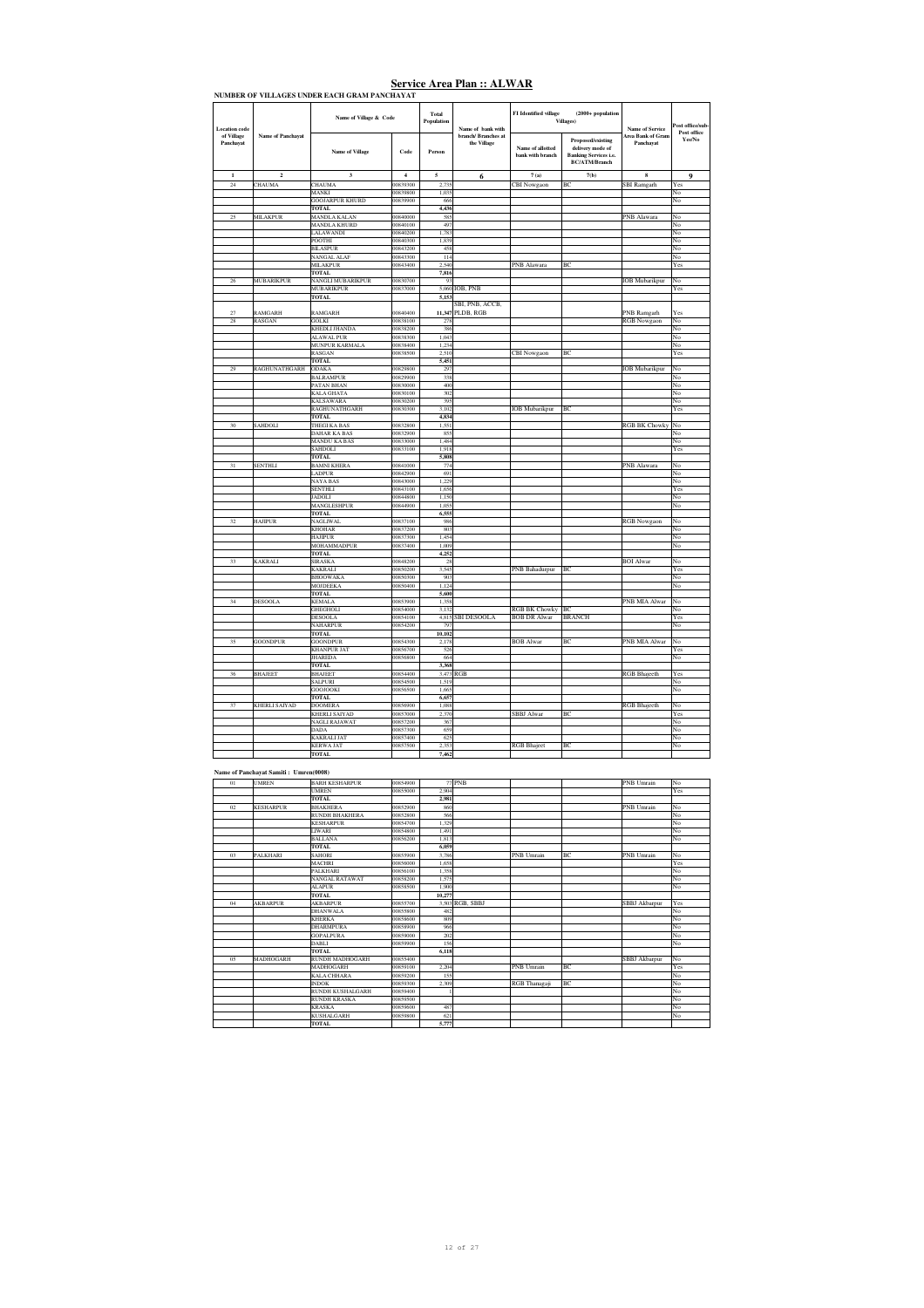| <b>Location</b> code    |                                       | Name of Village & Code                       |                      | Total<br>Population | Name of bank with                  | FI Identified village                | $(2000 + population$<br>Villages)                                                                    | Name of Service                | ast office/sub<br>Post office |
|-------------------------|---------------------------------------|----------------------------------------------|----------------------|---------------------|------------------------------------|--------------------------------------|------------------------------------------------------------------------------------------------------|--------------------------------|-------------------------------|
| of Village<br>Panchavat | Name of Panchayat                     | <b>Name of Village</b>                       | Code                 | Person              | branch/ Branches at<br>the Village | Name of allotted<br>bank with branch | <b>Proposed/existing</b><br>delivery mode of<br><b>Banking Services i.e.</b><br><b>BC/ATM/Branch</b> | Area Bank of Gram<br>Panchavat | Yes/No                        |
| $\mathbf{1}$            | $\overline{2}$                        | $\overline{\mathbf{3}}$                      | $\overline{4}$       | 5                   | 6                                  | 7(a)                                 | <b>7(b)</b>                                                                                          | 8                              | 9                             |
| 24                      | CHAUMA                                | CHAUMA                                       | 00839300             | 2.73                |                                    | <b>CBI</b> Nowgaon                   | BC                                                                                                   | <b>SBI</b> Ramgarh             | Yes                           |
|                         |                                       | MANKI<br><b>GOOJARPUR KHURD</b>              | 00839800<br>00839900 | 1,035<br>666        |                                    |                                      |                                                                                                      |                                | No<br>No                      |
|                         |                                       | <b>TOTAL</b>                                 |                      | 4,436               |                                    |                                      |                                                                                                      |                                |                               |
| 25                      | <b>MILAKPUR</b>                       | <b>MANDLA KALAN</b>                          | 00840000             | 585                 |                                    |                                      |                                                                                                      | PNB Alawara                    | No                            |
|                         |                                       | MANDLA KHURD                                 | 00840100             | 497                 |                                    |                                      |                                                                                                      |                                | No                            |
|                         |                                       | LALAWANDI<br><b>POOTHI</b>                   | 00840200<br>00840300 | 1,783<br>1,839      |                                    |                                      |                                                                                                      |                                | No<br>No                      |
|                         |                                       | <b>BILASPUR</b>                              | 00843200             | 458                 |                                    |                                      |                                                                                                      |                                | No                            |
|                         |                                       | NANGAL ALAF                                  | 00843300             | 114                 |                                    |                                      |                                                                                                      |                                | No                            |
|                         |                                       | MILAKPUR                                     | 00843400             | 2,540               |                                    | PNB Alawara                          | BC                                                                                                   |                                | Yes                           |
|                         |                                       | <b>TOTAL</b>                                 |                      | 7,816               |                                    |                                      |                                                                                                      |                                |                               |
| 26                      | MUBARIKPUR                            | NANGLI MUBARIKPUR<br>MUBARIKPUR              | 00830700<br>00837000 | 93                  | 5,060 IOB, PNB                     |                                      |                                                                                                      | <b>IOB</b> Mubarikpur          | No<br>Yes                     |
|                         |                                       | <b>TOTAL</b>                                 |                      | 5,153               |                                    |                                      |                                                                                                      |                                |                               |
|                         |                                       |                                              |                      |                     | SBI, PNB, ACCB,                    |                                      |                                                                                                      |                                |                               |
| 27                      | RAMGARH                               | RAMGARH                                      | 00840400             | 11,347              | PLDB, RGB                          |                                      |                                                                                                      | PNB Ramgarh                    | Yes                           |
| 28                      | RASGAN                                | <b>GOLKI</b><br>KHEDLI JHANDA                | 00838100<br>00838200 | 278<br>386          |                                    |                                      |                                                                                                      | RGB Nowgaon                    | No<br>No                      |
|                         |                                       | <b>ALAWAL PUR</b>                            | 00838300             | 1,043               |                                    |                                      |                                                                                                      |                                | No                            |
|                         |                                       | MUNPUR KARMALA                               | 00838400             | 1,234               |                                    |                                      |                                                                                                      |                                | No                            |
|                         |                                       | RASGAN                                       | 00838500             | 2.510               |                                    | CBI Nowgaon                          | BC                                                                                                   |                                | Yes                           |
|                         |                                       | <b>TOTAL</b>                                 |                      | 5,451               |                                    |                                      |                                                                                                      |                                |                               |
| 29                      | RAGHUNATHGARH                         | <b>ODAKA</b><br><b>BALRAMPUR</b>             | 00829800<br>00829900 | 297<br>338          |                                    |                                      |                                                                                                      | <b>IOB</b> Mubarikpur          | No<br>No                      |
|                         |                                       | PATAN BHAN                                   | 00830000             | 400                 |                                    |                                      |                                                                                                      |                                | No                            |
|                         |                                       | <b>KALA GHATA</b>                            | 00830100             | 302                 |                                    |                                      |                                                                                                      |                                | No                            |
|                         |                                       | <b>KALSAWARA</b>                             | 00830200             | 395                 |                                    |                                      |                                                                                                      |                                | No                            |
|                         |                                       | RAGHUNATHGARH                                | 00830300             | 3,102               |                                    | <b>IOB</b> Mubarikpur                | $_{\rm RC}$                                                                                          |                                | Yes                           |
| 30                      | <b>SAHDOLI</b>                        | <b>TOTAL</b><br>THEGI KA BAS                 | 00832800             | 4,834<br>1.551      |                                    |                                      |                                                                                                      | <b>RGB BK Chowky</b>           | No                            |
|                         |                                       | DAHAR KA BAS                                 | 00832900             | 85:                 |                                    |                                      |                                                                                                      |                                | No                            |
|                         |                                       | <b>MANDU KA BAS</b>                          | 00833000             | 1,484               |                                    |                                      |                                                                                                      |                                | No                            |
|                         |                                       | SAHDOLI                                      | 00833100             | 1,918               |                                    |                                      |                                                                                                      |                                | Yes                           |
| 31                      | SENTHLI                               | <b>TOTAL</b><br><b>BAMNI KHERA</b>           | 00841000             | 5,808<br>774        |                                    |                                      |                                                                                                      | PNB Alawara                    | No                            |
|                         |                                       | LADPUR                                       | 00842900             | 691                 |                                    |                                      |                                                                                                      |                                | No                            |
|                         |                                       | NAYA BAS                                     | 00843000             | 1,229               |                                    |                                      |                                                                                                      |                                | No                            |
|                         |                                       | <b>SENTHLI</b>                               | 00843100             | 1,656               |                                    |                                      |                                                                                                      |                                | Yes                           |
|                         |                                       | <b>LIOCIA</b><br>MANGLESHPUR                 | 00844800<br>00844900 | 1,150<br>1,055      |                                    |                                      |                                                                                                      |                                | No                            |
|                         |                                       | <b>TOTAL</b>                                 |                      | 6,555               |                                    |                                      |                                                                                                      |                                | No                            |
| 32                      | <b>HAJIPUR</b>                        | <b>NAGLIWAL</b>                              | 00837100             | 986                 |                                    |                                      |                                                                                                      | RGB Nowgaon                    | No                            |
|                         |                                       | <b>KHOHAR</b>                                | 00837200             | 803                 |                                    |                                      |                                                                                                      |                                | No                            |
|                         |                                       | <b>HAJIPUR</b><br>MOHAMMADPUR                | 00837300<br>00837400 | 1,454<br>1,009      |                                    |                                      |                                                                                                      |                                | No<br>No                      |
|                         |                                       | <b>TOTAL</b>                                 |                      | 4,252               |                                    |                                      |                                                                                                      |                                |                               |
| 33                      | <b>KAKRALI</b>                        | <b>SIRASKA</b>                               | 00848200             | 28                  |                                    |                                      |                                                                                                      | <b>BOI</b> Alwar               | No                            |
|                         |                                       | KAKRALI                                      | 00850200             | 3,545               |                                    | PNB Bahadurpur                       | BC                                                                                                   |                                | Yes                           |
|                         |                                       | <b>BHOOWAKA</b>                              | 00850300             | 903                 |                                    |                                      |                                                                                                      |                                | No                            |
|                         |                                       | MOJDEEKA<br><b>TOTAL</b>                     | 00850400             | 1,124<br>5,600      |                                    |                                      |                                                                                                      |                                | No                            |
| 34                      | DESOOLA                               | <b>KEMALA</b>                                | 00853900             | 1,358               |                                    |                                      |                                                                                                      | PNB MIA Alwar                  | No                            |
|                         |                                       | <b>GHEGHOLI</b>                              | 00854000             | 3,132               |                                    | <b>RGB BK Chowky</b>                 | <b>BC</b>                                                                                            |                                | No                            |
|                         |                                       | <b>DESOOLA</b>                               | 00854100             | 4,815               | <b>SBI DESOOLA</b>                 | <b>BOB DR Alwar</b>                  | <b>BRANCH</b>                                                                                        |                                | Yes                           |
|                         |                                       | <b>NAHARPUR</b><br><b>TOTAL</b>              | 00854200             | 797<br>10,102       |                                    |                                      |                                                                                                      |                                | No                            |
| 35                      | GOONDPUR                              | <b>GOONDPUR</b>                              | 00854300             | 2,178               |                                    | <b>BOB</b> Alwar                     | BC                                                                                                   | PNB MIA Alwar                  | No                            |
|                         |                                       | <b>KHANPUR JAT</b>                           | 00856700             | 526                 |                                    |                                      |                                                                                                      |                                | Yes                           |
|                         |                                       | <b>JHAREDA</b>                               | 00856800             | 664                 |                                    |                                      |                                                                                                      |                                | No                            |
|                         |                                       | <b>TOTAL</b>                                 |                      | 3,368               |                                    |                                      |                                                                                                      |                                |                               |
| 36                      | <b>BHAJEET</b>                        | <b>BHAJEET</b><br><b>SALPURI</b>             | 00854400<br>00854500 | 3,473<br>1,519      | RGB                                |                                      |                                                                                                      | <b>RGB</b> Bhajeeth            | Yes<br>No                     |
|                         |                                       | <b>GOOJOOKI</b>                              | 00856500             | 1,665               |                                    |                                      |                                                                                                      |                                | No                            |
|                         |                                       | <b>TOTAL</b>                                 |                      | 6,657               |                                    |                                      |                                                                                                      |                                |                               |
| 37                      | KHERLI SAIYAD                         | <b>DOOMERA</b>                               | 00856900             | 1,088               |                                    |                                      | Rf                                                                                                   | <b>RGB</b> Bhajeeth            | No                            |
|                         |                                       | <b>KHERLI SAIYAD</b><br><b>NAGLI RAJAWAT</b> | 00857000<br>00857200 | 2,370<br>367        |                                    | <b>SBBJ</b> Alwar                    |                                                                                                      |                                | Yes<br>No                     |
|                         |                                       | <b>DADA</b>                                  | 00857300             | 659                 |                                    |                                      |                                                                                                      |                                | No                            |
|                         |                                       | <b>KAKRALI JAT</b>                           | 00857400             | 625                 |                                    |                                      |                                                                                                      |                                | No                            |
|                         |                                       | <b>KERWA JAT</b>                             | 00857500             | 2.35                |                                    | <b>RGB</b> Bhaject                   | BC                                                                                                   |                                | $\overline{\text{No}}$        |
|                         |                                       | <b>TOTAL</b>                                 |                      | 7,462               |                                    |                                      |                                                                                                      |                                |                               |
|                         | Name of Panchayat Samiti: Umren(0008) |                                              |                      |                     |                                    |                                      |                                                                                                      |                                |                               |

| 01 | <b>UMREN</b>     | <b>BARH KESHARPUR</b>   | 00854900 |        | <b>77 PNB</b>   |                   |    | <b>PNB</b> Umrain | No  |
|----|------------------|-------------------------|----------|--------|-----------------|-------------------|----|-------------------|-----|
|    |                  | <b>UMREN</b>            | 00855000 | 2.904  |                 |                   |    |                   | Yes |
|    |                  | <b>TOTAL</b>            |          | 2,981  |                 |                   |    |                   |     |
| 02 | <b>KESHARPUR</b> | <b>BHAKHERA</b>         | 00852900 | 860    |                 |                   |    | <b>PNB</b> Umrain | No  |
|    |                  | <b>RUNDH BHAKHERA</b>   | 00852800 | 566    |                 |                   |    |                   | No  |
|    |                  | <b>KESHARPUR</b>        | 00854700 | 1.329  |                 |                   |    |                   | No  |
|    |                  | <b>LIWARI</b>           | 00854800 | 1,491  |                 |                   |    |                   | No  |
|    |                  | <b>BALLANA</b>          | 00856200 | 1.813  |                 |                   |    |                   | No  |
|    |                  | <b>TOTAL</b>            |          | 6,059  |                 |                   |    |                   |     |
| 03 | <b>PALKHARI</b>  | <b>SAHORI</b>           | 00855900 | 3.786  |                 | <b>PNB</b> Umrain | BC | <b>PNB</b> Umrain | No  |
|    |                  | <b>MACHRI</b>           | 00856000 | 1.658  |                 |                   |    |                   | Yes |
|    |                  | PALKHARI                | 00856100 | 1.358  |                 |                   |    |                   | No  |
|    |                  | NANGAL RATAWAT          | 00858200 | 1.575  |                 |                   |    |                   | No  |
|    |                  | <b>ALAPUR</b>           | 00858500 | 1.900  |                 |                   |    |                   | No  |
|    |                  | <b>TOTAL</b>            |          | 10,277 |                 |                   |    |                   |     |
| 04 | <b>AKBARPUR</b>  | <b>AKBARPUR</b>         | 00855700 |        | 3.503 RGB, SBBJ |                   |    | SBBJ Akbarpur     | Yes |
|    |                  | <b>DHANWALA</b>         | 00855800 | 482    |                 |                   |    |                   | No  |
|    |                  | <b>KHERKA</b>           | 00858600 | 809    |                 |                   |    |                   | No  |
|    |                  | <b>DHARMPURA</b>        | 00858900 | 966    |                 |                   |    |                   | No  |
|    |                  | <b>GOPALPURA</b>        | 00859000 | 202    |                 |                   |    |                   | No  |
|    |                  | <b>DABLI</b>            | 00859900 | 156    |                 |                   |    |                   | No  |
|    |                  | <b>TOTAL</b>            |          | 6.118  |                 |                   |    |                   |     |
| 05 | <b>MADHOGARH</b> | <b>RUNDH MADHOGARH</b>  | 00855400 |        |                 |                   |    | SBBJ Akbarpur     | No  |
|    |                  | <b>MADHOGARH</b>        | 00859100 | 2.204  |                 | <b>PNB</b> Umrain | BC |                   | Yes |
|    |                  | <b>KALA CHHARA</b>      | 00859200 | 155    |                 |                   |    |                   | No  |
|    |                  | <b>INDOK</b>            | 00859300 | 2.309  |                 | RGB Thanagaji     | BC |                   | No  |
|    |                  | <b>RUNDH KUSHALGARH</b> | 00859400 |        |                 |                   |    |                   | No  |
|    |                  | <b>RUNDH KRASKA</b>     | 00859500 |        |                 |                   |    |                   | No  |
|    |                  | <b>KRASKA</b>           | 00859600 | 487    |                 |                   |    |                   | No  |
|    |                  | <b>KUSHALGARH</b>       | 00859800 | 621    |                 |                   |    |                   | No  |
|    |                  | <b>TOTAL</b>            |          | 5,777  |                 |                   |    |                   |     |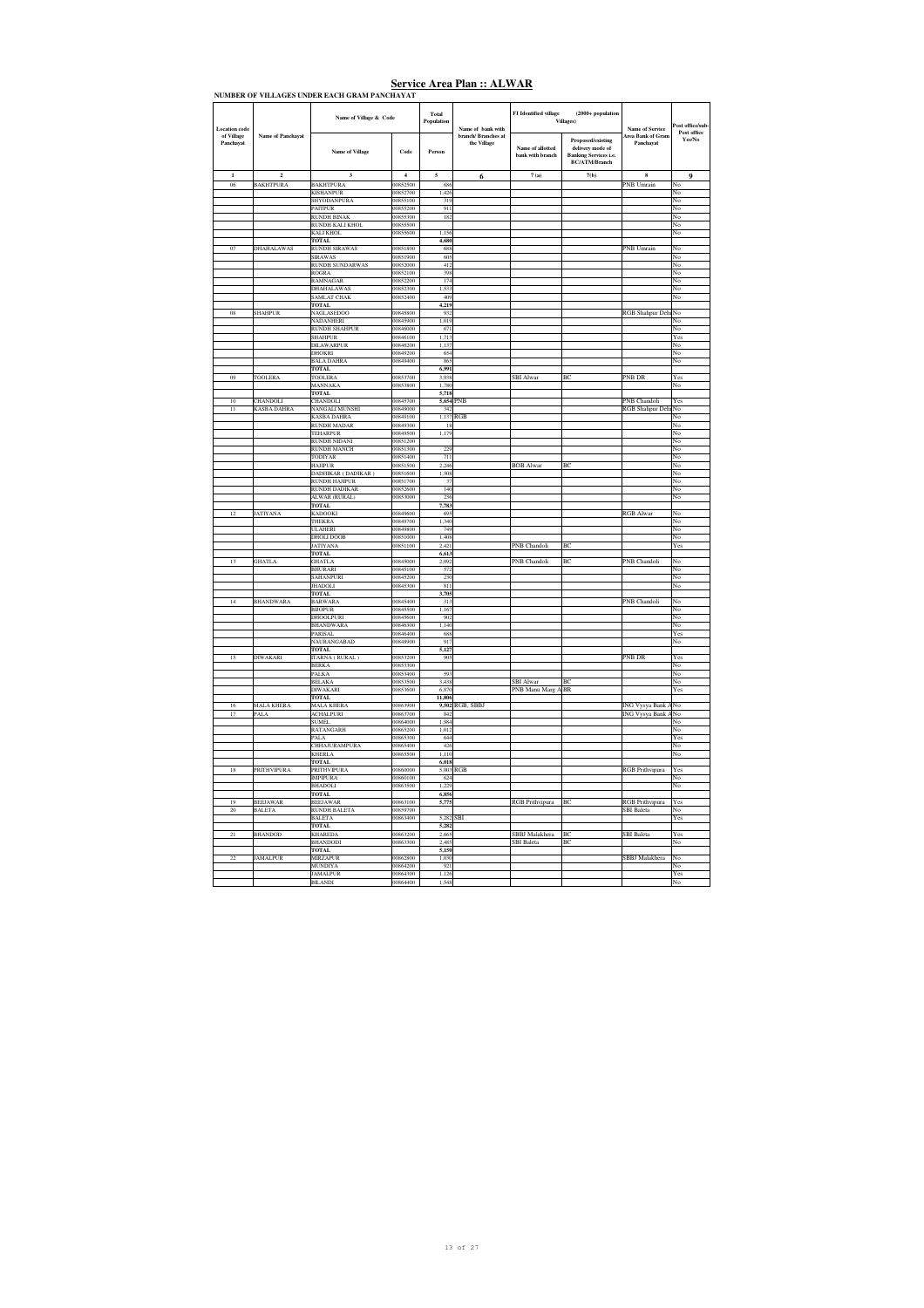| of Village<br>Name of Panchayat<br>branch/ Branches at<br>Area Bank of Gran<br>Proposed/existing<br>the Village<br>Panchavat<br>Panchavat<br>Name of allotted<br>delivery mode of<br>Code<br><b>Name of Village</b><br>Person<br>bank with branch<br><b>Banking Services i.e.</b><br><b>BC/ATM/Branch</b><br>7(b)<br>$\overline{a}$<br>$\overline{4}$<br>7(a)<br>$\mathbf{1}$<br>$\overline{\mathbf{3}}$<br>5<br>6<br>8<br><b>BAKHTPURA</b><br><b>BAKHTPURA</b><br>00852500<br>PNB Umrain<br>06<br>68<br>00852700<br>1,426<br><b>KISHANPUR</b><br>SHYODANPURA<br>00855100<br>319<br><b>PAITPUR</b><br>00855200<br>911<br>RUNDH BINAK<br>00855300<br>18'<br>00855500<br>RUNDH KALI KHOL<br>00855600<br>1,156<br>KALI KHOL<br><b>TOTAL</b><br>4,680<br>07<br>DHAHALAWAS<br><b>RUNDH SIRAWAS</b><br>00851800<br>688<br><b>PNB</b> Umrain<br>00851900<br>60:<br><b>SIRAWAS</b><br>RUNDH SUNDARWAS<br>00852000<br>412<br><b>ROGRA</b><br>00852100<br>398<br>RAMNAGAR<br>00852200<br>174<br>00852300<br>1,533<br><b>DHAHALAWAS</b><br><b>SAMLAT CHAK</b><br>00852400<br>409<br><b>TOTAL</b><br>4,219<br>08<br><b>SHAHPUR</b><br>NAGLASEDOO<br>00845800<br>932<br><b>RGB</b> Shahpur Deh<br>NADANHERI<br>00845900<br>1,019<br><b>RUNDH SHAHPUR</b><br>00846000<br>67<br>1,713<br><b>SHAHPUR</b><br>00846100<br>DILAWARPUR<br>00846200<br>1,13'<br>654<br><b>DHOKRI</b><br>00849200<br><b>BALA DAHRA</b><br>00849400<br>86:<br>6,991<br><b>TOTAL</b><br>09<br>TOOLERA<br>TOOLERA<br>00853700<br>3,938<br><b>SBI</b> Alwar<br>BC<br>PNB DR<br>MANNAKA<br>00853800<br>1,780<br><b>TOTAL</b><br>5,718<br>CHANDOLI<br>CHANDOLI<br>PNB<br>PNB Chandoli<br>10<br>00845700<br>5,654<br>$\overline{11}$<br><b>KASBA DAHRA</b><br>NANGALI MUNSHI<br>00849000<br>34<br><b>KASBA DAHRA</b><br>00849100<br>1,137<br>RGB<br><b>RUNDH MADAR</b><br>00849300<br>$\mathbf{I}$<br>00849500<br>1,179<br><b>TEHARPUR</b><br><b>RUNDH NIDANI</b><br>00851200<br><b>RUNDH MANCH</b><br>00851300<br>229<br>TODIYAR<br>00851400<br>711<br>00851500<br>2,246<br><b>BOB</b> Alwar<br>BC<br><b>HAJIPUR</b><br>DADHIKAR (DADIKAR)<br>00851600<br>1,508<br>RUNDH HAJIPUR<br>00851700<br>$\overline{3}$<br>RUNDH DADIKAR<br>00852600<br>140<br>ALWAR (RURAL)<br>236<br>00853000<br><b>TOTAL</b><br>7,783<br>12<br>JATIYANA<br>KADOOKI<br>00849600<br>69:<br><b>RGB</b> Alwar<br>THEKRA<br>00849700<br>1,340<br>749<br><b>ULAHERI</b><br>00849800<br><b>DHOLI DOOB</b><br>00851000<br>1,408<br>JATIYANA<br>00851100<br>2.42<br>PNB Chandoli<br>BC<br><b>TOTAL</b><br>6,613<br>13<br><b>GHATLA</b><br>00845000<br>PNB Chandoli<br>BC<br>PNB Chandoli<br><b>GHATLA</b><br>2,09<br><b>BHURARI</b><br>00845100<br>57<br>SAHANPURI<br>00845200<br>230<br><b>JHADOLI</b><br>00845300<br>811<br><b>TOTAL</b><br>3,705<br>14<br><b>BHANDWARA</b><br><b>BARWAR</b><br>00845400<br>31<br>PNB Chandoli<br>00845500<br><b>BIJOPUR</b><br>1,16<br><b>DHOOLPURI</b><br>00845600<br>90<br><b>BHANDWARA</b><br>00846300<br>1,140<br>PARISAL<br>00846400<br>688<br>91'<br>NAURANGABAD<br>00848900<br><b>TOTAL</b><br>5,127<br>15<br>DIWAKARI<br>ITARNA (RURAL)<br>00853200<br>905<br><b>PNB DR</b><br><b>BERKA</b><br>00853300<br>00853400<br>593<br>PALKA<br><b>BELAKA</b><br>00853500<br>3,438<br><b>SBI</b> Alwar<br>BC<br><b>DIWAKARI</b><br>00853600<br>6,870<br>PNB Manu Marg A BR<br><b>TOTAL</b><br>11,806<br>MALA KHERA<br>MALA KHERA<br>00863900<br>9,502 RGB, SBBJ<br>ING Vysya Bank<br>16<br>17<br>PALA<br><b>ACHALPURI</b><br>00863700<br>843<br><b>SUMEL</b><br>00864000<br>1,984<br>RATANGARH<br>00865200<br>1,012<br>644<br>PALA<br>00865300<br>CHHAJURAMPURA<br>00865400<br>426<br><b>KHERLA</b><br>00865500<br>1,110<br><b>TOTAL</b><br>6,018<br>18<br>PRITHVIPURA<br><b>PRITHVIPURA</b><br>00860000<br>5,003<br>RGB<br><b>RGB</b> Prithvipura<br><b>IMPIPURA</b><br>00860100<br>62<br><b>BHADOLI</b><br>00863500<br>1.229<br><b>TOTAL</b><br>6,856<br>19<br><b>BEEJAWAR</b><br><b>BEEJAWAR</b><br>00863100<br>5,775<br><b>RGB</b> Prithvipura<br>BC<br><b>RGB</b> Prithvipura<br>$\overline{20}$<br>BALETA<br><b>RUNDH BALETA</b><br>00859700<br><b>SBI</b> Baleta<br><b>BALETA</b><br>00863400<br>5.283<br>SBI<br><b>TOTAL</b><br>5,282<br>21<br><b>BHANDOD</b><br><b>KHAREDA</b><br>00863200<br>SBBJ Malakhera<br><b>BC</b><br><b>SBI</b> Baleta<br>2,66<br><b>BHANDODI</b><br>2.48<br><b>SBI</b> Baleta<br>BC<br>00863300<br>TOTAL<br>5,150<br>$\overline{22}$<br><b>JAMALPUR</b><br><b>MIRZAPUR</b><br>00862800<br>1,030<br>SBBJ Malakhera<br>MUNDIYA<br>921<br>00864200<br><b>JAMALPUR</b><br>00864300<br>1,12 | <b>Location</b> code | Name of Village & Code | Total<br>Population | Name of bank with | FI Identified village | $(2000 + population$<br>.<br>Villages) | <b>Name of Service</b> | ost office/sub                |
|---------------------------------------------------------------------------------------------------------------------------------------------------------------------------------------------------------------------------------------------------------------------------------------------------------------------------------------------------------------------------------------------------------------------------------------------------------------------------------------------------------------------------------------------------------------------------------------------------------------------------------------------------------------------------------------------------------------------------------------------------------------------------------------------------------------------------------------------------------------------------------------------------------------------------------------------------------------------------------------------------------------------------------------------------------------------------------------------------------------------------------------------------------------------------------------------------------------------------------------------------------------------------------------------------------------------------------------------------------------------------------------------------------------------------------------------------------------------------------------------------------------------------------------------------------------------------------------------------------------------------------------------------------------------------------------------------------------------------------------------------------------------------------------------------------------------------------------------------------------------------------------------------------------------------------------------------------------------------------------------------------------------------------------------------------------------------------------------------------------------------------------------------------------------------------------------------------------------------------------------------------------------------------------------------------------------------------------------------------------------------------------------------------------------------------------------------------------------------------------------------------------------------------------------------------------------------------------------------------------------------------------------------------------------------------------------------------------------------------------------------------------------------------------------------------------------------------------------------------------------------------------------------------------------------------------------------------------------------------------------------------------------------------------------------------------------------------------------------------------------------------------------------------------------------------------------------------------------------------------------------------------------------------------------------------------------------------------------------------------------------------------------------------------------------------------------------------------------------------------------------------------------------------------------------------------------------------------------------------------------------------------------------------------------------------------------------------------------------------------------------------------------------------------------------------------------------------------------------------------------------------------------------------------------------------------------------------------------------------------------------------------------------------------------------------------------------------------------------------------------------------------------------------------------------------------------------------------------------------------------------------------------------------------------------------------------------------------------------------------------------------------------------------------------------------------------------------------------------------------------------------------------------------------------------------------------------------|----------------------|------------------------|---------------------|-------------------|-----------------------|----------------------------------------|------------------------|-------------------------------|
|                                                                                                                                                                                                                                                                                                                                                                                                                                                                                                                                                                                                                                                                                                                                                                                                                                                                                                                                                                                                                                                                                                                                                                                                                                                                                                                                                                                                                                                                                                                                                                                                                                                                                                                                                                                                                                                                                                                                                                                                                                                                                                                                                                                                                                                                                                                                                                                                                                                                                                                                                                                                                                                                                                                                                                                                                                                                                                                                                                                                                                                                                                                                                                                                                                                                                                                                                                                                                                                                                                                                                                                                                                                                                                                                                                                                                                                                                                                                                                                                                                                                                                                                                                                                                                                                                                                                                                                                                                                                                                                                                                                 |                      |                        |                     |                   |                       |                                        |                        | Post office<br>${\bf Yes/No}$ |
|                                                                                                                                                                                                                                                                                                                                                                                                                                                                                                                                                                                                                                                                                                                                                                                                                                                                                                                                                                                                                                                                                                                                                                                                                                                                                                                                                                                                                                                                                                                                                                                                                                                                                                                                                                                                                                                                                                                                                                                                                                                                                                                                                                                                                                                                                                                                                                                                                                                                                                                                                                                                                                                                                                                                                                                                                                                                                                                                                                                                                                                                                                                                                                                                                                                                                                                                                                                                                                                                                                                                                                                                                                                                                                                                                                                                                                                                                                                                                                                                                                                                                                                                                                                                                                                                                                                                                                                                                                                                                                                                                                                 |                      |                        |                     |                   |                       |                                        |                        | 9                             |
|                                                                                                                                                                                                                                                                                                                                                                                                                                                                                                                                                                                                                                                                                                                                                                                                                                                                                                                                                                                                                                                                                                                                                                                                                                                                                                                                                                                                                                                                                                                                                                                                                                                                                                                                                                                                                                                                                                                                                                                                                                                                                                                                                                                                                                                                                                                                                                                                                                                                                                                                                                                                                                                                                                                                                                                                                                                                                                                                                                                                                                                                                                                                                                                                                                                                                                                                                                                                                                                                                                                                                                                                                                                                                                                                                                                                                                                                                                                                                                                                                                                                                                                                                                                                                                                                                                                                                                                                                                                                                                                                                                                 |                      |                        |                     |                   |                       |                                        |                        |                               |
|                                                                                                                                                                                                                                                                                                                                                                                                                                                                                                                                                                                                                                                                                                                                                                                                                                                                                                                                                                                                                                                                                                                                                                                                                                                                                                                                                                                                                                                                                                                                                                                                                                                                                                                                                                                                                                                                                                                                                                                                                                                                                                                                                                                                                                                                                                                                                                                                                                                                                                                                                                                                                                                                                                                                                                                                                                                                                                                                                                                                                                                                                                                                                                                                                                                                                                                                                                                                                                                                                                                                                                                                                                                                                                                                                                                                                                                                                                                                                                                                                                                                                                                                                                                                                                                                                                                                                                                                                                                                                                                                                                                 |                      |                        |                     |                   |                       |                                        |                        | No                            |
|                                                                                                                                                                                                                                                                                                                                                                                                                                                                                                                                                                                                                                                                                                                                                                                                                                                                                                                                                                                                                                                                                                                                                                                                                                                                                                                                                                                                                                                                                                                                                                                                                                                                                                                                                                                                                                                                                                                                                                                                                                                                                                                                                                                                                                                                                                                                                                                                                                                                                                                                                                                                                                                                                                                                                                                                                                                                                                                                                                                                                                                                                                                                                                                                                                                                                                                                                                                                                                                                                                                                                                                                                                                                                                                                                                                                                                                                                                                                                                                                                                                                                                                                                                                                                                                                                                                                                                                                                                                                                                                                                                                 |                      |                        |                     |                   |                       |                                        |                        | No<br>No                      |
|                                                                                                                                                                                                                                                                                                                                                                                                                                                                                                                                                                                                                                                                                                                                                                                                                                                                                                                                                                                                                                                                                                                                                                                                                                                                                                                                                                                                                                                                                                                                                                                                                                                                                                                                                                                                                                                                                                                                                                                                                                                                                                                                                                                                                                                                                                                                                                                                                                                                                                                                                                                                                                                                                                                                                                                                                                                                                                                                                                                                                                                                                                                                                                                                                                                                                                                                                                                                                                                                                                                                                                                                                                                                                                                                                                                                                                                                                                                                                                                                                                                                                                                                                                                                                                                                                                                                                                                                                                                                                                                                                                                 |                      |                        |                     |                   |                       |                                        |                        | No                            |
|                                                                                                                                                                                                                                                                                                                                                                                                                                                                                                                                                                                                                                                                                                                                                                                                                                                                                                                                                                                                                                                                                                                                                                                                                                                                                                                                                                                                                                                                                                                                                                                                                                                                                                                                                                                                                                                                                                                                                                                                                                                                                                                                                                                                                                                                                                                                                                                                                                                                                                                                                                                                                                                                                                                                                                                                                                                                                                                                                                                                                                                                                                                                                                                                                                                                                                                                                                                                                                                                                                                                                                                                                                                                                                                                                                                                                                                                                                                                                                                                                                                                                                                                                                                                                                                                                                                                                                                                                                                                                                                                                                                 |                      |                        |                     |                   |                       |                                        |                        | No                            |
|                                                                                                                                                                                                                                                                                                                                                                                                                                                                                                                                                                                                                                                                                                                                                                                                                                                                                                                                                                                                                                                                                                                                                                                                                                                                                                                                                                                                                                                                                                                                                                                                                                                                                                                                                                                                                                                                                                                                                                                                                                                                                                                                                                                                                                                                                                                                                                                                                                                                                                                                                                                                                                                                                                                                                                                                                                                                                                                                                                                                                                                                                                                                                                                                                                                                                                                                                                                                                                                                                                                                                                                                                                                                                                                                                                                                                                                                                                                                                                                                                                                                                                                                                                                                                                                                                                                                                                                                                                                                                                                                                                                 |                      |                        |                     |                   |                       |                                        |                        | No                            |
|                                                                                                                                                                                                                                                                                                                                                                                                                                                                                                                                                                                                                                                                                                                                                                                                                                                                                                                                                                                                                                                                                                                                                                                                                                                                                                                                                                                                                                                                                                                                                                                                                                                                                                                                                                                                                                                                                                                                                                                                                                                                                                                                                                                                                                                                                                                                                                                                                                                                                                                                                                                                                                                                                                                                                                                                                                                                                                                                                                                                                                                                                                                                                                                                                                                                                                                                                                                                                                                                                                                                                                                                                                                                                                                                                                                                                                                                                                                                                                                                                                                                                                                                                                                                                                                                                                                                                                                                                                                                                                                                                                                 |                      |                        |                     |                   |                       |                                        |                        |                               |
|                                                                                                                                                                                                                                                                                                                                                                                                                                                                                                                                                                                                                                                                                                                                                                                                                                                                                                                                                                                                                                                                                                                                                                                                                                                                                                                                                                                                                                                                                                                                                                                                                                                                                                                                                                                                                                                                                                                                                                                                                                                                                                                                                                                                                                                                                                                                                                                                                                                                                                                                                                                                                                                                                                                                                                                                                                                                                                                                                                                                                                                                                                                                                                                                                                                                                                                                                                                                                                                                                                                                                                                                                                                                                                                                                                                                                                                                                                                                                                                                                                                                                                                                                                                                                                                                                                                                                                                                                                                                                                                                                                                 |                      |                        |                     |                   |                       |                                        |                        | No                            |
|                                                                                                                                                                                                                                                                                                                                                                                                                                                                                                                                                                                                                                                                                                                                                                                                                                                                                                                                                                                                                                                                                                                                                                                                                                                                                                                                                                                                                                                                                                                                                                                                                                                                                                                                                                                                                                                                                                                                                                                                                                                                                                                                                                                                                                                                                                                                                                                                                                                                                                                                                                                                                                                                                                                                                                                                                                                                                                                                                                                                                                                                                                                                                                                                                                                                                                                                                                                                                                                                                                                                                                                                                                                                                                                                                                                                                                                                                                                                                                                                                                                                                                                                                                                                                                                                                                                                                                                                                                                                                                                                                                                 |                      |                        |                     |                   |                       |                                        |                        | No                            |
|                                                                                                                                                                                                                                                                                                                                                                                                                                                                                                                                                                                                                                                                                                                                                                                                                                                                                                                                                                                                                                                                                                                                                                                                                                                                                                                                                                                                                                                                                                                                                                                                                                                                                                                                                                                                                                                                                                                                                                                                                                                                                                                                                                                                                                                                                                                                                                                                                                                                                                                                                                                                                                                                                                                                                                                                                                                                                                                                                                                                                                                                                                                                                                                                                                                                                                                                                                                                                                                                                                                                                                                                                                                                                                                                                                                                                                                                                                                                                                                                                                                                                                                                                                                                                                                                                                                                                                                                                                                                                                                                                                                 |                      |                        |                     |                   |                       |                                        |                        | No                            |
|                                                                                                                                                                                                                                                                                                                                                                                                                                                                                                                                                                                                                                                                                                                                                                                                                                                                                                                                                                                                                                                                                                                                                                                                                                                                                                                                                                                                                                                                                                                                                                                                                                                                                                                                                                                                                                                                                                                                                                                                                                                                                                                                                                                                                                                                                                                                                                                                                                                                                                                                                                                                                                                                                                                                                                                                                                                                                                                                                                                                                                                                                                                                                                                                                                                                                                                                                                                                                                                                                                                                                                                                                                                                                                                                                                                                                                                                                                                                                                                                                                                                                                                                                                                                                                                                                                                                                                                                                                                                                                                                                                                 |                      |                        |                     |                   |                       |                                        |                        | No                            |
|                                                                                                                                                                                                                                                                                                                                                                                                                                                                                                                                                                                                                                                                                                                                                                                                                                                                                                                                                                                                                                                                                                                                                                                                                                                                                                                                                                                                                                                                                                                                                                                                                                                                                                                                                                                                                                                                                                                                                                                                                                                                                                                                                                                                                                                                                                                                                                                                                                                                                                                                                                                                                                                                                                                                                                                                                                                                                                                                                                                                                                                                                                                                                                                                                                                                                                                                                                                                                                                                                                                                                                                                                                                                                                                                                                                                                                                                                                                                                                                                                                                                                                                                                                                                                                                                                                                                                                                                                                                                                                                                                                                 |                      |                        |                     |                   |                       |                                        |                        | No<br>No                      |
|                                                                                                                                                                                                                                                                                                                                                                                                                                                                                                                                                                                                                                                                                                                                                                                                                                                                                                                                                                                                                                                                                                                                                                                                                                                                                                                                                                                                                                                                                                                                                                                                                                                                                                                                                                                                                                                                                                                                                                                                                                                                                                                                                                                                                                                                                                                                                                                                                                                                                                                                                                                                                                                                                                                                                                                                                                                                                                                                                                                                                                                                                                                                                                                                                                                                                                                                                                                                                                                                                                                                                                                                                                                                                                                                                                                                                                                                                                                                                                                                                                                                                                                                                                                                                                                                                                                                                                                                                                                                                                                                                                                 |                      |                        |                     |                   |                       |                                        |                        | No                            |
|                                                                                                                                                                                                                                                                                                                                                                                                                                                                                                                                                                                                                                                                                                                                                                                                                                                                                                                                                                                                                                                                                                                                                                                                                                                                                                                                                                                                                                                                                                                                                                                                                                                                                                                                                                                                                                                                                                                                                                                                                                                                                                                                                                                                                                                                                                                                                                                                                                                                                                                                                                                                                                                                                                                                                                                                                                                                                                                                                                                                                                                                                                                                                                                                                                                                                                                                                                                                                                                                                                                                                                                                                                                                                                                                                                                                                                                                                                                                                                                                                                                                                                                                                                                                                                                                                                                                                                                                                                                                                                                                                                                 |                      |                        |                     |                   |                       |                                        |                        |                               |
|                                                                                                                                                                                                                                                                                                                                                                                                                                                                                                                                                                                                                                                                                                                                                                                                                                                                                                                                                                                                                                                                                                                                                                                                                                                                                                                                                                                                                                                                                                                                                                                                                                                                                                                                                                                                                                                                                                                                                                                                                                                                                                                                                                                                                                                                                                                                                                                                                                                                                                                                                                                                                                                                                                                                                                                                                                                                                                                                                                                                                                                                                                                                                                                                                                                                                                                                                                                                                                                                                                                                                                                                                                                                                                                                                                                                                                                                                                                                                                                                                                                                                                                                                                                                                                                                                                                                                                                                                                                                                                                                                                                 |                      |                        |                     |                   |                       |                                        |                        | No                            |
|                                                                                                                                                                                                                                                                                                                                                                                                                                                                                                                                                                                                                                                                                                                                                                                                                                                                                                                                                                                                                                                                                                                                                                                                                                                                                                                                                                                                                                                                                                                                                                                                                                                                                                                                                                                                                                                                                                                                                                                                                                                                                                                                                                                                                                                                                                                                                                                                                                                                                                                                                                                                                                                                                                                                                                                                                                                                                                                                                                                                                                                                                                                                                                                                                                                                                                                                                                                                                                                                                                                                                                                                                                                                                                                                                                                                                                                                                                                                                                                                                                                                                                                                                                                                                                                                                                                                                                                                                                                                                                                                                                                 |                      |                        |                     |                   |                       |                                        |                        | No                            |
|                                                                                                                                                                                                                                                                                                                                                                                                                                                                                                                                                                                                                                                                                                                                                                                                                                                                                                                                                                                                                                                                                                                                                                                                                                                                                                                                                                                                                                                                                                                                                                                                                                                                                                                                                                                                                                                                                                                                                                                                                                                                                                                                                                                                                                                                                                                                                                                                                                                                                                                                                                                                                                                                                                                                                                                                                                                                                                                                                                                                                                                                                                                                                                                                                                                                                                                                                                                                                                                                                                                                                                                                                                                                                                                                                                                                                                                                                                                                                                                                                                                                                                                                                                                                                                                                                                                                                                                                                                                                                                                                                                                 |                      |                        |                     |                   |                       |                                        |                        | No                            |
|                                                                                                                                                                                                                                                                                                                                                                                                                                                                                                                                                                                                                                                                                                                                                                                                                                                                                                                                                                                                                                                                                                                                                                                                                                                                                                                                                                                                                                                                                                                                                                                                                                                                                                                                                                                                                                                                                                                                                                                                                                                                                                                                                                                                                                                                                                                                                                                                                                                                                                                                                                                                                                                                                                                                                                                                                                                                                                                                                                                                                                                                                                                                                                                                                                                                                                                                                                                                                                                                                                                                                                                                                                                                                                                                                                                                                                                                                                                                                                                                                                                                                                                                                                                                                                                                                                                                                                                                                                                                                                                                                                                 |                      |                        |                     |                   |                       |                                        |                        | Yes                           |
|                                                                                                                                                                                                                                                                                                                                                                                                                                                                                                                                                                                                                                                                                                                                                                                                                                                                                                                                                                                                                                                                                                                                                                                                                                                                                                                                                                                                                                                                                                                                                                                                                                                                                                                                                                                                                                                                                                                                                                                                                                                                                                                                                                                                                                                                                                                                                                                                                                                                                                                                                                                                                                                                                                                                                                                                                                                                                                                                                                                                                                                                                                                                                                                                                                                                                                                                                                                                                                                                                                                                                                                                                                                                                                                                                                                                                                                                                                                                                                                                                                                                                                                                                                                                                                                                                                                                                                                                                                                                                                                                                                                 |                      |                        |                     |                   |                       |                                        |                        | No                            |
|                                                                                                                                                                                                                                                                                                                                                                                                                                                                                                                                                                                                                                                                                                                                                                                                                                                                                                                                                                                                                                                                                                                                                                                                                                                                                                                                                                                                                                                                                                                                                                                                                                                                                                                                                                                                                                                                                                                                                                                                                                                                                                                                                                                                                                                                                                                                                                                                                                                                                                                                                                                                                                                                                                                                                                                                                                                                                                                                                                                                                                                                                                                                                                                                                                                                                                                                                                                                                                                                                                                                                                                                                                                                                                                                                                                                                                                                                                                                                                                                                                                                                                                                                                                                                                                                                                                                                                                                                                                                                                                                                                                 |                      |                        |                     |                   |                       |                                        |                        | No                            |
|                                                                                                                                                                                                                                                                                                                                                                                                                                                                                                                                                                                                                                                                                                                                                                                                                                                                                                                                                                                                                                                                                                                                                                                                                                                                                                                                                                                                                                                                                                                                                                                                                                                                                                                                                                                                                                                                                                                                                                                                                                                                                                                                                                                                                                                                                                                                                                                                                                                                                                                                                                                                                                                                                                                                                                                                                                                                                                                                                                                                                                                                                                                                                                                                                                                                                                                                                                                                                                                                                                                                                                                                                                                                                                                                                                                                                                                                                                                                                                                                                                                                                                                                                                                                                                                                                                                                                                                                                                                                                                                                                                                 |                      |                        |                     |                   |                       |                                        |                        | No                            |
|                                                                                                                                                                                                                                                                                                                                                                                                                                                                                                                                                                                                                                                                                                                                                                                                                                                                                                                                                                                                                                                                                                                                                                                                                                                                                                                                                                                                                                                                                                                                                                                                                                                                                                                                                                                                                                                                                                                                                                                                                                                                                                                                                                                                                                                                                                                                                                                                                                                                                                                                                                                                                                                                                                                                                                                                                                                                                                                                                                                                                                                                                                                                                                                                                                                                                                                                                                                                                                                                                                                                                                                                                                                                                                                                                                                                                                                                                                                                                                                                                                                                                                                                                                                                                                                                                                                                                                                                                                                                                                                                                                                 |                      |                        |                     |                   |                       |                                        |                        | Yes                           |
|                                                                                                                                                                                                                                                                                                                                                                                                                                                                                                                                                                                                                                                                                                                                                                                                                                                                                                                                                                                                                                                                                                                                                                                                                                                                                                                                                                                                                                                                                                                                                                                                                                                                                                                                                                                                                                                                                                                                                                                                                                                                                                                                                                                                                                                                                                                                                                                                                                                                                                                                                                                                                                                                                                                                                                                                                                                                                                                                                                                                                                                                                                                                                                                                                                                                                                                                                                                                                                                                                                                                                                                                                                                                                                                                                                                                                                                                                                                                                                                                                                                                                                                                                                                                                                                                                                                                                                                                                                                                                                                                                                                 |                      |                        |                     |                   |                       |                                        |                        | No                            |
|                                                                                                                                                                                                                                                                                                                                                                                                                                                                                                                                                                                                                                                                                                                                                                                                                                                                                                                                                                                                                                                                                                                                                                                                                                                                                                                                                                                                                                                                                                                                                                                                                                                                                                                                                                                                                                                                                                                                                                                                                                                                                                                                                                                                                                                                                                                                                                                                                                                                                                                                                                                                                                                                                                                                                                                                                                                                                                                                                                                                                                                                                                                                                                                                                                                                                                                                                                                                                                                                                                                                                                                                                                                                                                                                                                                                                                                                                                                                                                                                                                                                                                                                                                                                                                                                                                                                                                                                                                                                                                                                                                                 |                      |                        |                     |                   |                       |                                        |                        |                               |
|                                                                                                                                                                                                                                                                                                                                                                                                                                                                                                                                                                                                                                                                                                                                                                                                                                                                                                                                                                                                                                                                                                                                                                                                                                                                                                                                                                                                                                                                                                                                                                                                                                                                                                                                                                                                                                                                                                                                                                                                                                                                                                                                                                                                                                                                                                                                                                                                                                                                                                                                                                                                                                                                                                                                                                                                                                                                                                                                                                                                                                                                                                                                                                                                                                                                                                                                                                                                                                                                                                                                                                                                                                                                                                                                                                                                                                                                                                                                                                                                                                                                                                                                                                                                                                                                                                                                                                                                                                                                                                                                                                                 |                      |                        |                     |                   |                       |                                        |                        | Yes                           |
|                                                                                                                                                                                                                                                                                                                                                                                                                                                                                                                                                                                                                                                                                                                                                                                                                                                                                                                                                                                                                                                                                                                                                                                                                                                                                                                                                                                                                                                                                                                                                                                                                                                                                                                                                                                                                                                                                                                                                                                                                                                                                                                                                                                                                                                                                                                                                                                                                                                                                                                                                                                                                                                                                                                                                                                                                                                                                                                                                                                                                                                                                                                                                                                                                                                                                                                                                                                                                                                                                                                                                                                                                                                                                                                                                                                                                                                                                                                                                                                                                                                                                                                                                                                                                                                                                                                                                                                                                                                                                                                                                                                 |                      |                        |                     |                   |                       |                                        | <b>RGB</b> Shahpur Deh | No                            |
|                                                                                                                                                                                                                                                                                                                                                                                                                                                                                                                                                                                                                                                                                                                                                                                                                                                                                                                                                                                                                                                                                                                                                                                                                                                                                                                                                                                                                                                                                                                                                                                                                                                                                                                                                                                                                                                                                                                                                                                                                                                                                                                                                                                                                                                                                                                                                                                                                                                                                                                                                                                                                                                                                                                                                                                                                                                                                                                                                                                                                                                                                                                                                                                                                                                                                                                                                                                                                                                                                                                                                                                                                                                                                                                                                                                                                                                                                                                                                                                                                                                                                                                                                                                                                                                                                                                                                                                                                                                                                                                                                                                 |                      |                        |                     |                   |                       |                                        |                        | No                            |
|                                                                                                                                                                                                                                                                                                                                                                                                                                                                                                                                                                                                                                                                                                                                                                                                                                                                                                                                                                                                                                                                                                                                                                                                                                                                                                                                                                                                                                                                                                                                                                                                                                                                                                                                                                                                                                                                                                                                                                                                                                                                                                                                                                                                                                                                                                                                                                                                                                                                                                                                                                                                                                                                                                                                                                                                                                                                                                                                                                                                                                                                                                                                                                                                                                                                                                                                                                                                                                                                                                                                                                                                                                                                                                                                                                                                                                                                                                                                                                                                                                                                                                                                                                                                                                                                                                                                                                                                                                                                                                                                                                                 |                      |                        |                     |                   |                       |                                        |                        | No                            |
|                                                                                                                                                                                                                                                                                                                                                                                                                                                                                                                                                                                                                                                                                                                                                                                                                                                                                                                                                                                                                                                                                                                                                                                                                                                                                                                                                                                                                                                                                                                                                                                                                                                                                                                                                                                                                                                                                                                                                                                                                                                                                                                                                                                                                                                                                                                                                                                                                                                                                                                                                                                                                                                                                                                                                                                                                                                                                                                                                                                                                                                                                                                                                                                                                                                                                                                                                                                                                                                                                                                                                                                                                                                                                                                                                                                                                                                                                                                                                                                                                                                                                                                                                                                                                                                                                                                                                                                                                                                                                                                                                                                 |                      |                        |                     |                   |                       |                                        |                        | No                            |
|                                                                                                                                                                                                                                                                                                                                                                                                                                                                                                                                                                                                                                                                                                                                                                                                                                                                                                                                                                                                                                                                                                                                                                                                                                                                                                                                                                                                                                                                                                                                                                                                                                                                                                                                                                                                                                                                                                                                                                                                                                                                                                                                                                                                                                                                                                                                                                                                                                                                                                                                                                                                                                                                                                                                                                                                                                                                                                                                                                                                                                                                                                                                                                                                                                                                                                                                                                                                                                                                                                                                                                                                                                                                                                                                                                                                                                                                                                                                                                                                                                                                                                                                                                                                                                                                                                                                                                                                                                                                                                                                                                                 |                      |                        |                     |                   |                       |                                        |                        | No                            |
|                                                                                                                                                                                                                                                                                                                                                                                                                                                                                                                                                                                                                                                                                                                                                                                                                                                                                                                                                                                                                                                                                                                                                                                                                                                                                                                                                                                                                                                                                                                                                                                                                                                                                                                                                                                                                                                                                                                                                                                                                                                                                                                                                                                                                                                                                                                                                                                                                                                                                                                                                                                                                                                                                                                                                                                                                                                                                                                                                                                                                                                                                                                                                                                                                                                                                                                                                                                                                                                                                                                                                                                                                                                                                                                                                                                                                                                                                                                                                                                                                                                                                                                                                                                                                                                                                                                                                                                                                                                                                                                                                                                 |                      |                        |                     |                   |                       |                                        |                        | No                            |
|                                                                                                                                                                                                                                                                                                                                                                                                                                                                                                                                                                                                                                                                                                                                                                                                                                                                                                                                                                                                                                                                                                                                                                                                                                                                                                                                                                                                                                                                                                                                                                                                                                                                                                                                                                                                                                                                                                                                                                                                                                                                                                                                                                                                                                                                                                                                                                                                                                                                                                                                                                                                                                                                                                                                                                                                                                                                                                                                                                                                                                                                                                                                                                                                                                                                                                                                                                                                                                                                                                                                                                                                                                                                                                                                                                                                                                                                                                                                                                                                                                                                                                                                                                                                                                                                                                                                                                                                                                                                                                                                                                                 |                      |                        |                     |                   |                       |                                        |                        | No<br>No                      |
|                                                                                                                                                                                                                                                                                                                                                                                                                                                                                                                                                                                                                                                                                                                                                                                                                                                                                                                                                                                                                                                                                                                                                                                                                                                                                                                                                                                                                                                                                                                                                                                                                                                                                                                                                                                                                                                                                                                                                                                                                                                                                                                                                                                                                                                                                                                                                                                                                                                                                                                                                                                                                                                                                                                                                                                                                                                                                                                                                                                                                                                                                                                                                                                                                                                                                                                                                                                                                                                                                                                                                                                                                                                                                                                                                                                                                                                                                                                                                                                                                                                                                                                                                                                                                                                                                                                                                                                                                                                                                                                                                                                 |                      |                        |                     |                   |                       |                                        |                        | No                            |
|                                                                                                                                                                                                                                                                                                                                                                                                                                                                                                                                                                                                                                                                                                                                                                                                                                                                                                                                                                                                                                                                                                                                                                                                                                                                                                                                                                                                                                                                                                                                                                                                                                                                                                                                                                                                                                                                                                                                                                                                                                                                                                                                                                                                                                                                                                                                                                                                                                                                                                                                                                                                                                                                                                                                                                                                                                                                                                                                                                                                                                                                                                                                                                                                                                                                                                                                                                                                                                                                                                                                                                                                                                                                                                                                                                                                                                                                                                                                                                                                                                                                                                                                                                                                                                                                                                                                                                                                                                                                                                                                                                                 |                      |                        |                     |                   |                       |                                        |                        | No                            |
|                                                                                                                                                                                                                                                                                                                                                                                                                                                                                                                                                                                                                                                                                                                                                                                                                                                                                                                                                                                                                                                                                                                                                                                                                                                                                                                                                                                                                                                                                                                                                                                                                                                                                                                                                                                                                                                                                                                                                                                                                                                                                                                                                                                                                                                                                                                                                                                                                                                                                                                                                                                                                                                                                                                                                                                                                                                                                                                                                                                                                                                                                                                                                                                                                                                                                                                                                                                                                                                                                                                                                                                                                                                                                                                                                                                                                                                                                                                                                                                                                                                                                                                                                                                                                                                                                                                                                                                                                                                                                                                                                                                 |                      |                        |                     |                   |                       |                                        |                        | No                            |
|                                                                                                                                                                                                                                                                                                                                                                                                                                                                                                                                                                                                                                                                                                                                                                                                                                                                                                                                                                                                                                                                                                                                                                                                                                                                                                                                                                                                                                                                                                                                                                                                                                                                                                                                                                                                                                                                                                                                                                                                                                                                                                                                                                                                                                                                                                                                                                                                                                                                                                                                                                                                                                                                                                                                                                                                                                                                                                                                                                                                                                                                                                                                                                                                                                                                                                                                                                                                                                                                                                                                                                                                                                                                                                                                                                                                                                                                                                                                                                                                                                                                                                                                                                                                                                                                                                                                                                                                                                                                                                                                                                                 |                      |                        |                     |                   |                       |                                        |                        | No                            |
|                                                                                                                                                                                                                                                                                                                                                                                                                                                                                                                                                                                                                                                                                                                                                                                                                                                                                                                                                                                                                                                                                                                                                                                                                                                                                                                                                                                                                                                                                                                                                                                                                                                                                                                                                                                                                                                                                                                                                                                                                                                                                                                                                                                                                                                                                                                                                                                                                                                                                                                                                                                                                                                                                                                                                                                                                                                                                                                                                                                                                                                                                                                                                                                                                                                                                                                                                                                                                                                                                                                                                                                                                                                                                                                                                                                                                                                                                                                                                                                                                                                                                                                                                                                                                                                                                                                                                                                                                                                                                                                                                                                 |                      |                        |                     |                   |                       |                                        |                        |                               |
|                                                                                                                                                                                                                                                                                                                                                                                                                                                                                                                                                                                                                                                                                                                                                                                                                                                                                                                                                                                                                                                                                                                                                                                                                                                                                                                                                                                                                                                                                                                                                                                                                                                                                                                                                                                                                                                                                                                                                                                                                                                                                                                                                                                                                                                                                                                                                                                                                                                                                                                                                                                                                                                                                                                                                                                                                                                                                                                                                                                                                                                                                                                                                                                                                                                                                                                                                                                                                                                                                                                                                                                                                                                                                                                                                                                                                                                                                                                                                                                                                                                                                                                                                                                                                                                                                                                                                                                                                                                                                                                                                                                 |                      |                        |                     |                   |                       |                                        |                        | No                            |
|                                                                                                                                                                                                                                                                                                                                                                                                                                                                                                                                                                                                                                                                                                                                                                                                                                                                                                                                                                                                                                                                                                                                                                                                                                                                                                                                                                                                                                                                                                                                                                                                                                                                                                                                                                                                                                                                                                                                                                                                                                                                                                                                                                                                                                                                                                                                                                                                                                                                                                                                                                                                                                                                                                                                                                                                                                                                                                                                                                                                                                                                                                                                                                                                                                                                                                                                                                                                                                                                                                                                                                                                                                                                                                                                                                                                                                                                                                                                                                                                                                                                                                                                                                                                                                                                                                                                                                                                                                                                                                                                                                                 |                      |                        |                     |                   |                       |                                        |                        | No                            |
|                                                                                                                                                                                                                                                                                                                                                                                                                                                                                                                                                                                                                                                                                                                                                                                                                                                                                                                                                                                                                                                                                                                                                                                                                                                                                                                                                                                                                                                                                                                                                                                                                                                                                                                                                                                                                                                                                                                                                                                                                                                                                                                                                                                                                                                                                                                                                                                                                                                                                                                                                                                                                                                                                                                                                                                                                                                                                                                                                                                                                                                                                                                                                                                                                                                                                                                                                                                                                                                                                                                                                                                                                                                                                                                                                                                                                                                                                                                                                                                                                                                                                                                                                                                                                                                                                                                                                                                                                                                                                                                                                                                 |                      |                        |                     |                   |                       |                                        |                        | No<br>No                      |
|                                                                                                                                                                                                                                                                                                                                                                                                                                                                                                                                                                                                                                                                                                                                                                                                                                                                                                                                                                                                                                                                                                                                                                                                                                                                                                                                                                                                                                                                                                                                                                                                                                                                                                                                                                                                                                                                                                                                                                                                                                                                                                                                                                                                                                                                                                                                                                                                                                                                                                                                                                                                                                                                                                                                                                                                                                                                                                                                                                                                                                                                                                                                                                                                                                                                                                                                                                                                                                                                                                                                                                                                                                                                                                                                                                                                                                                                                                                                                                                                                                                                                                                                                                                                                                                                                                                                                                                                                                                                                                                                                                                 |                      |                        |                     |                   |                       |                                        |                        | Yes                           |
|                                                                                                                                                                                                                                                                                                                                                                                                                                                                                                                                                                                                                                                                                                                                                                                                                                                                                                                                                                                                                                                                                                                                                                                                                                                                                                                                                                                                                                                                                                                                                                                                                                                                                                                                                                                                                                                                                                                                                                                                                                                                                                                                                                                                                                                                                                                                                                                                                                                                                                                                                                                                                                                                                                                                                                                                                                                                                                                                                                                                                                                                                                                                                                                                                                                                                                                                                                                                                                                                                                                                                                                                                                                                                                                                                                                                                                                                                                                                                                                                                                                                                                                                                                                                                                                                                                                                                                                                                                                                                                                                                                                 |                      |                        |                     |                   |                       |                                        |                        |                               |
|                                                                                                                                                                                                                                                                                                                                                                                                                                                                                                                                                                                                                                                                                                                                                                                                                                                                                                                                                                                                                                                                                                                                                                                                                                                                                                                                                                                                                                                                                                                                                                                                                                                                                                                                                                                                                                                                                                                                                                                                                                                                                                                                                                                                                                                                                                                                                                                                                                                                                                                                                                                                                                                                                                                                                                                                                                                                                                                                                                                                                                                                                                                                                                                                                                                                                                                                                                                                                                                                                                                                                                                                                                                                                                                                                                                                                                                                                                                                                                                                                                                                                                                                                                                                                                                                                                                                                                                                                                                                                                                                                                                 |                      |                        |                     |                   |                       |                                        |                        | No                            |
|                                                                                                                                                                                                                                                                                                                                                                                                                                                                                                                                                                                                                                                                                                                                                                                                                                                                                                                                                                                                                                                                                                                                                                                                                                                                                                                                                                                                                                                                                                                                                                                                                                                                                                                                                                                                                                                                                                                                                                                                                                                                                                                                                                                                                                                                                                                                                                                                                                                                                                                                                                                                                                                                                                                                                                                                                                                                                                                                                                                                                                                                                                                                                                                                                                                                                                                                                                                                                                                                                                                                                                                                                                                                                                                                                                                                                                                                                                                                                                                                                                                                                                                                                                                                                                                                                                                                                                                                                                                                                                                                                                                 |                      |                        |                     |                   |                       |                                        |                        | No                            |
|                                                                                                                                                                                                                                                                                                                                                                                                                                                                                                                                                                                                                                                                                                                                                                                                                                                                                                                                                                                                                                                                                                                                                                                                                                                                                                                                                                                                                                                                                                                                                                                                                                                                                                                                                                                                                                                                                                                                                                                                                                                                                                                                                                                                                                                                                                                                                                                                                                                                                                                                                                                                                                                                                                                                                                                                                                                                                                                                                                                                                                                                                                                                                                                                                                                                                                                                                                                                                                                                                                                                                                                                                                                                                                                                                                                                                                                                                                                                                                                                                                                                                                                                                                                                                                                                                                                                                                                                                                                                                                                                                                                 |                      |                        |                     |                   |                       |                                        |                        | No                            |
|                                                                                                                                                                                                                                                                                                                                                                                                                                                                                                                                                                                                                                                                                                                                                                                                                                                                                                                                                                                                                                                                                                                                                                                                                                                                                                                                                                                                                                                                                                                                                                                                                                                                                                                                                                                                                                                                                                                                                                                                                                                                                                                                                                                                                                                                                                                                                                                                                                                                                                                                                                                                                                                                                                                                                                                                                                                                                                                                                                                                                                                                                                                                                                                                                                                                                                                                                                                                                                                                                                                                                                                                                                                                                                                                                                                                                                                                                                                                                                                                                                                                                                                                                                                                                                                                                                                                                                                                                                                                                                                                                                                 |                      |                        |                     |                   |                       |                                        |                        | No                            |
|                                                                                                                                                                                                                                                                                                                                                                                                                                                                                                                                                                                                                                                                                                                                                                                                                                                                                                                                                                                                                                                                                                                                                                                                                                                                                                                                                                                                                                                                                                                                                                                                                                                                                                                                                                                                                                                                                                                                                                                                                                                                                                                                                                                                                                                                                                                                                                                                                                                                                                                                                                                                                                                                                                                                                                                                                                                                                                                                                                                                                                                                                                                                                                                                                                                                                                                                                                                                                                                                                                                                                                                                                                                                                                                                                                                                                                                                                                                                                                                                                                                                                                                                                                                                                                                                                                                                                                                                                                                                                                                                                                                 |                      |                        |                     |                   |                       |                                        |                        |                               |
|                                                                                                                                                                                                                                                                                                                                                                                                                                                                                                                                                                                                                                                                                                                                                                                                                                                                                                                                                                                                                                                                                                                                                                                                                                                                                                                                                                                                                                                                                                                                                                                                                                                                                                                                                                                                                                                                                                                                                                                                                                                                                                                                                                                                                                                                                                                                                                                                                                                                                                                                                                                                                                                                                                                                                                                                                                                                                                                                                                                                                                                                                                                                                                                                                                                                                                                                                                                                                                                                                                                                                                                                                                                                                                                                                                                                                                                                                                                                                                                                                                                                                                                                                                                                                                                                                                                                                                                                                                                                                                                                                                                 |                      |                        |                     |                   |                       |                                        |                        | No                            |
|                                                                                                                                                                                                                                                                                                                                                                                                                                                                                                                                                                                                                                                                                                                                                                                                                                                                                                                                                                                                                                                                                                                                                                                                                                                                                                                                                                                                                                                                                                                                                                                                                                                                                                                                                                                                                                                                                                                                                                                                                                                                                                                                                                                                                                                                                                                                                                                                                                                                                                                                                                                                                                                                                                                                                                                                                                                                                                                                                                                                                                                                                                                                                                                                                                                                                                                                                                                                                                                                                                                                                                                                                                                                                                                                                                                                                                                                                                                                                                                                                                                                                                                                                                                                                                                                                                                                                                                                                                                                                                                                                                                 |                      |                        |                     |                   |                       |                                        |                        | No<br>No                      |
|                                                                                                                                                                                                                                                                                                                                                                                                                                                                                                                                                                                                                                                                                                                                                                                                                                                                                                                                                                                                                                                                                                                                                                                                                                                                                                                                                                                                                                                                                                                                                                                                                                                                                                                                                                                                                                                                                                                                                                                                                                                                                                                                                                                                                                                                                                                                                                                                                                                                                                                                                                                                                                                                                                                                                                                                                                                                                                                                                                                                                                                                                                                                                                                                                                                                                                                                                                                                                                                                                                                                                                                                                                                                                                                                                                                                                                                                                                                                                                                                                                                                                                                                                                                                                                                                                                                                                                                                                                                                                                                                                                                 |                      |                        |                     |                   |                       |                                        |                        | No                            |
|                                                                                                                                                                                                                                                                                                                                                                                                                                                                                                                                                                                                                                                                                                                                                                                                                                                                                                                                                                                                                                                                                                                                                                                                                                                                                                                                                                                                                                                                                                                                                                                                                                                                                                                                                                                                                                                                                                                                                                                                                                                                                                                                                                                                                                                                                                                                                                                                                                                                                                                                                                                                                                                                                                                                                                                                                                                                                                                                                                                                                                                                                                                                                                                                                                                                                                                                                                                                                                                                                                                                                                                                                                                                                                                                                                                                                                                                                                                                                                                                                                                                                                                                                                                                                                                                                                                                                                                                                                                                                                                                                                                 |                      |                        |                     |                   |                       |                                        |                        | Yes                           |
|                                                                                                                                                                                                                                                                                                                                                                                                                                                                                                                                                                                                                                                                                                                                                                                                                                                                                                                                                                                                                                                                                                                                                                                                                                                                                                                                                                                                                                                                                                                                                                                                                                                                                                                                                                                                                                                                                                                                                                                                                                                                                                                                                                                                                                                                                                                                                                                                                                                                                                                                                                                                                                                                                                                                                                                                                                                                                                                                                                                                                                                                                                                                                                                                                                                                                                                                                                                                                                                                                                                                                                                                                                                                                                                                                                                                                                                                                                                                                                                                                                                                                                                                                                                                                                                                                                                                                                                                                                                                                                                                                                                 |                      |                        |                     |                   |                       |                                        |                        | No                            |
|                                                                                                                                                                                                                                                                                                                                                                                                                                                                                                                                                                                                                                                                                                                                                                                                                                                                                                                                                                                                                                                                                                                                                                                                                                                                                                                                                                                                                                                                                                                                                                                                                                                                                                                                                                                                                                                                                                                                                                                                                                                                                                                                                                                                                                                                                                                                                                                                                                                                                                                                                                                                                                                                                                                                                                                                                                                                                                                                                                                                                                                                                                                                                                                                                                                                                                                                                                                                                                                                                                                                                                                                                                                                                                                                                                                                                                                                                                                                                                                                                                                                                                                                                                                                                                                                                                                                                                                                                                                                                                                                                                                 |                      |                        |                     |                   |                       |                                        |                        |                               |
|                                                                                                                                                                                                                                                                                                                                                                                                                                                                                                                                                                                                                                                                                                                                                                                                                                                                                                                                                                                                                                                                                                                                                                                                                                                                                                                                                                                                                                                                                                                                                                                                                                                                                                                                                                                                                                                                                                                                                                                                                                                                                                                                                                                                                                                                                                                                                                                                                                                                                                                                                                                                                                                                                                                                                                                                                                                                                                                                                                                                                                                                                                                                                                                                                                                                                                                                                                                                                                                                                                                                                                                                                                                                                                                                                                                                                                                                                                                                                                                                                                                                                                                                                                                                                                                                                                                                                                                                                                                                                                                                                                                 |                      |                        |                     |                   |                       |                                        |                        | Yes                           |
|                                                                                                                                                                                                                                                                                                                                                                                                                                                                                                                                                                                                                                                                                                                                                                                                                                                                                                                                                                                                                                                                                                                                                                                                                                                                                                                                                                                                                                                                                                                                                                                                                                                                                                                                                                                                                                                                                                                                                                                                                                                                                                                                                                                                                                                                                                                                                                                                                                                                                                                                                                                                                                                                                                                                                                                                                                                                                                                                                                                                                                                                                                                                                                                                                                                                                                                                                                                                                                                                                                                                                                                                                                                                                                                                                                                                                                                                                                                                                                                                                                                                                                                                                                                                                                                                                                                                                                                                                                                                                                                                                                                 |                      |                        |                     |                   |                       |                                        |                        | No                            |
|                                                                                                                                                                                                                                                                                                                                                                                                                                                                                                                                                                                                                                                                                                                                                                                                                                                                                                                                                                                                                                                                                                                                                                                                                                                                                                                                                                                                                                                                                                                                                                                                                                                                                                                                                                                                                                                                                                                                                                                                                                                                                                                                                                                                                                                                                                                                                                                                                                                                                                                                                                                                                                                                                                                                                                                                                                                                                                                                                                                                                                                                                                                                                                                                                                                                                                                                                                                                                                                                                                                                                                                                                                                                                                                                                                                                                                                                                                                                                                                                                                                                                                                                                                                                                                                                                                                                                                                                                                                                                                                                                                                 |                      |                        |                     |                   |                       |                                        |                        | No<br>No                      |
|                                                                                                                                                                                                                                                                                                                                                                                                                                                                                                                                                                                                                                                                                                                                                                                                                                                                                                                                                                                                                                                                                                                                                                                                                                                                                                                                                                                                                                                                                                                                                                                                                                                                                                                                                                                                                                                                                                                                                                                                                                                                                                                                                                                                                                                                                                                                                                                                                                                                                                                                                                                                                                                                                                                                                                                                                                                                                                                                                                                                                                                                                                                                                                                                                                                                                                                                                                                                                                                                                                                                                                                                                                                                                                                                                                                                                                                                                                                                                                                                                                                                                                                                                                                                                                                                                                                                                                                                                                                                                                                                                                                 |                      |                        |                     |                   |                       |                                        |                        | Yes                           |
|                                                                                                                                                                                                                                                                                                                                                                                                                                                                                                                                                                                                                                                                                                                                                                                                                                                                                                                                                                                                                                                                                                                                                                                                                                                                                                                                                                                                                                                                                                                                                                                                                                                                                                                                                                                                                                                                                                                                                                                                                                                                                                                                                                                                                                                                                                                                                                                                                                                                                                                                                                                                                                                                                                                                                                                                                                                                                                                                                                                                                                                                                                                                                                                                                                                                                                                                                                                                                                                                                                                                                                                                                                                                                                                                                                                                                                                                                                                                                                                                                                                                                                                                                                                                                                                                                                                                                                                                                                                                                                                                                                                 |                      |                        |                     |                   |                       |                                        |                        |                               |
|                                                                                                                                                                                                                                                                                                                                                                                                                                                                                                                                                                                                                                                                                                                                                                                                                                                                                                                                                                                                                                                                                                                                                                                                                                                                                                                                                                                                                                                                                                                                                                                                                                                                                                                                                                                                                                                                                                                                                                                                                                                                                                                                                                                                                                                                                                                                                                                                                                                                                                                                                                                                                                                                                                                                                                                                                                                                                                                                                                                                                                                                                                                                                                                                                                                                                                                                                                                                                                                                                                                                                                                                                                                                                                                                                                                                                                                                                                                                                                                                                                                                                                                                                                                                                                                                                                                                                                                                                                                                                                                                                                                 |                      |                        |                     |                   |                       |                                        |                        | No                            |
|                                                                                                                                                                                                                                                                                                                                                                                                                                                                                                                                                                                                                                                                                                                                                                                                                                                                                                                                                                                                                                                                                                                                                                                                                                                                                                                                                                                                                                                                                                                                                                                                                                                                                                                                                                                                                                                                                                                                                                                                                                                                                                                                                                                                                                                                                                                                                                                                                                                                                                                                                                                                                                                                                                                                                                                                                                                                                                                                                                                                                                                                                                                                                                                                                                                                                                                                                                                                                                                                                                                                                                                                                                                                                                                                                                                                                                                                                                                                                                                                                                                                                                                                                                                                                                                                                                                                                                                                                                                                                                                                                                                 |                      |                        |                     |                   |                       |                                        | ING Vysya Bank A       | No                            |
|                                                                                                                                                                                                                                                                                                                                                                                                                                                                                                                                                                                                                                                                                                                                                                                                                                                                                                                                                                                                                                                                                                                                                                                                                                                                                                                                                                                                                                                                                                                                                                                                                                                                                                                                                                                                                                                                                                                                                                                                                                                                                                                                                                                                                                                                                                                                                                                                                                                                                                                                                                                                                                                                                                                                                                                                                                                                                                                                                                                                                                                                                                                                                                                                                                                                                                                                                                                                                                                                                                                                                                                                                                                                                                                                                                                                                                                                                                                                                                                                                                                                                                                                                                                                                                                                                                                                                                                                                                                                                                                                                                                 |                      |                        |                     |                   |                       |                                        |                        | No                            |
|                                                                                                                                                                                                                                                                                                                                                                                                                                                                                                                                                                                                                                                                                                                                                                                                                                                                                                                                                                                                                                                                                                                                                                                                                                                                                                                                                                                                                                                                                                                                                                                                                                                                                                                                                                                                                                                                                                                                                                                                                                                                                                                                                                                                                                                                                                                                                                                                                                                                                                                                                                                                                                                                                                                                                                                                                                                                                                                                                                                                                                                                                                                                                                                                                                                                                                                                                                                                                                                                                                                                                                                                                                                                                                                                                                                                                                                                                                                                                                                                                                                                                                                                                                                                                                                                                                                                                                                                                                                                                                                                                                                 |                      |                        |                     |                   |                       |                                        |                        | No                            |
|                                                                                                                                                                                                                                                                                                                                                                                                                                                                                                                                                                                                                                                                                                                                                                                                                                                                                                                                                                                                                                                                                                                                                                                                                                                                                                                                                                                                                                                                                                                                                                                                                                                                                                                                                                                                                                                                                                                                                                                                                                                                                                                                                                                                                                                                                                                                                                                                                                                                                                                                                                                                                                                                                                                                                                                                                                                                                                                                                                                                                                                                                                                                                                                                                                                                                                                                                                                                                                                                                                                                                                                                                                                                                                                                                                                                                                                                                                                                                                                                                                                                                                                                                                                                                                                                                                                                                                                                                                                                                                                                                                                 |                      |                        |                     |                   |                       |                                        |                        | Yes                           |
|                                                                                                                                                                                                                                                                                                                                                                                                                                                                                                                                                                                                                                                                                                                                                                                                                                                                                                                                                                                                                                                                                                                                                                                                                                                                                                                                                                                                                                                                                                                                                                                                                                                                                                                                                                                                                                                                                                                                                                                                                                                                                                                                                                                                                                                                                                                                                                                                                                                                                                                                                                                                                                                                                                                                                                                                                                                                                                                                                                                                                                                                                                                                                                                                                                                                                                                                                                                                                                                                                                                                                                                                                                                                                                                                                                                                                                                                                                                                                                                                                                                                                                                                                                                                                                                                                                                                                                                                                                                                                                                                                                                 |                      |                        |                     |                   |                       |                                        |                        | No                            |
|                                                                                                                                                                                                                                                                                                                                                                                                                                                                                                                                                                                                                                                                                                                                                                                                                                                                                                                                                                                                                                                                                                                                                                                                                                                                                                                                                                                                                                                                                                                                                                                                                                                                                                                                                                                                                                                                                                                                                                                                                                                                                                                                                                                                                                                                                                                                                                                                                                                                                                                                                                                                                                                                                                                                                                                                                                                                                                                                                                                                                                                                                                                                                                                                                                                                                                                                                                                                                                                                                                                                                                                                                                                                                                                                                                                                                                                                                                                                                                                                                                                                                                                                                                                                                                                                                                                                                                                                                                                                                                                                                                                 |                      |                        |                     |                   |                       |                                        |                        | No                            |
|                                                                                                                                                                                                                                                                                                                                                                                                                                                                                                                                                                                                                                                                                                                                                                                                                                                                                                                                                                                                                                                                                                                                                                                                                                                                                                                                                                                                                                                                                                                                                                                                                                                                                                                                                                                                                                                                                                                                                                                                                                                                                                                                                                                                                                                                                                                                                                                                                                                                                                                                                                                                                                                                                                                                                                                                                                                                                                                                                                                                                                                                                                                                                                                                                                                                                                                                                                                                                                                                                                                                                                                                                                                                                                                                                                                                                                                                                                                                                                                                                                                                                                                                                                                                                                                                                                                                                                                                                                                                                                                                                                                 |                      |                        |                     |                   |                       |                                        |                        | Yes                           |
|                                                                                                                                                                                                                                                                                                                                                                                                                                                                                                                                                                                                                                                                                                                                                                                                                                                                                                                                                                                                                                                                                                                                                                                                                                                                                                                                                                                                                                                                                                                                                                                                                                                                                                                                                                                                                                                                                                                                                                                                                                                                                                                                                                                                                                                                                                                                                                                                                                                                                                                                                                                                                                                                                                                                                                                                                                                                                                                                                                                                                                                                                                                                                                                                                                                                                                                                                                                                                                                                                                                                                                                                                                                                                                                                                                                                                                                                                                                                                                                                                                                                                                                                                                                                                                                                                                                                                                                                                                                                                                                                                                                 |                      |                        |                     |                   |                       |                                        |                        | No                            |
|                                                                                                                                                                                                                                                                                                                                                                                                                                                                                                                                                                                                                                                                                                                                                                                                                                                                                                                                                                                                                                                                                                                                                                                                                                                                                                                                                                                                                                                                                                                                                                                                                                                                                                                                                                                                                                                                                                                                                                                                                                                                                                                                                                                                                                                                                                                                                                                                                                                                                                                                                                                                                                                                                                                                                                                                                                                                                                                                                                                                                                                                                                                                                                                                                                                                                                                                                                                                                                                                                                                                                                                                                                                                                                                                                                                                                                                                                                                                                                                                                                                                                                                                                                                                                                                                                                                                                                                                                                                                                                                                                                                 |                      |                        |                     |                   |                       |                                        |                        | No                            |
|                                                                                                                                                                                                                                                                                                                                                                                                                                                                                                                                                                                                                                                                                                                                                                                                                                                                                                                                                                                                                                                                                                                                                                                                                                                                                                                                                                                                                                                                                                                                                                                                                                                                                                                                                                                                                                                                                                                                                                                                                                                                                                                                                                                                                                                                                                                                                                                                                                                                                                                                                                                                                                                                                                                                                                                                                                                                                                                                                                                                                                                                                                                                                                                                                                                                                                                                                                                                                                                                                                                                                                                                                                                                                                                                                                                                                                                                                                                                                                                                                                                                                                                                                                                                                                                                                                                                                                                                                                                                                                                                                                                 |                      |                        |                     |                   |                       |                                        |                        |                               |
|                                                                                                                                                                                                                                                                                                                                                                                                                                                                                                                                                                                                                                                                                                                                                                                                                                                                                                                                                                                                                                                                                                                                                                                                                                                                                                                                                                                                                                                                                                                                                                                                                                                                                                                                                                                                                                                                                                                                                                                                                                                                                                                                                                                                                                                                                                                                                                                                                                                                                                                                                                                                                                                                                                                                                                                                                                                                                                                                                                                                                                                                                                                                                                                                                                                                                                                                                                                                                                                                                                                                                                                                                                                                                                                                                                                                                                                                                                                                                                                                                                                                                                                                                                                                                                                                                                                                                                                                                                                                                                                                                                                 |                      |                        |                     |                   |                       |                                        |                        | Yes                           |
|                                                                                                                                                                                                                                                                                                                                                                                                                                                                                                                                                                                                                                                                                                                                                                                                                                                                                                                                                                                                                                                                                                                                                                                                                                                                                                                                                                                                                                                                                                                                                                                                                                                                                                                                                                                                                                                                                                                                                                                                                                                                                                                                                                                                                                                                                                                                                                                                                                                                                                                                                                                                                                                                                                                                                                                                                                                                                                                                                                                                                                                                                                                                                                                                                                                                                                                                                                                                                                                                                                                                                                                                                                                                                                                                                                                                                                                                                                                                                                                                                                                                                                                                                                                                                                                                                                                                                                                                                                                                                                                                                                                 |                      |                        |                     |                   |                       |                                        |                        | No                            |
|                                                                                                                                                                                                                                                                                                                                                                                                                                                                                                                                                                                                                                                                                                                                                                                                                                                                                                                                                                                                                                                                                                                                                                                                                                                                                                                                                                                                                                                                                                                                                                                                                                                                                                                                                                                                                                                                                                                                                                                                                                                                                                                                                                                                                                                                                                                                                                                                                                                                                                                                                                                                                                                                                                                                                                                                                                                                                                                                                                                                                                                                                                                                                                                                                                                                                                                                                                                                                                                                                                                                                                                                                                                                                                                                                                                                                                                                                                                                                                                                                                                                                                                                                                                                                                                                                                                                                                                                                                                                                                                                                                                 |                      |                        |                     |                   |                       |                                        |                        | Yes                           |
|                                                                                                                                                                                                                                                                                                                                                                                                                                                                                                                                                                                                                                                                                                                                                                                                                                                                                                                                                                                                                                                                                                                                                                                                                                                                                                                                                                                                                                                                                                                                                                                                                                                                                                                                                                                                                                                                                                                                                                                                                                                                                                                                                                                                                                                                                                                                                                                                                                                                                                                                                                                                                                                                                                                                                                                                                                                                                                                                                                                                                                                                                                                                                                                                                                                                                                                                                                                                                                                                                                                                                                                                                                                                                                                                                                                                                                                                                                                                                                                                                                                                                                                                                                                                                                                                                                                                                                                                                                                                                                                                                                                 |                      |                        |                     |                   |                       |                                        |                        |                               |
|                                                                                                                                                                                                                                                                                                                                                                                                                                                                                                                                                                                                                                                                                                                                                                                                                                                                                                                                                                                                                                                                                                                                                                                                                                                                                                                                                                                                                                                                                                                                                                                                                                                                                                                                                                                                                                                                                                                                                                                                                                                                                                                                                                                                                                                                                                                                                                                                                                                                                                                                                                                                                                                                                                                                                                                                                                                                                                                                                                                                                                                                                                                                                                                                                                                                                                                                                                                                                                                                                                                                                                                                                                                                                                                                                                                                                                                                                                                                                                                                                                                                                                                                                                                                                                                                                                                                                                                                                                                                                                                                                                                 |                      |                        |                     |                   |                       |                                        |                        | Yes                           |
|                                                                                                                                                                                                                                                                                                                                                                                                                                                                                                                                                                                                                                                                                                                                                                                                                                                                                                                                                                                                                                                                                                                                                                                                                                                                                                                                                                                                                                                                                                                                                                                                                                                                                                                                                                                                                                                                                                                                                                                                                                                                                                                                                                                                                                                                                                                                                                                                                                                                                                                                                                                                                                                                                                                                                                                                                                                                                                                                                                                                                                                                                                                                                                                                                                                                                                                                                                                                                                                                                                                                                                                                                                                                                                                                                                                                                                                                                                                                                                                                                                                                                                                                                                                                                                                                                                                                                                                                                                                                                                                                                                                 |                      |                        |                     |                   |                       |                                        |                        | No                            |
|                                                                                                                                                                                                                                                                                                                                                                                                                                                                                                                                                                                                                                                                                                                                                                                                                                                                                                                                                                                                                                                                                                                                                                                                                                                                                                                                                                                                                                                                                                                                                                                                                                                                                                                                                                                                                                                                                                                                                                                                                                                                                                                                                                                                                                                                                                                                                                                                                                                                                                                                                                                                                                                                                                                                                                                                                                                                                                                                                                                                                                                                                                                                                                                                                                                                                                                                                                                                                                                                                                                                                                                                                                                                                                                                                                                                                                                                                                                                                                                                                                                                                                                                                                                                                                                                                                                                                                                                                                                                                                                                                                                 |                      |                        |                     |                   |                       |                                        |                        | No                            |
|                                                                                                                                                                                                                                                                                                                                                                                                                                                                                                                                                                                                                                                                                                                                                                                                                                                                                                                                                                                                                                                                                                                                                                                                                                                                                                                                                                                                                                                                                                                                                                                                                                                                                                                                                                                                                                                                                                                                                                                                                                                                                                                                                                                                                                                                                                                                                                                                                                                                                                                                                                                                                                                                                                                                                                                                                                                                                                                                                                                                                                                                                                                                                                                                                                                                                                                                                                                                                                                                                                                                                                                                                                                                                                                                                                                                                                                                                                                                                                                                                                                                                                                                                                                                                                                                                                                                                                                                                                                                                                                                                                                 |                      |                        |                     |                   |                       |                                        |                        | No                            |
|                                                                                                                                                                                                                                                                                                                                                                                                                                                                                                                                                                                                                                                                                                                                                                                                                                                                                                                                                                                                                                                                                                                                                                                                                                                                                                                                                                                                                                                                                                                                                                                                                                                                                                                                                                                                                                                                                                                                                                                                                                                                                                                                                                                                                                                                                                                                                                                                                                                                                                                                                                                                                                                                                                                                                                                                                                                                                                                                                                                                                                                                                                                                                                                                                                                                                                                                                                                                                                                                                                                                                                                                                                                                                                                                                                                                                                                                                                                                                                                                                                                                                                                                                                                                                                                                                                                                                                                                                                                                                                                                                                                 |                      |                        |                     |                   |                       |                                        |                        | Yes                           |
| <b>BILANDI</b><br>00864400<br>1,548                                                                                                                                                                                                                                                                                                                                                                                                                                                                                                                                                                                                                                                                                                                                                                                                                                                                                                                                                                                                                                                                                                                                                                                                                                                                                                                                                                                                                                                                                                                                                                                                                                                                                                                                                                                                                                                                                                                                                                                                                                                                                                                                                                                                                                                                                                                                                                                                                                                                                                                                                                                                                                                                                                                                                                                                                                                                                                                                                                                                                                                                                                                                                                                                                                                                                                                                                                                                                                                                                                                                                                                                                                                                                                                                                                                                                                                                                                                                                                                                                                                                                                                                                                                                                                                                                                                                                                                                                                                                                                                                             |                      |                        |                     |                   |                       |                                        |                        | No                            |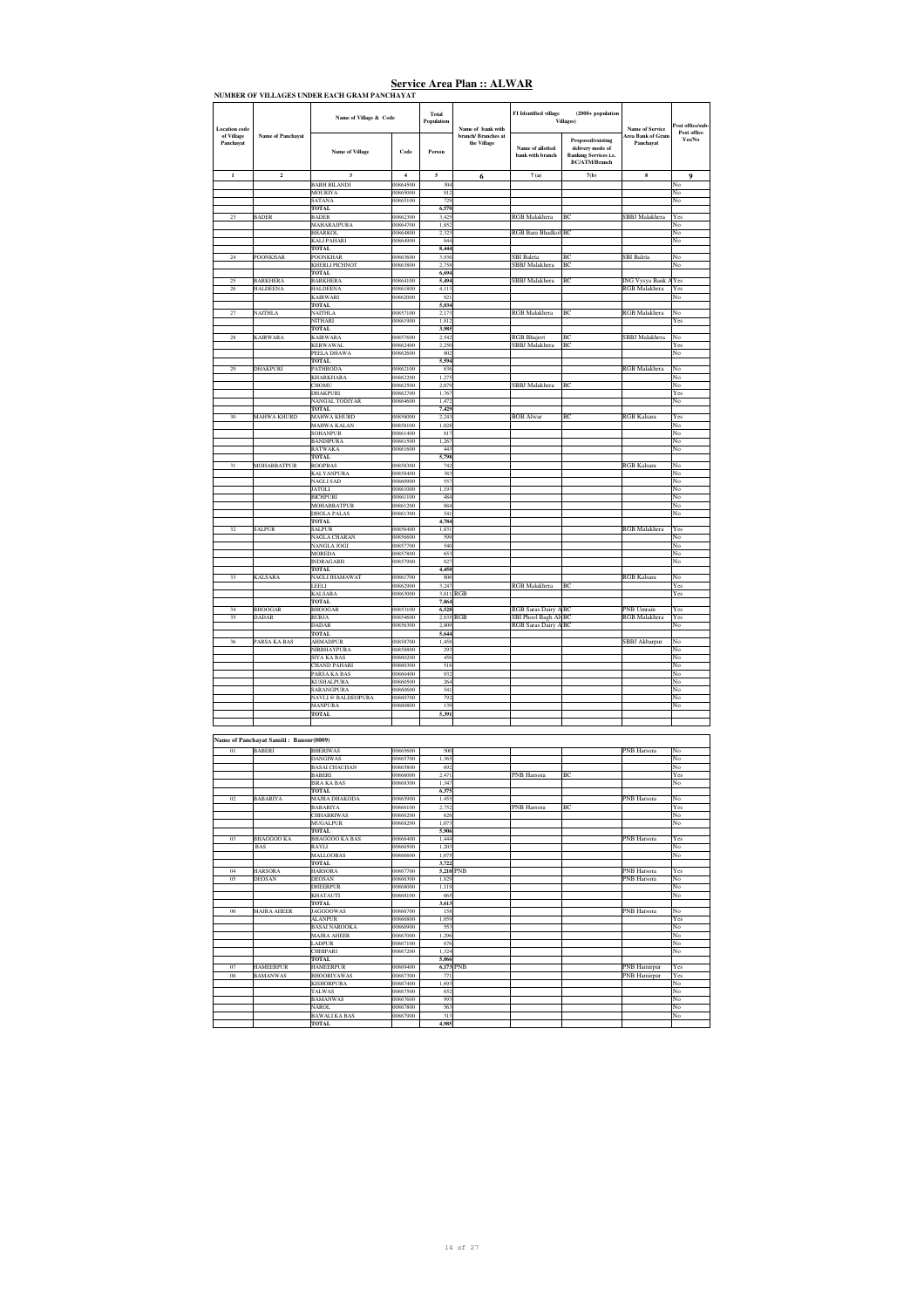| <b>Location</b> code<br>of Village | <b>Name of Panchavat</b>               | Name of Village & Code                         |                                     | Total<br>Population | Name of bank with<br>branch/ Branches at | FI Identified village                       | $(2000 + population$<br>Villages)                                                             | <b>Name of Service</b><br><b>Area Bank of Gram</b> | ost office/sub-<br>Post office |
|------------------------------------|----------------------------------------|------------------------------------------------|-------------------------------------|---------------------|------------------------------------------|---------------------------------------------|-----------------------------------------------------------------------------------------------|----------------------------------------------------|--------------------------------|
| Panchavat                          |                                        | <b>Name of Village</b>                         | Code                                | Person              | the Village                              | Name of allotted<br>bank with branch        | Proposed/existing<br>delivery mode of<br><b>Banking Services i.e.</b><br><b>BC/ATM/Branch</b> | Panchavat                                          | Yes/No                         |
| $\mathbf{1}$                       | $\mathbf 2$                            | $\overline{\mathbf{3}}$<br><b>BARH BILANDI</b> | $\overline{\mathbf{4}}$<br>00864500 | 5<br>304            | 6                                        | 7(a)                                        | 7(b)                                                                                          | 8                                                  | $\boldsymbol{9}$<br>No         |
|                                    |                                        | <b>MOURIYA</b>                                 | 00865000                            | 912                 |                                          |                                             |                                                                                               |                                                    | No                             |
|                                    |                                        | <b>SATANA</b><br>TOTAL                         | 00865100                            | 729<br>6,570        |                                          |                                             |                                                                                               |                                                    | No                             |
| 23                                 | <b>BADER</b>                           | <b>BADER</b>                                   | 00862300                            | 3,425               |                                          | RGB Malakhera                               | BC                                                                                            | SBBJ Malakhera                                     | Yes                            |
|                                    |                                        | MAHARAJPURA<br><b>BHARKOL</b>                  | 00864700<br>00864800                | 1,852<br>2,323      |                                          | RGB Bara Bhadkol BC                         |                                                                                               |                                                    | No<br>No                       |
|                                    |                                        | <b>KALI PAHARI</b><br><b>TOTAL</b>             | 00864900                            | 844<br>8,444        |                                          |                                             |                                                                                               |                                                    | No                             |
| 24                                 | <b>POONKHAR</b>                        | <b>POONKHAR</b>                                | 00863600                            | 3.936               |                                          | <b>SBI</b> Baleta                           | BC                                                                                            | <b>SBI</b> Baleta                                  | No                             |
|                                    |                                        | <b>KHERLI PICHNOT</b><br><b>TOTAL</b>          | 00863800                            | 2,758<br>6,694      |                                          | SBBJ Malakhera                              | BC                                                                                            |                                                    | No                             |
| 25                                 | <b>BARKHERA</b>                        | <b>BARKHERA</b>                                | 00864100                            | 5,494               |                                          | SBBJ Malakhera                              | BC                                                                                            | ING Vysya Bank /                                   | Yes                            |
| 26                                 | <b>HALDEENA</b>                        | HALDEENA<br>KAIRWARI                           | 00861800<br>00862000                | 4,113<br>921        |                                          |                                             |                                                                                               | RGB Malakhera                                      | Yes<br>No                      |
| 27                                 | <b>NAITHLA</b>                         | <b>TOTAL</b><br><b>NAITHLA</b>                 | 00857100                            | 5,034<br>2.173      |                                          | RGB Malakhera                               | BC                                                                                            | <b>RGB</b> Malakhera                               | No                             |
|                                    |                                        | NITHARI                                        | 00861900                            | 1,812               |                                          |                                             |                                                                                               |                                                    | Yes                            |
| $\sqrt{28}$                        | <b>KAIRWARA</b>                        | TOTAL<br><b>KAIRWARA</b>                       | 00857600                            | 3,985<br>2,542      |                                          | <b>RGB</b> Bhajeet                          | BC                                                                                            | SBBJ Malakhera                                     | No                             |
|                                    |                                        | <b>KERWAWAL</b>                                | 00862400                            | 2,250               |                                          | SBBJ Malakhera                              | BC                                                                                            |                                                    | Yes                            |
|                                    |                                        | PEELA DHAWA<br><b>TOTAL</b>                    | 00862600                            | 802<br>5,594        |                                          |                                             |                                                                                               |                                                    | No                             |
| 29                                 | <b>DHAKPURI</b>                        | <b>PATHRODA</b><br>KHARKHARA                   | 00862100<br>00862200                | 836<br>1,275        |                                          |                                             |                                                                                               | RGB Malakhera                                      | No<br>No                       |
|                                    |                                        | CHOMU                                          | 00862500                            | 2.079               |                                          | SBBJ Malakhera                              | BC                                                                                            |                                                    | No                             |
|                                    |                                        | <b>DHAKPURI</b><br>NANGAL TODIYAR              | 00862700<br>00864600                | 1,767<br>1.472      |                                          |                                             |                                                                                               |                                                    | Yes<br>No                      |
|                                    |                                        | TOTAL                                          |                                     | 7,429               |                                          |                                             |                                                                                               |                                                    |                                |
| 30                                 | <b>MAHWA KHURD</b>                     | <b>MAHWA KHURD</b><br>MAHWA KALAN              | 00858000<br>00858100                | 2,243<br>1,028      |                                          | <b>BOB</b> Alwar                            | BC                                                                                            | <b>RGB</b> Kalsara                                 | Yes<br>No                      |
|                                    |                                        | SOHANPUR                                       | 00861400                            | 817                 |                                          |                                             |                                                                                               |                                                    | No                             |
|                                    |                                        | <b>BANDIPURA</b><br><b>RATWAKA</b>             | 00861500<br>00861600                | 1,267<br>443        |                                          |                                             |                                                                                               |                                                    | No<br>No                       |
|                                    | MOHABBATPUR                            | <b>TOTAL</b><br><b>ROOPBAS</b>                 | 00858300                            | 5,798<br>742        |                                          |                                             |                                                                                               | <b>RGB</b> Kalsara                                 | No                             |
|                                    |                                        | <b>KALYANPURA</b>                              | 00858400                            | 383                 |                                          |                                             |                                                                                               |                                                    | No                             |
|                                    |                                        | NAGLI SAD<br><b>JATOLI</b>                     | 00860900<br>00861000                | 557<br>1,193        |                                          |                                             |                                                                                               |                                                    | No<br>No                       |
|                                    |                                        | <b>BICHPURI</b>                                | 00861100                            | 484                 |                                          |                                             |                                                                                               |                                                    | No                             |
|                                    |                                        | MOHABBATPUR<br><b>DHOLA PALAS</b>              | 00861200<br>00861300                | 884<br>541          |                                          |                                             |                                                                                               |                                                    | No<br>No                       |
| 32                                 | SALPUR                                 | <b>TOTAL</b><br><b>SALPUR</b>                  | 00856400                            | 4,784<br>1.831      |                                          |                                             |                                                                                               | RGB Malakhera                                      | Yes                            |
|                                    |                                        | <b>NAGLA CHARAN</b>                            | 00856600                            | 599                 |                                          |                                             |                                                                                               |                                                    | No                             |
|                                    |                                        | NANGLA JOGI<br><b>MOREDA</b>                   | 00857700<br>00857800                | 540<br>653          |                                          |                                             |                                                                                               |                                                    | No<br>No                       |
|                                    |                                        | <b>INDRAGARH</b>                               | 00857900                            | 827                 |                                          |                                             |                                                                                               |                                                    | No                             |
| 33                                 | KALSARA                                | TOTAL<br>NAGLI JHAMAWAT                        | 00861700                            | 4,450<br>806        |                                          |                                             |                                                                                               | <b>RGB</b> Kalsara                                 | No                             |
|                                    |                                        |                                                |                                     |                     |                                          |                                             |                                                                                               |                                                    |                                |
|                                    |                                        | LEELI                                          | 00862900                            | 3.247               |                                          | RGB Malakhera                               | BC                                                                                            |                                                    | Yes                            |
|                                    |                                        | <b>KALSARA</b><br><b>TOTAL</b>                 | 00863000                            | 3,811 RGB<br>7,864  |                                          |                                             |                                                                                               |                                                    | Yes                            |
| 34                                 | <b>BHOOGAR</b>                         | <b>BHOOGAR</b>                                 | 00853100                            | 6,528               |                                          | RGB Saras Dairy ABC                         |                                                                                               | PNB Umrain                                         | Yes<br>Yes                     |
| 35                                 | DADAR                                  | <b>BURJA</b><br><b>DADAR</b>                   | 00854600<br>00856300                | 2,835 RGB<br>2.809  |                                          | SBI Phool Bagh AlvBC<br>RGB Saras Dairy ABC |                                                                                               | RGB Malakhera                                      | No                             |
| 36                                 | PARSA KA BAS                           | <b>TOTAL</b><br><b>AHMADPUR</b>                | 00858700                            | 5,644<br>1,458      |                                          |                                             |                                                                                               | SBBJ Akbarpur                                      | No                             |
|                                    |                                        | NIRBHAYPURA                                    | 00858800                            | 293                 |                                          |                                             |                                                                                               |                                                    | No                             |
|                                    |                                        | <b>SIYA KA BAS</b><br><b>CHAND PAHARI</b>      | 00860200<br>00860300                | 456<br>516          |                                          |                                             |                                                                                               |                                                    | No<br>No                       |
|                                    |                                        | PARSA KA BAS                                   | 00860400<br>00860500                | 932                 |                                          |                                             |                                                                                               |                                                    | No                             |
|                                    |                                        | <b>KUSHALPURA</b><br><b>SARANGPURA</b>         | 00860600                            | 264<br>541          |                                          |                                             |                                                                                               |                                                    | No<br>No                       |
|                                    |                                        | NAVLI @ BALDEOPURA<br><b>MANPURA</b>           | 00860700<br>00860800                | 792<br>139          |                                          |                                             |                                                                                               |                                                    | No<br>No                       |
|                                    |                                        | <b>TOTAL</b>                                   |                                     | 5.391               |                                          |                                             |                                                                                               |                                                    |                                |
|                                    |                                        |                                                |                                     |                     |                                          |                                             |                                                                                               |                                                    |                                |
|                                    | Name of Panchayat Samiti: Bansur(0009) |                                                |                                     |                     |                                          |                                             |                                                                                               |                                                    |                                |
| 01                                 | <b>BABERI</b>                          | <b>BHERIWAS</b><br><b>DANGIWAS</b>             | 00865600<br>00865700                | 500<br>1,365        |                                          |                                             |                                                                                               | PNB Harsora                                        | No<br>No                       |
|                                    |                                        | <b>BASAI CHAUHAN</b>                           | 00865800                            | 692                 |                                          |                                             |                                                                                               |                                                    | No                             |
|                                    |                                        | <b>BABERI</b><br>ISRA KA BAS                   | 00866000<br>0868300                 | 2,471<br>1,347      |                                          | PNB Harsora                                 | BC                                                                                            |                                                    | Yes<br>No                      |
|                                    |                                        | <b>TOTAL</b>                                   |                                     | 6,375               |                                          |                                             |                                                                                               |                                                    |                                |
| 02                                 | <b>BABARIYA</b>                        | MAJRA DHAKODA<br><b>BABARIYA</b>               | 00865900<br>00866100                | 1,455<br>2.752      |                                          | PNB Harsora                                 | BC                                                                                            | PNB Harsora                                        | No<br>Yes                      |
|                                    |                                        | CHHABRIWAS<br><b>MUGALPUR</b>                  | 00866200                            | 626                 |                                          |                                             |                                                                                               |                                                    | No                             |
|                                    |                                        | <b>TOTAL</b>                                   | 00868200                            | 1,073<br>5,906      |                                          |                                             |                                                                                               |                                                    | No                             |
| 0 <sup>3</sup>                     | <b>BHAGGOO KA</b><br><b>BAS</b>        | <b>BHAGGOO KA BAS</b><br>RAYLI                 | 00866400<br>00866500                | 1,444<br>1,203      |                                          |                                             |                                                                                               | PNB Harsora                                        | Yes<br>No                      |
|                                    |                                        | <b>MALLOOBAS</b>                               | 00866600                            | 1,075               |                                          |                                             |                                                                                               |                                                    | No                             |
| 04                                 | <b>HARSORA</b>                         | <b>TOTAL</b><br><b>HARSORA</b>                 | 00867700                            | 3,722<br>5,210 PNB  |                                          |                                             |                                                                                               | PNB Harsora                                        | Yes                            |
| 05                                 | <b>DEOSAN</b>                          | <b>DEOSAN</b><br><b>DHEERPUR</b>               | 00866300<br>00868000                | 1,829               |                                          |                                             |                                                                                               | PNB Harsora                                        | No<br>No                       |
|                                    |                                        | <b>KHATAUTI</b>                                | 00868100                            | 1,119<br>665        |                                          |                                             |                                                                                               |                                                    | No                             |
| 06                                 | <b>MAJRA AHEER</b>                     | TOTAL<br><b>JAGGOOWAS</b>                      | 00866700                            | 3,613<br>158        |                                          |                                             |                                                                                               | PNB Harsora                                        | No                             |
|                                    |                                        | <b>ALANPUR</b>                                 | 00866800                            | 1.059               |                                          |                                             |                                                                                               |                                                    | Yes                            |
|                                    |                                        | <b>BASAI NAROOKA</b><br>MAJRA AHEER            | 00866900<br>00867000                | 553<br>1,296        |                                          |                                             |                                                                                               |                                                    | No<br>No                       |
|                                    |                                        | LADPUR<br><b>CHHIPARI</b>                      | 00867100<br>00867200                | 676<br>1.324        |                                          |                                             |                                                                                               |                                                    | No<br>No                       |
|                                    |                                        | TOTAL                                          |                                     | 5,066               |                                          |                                             |                                                                                               |                                                    |                                |
| 07<br>$08\,$                       | <b>HAMEERPUR</b><br><b>BAMANWAS</b>    | <b>HAMEERPUR</b><br><b>BHOORIYAWAS</b>         | 00869400<br>00867300                | 6,173 PNB<br>771    |                                          |                                             |                                                                                               | <b>PNB</b> Hamirpur<br>PNB Hamirpur                | $\overline{Y}$ es<br>Yes       |
|                                    |                                        | <b>KISHORPURA</b>                              | 00867400                            | 1,693               |                                          |                                             |                                                                                               |                                                    | No                             |
|                                    |                                        | TALWAS<br><b>BAMANWAS</b>                      | 00867500<br>00867600                | 652<br>993          |                                          |                                             |                                                                                               |                                                    | No<br>No                       |
|                                    |                                        | <b>NAROL</b><br><b>BAWALI KA BAS</b>           | 00867800<br>00867900                | 563<br>313          |                                          |                                             |                                                                                               |                                                    | No<br>No                       |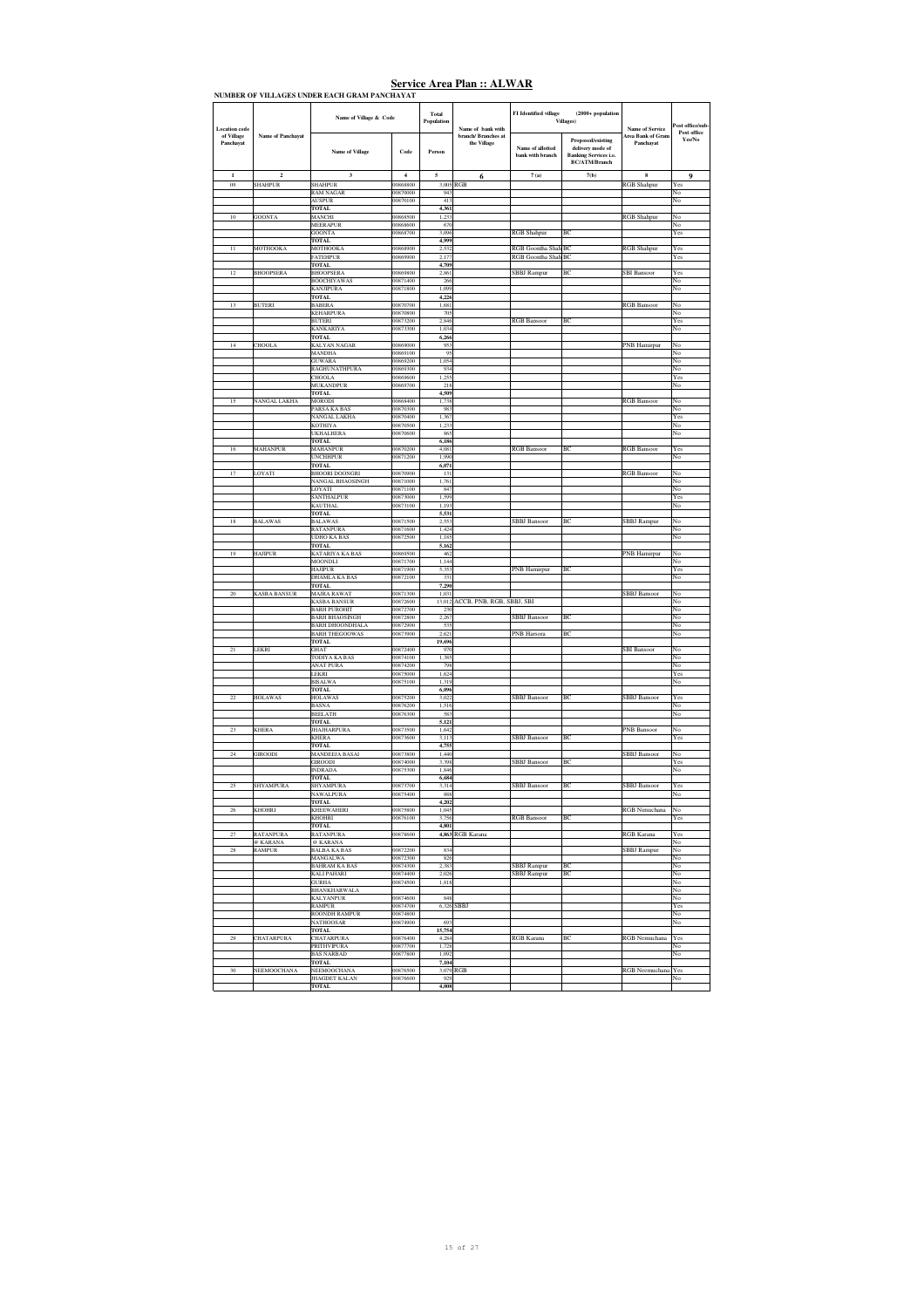| of Village<br>Panchayat<br>$\mathbf{1}$<br>09 | <b>Name of Panchavat</b> |                                                 | Name of Village & Code | Total<br>Population | Name of bank with                  | FI Identified village                | $(2000 + population$<br><b>Villages</b> )                                                     | <b>Name of Service</b>                | ost office/sub<br>Post office |
|-----------------------------------------------|--------------------------|-------------------------------------------------|------------------------|---------------------|------------------------------------|--------------------------------------|-----------------------------------------------------------------------------------------------|---------------------------------------|-------------------------------|
|                                               |                          | <b>Name of Village</b>                          | Code                   | Person              | branch/ Branches at<br>the Village | Name of allotted<br>bank with branch | Proposed/existing<br>delivery mode of<br><b>Banking Services i.e.</b><br><b>BC/ATM/Branch</b> | <b>Area Bank of Gram</b><br>Panchayat | Yes/No                        |
|                                               | $\overline{2}$           | $\overline{\mathbf{3}}$                         | $\overline{4}$         | 5                   | 6                                  | 7(a)                                 | 7(b)                                                                                          | 8                                     | $\boldsymbol{9}$              |
|                                               | <b>SHAHPUR</b>           | <b>SHAHPUR</b>                                  | 00868800<br>00870000   |                     | 3,005 RGB                          |                                      |                                                                                               | <b>RGB</b> Shahpur                    | Yes                           |
|                                               |                          | <b>RAM NAGAR</b><br><b>AUSPUR</b>               | 00870100               | 943<br>413          |                                    |                                      |                                                                                               |                                       | No<br>No                      |
|                                               |                          | <b>TOTAL</b>                                    |                        | 4,361               |                                    |                                      |                                                                                               |                                       |                               |
| 10                                            | <b>GOONTA</b>            | MANCHI                                          | 00868500               | 1,233               |                                    |                                      |                                                                                               | <b>RGB</b> Shahpur                    | No                            |
|                                               |                          | <b>MEERAPUR</b><br><b>GOONTA</b>                | 00868600<br>00868700   | 670<br>3,096        |                                    | RGB Shahpur                          | B                                                                                             |                                       | No<br>Yes                     |
|                                               |                          | <b>TOTAL</b>                                    |                        | 4,999               |                                    |                                      |                                                                                               |                                       |                               |
| $\overline{11}$                               | MOTHOOKA                 | MOTHOOKA                                        | 00868900               | 2,532               |                                    | RGB Goontha Shah BC                  |                                                                                               | <b>RGB</b> Shahpur                    | Yes                           |
|                                               |                          | <b>FATEHPUR</b><br>TOTAL                        | 00869900               | 2.177<br>4,709      |                                    | RGB Goontha Shah BC                  |                                                                                               |                                       | Yes                           |
| 12                                            | <b>BHOOPSERA</b>         | <b>BHOOPSERA</b>                                | 00869800               | 2,861               |                                    | <b>SBBJ</b> Rampur                   | ВC                                                                                            | <b>SBI</b> Bansoor                    | Yes                           |
|                                               |                          | <b>BOOCHIYAWAS</b>                              | 00871400               | 266                 |                                    |                                      |                                                                                               |                                       | No                            |
|                                               |                          | KANJIPURA<br><b>TOTAL</b>                       | 00871800               | 1,099<br>4,226      |                                    |                                      |                                                                                               |                                       | No                            |
| 13                                            | <b>BUTERI</b>            | <b>BABERA</b>                                   | 00870700               | 1,681               |                                    |                                      |                                                                                               | <b>RGB</b> Bansoor                    | No                            |
|                                               |                          | <b>KEHARPURA</b>                                | 00870800               | 705                 |                                    |                                      |                                                                                               |                                       | No                            |
|                                               |                          | <b>BUTERI</b><br><b>KANKARIYA</b>               | 00873200<br>00873300   | 2,846<br>1.034      |                                    | <b>RGB</b> Bansoor                   | ВĊ                                                                                            |                                       | Yes<br>No                     |
|                                               |                          | <b>TOTAL</b>                                    |                        | 6,266               |                                    |                                      |                                                                                               |                                       |                               |
| 14                                            | <b>CHOOLA</b>            | <b>KALYAN NAGAR</b>                             | 00869000               | 953                 |                                    |                                      |                                                                                               | <b>PNB Hamirpur</b>                   | No                            |
|                                               |                          | MANDHA<br><b>GUWARA</b>                         | 00869100<br>00869200   | 95<br>1,054         |                                    |                                      |                                                                                               |                                       | No<br>No                      |
|                                               |                          | RAGHUNATHPURA                                   | 00869300               | 934                 |                                    |                                      |                                                                                               |                                       | No                            |
|                                               |                          | CHOOLA                                          | 00869600               | 1,25                |                                    |                                      |                                                                                               |                                       | Yes                           |
|                                               |                          | <b>MUKANDPUR</b><br><b>TOTAL</b>                | 00869700               | 218                 |                                    |                                      |                                                                                               |                                       | No                            |
| 15                                            | <b>NANGAL LAKHA</b>      | <b>MORODI</b>                                   | 00868400               | 4,509<br>1,738      |                                    |                                      |                                                                                               | <b>RGB Bansoon</b>                    | No                            |
|                                               |                          | PARSA KA BAS                                    | 00870300               | 983                 |                                    |                                      |                                                                                               |                                       | No                            |
|                                               |                          | NANGAL LAKHA<br>KOTHIYA                         | 00870400<br>00870500   | 1,367               |                                    |                                      |                                                                                               |                                       | Yes<br>No                     |
|                                               |                          | UKHALHERA                                       | 00870600               | 1,233<br>865        |                                    |                                      |                                                                                               |                                       | No                            |
|                                               |                          | <b>TOTAL</b>                                    |                        | 6,186               |                                    |                                      |                                                                                               |                                       |                               |
| 16                                            | <b>MAHANPUR</b>          | <b>MAHANPUR</b><br><b>UNCHHPUR</b>              | 00870200<br>00871200   | 4,081<br>1.990      |                                    | <b>RGB</b> Bansoot                   | ВC                                                                                            | <b>RGB</b> Bansoon                    | Yes<br>No                     |
|                                               |                          | TOTAL                                           |                        | 6,071               |                                    |                                      |                                                                                               |                                       |                               |
| 17                                            | LOYATI                   | <b>BHOORI DOONGRI</b>                           | 00870900               | 131                 |                                    |                                      |                                                                                               | <b>RGB</b> Bansoor                    | No                            |
|                                               |                          | <b>NANGAL BHAOSINGH</b>                         | 00871000               | 1,761               |                                    |                                      |                                                                                               |                                       | No                            |
|                                               |                          | OYATI.<br>SANTHALPUR                            | 00871100<br>00873000   | 847<br>1,599        |                                    |                                      |                                                                                               |                                       | No<br>Yes                     |
|                                               |                          | KAUTHAL                                         | 00873100               | 1,193               |                                    |                                      |                                                                                               |                                       | No                            |
|                                               |                          | <b>TOTAL</b>                                    |                        | 5.531               |                                    |                                      |                                                                                               |                                       |                               |
| 18                                            | <b>BALAWAS</b>           | <b>BALAWAS</b><br><b>RATANPURA</b>              | 00871500<br>00871600   | 2,553<br>1.424      |                                    | <b>SBBJ</b> Bansoor                  | ВC                                                                                            | <b>SBBJ</b> Rampur                    | No<br>No                      |
|                                               |                          | <b>UDHO KA BAS</b>                              | 00872500               | 1,185               |                                    |                                      |                                                                                               |                                       | No                            |
|                                               |                          | <b>TOTAL</b>                                    |                        | 5,162               |                                    |                                      |                                                                                               |                                       |                               |
| 19                                            | <b>HAJIPUR</b>           | KATARIYA KA BAS<br><b>MOONDLI</b>               | 00869500<br>00871700   | 462<br>1,144        |                                    |                                      |                                                                                               | PNB Hamirpur                          | No<br>No                      |
|                                               |                          | <b>HAJIPUR</b>                                  | 00871900               | 5,353               |                                    | PNB Hamirpur                         | BC                                                                                            |                                       | Yes                           |
|                                               |                          | DHAMLA KA BAS                                   | 00872100               | 331                 |                                    |                                      |                                                                                               |                                       | No                            |
| $20\,$                                        | <b>KASBA BANSUR</b>      | <b>TOTAL</b><br><b>MAJRA RAWAT</b>              | 00871300               | 7,290<br>1,031      |                                    |                                      |                                                                                               | <b>SBBJ</b> Bansoor                   | No                            |
|                                               |                          | <b>KASBA BANSUR</b>                             | 00872600               |                     | 13,012 ACCB, PNB, RGB, SBBJ, SBI   |                                      |                                                                                               |                                       | No                            |
|                                               |                          | <b>BARH PUROHIT</b>                             | 00872700               | 230                 |                                    |                                      |                                                                                               |                                       | No                            |
|                                               |                          | <b>BARH BHAOSINGH</b><br><b>BARH DHOONDHALA</b> | 00872800<br>00872900   | 2,267<br>535        |                                    | <b>SBBJ</b> Bansoor                  | ВC                                                                                            |                                       | No<br>No                      |
|                                               |                          | <b>BARH THEGOOWAS</b>                           | 00873900               | 2,621               |                                    | PNB Harsora                          | BC                                                                                            |                                       | No                            |
|                                               |                          | <b>TOTAL</b>                                    |                        | 19,696              |                                    |                                      |                                                                                               |                                       |                               |
| $^{21}$                                       | LEKRI                    | <b>GHAT</b><br><b>TODIYA KA BAS</b>             | 00872400<br>00874100   | 970<br>1.385        |                                    |                                      |                                                                                               | <b>SBI</b> Bansoor                    | No<br>No                      |
|                                               |                          | <b>ANAT PURA</b>                                | 00874200               | 798                 |                                    |                                      |                                                                                               |                                       | No                            |
|                                               |                          | LEKRI<br><b>BISALWA</b>                         | 00875000<br>00875100   | 1.624<br>1,319      |                                    |                                      |                                                                                               |                                       | Yes<br>No                     |
|                                               |                          | <b>TOTAL</b>                                    |                        | 6,096               |                                    |                                      |                                                                                               |                                       |                               |
| 22                                            | <b>HOLAWAS</b>           | <b>HOLAWAS</b>                                  | 00875200               | 3,022               |                                    | SBBJ Bansoor                         | BC                                                                                            | SBBJ Bansoor                          | Yes                           |
|                                               |                          | <b>BASNA</b><br><b>REELATH</b>                  | 00876200<br>00876300   | 1,516               |                                    |                                      |                                                                                               |                                       | No<br>No                      |
|                                               |                          | <b>TOTAL</b>                                    |                        | 583<br>5,121        |                                    |                                      |                                                                                               |                                       |                               |
| 23                                            | <b>KHERA</b>             | <b>JHAJHARPURA</b>                              | 00873500               | 1.642               |                                    |                                      |                                                                                               | <b>PNB</b> Bansoor                    | No                            |
|                                               |                          | <b>KHERA</b>                                    | 00873600               | 3,113               |                                    | <b>SBBJ</b> Bansoor                  | BC                                                                                            |                                       | Yes                           |
| $\sqrt{24}$                                   | GIROODI                  | <b>TOTAL</b><br>MANDEEJA BASAI                  | 00873800               | 4,755<br>1,440      |                                    |                                      |                                                                                               | <b>SBBJ</b> Bansoor                   | No                            |
|                                               |                          | <b>GIROODI</b>                                  | 00874000               | 3,398               |                                    | <b>SBBJ</b> Bansoor                  | BC                                                                                            |                                       | Yes                           |
|                                               |                          | <b>INDRADA</b>                                  | 00875300               | 1,846               |                                    |                                      |                                                                                               |                                       | No                            |
| 25                                            | SHYAMPURA                | <b>TOTAL</b><br><b>SHYAMPURA</b>                | 00873700               | 6,684<br>3,314      |                                    | <b>SBBJ</b> Bansoor                  | ВC                                                                                            | <b>SBBJ</b> Bansoor                   | Yes                           |
|                                               |                          | NAWALPURA                                       | 00875400               | 888                 |                                    |                                      |                                                                                               |                                       | No                            |
|                                               |                          | <b>TOTAL</b>                                    |                        | 4.202               |                                    |                                      |                                                                                               |                                       |                               |
| 26                                            | KHOHRI                   | KHEEWAHERI<br>KHOHRI                            | 00875800<br>00876100   | 1,045<br>3,756      |                                    | <b>RGB</b> Bansoot                   | ВC                                                                                            | <b>RGB</b> Nimuchana                  | No<br>Yes                     |
|                                               |                          | <b>TOTAL</b>                                    |                        | 4,801               |                                    |                                      |                                                                                               |                                       |                               |
| $\overline{27}$                               | <b>RATANPURA</b>         | RATANPURA                                       | 00878600               | 4,863               | RGB Karana                         |                                      |                                                                                               | RGB Karana                            | Yes                           |
| 28                                            | @ KARANA<br>RAMPUR       | @ KARANA<br><b>BALBA KA BAS</b>                 | 00872200               | 834                 |                                    |                                      |                                                                                               | <b>SBBJ</b> Rampur                    | No<br>No                      |
|                                               |                          | <b>MANGALWA</b>                                 | 00872300               | 826                 |                                    |                                      |                                                                                               |                                       | No                            |
|                                               |                          | <b>BAHRAM KA BAS</b>                            | 00874300               | 2,383               |                                    | SBBJ Rampur                          | ВĊ                                                                                            |                                       | No                            |
|                                               |                          | <b>KALI PAHARI</b>                              | 00874400               | 2.026               |                                    | SBBJ Rampur                          | BC                                                                                            |                                       | No                            |
|                                               |                          | <b>GURHA</b><br>BHANKHARWALA                    | 00874500               | 1,818               |                                    |                                      |                                                                                               |                                       | No<br>No                      |
|                                               |                          | KALYANPUR                                       | 00874600               | 848                 |                                    |                                      |                                                                                               |                                       | No                            |
|                                               |                          |                                                 |                        | 6,326               | SBBJ                               |                                      |                                                                                               |                                       |                               |
|                                               |                          | <b>RAMPUR</b>                                   | 00874700               |                     |                                    |                                      |                                                                                               |                                       | Yes                           |
|                                               |                          | <b>ROONDH RAMPUR</b>                            | 00874800               |                     |                                    |                                      |                                                                                               |                                       | No                            |
|                                               |                          | NATHOOSAR<br><b>TOTAL</b>                       | 00874900               | 693<br>15,754       |                                    |                                      |                                                                                               |                                       | No                            |
| $\sqrt{29}$                                   | <b>CHATARPURA</b>        | <b>CHATARPURA</b>                               | 00876400               | 4,284               |                                    | RGB Karana                           | ВC                                                                                            | RGB Nemuchana                         | Yes                           |
|                                               |                          | <b>PRITHVIPURA</b>                              | 00877700               | 1.728               |                                    |                                      |                                                                                               |                                       | No                            |
|                                               |                          | <b>BAS NARBAD</b><br><b>TOTAL</b>               | 00877800               | 1,092<br>7,104      |                                    |                                      |                                                                                               |                                       | No                            |
| 30                                            | NEEMOOCHANA              | NEEMOOCHANA<br><b>JHAGDET KALAN</b>             | 00876500<br>00876600   | 929                 | 3,079 RGB                          |                                      |                                                                                               | RGB Neemuchana                        | Yes<br>No                     |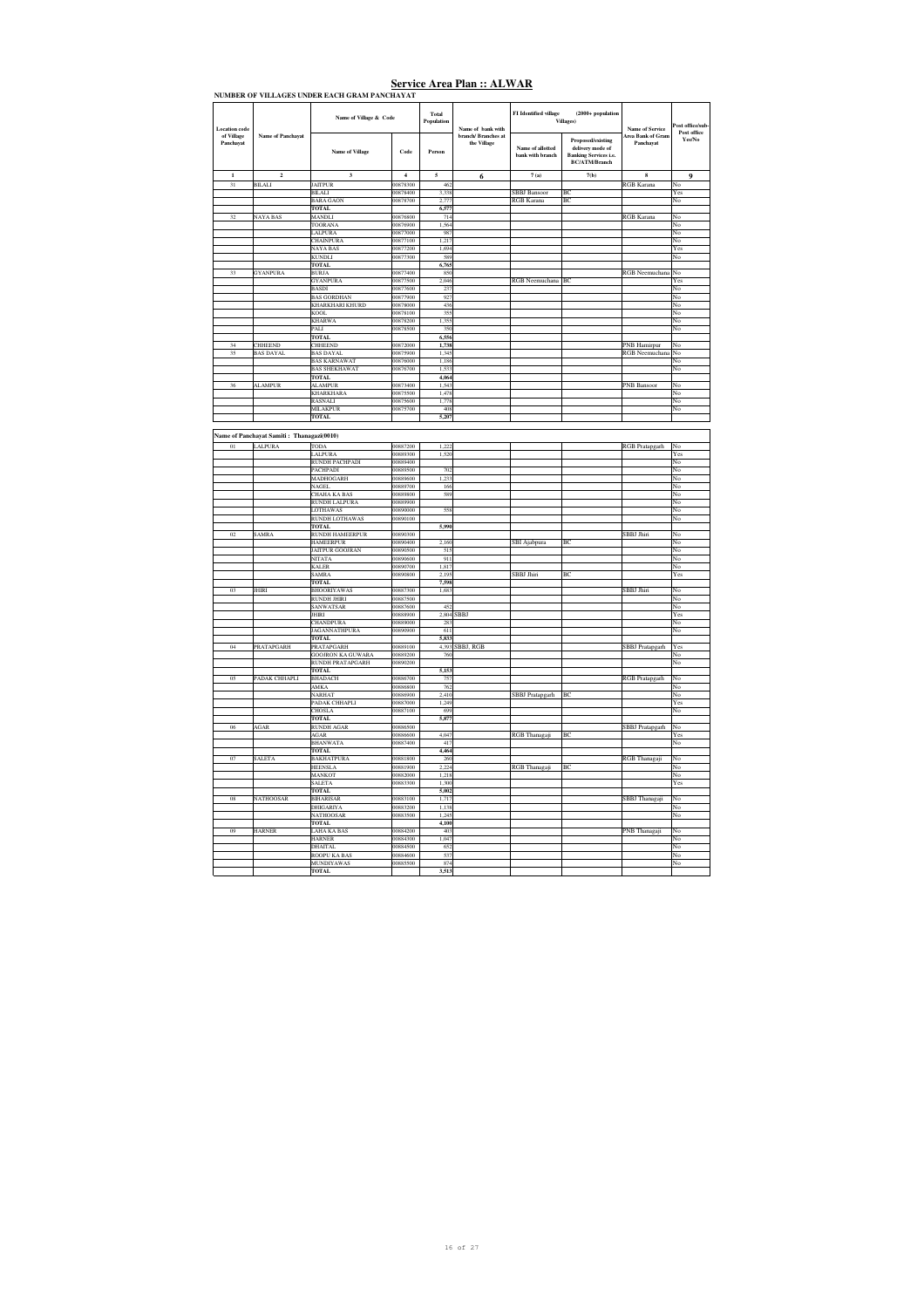|                         |                                           | NUMBER OF VILLAGES UNDER EACH GRAM PANCHAYAT |                      |                          |                                    |                                      |                                                                                                      |                                |                       |
|-------------------------|-------------------------------------------|----------------------------------------------|----------------------|--------------------------|------------------------------------|--------------------------------------|------------------------------------------------------------------------------------------------------|--------------------------------|-----------------------|
| <b>Location</b> code    |                                           | Name of Village & Code                       |                      | Total<br>Population      | Name of bank with                  | FI Identified village                | $(2000 + population$<br>Villages)                                                                    | <b>Name of Service</b>         | 'ost office/sub       |
| of Village<br>Panchayat | Name of Panchayat                         | Name of Village                              | Code                 | Person                   | branch/ Branches at<br>the Village | Name of allotted<br>bank with branch | <b>Proposed/existing</b><br>delivery mode of<br><b>Banking Services i.e.</b><br><b>BC/ATM/Branch</b> | Area Bank of Gran<br>Panchayat | Post office<br>Yes/No |
| $\mathbf{1}$            | $\mathbf 2$                               | $\mathbf 3$                                  | $\overline{4}$       | $\overline{\phantom{a}}$ | 6                                  | $7\;(\rm a)$                         | $7(b)$                                                                                               | $\bf{8}$                       | 9                     |
| 31                      | <b>BILALI</b>                             | <b>JAITPUR</b>                               | 00878300             | 462                      |                                    |                                      |                                                                                                      | RGB Karana                     | No                    |
|                         |                                           | <b>BILALI</b>                                | 00878400             | 3.338                    |                                    | <b>SBBJ</b> Bansoor                  | BC                                                                                                   |                                | Yes                   |
|                         |                                           | <b>BARA GAON</b>                             | 00878700             | 2.777                    |                                    | <b>RGB Karana</b>                    | BC.                                                                                                  |                                | No                    |
|                         |                                           | <b>TOTAL</b>                                 |                      | 6,577                    |                                    |                                      |                                                                                                      |                                |                       |
| 32                      | <b>NAYA BAS</b>                           | <b>MANDLI</b>                                | 00876800             | 714                      |                                    |                                      |                                                                                                      | <b>RGB</b> Karana              | No                    |
|                         |                                           | <b>TOORANA</b>                               | 00876900             | 1.564                    |                                    |                                      |                                                                                                      |                                | No                    |
|                         |                                           | LALPURA<br><b>CHAINPURA</b>                  | 00877000<br>00877100 | 987<br>1.217             |                                    |                                      |                                                                                                      |                                | No<br>No              |
|                         |                                           | <b>NAYA BAS</b>                              | 00877200             | 1.694                    |                                    |                                      |                                                                                                      |                                | Yes                   |
|                         |                                           | <b>KUNDLI</b>                                | 00877300             | 589                      |                                    |                                      |                                                                                                      |                                | No                    |
|                         |                                           | <b>TOTAL</b>                                 |                      | 6,765                    |                                    |                                      |                                                                                                      |                                |                       |
| 33                      | <b>GYANPURA</b>                           | <b>BURJA</b>                                 | 00877400             | 850                      |                                    |                                      |                                                                                                      | RGB Neemuchana                 | No                    |
|                         |                                           | <b>GYANPURA</b>                              | 00877500             | 2,046                    |                                    | RGB Neemuchana BC                    |                                                                                                      |                                | Yes                   |
|                         |                                           | <b>BASDI</b>                                 | 00877600             | 237                      |                                    |                                      |                                                                                                      |                                | No                    |
|                         |                                           | <b>BAS GORDHAN</b>                           | 00877900             | 927                      |                                    |                                      |                                                                                                      |                                | No                    |
|                         |                                           | KHARKHARI KHURD                              | 00878000             | 436                      |                                    |                                      |                                                                                                      |                                | No                    |
|                         |                                           | KOOL                                         | 00878100             | 355                      |                                    |                                      |                                                                                                      |                                | No                    |
|                         |                                           | <b>KHARWA</b><br>PALI                        | 00878200<br>00878500 | 1,355<br>350             |                                    |                                      |                                                                                                      |                                | No<br>No              |
|                         |                                           | TOTAL                                        |                      | 6,556                    |                                    |                                      |                                                                                                      |                                |                       |
| 34                      | <b>CHHEEND</b>                            | CHHEEND                                      | 00872000             | 1,738                    |                                    |                                      |                                                                                                      | <b>PNB</b> Hamirpur            | No                    |
| 35                      | <b>BAS DAYAL</b>                          | <b>BAS DAYAL</b>                             | 00875900             | 1,345                    |                                    |                                      |                                                                                                      | RGB Neemuchana                 | No                    |
|                         |                                           | <b>BAS KARNAWAT</b>                          | 00876000             | 1.186                    |                                    |                                      |                                                                                                      |                                | No                    |
|                         |                                           | <b>BAS SHEKHAWAT</b>                         | 00876700             | 1.533                    |                                    |                                      |                                                                                                      |                                | No                    |
|                         |                                           | <b>TOTAL</b>                                 |                      | 4,064                    |                                    |                                      |                                                                                                      |                                |                       |
| 36                      | <b>ALAMPUR</b>                            | <b>ALAMPUR</b>                               | 00873400             | 1.543                    |                                    |                                      |                                                                                                      | <b>PNB</b> Bansoor             | No                    |
|                         |                                           | <b>KHARKHARA</b>                             | 00875500             | 1.478                    |                                    |                                      |                                                                                                      |                                | No                    |
|                         |                                           | <b>RASNALL</b>                               | 00875600             | 1 778                    |                                    |                                      |                                                                                                      |                                | No<br>No              |
|                         |                                           | <b>MILAKPUR</b><br><b>TOTAL</b>              | 00875700             | 408<br>5,207             |                                    |                                      |                                                                                                      |                                |                       |
|                         |                                           |                                              |                      |                          |                                    |                                      |                                                                                                      |                                |                       |
|                         | Name of Panchavat Samiti: Thanagazi(0010) |                                              |                      |                          |                                    |                                      |                                                                                                      |                                |                       |
|                         |                                           |                                              |                      |                          |                                    |                                      |                                                                                                      |                                |                       |
| $\overline{01}$         | <b>LALPURA</b>                            | <b>TODA</b>                                  | 00887200             | 1222                     |                                    |                                      |                                                                                                      | RGB Pratapgarh                 | No                    |
|                         |                                           | <b>LALPURA</b>                               | 00889300             | 1.520                    |                                    |                                      |                                                                                                      |                                | Yes                   |
|                         |                                           | RUNDH PACHPADI<br><b>PACHPADI</b>            | 00889400<br>00889500 | 702                      |                                    |                                      |                                                                                                      |                                | No<br>No              |
|                         |                                           | MADHOGARH                                    | 00889600             | 1,233                    |                                    |                                      |                                                                                                      |                                | No                    |
|                         |                                           | <b>NAGEL</b>                                 | 00889700             | 166                      |                                    |                                      |                                                                                                      |                                | No                    |
|                         |                                           | CHAHA KA BAS                                 | 00889800             | 589                      |                                    |                                      |                                                                                                      |                                | No                    |
|                         |                                           | <b>RUNDH LALPURA</b>                         | 00889900             |                          |                                    |                                      |                                                                                                      |                                | No                    |
|                         |                                           | LOTHAWAS                                     | 00890000             | 558                      |                                    |                                      |                                                                                                      |                                | No                    |
|                         |                                           | <b>RUNDH LOTHAWAS</b>                        | 00890100             |                          |                                    |                                      |                                                                                                      |                                | No                    |
|                         |                                           | TOTAL                                        |                      | 5,990                    |                                    |                                      |                                                                                                      |                                |                       |
| 02                      | <b>SAMRA</b>                              | <b>RUNDH HAMEERPUR</b><br>HAMEERPUR          | 00890300<br>00890400 | 2,160                    |                                    | SBI Ajabpura                         | BC                                                                                                   | <b>SBBJ</b> Jhiri              | No<br>No              |
|                         |                                           | <b>JAITPUR GOOJRAN</b>                       | 00890500             | 515                      |                                    |                                      |                                                                                                      |                                | No                    |
|                         |                                           | NITATA                                       | 00890600             | 911                      |                                    |                                      |                                                                                                      |                                | No                    |
|                         |                                           | <b>KALER</b>                                 | 00890700             | 1,817                    |                                    |                                      |                                                                                                      |                                | No                    |
|                         |                                           | SAMRA                                        | 00890800             | 2,195                    |                                    | SBBJ Jhiri                           | ВC                                                                                                   |                                | Yes                   |
|                         |                                           | <b>TOTAL</b>                                 |                      | 7,598                    |                                    |                                      |                                                                                                      |                                |                       |
| 0 <sup>3</sup>          | <b>JHIRI</b>                              | <b>BHOORIYAWAS</b>                           | 00887300             | 1.683                    |                                    |                                      |                                                                                                      | SBBJ Jhiri                     | No                    |
|                         |                                           | <b>RUNDH JHIRI</b><br>SANWATSAR              | 00887500<br>00887600 | 452                      |                                    |                                      |                                                                                                      |                                | No<br>No              |
|                         |                                           | <b>JHIRI</b>                                 | 00888900             |                          | 2.804 SBBJ                         |                                      |                                                                                                      |                                | Yes                   |
|                         |                                           | <b>CHANDPURA</b>                             | 00889000             | 283                      |                                    |                                      |                                                                                                      |                                | No                    |
|                         |                                           | <b>IAGANNATHPURA</b>                         | 00909800             | 611                      |                                    |                                      |                                                                                                      |                                | No                    |
|                         |                                           | <b>TOTAL</b>                                 |                      | 5,833                    |                                    |                                      |                                                                                                      |                                |                       |
| 04                      | <b>PRATAPGARH</b>                         | <b>PRATAPGARH</b>                            | 00889100             | 4 3 9 3                  | BBJ, RGB                           |                                      |                                                                                                      | SBBJ Pratapgarh                | Yes                   |
|                         |                                           | <b>GOOJRON KA GUWARA</b>                     | 00889200             | 760                      |                                    |                                      |                                                                                                      |                                | No                    |
|                         |                                           | RUNDH PRATAPGARH                             | 00890200             |                          |                                    |                                      |                                                                                                      |                                | No                    |
| 05                      |                                           | <b>TOTAL</b>                                 | 00886700             | 5,153<br>757             |                                    |                                      |                                                                                                      |                                | No                    |
|                         | PADAK CHHAPLI                             | <b>BHADACH</b><br>AMKA                       | 00886800             | 762                      |                                    |                                      |                                                                                                      | RGB Pratapgarh                 | No                    |
|                         |                                           | NARHAT                                       | 00886900             | 2,410                    |                                    | SBBJ Pratapgarh                      | BC                                                                                                   |                                | No                    |
|                         |                                           | PADAK CHHAPLI                                | 00887000             | 1,249                    |                                    |                                      |                                                                                                      |                                | Yes                   |
|                         |                                           | CHOSLA                                       | 00887100             | 699                      |                                    |                                      |                                                                                                      |                                | No                    |
|                         |                                           | <b>TOTAL</b>                                 |                      | 5,877                    |                                    |                                      |                                                                                                      |                                |                       |
| 06                      | AGAR                                      | <b>RUNDH AGAR</b>                            | 00886500             |                          |                                    |                                      |                                                                                                      | <b>SBBJ</b> Pratapgarh         | No                    |
|                         |                                           | AGAR                                         | 00886600             | 4,047                    |                                    | RGB Thanagaji                        | BC                                                                                                   |                                | Yes                   |
|                         |                                           | BHANWATA                                     | 00887400             | 417                      |                                    |                                      |                                                                                                      |                                | No                    |
|                         |                                           | TOTAL                                        |                      | 4,464                    |                                    |                                      |                                                                                                      |                                |                       |
| 07                      | SALETA                                    | <b>BAKHATPURA</b>                            | 00881800<br>00881900 | 260<br>2,224             |                                    | RGB Thanagaji                        | BC                                                                                                   | RGB Thanagaji                  | No                    |
|                         |                                           | <b>HEENSLA</b><br>MANKOT                     | 00882000             | 1,218                    |                                    |                                      |                                                                                                      |                                | No<br>No              |
|                         |                                           | <b>SALETA</b>                                | 00883300             | 1,300                    |                                    |                                      |                                                                                                      |                                | Yes                   |
|                         |                                           | <b>TOTAL</b>                                 |                      | 5,002                    |                                    |                                      |                                                                                                      |                                |                       |
| 08                      | <b>NATHOOSAR</b>                          | <b>BIHARISAR</b>                             | 00883100             | 1.717                    |                                    |                                      |                                                                                                      | SBBJ Thanagaji                 | No                    |
|                         |                                           | <b>DHIGARIYA</b>                             | 00883200             | 1 1 3 8                  |                                    |                                      |                                                                                                      |                                | No                    |
|                         |                                           | <b>NATHOOSAR</b>                             | 00883500             | 1.245                    |                                    |                                      |                                                                                                      |                                | No                    |
|                         |                                           | <b>TOTAL</b>                                 |                      | 4,100                    |                                    |                                      |                                                                                                      |                                |                       |
| 09                      | <b>HARNER</b>                             | <b>LAHA KA BAS</b>                           | 00884200             | 403                      |                                    |                                      |                                                                                                      | PNB Thanagaji                  | No                    |
|                         |                                           | <b>HARNER</b><br><b>DHAITAL</b>              | 00884300<br>00884500 | 1.047<br>652             |                                    |                                      |                                                                                                      |                                | No<br>No              |
|                         |                                           | <b>ROOPU KA BAS</b>                          | 00884600             | 537                      |                                    |                                      |                                                                                                      |                                | No                    |
|                         |                                           | <b>MUNDIYAWAS</b>                            | 00885500             | 874                      |                                    |                                      |                                                                                                      |                                | No                    |
|                         |                                           | <b>TOTAL</b>                                 |                      | 3.513                    |                                    |                                      |                                                                                                      |                                |                       |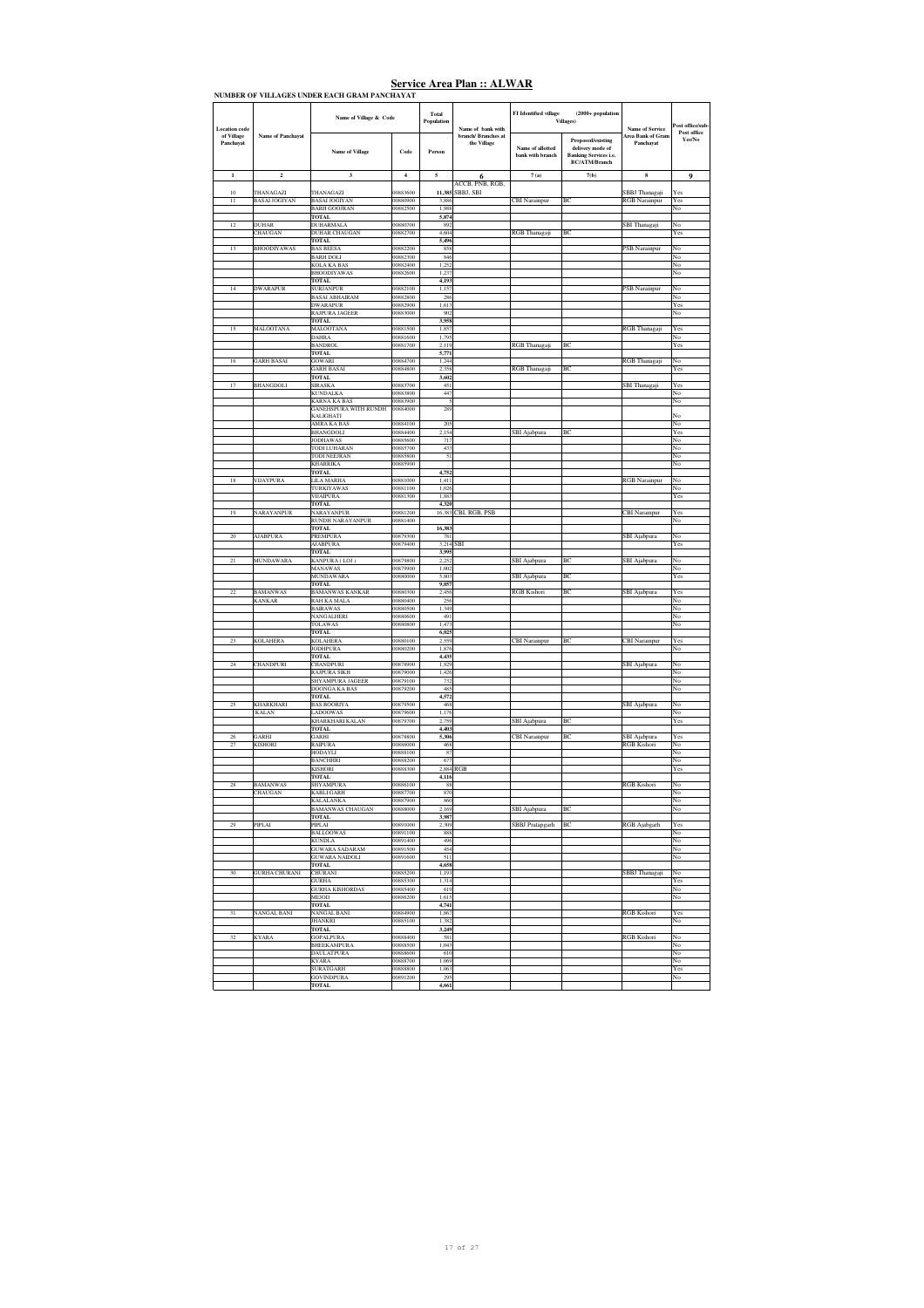|                         |                            | NUMBER OF VILLAGES UNDER EACH GRAM PANCHAYAT        |                         |                |                                    |                                      |                                                                       |                                       |                       |
|-------------------------|----------------------------|-----------------------------------------------------|-------------------------|----------------|------------------------------------|--------------------------------------|-----------------------------------------------------------------------|---------------------------------------|-----------------------|
|                         |                            | Name of Village & Code                              |                         | Total          |                                    | FI Identified village                | $(2000 + population$                                                  |                                       |                       |
| Location code           |                            |                                                     |                         | Population     | Name of bank with                  |                                      | <b>Villages</b> )                                                     | <b>Name of Service</b>                | 'ost office/sub       |
| of Village<br>Panchayat | <b>Name of Panchavat</b>   | Name of Village                                     | Code                    | Person         | branch/ Branches at<br>the Village | Name of allotted<br>bank with branch | Proposed/existing<br>delivery mode of<br><b>Banking Services i.e.</b> | <b>Area Bank of Gram</b><br>Panchavat | Post office<br>Yes/No |
| $\mathbf{1}$            | $\mathbf 2$                | $\overline{\mathbf{3}}$                             | $\overline{\mathbf{4}}$ | 5              |                                    | 7(a)                                 | <b>BC/ATM/Branch</b><br>7(b)                                          | 8                                     | $\boldsymbol{9}$      |
|                         |                            |                                                     |                         |                | 6<br>ACCB, PNB, RGB,               |                                      |                                                                       |                                       |                       |
| $10\,$                  | THANAGAZI                  | THANAGAZI                                           | 00883600<br>00880900    | 11,385         | SBBJ, SBI                          |                                      |                                                                       | SBBJ Thanagaji                        | Yes                   |
| 11                      | <b>BASAI JOGIYAN</b>       | <b>BASAI JOGIYAN</b><br><b>BARH GOOJRAN</b>         | 00882500                | 3,886<br>1,988 |                                    | <b>CBI</b> Narainpur                 | BC                                                                    | RGB Narainpur                         | Yes<br>No             |
|                         | <b>DUHAR</b>               | <b>TOTAL</b>                                        | 00880700                | 5,874<br>892   |                                    |                                      |                                                                       |                                       |                       |
| 12                      | CHAUGAN                    | <b>DUHARMALA</b><br><b>DUHAR CHAUGAN</b>            | 00882700                | 4,604          |                                    | RGB Thanagaji                        | BC                                                                    | SBI Thanagaji                         | No<br>Yes             |
| 13                      | <b>BHOODIYAWAS</b>         | TOTAL<br><b>BAS BEESA</b>                           | 00882200                | 5.496<br>858   |                                    |                                      |                                                                       | PSB Narainpur                         | No                    |
|                         |                            | <b>BARH DOLI</b>                                    | 00882300                | 846            |                                    |                                      |                                                                       |                                       | No                    |
|                         |                            | KOLA KA BAS<br><b>BHOODIYAWAS</b>                   | 00882400<br>00882600    | 1,252<br>1,237 |                                    |                                      |                                                                       |                                       | No<br>No              |
|                         |                            | TOTAL                                               |                         | 4,193          |                                    |                                      |                                                                       |                                       |                       |
| 14                      | <b>DWARAPUR</b>            | <b>SURJANPUR</b><br><b>BASAI ABHAIRAM</b>           | 00882100<br>00882800    | 1,157<br>286   |                                    |                                      |                                                                       | <b>PSB</b> Narainpur                  | No<br>No              |
|                         |                            | <b>DWARAPUR</b>                                     | 00882900                | 1,613          |                                    |                                      |                                                                       |                                       | Yes                   |
|                         |                            | <b>RAIPURA JAGEER</b><br>TOTAL                      | 00883000                | 902<br>3,958   |                                    |                                      |                                                                       |                                       | No                    |
| 15                      | MALOOTANA                  | <b>MALOOTANA</b>                                    | 00881500                | 1.857          |                                    |                                      |                                                                       | RGB Thanagaji                         | Yes                   |
|                         |                            | <b>DAHRA</b><br><b>BANDROL</b>                      | 00881600<br>00881700    | 1,795<br>2,119 |                                    | RGB Thanagaji                        | BC                                                                    |                                       | $_{\rm No}$<br>Yes    |
|                         |                            | TOTAL                                               |                         | 5,771          |                                    |                                      |                                                                       |                                       |                       |
| 16                      | <b>GARH BASAI</b>          | GOWARI<br><b>GARH BASAI</b>                         | 00884700<br>00884800    | 1,244<br>2.358 |                                    | RGB Thanagaji                        | BC                                                                    | RGB Thanagaji                         | No<br>Yes             |
| 17                      | BHANGDOLI                  | <b>TOTAL</b><br><b>SIRASKA</b>                      | 00883700                | 3,602<br>451   |                                    |                                      |                                                                       | SBI Thanagaji                         | Yes                   |
|                         |                            | <b>KUNDALKA</b>                                     | 00883800                | 447            |                                    |                                      |                                                                       |                                       | No                    |
|                         |                            | <b>KARNA KA BAS</b><br><b>GANEHSPURA WITH RUNDH</b> | 00883900<br>00884000    | 5<br>289       |                                    |                                      |                                                                       |                                       | No                    |
|                         |                            | KALIGHATI                                           |                         |                |                                    |                                      |                                                                       |                                       | No                    |
|                         |                            | AMRA KA BAS<br>BHANGDOLI                            | 00884100<br>00884400    | 205<br>2,154   |                                    | SBI Ajabpura                         | BC                                                                    |                                       | No<br>Yes             |
|                         |                            | <b>JODHAWAS</b>                                     | 00885600                | 717            |                                    |                                      |                                                                       |                                       | No                    |
|                         |                            | <b>TODI LUHARAN</b><br><b>TODI NEEJRAN</b>          | 00885700<br>00885800    | 433<br>51      |                                    |                                      |                                                                       |                                       | No<br>No              |
|                         |                            | <b>KHARRIKA</b>                                     | 00885900                |                |                                    |                                      |                                                                       |                                       | No                    |
| 18                      | VIJAYPURA                  | <b>TOTAL</b><br>LILA MARHA                          | 00881000                | 4,752<br>1,411 |                                    |                                      |                                                                       | <b>RGB</b> Narainpur                  | No                    |
|                         |                            | TURKIYAWAS<br>VIJAIPURA                             | 00881100                | 1,026          |                                    |                                      |                                                                       |                                       | No                    |
|                         |                            | <b>TOTAL</b>                                        | 00881300                | 1,883<br>4,320 |                                    |                                      |                                                                       |                                       | Yes                   |
| 19                      | NARAYANPUR                 | NARAYANPUR<br><b>RUNDH NARAYANPUR</b>               | 00881200<br>00881400    | 16,383         | CBI, RGB, PSB                      |                                      |                                                                       | <b>BI</b> Narainpur                   | Yes<br>No             |
|                         |                            | TOTAL                                               |                         | 16,383         |                                    |                                      |                                                                       |                                       |                       |
| 20                      | <b>AJABPURA</b>            | PREMPURA<br><b>JABPURA</b>                          | 00879300<br>00879400    | 781<br>3,214   | SBI                                |                                      |                                                                       | SBI Ajabpura                          | No<br>Yes             |
|                         |                            | <b>TOTAL</b>                                        |                         | 3,995          |                                    |                                      |                                                                       |                                       |                       |
| 21                      | <b>MUNDAWARA</b>           | KANPURA (LOJ)<br><b>MANAWAS</b>                     | 00879800<br>00879900    | 2.252<br>1,002 |                                    | SBI Ajabpura                         | BC                                                                    | SBI Ajabpura                          | No<br>No              |
|                         |                            | MUNDAWARA                                           | 00880000                | 5,803          |                                    | SBI Ajabpura                         | BC                                                                    |                                       | Yes                   |
| 22                      | <b>BAMANWAS</b>            | <b>TOTAL</b><br><b>BAMANWAS KANKAR</b>              | 00880300                | 9,057<br>2.456 |                                    | RGB Kishori                          | BC                                                                    | SBI Ajabpura                          | Yes                   |
|                         | KANKAR                     | RAH KA MALA                                         | 00880400                | 256            |                                    |                                      |                                                                       |                                       | No                    |
|                         |                            | <b>BAIRAWAS</b><br>NANGALHERI                       | 00880500<br>00880600    | 1,349<br>491   |                                    |                                      |                                                                       |                                       | No<br>No              |
|                         |                            | TOLAWAS                                             | 00880800                | 1,473          |                                    |                                      |                                                                       |                                       | No                    |
| 23                      | <b>KOLAHERA</b>            | TOTAL<br><b>KOLAHERA</b>                            | 00880100                | 6,025<br>2,559 |                                    | <b>BI</b> Narainpur                  | BC                                                                    | <b>BI</b> Narainpur                   | Yes                   |
|                         |                            | <b>JODHPURA</b>                                     | 00880200                | 1.876          |                                    |                                      |                                                                       |                                       | No                    |
| 24                      | <b>CHANDPURI</b>           | <b>TOTAL</b><br><b>CHANDPURI</b>                    | 00878900                | 4,435<br>1.929 |                                    |                                      |                                                                       | SBI Ajabpura                          | No                    |
|                         |                            | <b>RAJPURA SIKH</b><br>SHYAMPURA JAGEER             | 00879000<br>00879100    | 1,426<br>732   |                                    |                                      |                                                                       |                                       | No<br>No              |
|                         |                            | DOONGA KA BAS                                       | 00879200                | 485            |                                    |                                      |                                                                       |                                       | No                    |
| 25                      | <b>KHARKHARI</b>           | <b>TOTAL</b><br><b>BAS BOORIYA</b>                  | 00879500                | 4,572<br>468   |                                    |                                      |                                                                       |                                       | No                    |
|                         | <b>KALAN</b>               | LADOOWAS                                            | 00879600                | 1,176          |                                    |                                      |                                                                       | SBI Ajabpura                          | No                    |
|                         |                            | KHARKHARI KALAN<br><b>TOTAL</b>                     | 00879700                | 2.759<br>4,403 |                                    | SBI Ajabpura                         | BC                                                                    |                                       | Yes                   |
| 26                      | GARHI                      | GARHI                                               | 00878800                | 5,306          |                                    | <b>CBI</b> Narainpur                 | BC                                                                    | SBI Ajabpura                          | Yes                   |
| 27                      | <b>KISHORI</b>             | RAIPURA<br>HODAYLI                                  | 00886000<br>00888100    | 468<br>87      |                                    |                                      |                                                                       | <b>RGB</b> Kishori                    | No<br>No              |
|                         |                            | <b>BANCHHRI</b>                                     | 00888200                | 677            |                                    |                                      |                                                                       |                                       | No                    |
|                         |                            | <b>KISHORI</b><br><b>TOTAL</b>                      | 00888300                | 2,884<br>4,116 | RGB                                |                                      |                                                                       |                                       | Yes                   |
|                         | <b>BAMANWAS</b><br>CHAUGAN | SHYAMPUR<br><b>KABLI GARH</b>                       | 00886100<br>00887700    | 88<br>870      |                                    |                                      |                                                                       | <b>RGB</b> Kishori                    | No                    |
|                         |                            | <b>KALALANKA</b>                                    | 00887900                | 860            |                                    |                                      |                                                                       |                                       | No                    |
|                         |                            | <b>BAMANWAS CHAUGAN</b><br>TOTAL.                   | 00888000                | 2.169<br>3.987 |                                    | SBI Ajabpura                         | BC                                                                    |                                       | No                    |
| 29                      | PIPLAI                     | PIPLAI                                              | 00891000                | ,309           |                                    | SBBJ Pratapgarh                      | BC                                                                    | RGB Ajabgarh                          | Yes                   |
|                         |                            | <b>BALLOOWAS</b><br><b>KUNDLA</b>                   | 00891100<br>00891400    | 888<br>496     |                                    |                                      |                                                                       |                                       | No<br>No              |
|                         |                            | <b>GUWARA SADARAM</b>                               | 00891500                | 454            |                                    |                                      |                                                                       |                                       | No                    |
|                         |                            | GUWARA NAIDOLI<br><b>TOTAL</b>                      | 00891600                | 511<br>4,658   |                                    |                                      |                                                                       |                                       | No                    |
| $30\,$                  | <b>GURHA CHURANI</b>       | CHURANI                                             | 00885200                | 1,193          |                                    |                                      |                                                                       | SBBJ Thanagaji                        | No                    |
|                         |                            | <b>GURHA</b><br><b>GURHA KISHORDAS</b>              | 00885300<br>00885400    | 1.314<br>619   |                                    |                                      |                                                                       |                                       | Yes<br>No             |
|                         |                            | MEJOD                                               | 00886200                | 1,615          |                                    |                                      |                                                                       |                                       | No                    |
| 31                      | NANGAL BANI                | <b>TOTAL</b><br><b>NANGAL BANI</b>                  | 00884900                | 4,741<br>1,867 |                                    |                                      |                                                                       | <b>RGB</b> Kishori                    | Yes                   |
|                         |                            | <b>JHANKRI</b>                                      | 00885100                | 1.382          |                                    |                                      |                                                                       |                                       | No                    |
| 32                      | <b>KYARA</b>               | <b>TOTAL</b><br><b>GOPALPURA</b>                    | 00888400                | 3,249<br>581   |                                    |                                      |                                                                       | <b>RGB</b> Kishori                    | No                    |
|                         |                            | BHEEKAMPURA<br>DAULATPURA                           | 00888500<br>00888600    | 1,043<br>610   |                                    |                                      |                                                                       |                                       | No<br>No              |
|                         |                            | <b>KYARA</b>                                        | 00888700                | 1.069          |                                    |                                      |                                                                       |                                       | No                    |
|                         |                            | <b>SURATGARH</b><br><b>GOVINDPURA</b>               | 00888800                | 1,063<br>295   |                                    |                                      |                                                                       |                                       | Yes                   |
|                         |                            | <b>TOTAL</b>                                        | 00891200                | 4,661          |                                    |                                      |                                                                       |                                       | No                    |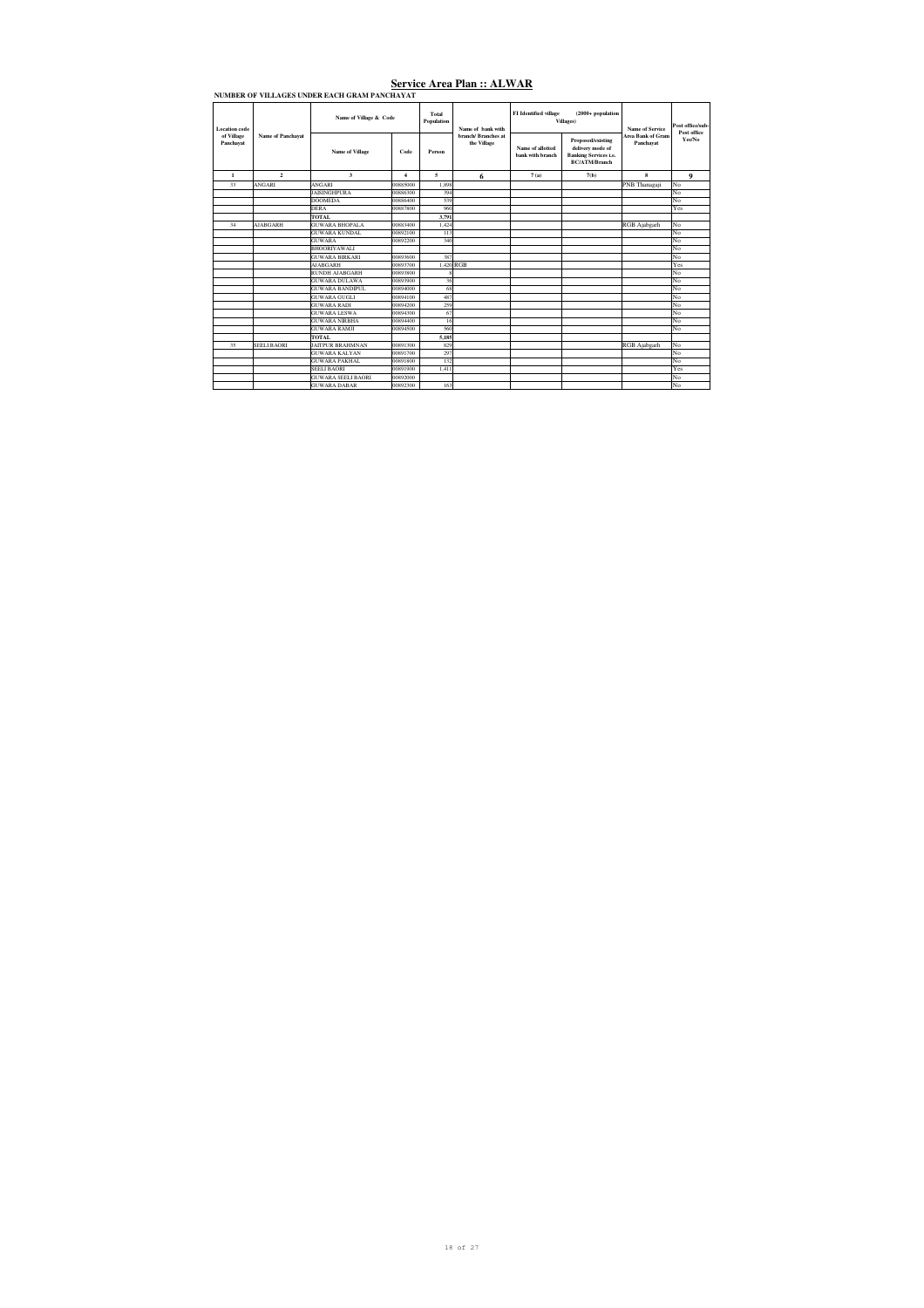| Location code<br>of Village |                          | Name of Village & Code    |              | Total<br>Population      | Name of bank with                  | FI Identified village                | $(2000 + population$<br>Villages)                                                             | Name of Service                       | Post office/sub-<br>Post office |
|-----------------------------|--------------------------|---------------------------|--------------|--------------------------|------------------------------------|--------------------------------------|-----------------------------------------------------------------------------------------------|---------------------------------------|---------------------------------|
| Panchavat                   | <b>Name of Panchavat</b> | <b>Name of Village</b>    | Code         | Person                   | branch/ Branches at<br>the Village | Name of allotted<br>bank with branch | Proposed/existing<br>delivery mode of<br><b>Banking Services i.e.</b><br><b>BC/ATM/Branch</b> | <b>Area Bank of Gram</b><br>Panchavat | Yes/No                          |
| $\mathbf{1}$                | $\overline{2}$           | $\mathbf{a}$              | $\mathbf{4}$ | $\overline{\phantom{a}}$ | 6                                  | 7(a)                                 | 7(b)                                                                                          | $\bf{8}$                              | 9                               |
| 33                          | ANGARI                   | ANGARI                    | 00885000     | 1.898                    |                                    |                                      |                                                                                               | PNB Thanagaji                         | No                              |
|                             |                          | <b>JAISINGHPURA</b>       | 00886300     | 394                      |                                    |                                      |                                                                                               |                                       | No                              |
|                             |                          | <b>DOOMEDA</b>            | 00886400     | 539                      |                                    |                                      |                                                                                               |                                       | No                              |
|                             |                          | <b>DERA</b>               | 00887800     | 960                      |                                    |                                      |                                                                                               |                                       | Yes                             |
|                             |                          | TOTAL.                    |              | 3,791                    |                                    |                                      |                                                                                               |                                       |                                 |
| 34                          | <b>AJABGARH</b>          | <b>GUWARA BHOPALA</b>     | 00883400     | 1.424                    |                                    |                                      |                                                                                               | RGB Ajabgarh                          | No                              |
|                             |                          | <b>GUWARA KUNDAL</b>      | 00892100     | 113                      |                                    |                                      |                                                                                               |                                       | No                              |
|                             |                          | <b>GUWARA</b>             | 00892200     | 340                      |                                    |                                      |                                                                                               |                                       | No                              |
|                             |                          | <b>BHOORIYAWALI</b>       |              |                          |                                    |                                      |                                                                                               |                                       | No                              |
|                             |                          | <b>GUWARA BIRKARI</b>     | 00893600     | 387                      |                                    |                                      |                                                                                               |                                       | No                              |
|                             |                          | <b>AJABGARH</b>           | 00893700     | 1.420 RGB                |                                    |                                      |                                                                                               |                                       | Yes                             |
|                             |                          | <b>RUNDH AJABGARH</b>     | 00893800     |                          |                                    |                                      |                                                                                               |                                       | No                              |
|                             |                          | <b>GUWARA DULAWA</b>      | 00893900     | 36                       |                                    |                                      |                                                                                               |                                       | No                              |
|                             |                          | <b>GUWARA BANDIPUL</b>    | 00894000     | 68                       |                                    |                                      |                                                                                               |                                       | No                              |
|                             |                          | GUWAR A GUGLI             | 00894100     | 487                      |                                    |                                      |                                                                                               |                                       | No                              |
|                             |                          | <b>GUWARA RADI</b>        | 00894200     | 259                      |                                    |                                      |                                                                                               |                                       | No                              |
|                             |                          | <b>GUWARA LESWA</b>       | 00894300     | 67                       |                                    |                                      |                                                                                               |                                       | No                              |
|                             |                          | <b>GUWARA NIRBHA</b>      | 00894400     | 16                       |                                    |                                      |                                                                                               |                                       | No                              |
|                             |                          | <b>GUWARA RAMJI</b>       | 00894500     | 560                      |                                    |                                      |                                                                                               |                                       | No                              |
|                             |                          | TOTAL                     |              | 5.185                    |                                    |                                      |                                                                                               |                                       |                                 |
| 35                          | <b>SEELL BAORI</b>       | <b>JAITPUR BRAHMNAN</b>   | 00891300     | 829                      |                                    |                                      |                                                                                               | RGB Ajabgarh                          | No                              |
|                             |                          | <b>GUWARA KALYAN</b>      | 00891700     | 297                      |                                    |                                      |                                                                                               |                                       | No                              |
|                             |                          | <b>GUWARA PAKHAL</b>      | 00891800     | 132                      |                                    |                                      |                                                                                               |                                       | No                              |
|                             |                          | <b>SEELI BAORI</b>        | 00891900     | 1.411                    |                                    |                                      |                                                                                               |                                       | Yes                             |
|                             |                          | <b>GUWARA SEELI BAORI</b> | 00892000     |                          |                                    |                                      |                                                                                               |                                       | No                              |
|                             |                          | <b>GUWARA DABAR</b>       | 00892300     | 163                      |                                    |                                      |                                                                                               |                                       | No                              |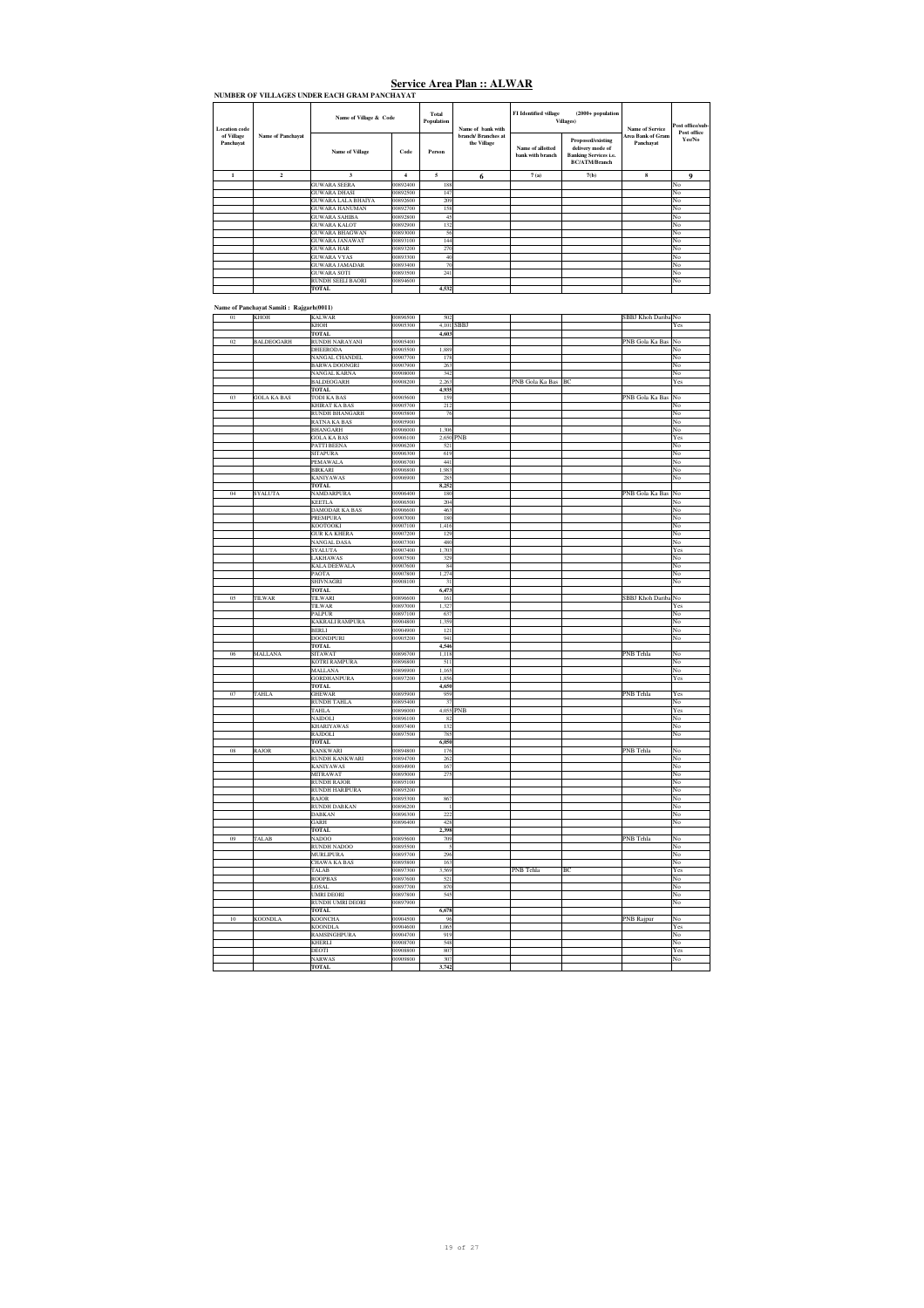| Location code           | Name of Panchayat | Name of Village & Code    |                  | Total<br>Population | Name of bank with                 | <b>FI</b> Identified village         | $(2000 + population$<br>Villages)                                                             | Name of Service                       | Post office/sub-<br>Post office |
|-------------------------|-------------------|---------------------------|------------------|---------------------|-----------------------------------|--------------------------------------|-----------------------------------------------------------------------------------------------|---------------------------------------|---------------------------------|
| of Village<br>Panchayat |                   | Name of Village           | Code             | Person              | branch/Rranches at<br>the Village | Name of allotted<br>bank with branch | Proposed/existing<br>delivery mode of<br><b>Banking Services i.e.</b><br><b>BC/ATM/Branch</b> | <b>Area Bank of Gram</b><br>Panchayat | Yes/No                          |
| $\mathbf{1}$            | $\overline{2}$    | 3                         | $\boldsymbol{4}$ | 5                   | 6                                 | 7(a)                                 | 7(b)                                                                                          | 8                                     | 9                               |
|                         |                   | <b>GUWARA SEERA</b>       | 00892400         | 188                 |                                   |                                      |                                                                                               |                                       | No                              |
|                         |                   | <b>GUWARA DHASI</b>       | 00892500         | 147                 |                                   |                                      |                                                                                               |                                       | No                              |
|                         |                   | <b>GUWARA LALA BHAIYA</b> | 00892600         | 209                 |                                   |                                      |                                                                                               |                                       | No                              |
|                         |                   | <b>GUWARA HANUMAN</b>     | 00892700         | 158                 |                                   |                                      |                                                                                               |                                       | No                              |
|                         |                   | <b>GUWARA SAHIBA</b>      | 00892800         | 45                  |                                   |                                      |                                                                                               |                                       | No                              |
|                         |                   | <b>GUWARA KALOT</b>       | 00892900         | 132                 |                                   |                                      |                                                                                               |                                       | No                              |
|                         |                   | <b>GUWARA BHAGWAN</b>     | 00893000         | 56                  |                                   |                                      |                                                                                               |                                       | No                              |
|                         |                   | <b>GUWARA JANAWAT</b>     | 00893100         | 144                 |                                   |                                      |                                                                                               |                                       | No                              |
|                         |                   | <b>GUWARA HAR</b>         | 00893200         | 270                 |                                   |                                      |                                                                                               |                                       | No                              |
|                         |                   | <b>GUWARA VYAS</b>        | 00893300         | 40                  |                                   |                                      |                                                                                               |                                       | No                              |
|                         |                   | <b>GUWARA JAMADAR</b>     | 00893400         | 70                  |                                   |                                      |                                                                                               |                                       | No                              |
|                         |                   | <b>GUWARA SOTI</b>        | 00893500         | 241                 |                                   |                                      |                                                                                               |                                       | No                              |
|                         |                   | <b>RUNDH SEELI BAORI</b>  | 00894600         |                     |                                   |                                      |                                                                                               |                                       | No                              |
|                         |                   | <b>TOTAL</b>              |                  | 4,532               |                                   |                                      |                                                                                               |                                       |                                 |

#### **Name of Panchayat Samiti : Rajgarh(0011)**

| 01     | <b>KHOH</b>        | <b>KALWAR</b>                 | 00896500 | 502          |             |                 |    | SBBJ Khoh Dariba No |             |
|--------|--------------------|-------------------------------|----------|--------------|-------------|-----------------|----|---------------------|-------------|
|        |                    |                               |          |              |             |                 |    |                     |             |
|        |                    | KHOH                          | 00905300 | 4,101        | <b>SBBJ</b> |                 |    |                     | Yes         |
|        |                    | <b>TOTAL</b>                  |          | 4,603        |             |                 |    |                     |             |
| 02     | <b>BALDEOGARH</b>  | RUNDH NARAYANI                | 00905400 |              |             |                 |    | PNB Gola Ka Bas     | No          |
|        |                    | <b>DHEERODA</b>               | 00905500 | 1,889        |             |                 |    |                     | No          |
|        |                    | NANGAL CHANDEL                | 00907700 | 178          |             |                 |    |                     | No          |
|        |                    | <b>BARWA DOONGRI</b>          | 00907900 | 263          |             |                 |    |                     | No          |
|        |                    | NANGAL KARNA                  | 00908000 | 342          |             |                 |    |                     | No          |
|        |                    | <b>BALDEOGARH</b>             | 00908200 | 2,263        |             | PNB Gola Ka Bas | BC |                     |             |
|        |                    |                               |          |              |             |                 |    |                     | Yes         |
|        |                    | TOTAL                         |          | 4,935        |             |                 |    |                     |             |
| 03     | <b>GOLA KA BAS</b> | TODI KA BAS                   | 00905600 | 159          |             |                 |    | PNB Gola Ka Bas     | No          |
|        |                    | <b>KHIRAT KA BAS</b>          | 00905700 | 212          |             |                 |    |                     | No          |
|        |                    | <b>RUNDH BHANGARH</b>         | 00905800 | 76           |             |                 |    |                     | No          |
|        |                    | RATNA KA BAS                  | 00905900 |              |             |                 |    |                     | No          |
|        |                    | <b>BHANGARH</b>               | 0006000  | 1.306        |             |                 |    |                     | No          |
|        |                    | <b>GOLA KA BAS</b>            | 00906100 | 2,650        | PNB         |                 |    |                     | Yes         |
|        |                    |                               | 00906200 | 521          |             |                 |    |                     |             |
|        |                    | PATTI BEENA                   |          |              |             |                 |    |                     | No          |
|        |                    | <b>SITAPURA</b>               | 00906300 | 619          |             |                 |    |                     | No          |
|        |                    | PEMAWALA                      | 00906700 | 441          |             |                 |    |                     | No          |
|        |                    | BIRKARI                       | 00906800 | 1.983        |             |                 |    |                     | No          |
|        |                    | <b>KANIYAWAS</b>              | 00906900 | 285          |             |                 |    |                     | No          |
|        |                    | <b>TOTAL</b>                  |          | 8,252        |             |                 |    |                     |             |
| 04     | SYALUTA            | NAMDARPURA                    | 00906400 | 180          |             |                 |    | PNB Gola Ka Bas     | No          |
|        |                    | <b>KEETLA</b>                 | 00906500 | 204          |             |                 |    |                     | No          |
|        |                    |                               |          |              |             |                 |    |                     |             |
|        |                    | DAMODAR KA BAS                | 00906600 | 463          |             |                 |    |                     | No          |
|        |                    | PREMPURA                      | 00907000 | 180          |             |                 |    |                     | No          |
|        |                    | KOOTOOKI                      | 00907100 | 1,416        |             |                 |    |                     | No          |
|        |                    | <b>GUR KA KHERA</b>           | 00907200 | 129          |             |                 |    |                     | No          |
|        |                    | NANGAL DASA                   | 00907300 | 480          |             |                 |    |                     | No          |
|        |                    | SYALUTA                       | 00907400 | 1,703        |             |                 |    |                     | Yes         |
|        |                    | LAKHAWAS                      | 00907500 | 329          |             |                 |    |                     | No          |
|        |                    | <b>KALA DEEWALA</b>           | 00907600 | 84           |             |                 |    |                     | No          |
|        |                    |                               |          |              |             |                 |    |                     |             |
|        |                    | PAOTA                         | 00907800 | 1,274        |             |                 |    |                     | No          |
|        |                    | SHIVNAGRI                     | 00908100 | 31           |             |                 |    |                     | No          |
|        |                    | <b>TOTAL</b>                  |          | 6,473        |             |                 |    |                     |             |
| $05\,$ | <b>TILWAR</b>      | TILWARI                       | 00896600 | 161          |             |                 |    | SBBJ Khoh Dariba No |             |
|        |                    | <b>TILWAR</b>                 | 00897000 | 1,327        |             |                 |    |                     | Yes         |
|        |                    | PALPUR                        | 00897100 | 637          |             |                 |    |                     | No          |
|        |                    | <b>KAKRALI RAMPURA</b>        | 00904800 | 1,359        |             |                 |    |                     | No          |
|        |                    | <b>BERLI</b>                  |          | 121          |             |                 |    |                     |             |
|        |                    |                               | 00904900 |              |             |                 |    |                     | No          |
|        |                    |                               |          |              |             |                 |    |                     |             |
|        |                    | <b>DOONDPURI</b>              | 00905200 | 941          |             |                 |    |                     | No          |
|        |                    | <b>TOTAL</b>                  |          | 4,546        |             |                 |    |                     |             |
| 06     | <b>MALLANA</b>     | <b>SITAWAT</b>                | 00896700 | 1.118        |             |                 |    | <b>PNB</b> Tehla    | No          |
|        |                    | <b>KOTRI RAMPURA</b>          | 00896800 | 511          |             |                 |    |                     | No          |
|        |                    |                               |          |              |             |                 |    |                     |             |
|        |                    | <b>MALLANA</b>                | 00896900 | 1,165        |             |                 |    |                     | No          |
|        |                    | <b>GORDHANPURA</b>            | 00897200 | 1,856        |             |                 |    |                     | Yes         |
|        |                    | <b>TOTAL</b>                  |          | 4,650        |             |                 |    |                     |             |
| $07\,$ | <b>TAHLA</b>       | <b>GHEWAR</b>                 | 00895900 | 959          |             |                 |    | PNB Tehla           | Yes         |
|        |                    | <b>RUNDH TAHLA</b>            | 00895400 | 37           |             |                 |    |                     | No          |
|        |                    | TAHLA                         | 00896000 | 4,055        | PNB         |                 |    |                     | Yes         |
|        |                    | NAIDOLI                       | 00896100 | 82           |             |                 |    |                     | No          |
|        |                    | <b>KHARIYAWAS</b>             | 00897400 | 132          |             |                 |    |                     | No          |
|        |                    |                               |          |              |             |                 |    |                     |             |
|        |                    | RAJDOLI<br><b>TOTAL</b>       | 00897500 | 785<br>6,050 |             |                 |    |                     | No          |
|        |                    |                               |          |              |             |                 |    |                     |             |
| 08     | <b>RAJOR</b>       | <b>KANKWARI</b>               | 00894800 | 176          |             |                 |    | PNB Tehla           | No          |
|        |                    | RUNDH KANKWARI                | 00894700 | 262          |             |                 |    |                     | No          |
|        |                    | <b>KANIYAWAS</b>              | 00894900 | 167          |             |                 |    |                     | $_{\rm No}$ |
|        |                    | <b>MITRAWAT</b>               | 00895000 | 275          |             |                 |    |                     | No          |
|        |                    | <b>RUNDH RAJOR</b>            | 00895100 |              |             |                 |    |                     | No          |
|        |                    | <b>RUNDH HARIPURA</b>         | 00895200 |              |             |                 |    |                     | No          |
|        |                    | RAJOR                         | 00895300 | 867          |             |                 |    |                     | No          |
|        |                    |                               |          | $\mathbf{1}$ |             |                 |    |                     |             |
|        |                    | RUNDH DABKAN                  | 00896200 |              |             |                 |    |                     | No          |
|        |                    | DABKAN                        | 00896300 | 222          |             |                 |    |                     | No          |
|        |                    | GARH                          | 00896400 | 428          |             |                 |    |                     | No          |
|        |                    | <b>TOTAL</b>                  |          | 2,398        |             |                 |    |                     |             |
| 09     | TALAB              | <b>NADOO</b>                  | 00895600 | 709          |             |                 |    | PNB Tehla           | No          |
|        |                    | <b>RUNDH NADOO</b>            | 00895500 | 5            |             |                 |    |                     | No          |
|        |                    | <b>MURLIPURA</b>              | 00895700 | 296          |             |                 |    |                     | No          |
|        |                    | <b>CHAWA KA BAS</b>           | 00895800 | 163          |             |                 |    |                     | No          |
|        |                    | TALAB                         | 00897300 | 3,569        |             |                 | ВC |                     |             |
|        |                    |                               |          |              |             | PNB Tehla       |    |                     | Yes         |
|        |                    | <b>ROOPBAS</b>                | 00897600 | 521          |             |                 |    |                     | No          |
|        |                    | LOSAL                         | 00897700 | 870          |             |                 |    |                     | No          |
|        |                    | <b>UMRI DEORI</b>             | 00897800 | 545          |             |                 |    |                     | No          |
|        |                    | RUNDH UMRI DEORI              | 00897900 |              |             |                 |    |                     | No          |
|        |                    | TOTAL                         |          | 6,678        |             |                 |    |                     |             |
| 10     | <b>KOONDLA</b>     | KOONCHA                       | 00904500 | 96           |             |                 |    | <b>PNB Rajpur</b>   | No          |
|        |                    | <b>KOONDLA</b>                | 00904600 | 1,065        |             |                 |    |                     | Yes         |
|        |                    |                               |          |              |             |                 |    |                     |             |
|        |                    | RAMSINGHPURA                  | 00904700 | 919          |             |                 |    |                     | No          |
|        |                    | KHERLI                        | 00908700 | 548          |             |                 |    |                     | No          |
|        |                    | DEOTI                         | 00908800 | 807          |             |                 |    |                     | Yes         |
|        |                    | <b>NARWAS</b><br><b>TOTAL</b> | 00909800 | 307<br>3,742 |             |                 |    |                     | No          |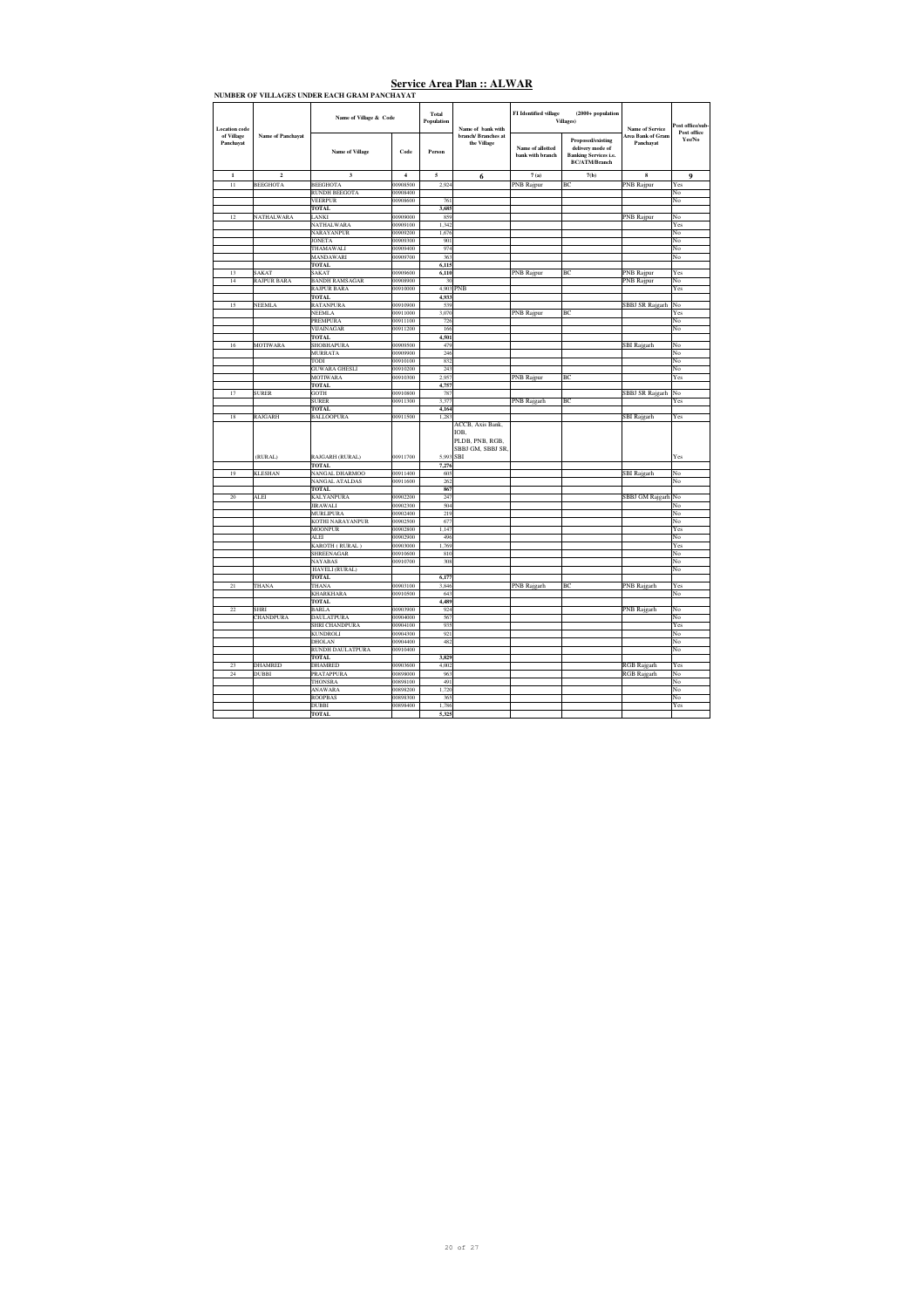|                         |                    | NUMBER OF VILLAGES UNDER EACH GRAM PANCHAYAT |                      |                     |                                                                               |                                      |                                                                                               |                                |                        |
|-------------------------|--------------------|----------------------------------------------|----------------------|---------------------|-------------------------------------------------------------------------------|--------------------------------------|-----------------------------------------------------------------------------------------------|--------------------------------|------------------------|
| Location code           |                    | Name of Village & Code                       |                      | Total<br>Population | Name of bank with                                                             | FI Identified village                | $(2000 + population$<br>Villages)                                                             | Name of Service                | Post office/sub-       |
| of Village<br>Panchayat | Name of Panchayat  | <b>Name of Village</b>                       | Code                 | Person              | branch/ Branches at<br>the Village                                            | Name of allotted<br>bank with branch | Proposed/existing<br>delivery mode of<br><b>Banking Services i.e.</b><br><b>BC/ATM/Branch</b> | Area Bank of Gram<br>Panchavat | Post office<br>Yes/No  |
| $\mathbf 1$             | $\mathbf 2$        | $\mathbf 3$                                  | $\overline{a}$       | 5                   | 6                                                                             | 7(a)                                 | 7(b)                                                                                          | 8                              | 9                      |
| 11                      | <b>BEEGHOTA</b>    | <b>BEEGHOTA</b>                              | 00908500             | 2.924               |                                                                               | PNB Rajpur                           | BC                                                                                            | PNB Rajpur                     | Yes                    |
|                         |                    | <b>RUNDH BEEGOTA</b>                         | 00908400             |                     |                                                                               |                                      |                                                                                               |                                | No                     |
|                         |                    | <b>VEERPUR</b>                               | 00908600             | 761                 |                                                                               |                                      |                                                                                               |                                | No                     |
|                         |                    | TOTAL                                        |                      | 3,685               |                                                                               |                                      |                                                                                               |                                |                        |
| 12                      | NATHALWARA         | LANKI<br><b>NATHALWARA</b>                   | 00909000<br>00909100 | 859<br>1,342        |                                                                               |                                      |                                                                                               | <b>PNB</b> Rajpur              | No<br>Yes              |
|                         |                    | NARAYANPUR                                   | 00909200             | 1,676               |                                                                               |                                      |                                                                                               |                                | No                     |
|                         |                    | <b>JONETA</b>                                | 00909300             | 901                 |                                                                               |                                      |                                                                                               |                                | No                     |
|                         |                    | THAMAWALI                                    | 00909400             | 974                 |                                                                               |                                      |                                                                                               |                                | No                     |
|                         |                    | MANDAWARI                                    | 00909700             | 363                 |                                                                               |                                      |                                                                                               |                                | No                     |
|                         |                    | TOTAL                                        |                      | 6,115               |                                                                               |                                      |                                                                                               |                                |                        |
| $\overline{13}$         | SAKAT              | SAKAT                                        | 00909600             | 6,110               |                                                                               | <b>PNB Rajpur</b>                    | ВC                                                                                            | PNB Rajpur                     | Yes                    |
| 14                      | <b>RAJPUR BARA</b> | <b>BANDH RAMSAGAR</b>                        | 00908900             | 30                  |                                                                               |                                      |                                                                                               | <b>PNB Rajpur</b>              | No                     |
|                         |                    | <b>RAJPUR BARA</b>                           | 00910000             | 4,903               | PNB                                                                           |                                      |                                                                                               |                                | Yes                    |
|                         |                    | TOTAL                                        |                      | 4,933               |                                                                               |                                      |                                                                                               |                                |                        |
| 15                      | <b>NEEMLA</b>      | RATANPURA<br>NEEMLA                          | 00910900<br>00911000 | 539<br>3,070        |                                                                               | PNB Rajpur                           | BC                                                                                            | SBBJ SR Rajgarh                | No<br>Yes              |
|                         |                    | PREMPURA                                     | 00911100             | 726                 |                                                                               |                                      |                                                                                               |                                | No                     |
|                         |                    | VIJAINAGAR                                   | 00911200             | 166                 |                                                                               |                                      |                                                                                               |                                | No                     |
|                         |                    | TOTAL                                        |                      | 4,501               |                                                                               |                                      |                                                                                               |                                |                        |
| 16                      | <b>MOTIWARA</b>    | <b>SHOBHAPURA</b>                            | 00909500             | 479                 |                                                                               |                                      |                                                                                               | <b>SBI</b> Rajgarh             | No                     |
|                         |                    | <b>MURRATA</b>                               | 00909900             | 246                 |                                                                               |                                      |                                                                                               |                                | No                     |
|                         |                    | TODI                                         | 00910100             | 832                 |                                                                               |                                      |                                                                                               |                                | No                     |
|                         |                    | <b>GUWARA GHESLI</b>                         | 00910200             | 243                 |                                                                               |                                      |                                                                                               |                                | No                     |
|                         |                    | <b>MOTIWARA</b><br><b>TOTAL</b>              | 00910300             | 2,957<br>4,757      |                                                                               | <b>PNB Rajpur</b>                    | ВC                                                                                            |                                | Yes                    |
| 17                      | <b>SURER</b>       | GOTH                                         | 00910800             | 787                 |                                                                               |                                      |                                                                                               | <b>SBBJ SR Rajgarh</b>         | No                     |
|                         |                    | <b>SURER</b>                                 | 00911300             | 3,377               |                                                                               | PNB Rajgarh                          | BC                                                                                            |                                | Yes                    |
|                         |                    | <b>TOTAL</b>                                 |                      | 4,164               |                                                                               |                                      |                                                                                               |                                |                        |
| 18                      | RAJGARH            | <b>BALLOOPURA</b>                            | 00911500             | 1,283               |                                                                               |                                      |                                                                                               | <b>SBI</b> Rajgarh             | Yes                    |
|                         | (RURAL)            | RAJGARH (RURAL)<br><b>TOTAL</b>              | 00911700             | 5.993<br>7,276      | ACCB, Axis Bank,<br>IOB.<br>PLDB, PNB, RGB,<br>SBBJ GM, SBBJ SR<br><b>SBI</b> |                                      |                                                                                               |                                | Yes                    |
| 19                      | <b>KLESHAN</b>     | <b>NANGAL DHARMOO</b>                        | 00911400             | 605                 |                                                                               |                                      |                                                                                               | SBI Rajgarh                    | No                     |
|                         |                    | NANGAL ATALDAS                               | 00911600             | 262                 |                                                                               |                                      |                                                                                               |                                | No                     |
|                         |                    | <b>TOTAL</b>                                 |                      | 867                 |                                                                               |                                      |                                                                                               |                                |                        |
| $20\,$                  | <b>ALEI</b>        | <b>KALYANPURA</b>                            | 00902200             | 247                 |                                                                               |                                      |                                                                                               | <b>SBBJ</b> GM Rajgarh         | No                     |
|                         |                    | <b>JIRAWALI</b><br><b>MURLIPURA</b>          | 00902300<br>00902400 | 504<br>219          |                                                                               |                                      |                                                                                               |                                | No<br>No               |
|                         |                    | KOTHI NARAYANPUR                             | 00902500             | 677                 |                                                                               |                                      |                                                                                               |                                | No                     |
|                         |                    | <b>MOONPUR</b>                               | 00902800             | 1,147               |                                                                               |                                      |                                                                                               |                                | Yes                    |
|                         |                    | <b>ALEI</b>                                  | 00902900             | 496                 |                                                                               |                                      |                                                                                               |                                | No                     |
|                         |                    | KAROTH (RURAL)                               | 00903000             | 1,769               |                                                                               |                                      |                                                                                               |                                | Yes                    |
|                         |                    | SHREENAGAR                                   | 00910600             | 810                 |                                                                               |                                      |                                                                                               |                                | No                     |
|                         |                    | NAYABAS                                      | 00910700             | 308                 |                                                                               |                                      |                                                                                               |                                | $\overline{\text{No}}$ |
|                         |                    | HAVELI (RURAL)<br><b>TOTAL</b>               |                      | 6,177               |                                                                               |                                      |                                                                                               |                                | No                     |
| 21                      | THANA              | THANA                                        | 00903100             | 3,846               |                                                                               | PNB Rajgarh                          | BC                                                                                            | PNB Rajgarh                    | Yes                    |
|                         |                    | <b>KHARKHARA</b>                             | 00910500             | 643                 |                                                                               |                                      |                                                                                               |                                | No                     |
|                         |                    | TOTAL                                        |                      | 4,489               |                                                                               |                                      |                                                                                               |                                |                        |
| 22                      | SHRI               | <b>BARLA</b>                                 | 00903900             | 924                 |                                                                               |                                      |                                                                                               | PNB Rajgarh                    | No                     |
|                         | CHANDPURA          | <b>DAULATPURA</b>                            | 00904000             | 567                 |                                                                               |                                      |                                                                                               |                                | No                     |
|                         |                    | SHRI CHANDPURA                               | 00904100             | 935                 |                                                                               |                                      |                                                                                               |                                | Yes                    |
|                         |                    | <b>KUNDROLI</b>                              | 0904300              | 921                 |                                                                               |                                      |                                                                                               |                                | No                     |
|                         |                    | DHOLAN<br><b>RUNDH DAULATPURA</b>            | 00904400<br>00910400 | 482                 |                                                                               |                                      |                                                                                               |                                | No<br>No               |
|                         |                    | <b>TOTAL</b>                                 |                      | 3,829               |                                                                               |                                      |                                                                                               |                                |                        |
| 23                      | DHAMRED            | <b>DHAMRED</b>                               | 00903600             | 4.002               |                                                                               |                                      |                                                                                               | <b>RGB</b> Rajgarh             | Yes                    |
| 24                      | <b>DUBBI</b>       | PRATAPPURA                                   | 00898000             | 963                 |                                                                               |                                      |                                                                                               | <b>RGB</b> Rajgarh             | No                     |
|                         |                    | <b>THONSRA</b>                               | 00898100             | 491                 |                                                                               |                                      |                                                                                               |                                | No                     |
|                         |                    | <b>ANAWARA</b>                               | 00898200             | 1,720               |                                                                               |                                      |                                                                                               |                                | No                     |
|                         |                    | <b>ROOPBAS</b>                               | 00898300             | 365                 |                                                                               |                                      |                                                                                               |                                | No                     |
|                         |                    | <b>DUBBI</b><br><b>TOTAL</b>                 | 00898400             | 1,786<br>5,325      |                                                                               |                                      |                                                                                               |                                | Yes                    |
|                         |                    |                                              |                      |                     |                                                                               |                                      |                                                                                               |                                |                        |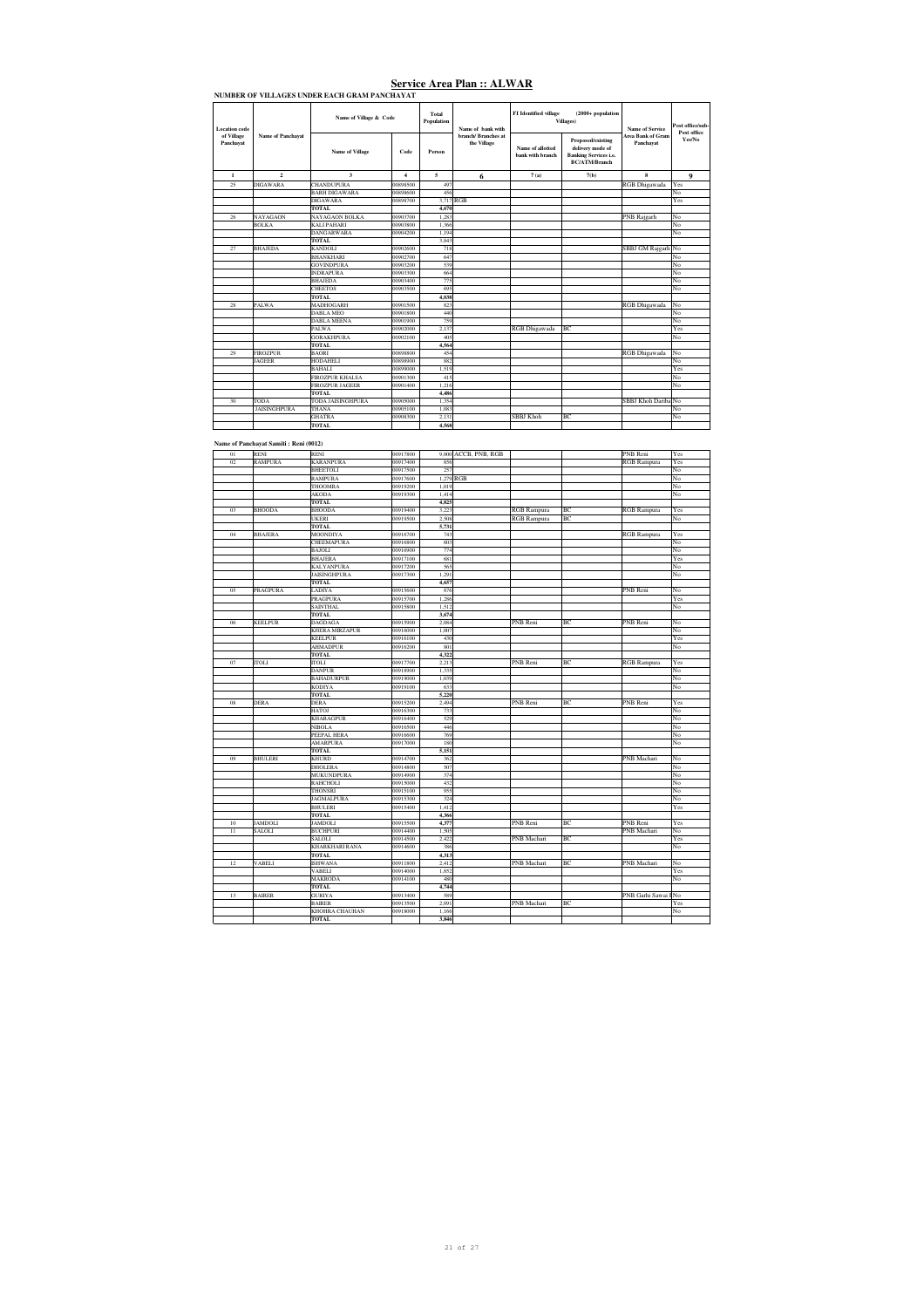| Location code           |                     | Name of Village & Code   |          | Total<br>Population<br>Name of hank with<br>branch/Rranches at |             | <b>FI</b> Identified village         | $(2000 + population)$<br>Villages)                                                            | Name of Service<br><b>Area Bank of Gram</b> | Post office/sub-<br>Post office |
|-------------------------|---------------------|--------------------------|----------|----------------------------------------------------------------|-------------|--------------------------------------|-----------------------------------------------------------------------------------------------|---------------------------------------------|---------------------------------|
| of Village<br>Panchayat | Name of Panchayat   | <b>Name of Village</b>   | Code     | Person                                                         | the Village | Name of allotted<br>bank with branch | Proposed/existing<br>delivery mode of<br><b>Banking Services i.e.</b><br><b>BC/ATM/Branch</b> | Panchavat                                   | Yes/No                          |
| $\mathbf{1}$            | $\overline{2}$      | $\overline{\mathbf{3}}$  | 4        | 5                                                              | 6           | 7(a)                                 | 7(b)                                                                                          | $\bf{R}$                                    | 9                               |
| 25                      | <b>DIGAWARA</b>     | <b>CHANDUPURA</b>        | 00898500 | 497                                                            |             |                                      |                                                                                               | <b>RGB</b> Dhigawada                        | Yes                             |
|                         |                     | <b>BARH DIGAWARA</b>     | 00898600 | 456                                                            |             |                                      |                                                                                               |                                             | No                              |
|                         |                     | <b>DIGAWARA</b>          | 00898700 | 3.717 RGB                                                      |             |                                      |                                                                                               |                                             | Yes                             |
|                         |                     | <b>TOTAL</b>             |          | 4,670                                                          |             |                                      |                                                                                               |                                             |                                 |
| 26                      | <b>NAYAGAON</b>     | NAYAGAON BOLKA           | 00903700 | 1.283                                                          |             |                                      |                                                                                               | <b>PNB</b> Rajgarh                          | No                              |
|                         | <b>BOLKA</b>        | <b>KALI PAHARI</b>       | 00903800 | 1.366                                                          |             |                                      |                                                                                               |                                             | No                              |
|                         |                     | <b>DANGARWARA</b>        | 00904200 | 1.194                                                          |             |                                      |                                                                                               |                                             | No                              |
|                         |                     | TOTAL                    |          | 3.843                                                          |             |                                      |                                                                                               |                                             |                                 |
| 27                      | <b>BHAJEDA</b>      | <b>KANDOLI</b>           | 00902600 | 718                                                            |             |                                      |                                                                                               | SBBJ GM Rajgarh No                          |                                 |
|                         |                     | <b>BHANKHARI</b>         | 00902700 | 647                                                            |             |                                      |                                                                                               |                                             | No                              |
|                         |                     | <b>GOVINDPURA</b>        | 00903200 | 539                                                            |             |                                      |                                                                                               |                                             | No                              |
|                         |                     | <b>INDRAPURA</b>         | 00903300 | 664                                                            |             |                                      |                                                                                               |                                             | No                              |
|                         |                     | <b>BHAJEDA</b>           | 00903400 | 775                                                            |             |                                      |                                                                                               |                                             | No                              |
|                         |                     | <b>CHEETOS</b>           | 00903500 | 695                                                            |             |                                      |                                                                                               |                                             | No                              |
|                         |                     | <b>TOTAL</b>             |          | 4,038                                                          |             |                                      |                                                                                               |                                             |                                 |
| 28                      | PALWA               | <b>MADHOGARH</b>         | 00901500 | 823                                                            |             |                                      |                                                                                               | <b>RGB</b> Dhigawada                        | No                              |
|                         |                     | <b>DARLA MEO</b>         | 00901800 | 440                                                            |             |                                      |                                                                                               |                                             | No                              |
|                         |                     | <b>DABLA MEENA</b>       | 00901900 | 759                                                            |             |                                      |                                                                                               |                                             | No                              |
|                         |                     | <b>PALWA</b>             | 00902000 | 2.137                                                          |             | RGB Dhigawada                        | BC                                                                                            |                                             | Yes                             |
|                         |                     | <b>GORAKHPURA</b>        | 00902100 | 405                                                            |             |                                      |                                                                                               |                                             | No                              |
|                         |                     | <b>TOTAL</b>             |          | 4,564                                                          |             |                                      |                                                                                               |                                             |                                 |
| 29                      | <b>FIROZPUR</b>     | <b>BAORI</b>             | 00898800 | 454                                                            |             |                                      |                                                                                               | <b>RGB</b> Dhigawada                        | No                              |
|                         | <b>JAGEER</b>       | <b>HODAHELI</b>          | 00898900 | 882                                                            |             |                                      |                                                                                               |                                             | No                              |
|                         |                     | <b>BAHALI</b>            | 00899000 | 1.519                                                          |             |                                      |                                                                                               |                                             | Yes                             |
|                         |                     | <b>FIROZPUR KHALSA</b>   | 00901300 | 415                                                            |             |                                      |                                                                                               |                                             | No                              |
|                         |                     | <b>FIROZPUR JAGEER</b>   | 00901400 | 1.216                                                          |             |                                      |                                                                                               |                                             | No                              |
|                         |                     | TOTAL                    |          | 4,486                                                          |             |                                      |                                                                                               |                                             |                                 |
| 30                      | TODA                | <b>TODA JAISINGHPURA</b> | 00905000 | 1.354                                                          |             |                                      |                                                                                               | SBBJ Khoh Dariba No                         |                                 |
|                         | <b>JAISINGHPURA</b> | THANA                    | 00905100 | 1.083                                                          |             |                                      |                                                                                               |                                             | No                              |
|                         |                     | <b>GHATRA</b>            | 00908300 | 2.131                                                          |             | SBBI Khoh                            | <b>BC</b>                                                                                     |                                             | No                              |
|                         |                     | <b>TOTAL</b>             |          | 4,568                                                          |             |                                      |                                                                                               |                                             |                                 |

#### **Name of Panchayat Samiti : Reni (0012)**

| 01 | RENI           | RENI                               | 00917800             |                | 9,000 ACCB, PNB, RGB |                    |    | PNB Reni             | Yes       |
|----|----------------|------------------------------------|----------------------|----------------|----------------------|--------------------|----|----------------------|-----------|
| 02 | <b>RAMPURA</b> | <b>KARANPURA</b>                   | 00917400             | 856            |                      |                    |    | <b>RGB</b> Rampura   | Yes       |
|    |                | <b>BHEETOLI</b>                    | 00917500             | 257            |                      |                    |    |                      | No        |
|    |                | <b>RAMPURA</b>                     | 00917600             | 1,279 RGB      |                      |                    |    |                      | No        |
|    |                | THOOMRA                            | 00919200             | 1,019          |                      |                    |    |                      | No        |
|    |                | <b>AKODA</b>                       | 00919300             | 1.414          |                      |                    |    |                      | No        |
|    |                | <b>TOTAL</b>                       |                      | 4,825          |                      |                    |    |                      |           |
| 03 | <b>BHOODA</b>  | <b>BHOODA</b>                      | 00919400             | 3,223          |                      | <b>RGB</b> Rampura | BC | <b>RGB</b> Rampura   | Yes       |
|    |                | <b>UKERI</b>                       | 00919500             | 2,508          |                      | <b>RGB</b> Rampura | BC |                      | No        |
|    |                | TOTAL                              |                      | 5,731          |                      |                    |    |                      |           |
| 04 | <b>BHAJERA</b> | <b>MOONDIYA</b>                    | 00916700             | 743            |                      |                    |    | <b>RGB</b> Rampura   | Yes       |
|    |                | CHEEMAPURA                         | 00916800             | 603            |                      |                    |    |                      | No        |
|    |                | <b>BAJOLI</b>                      | 00916900             | 774            |                      |                    |    |                      | No        |
|    |                | <b>BHAJERA</b>                     | 00917100             | 681            |                      |                    |    |                      | Yes       |
|    |                | <b>KALYANPURA</b>                  | 00917200             | 565            |                      |                    |    |                      | No        |
|    |                | <b>JAISINGHPURA</b>                | 00917300             | 1,291          |                      |                    |    |                      | No        |
|    |                | <b>TOTAL</b>                       |                      | 4,657          |                      |                    |    |                      |           |
| 05 | PRAGPURA       | LADIYA                             | 00915600             | 876            |                      |                    |    | PNB Reni             | No        |
|    |                | <b>PRAGPURA</b>                    | 00915700             | 1,286          |                      |                    |    |                      | Yes       |
|    |                | <b>SAINTHAL</b>                    | 00915800             | 1,512          |                      |                    |    |                      | No        |
|    |                | <b>TOTAL</b>                       |                      | 3,674          |                      |                    |    |                      |           |
| 06 | <b>KEELPUR</b> | <b>DAGDAGA</b>                     | 00915900             | 2,084          |                      | PNB Reni           | BC | PNB Reni             | No        |
|    |                | KHERA MIRZAPUR                     | 00916000             | 1,007          |                      |                    |    |                      | No        |
|    |                | <b>KEELPUR</b>                     | 00916100             | 430            |                      |                    |    |                      | Yes       |
|    |                | <b>AHMADPUR</b>                    | 00916200             | 801            |                      |                    |    |                      | No        |
|    |                | <b>TOTAL</b>                       |                      | 4,322          |                      |                    |    |                      |           |
|    |                | <b>ITOLI</b>                       |                      |                |                      |                    | BC |                      |           |
| 07 | <b>ITOLI</b>   |                                    | 00917700             | 2,213          |                      | PNB Reni           |    | RGB Rampura          | Yes<br>No |
|    |                | <b>DANPUR</b><br><b>BAHADURPUR</b> | 00918900<br>00919000 | 1,335<br>1,039 |                      |                    |    |                      | No        |
|    |                |                                    |                      |                |                      |                    |    |                      | No        |
|    |                | <b>KODIYA</b>                      | 00919100             | 633            |                      |                    |    |                      |           |
|    |                | TOTAL                              |                      | 5,220          |                      |                    |    |                      |           |
| 08 | <b>DERA</b>    | <b>DERA</b><br><b>HATOJ</b>        | 00915200<br>00916300 | 2,494<br>733   |                      | PNB Reni           | BC | PNB Reni             | Yes<br>No |
|    |                |                                    |                      |                |                      |                    |    |                      | No        |
|    |                | <b>KHARAGPUR</b>                   | 00916400             | 529            |                      |                    |    |                      |           |
|    |                | <b>NIBOLA</b>                      | 00916500             | 446            |                      |                    |    |                      | No        |
|    |                | PEEPAL HERA                        | 00916600             | 769            |                      |                    |    |                      | No        |
|    |                | AMARPURA                           | 00917000             | 180            |                      |                    |    |                      | No        |
|    |                | <b>TOTAL</b>                       |                      | 5,151          |                      |                    |    |                      |           |
| 09 | BHULERI        | <b>KHURD</b>                       | 00914700             | 362            |                      |                    |    | PNB Machari          | No        |
|    |                | <b>DHOLERA</b>                     | 00914800             | 507            |                      |                    |    |                      | No        |
|    |                | <b>MUKUNDPURA</b>                  | 00914900             | 374            |                      |                    |    |                      | No        |
|    |                | RAHCHOLI                           | 00915000             | 432            |                      |                    |    |                      | No        |
|    |                | THONSRI                            | 00915100             | 955            |                      |                    |    |                      | No        |
|    |                | <b>JAGMALPURA</b>                  | 00915300             | 324            |                      |                    |    |                      | No        |
|    |                | <b>BHULERI</b>                     | 00915400             | 1,412          |                      |                    |    |                      | Yes       |
|    |                | TOTAL                              |                      | 4,366          |                      |                    |    |                      |           |
| 10 | <b>JAMDOLI</b> | <b>JAMDOLI</b>                     | 00915500             | 4,377          |                      | PNB Reni           | ВC | PNB Reni             | Yes       |
| 11 | SALOLI         | <b>BUCHPURI</b>                    | 00914400             | 1,505          |                      |                    |    | PNB Machari          | No        |
|    |                | SALOLI                             | 00914500             | 2,422          |                      | PNB Machari        | BC |                      | Yes       |
|    |                | <b>KHARKHARI RANA</b>              | 00914600             | 386            |                      |                    |    |                      | No        |
|    |                | <b>TOTAL</b>                       |                      | 4,313          |                      |                    |    |                      |           |
| 12 | <b>VABELI</b>  | <b>ISHWANA</b>                     | 00911800             | 2,412          |                      | PNB Machari        | BC | PNB Machari          | No        |
|    |                | VABELI                             | 00914000             | 1,852          |                      |                    |    |                      | Yes       |
|    |                | <b>MAKRODA</b>                     | 00914100             | 480            |                      |                    |    |                      | No        |
|    |                | <b>TOTAL</b>                       |                      | 4,744          |                      |                    |    |                      |           |
| 13 | <b>BAIRER</b>  | <b>GURIYA</b>                      | 00913400             | 589            |                      |                    |    | PNB Garhi Sawai I No |           |
|    |                | <b>BAIRER</b>                      | 00913500             | 2.091          |                      | PNB Machari        | BC |                      | Yes       |
|    |                | KHOHRA CHAUHAN                     | 00918000             | 1,166          |                      |                    |    |                      | No        |
|    |                | <b>TOTAL</b>                       |                      | 3,846          |                      |                    |    |                      |           |
|    |                |                                    |                      |                |                      |                    |    |                      |           |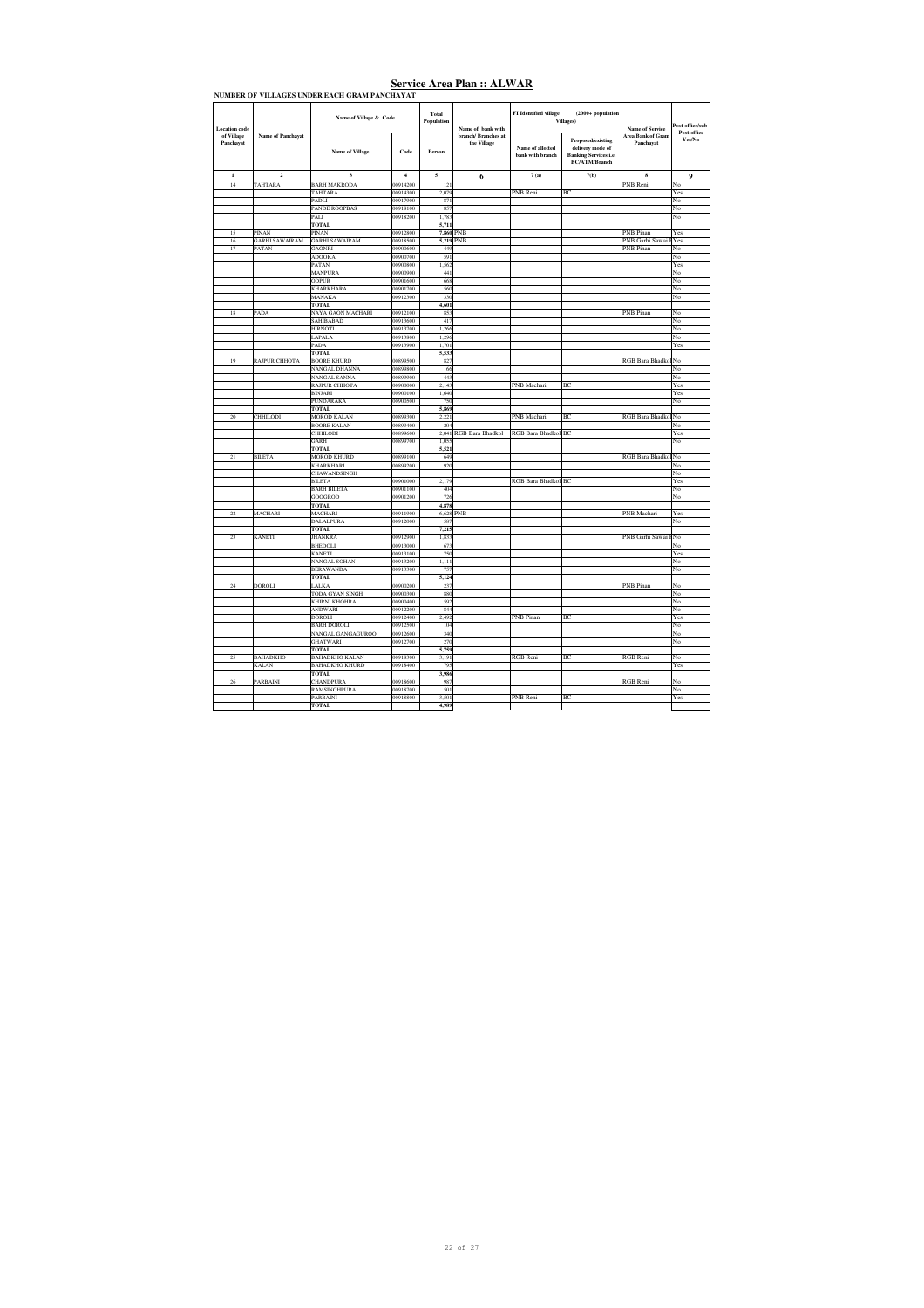| NUMBER OF VILLAGES UNDER EACH GRAM PANCHAYAT |                          |                                                |                         |                     |                                    |                                      |                                                                                                      |                                       |                        |  |
|----------------------------------------------|--------------------------|------------------------------------------------|-------------------------|---------------------|------------------------------------|--------------------------------------|------------------------------------------------------------------------------------------------------|---------------------------------------|------------------------|--|
| Location code                                |                          | Name of Village & Code                         |                         | Total<br>Population | Name of hank with                  | FI Identified village                | $(2000 + population$<br>Villages)                                                                    | Name of Service                       | Post office/sub-       |  |
| of Village<br>Panchayat                      | Name of Panchayat        | <b>Name of Village</b>                         | Code                    | Person              | branch/ Branches at<br>the Village | Name of allotted<br>bank with branch | <b>Proposed/existing</b><br>delivery mode of<br><b>Banking Services i.e.</b><br><b>BC/ATM/Branch</b> | <b>Area Bank of Gram</b><br>Panchavat | Post office<br>Yes/No  |  |
| $\mathbf{1}$                                 | $\overline{\mathbf{c}}$  | 3                                              | $\overline{\mathbf{4}}$ | 5                   | 6                                  | 7(a)                                 | 7(b)                                                                                                 | 8                                     | $\mathbf Q$            |  |
| $\overline{14}$                              | TAHTARA                  | <b>BARH MAKRODA</b>                            | 00914200                | 121                 |                                    |                                      |                                                                                                      | PNB Reni                              | No                     |  |
|                                              |                          | TAHTARA                                        | 00914300                | 2.079               |                                    | PNB Reni                             | BC                                                                                                   |                                       | Yes                    |  |
|                                              |                          | PADLI                                          | 00917900                | 871                 |                                    |                                      |                                                                                                      |                                       | No                     |  |
|                                              |                          | <b>PANDE ROOPBAS</b><br>PALI                   | 00918100<br>00918200    | 857<br>1,783        |                                    |                                      |                                                                                                      |                                       | No<br>No               |  |
|                                              |                          | TOTAL                                          |                         | 5,711               |                                    |                                      |                                                                                                      |                                       |                        |  |
| 15                                           | PINAN                    | PINAN                                          | 00912800                | 7,860 PNB           |                                    |                                      |                                                                                                      | <b>PNB Pinan</b>                      | Yes                    |  |
| 16                                           | <b>GARHI SAWAIRAM</b>    | <b>GARHI SAWAIRAM</b>                          | 00918500                | 5,219 PNB           |                                    |                                      |                                                                                                      | PNB Garhi Sawai I Yes                 |                        |  |
| 17                                           | PATAN                    | <b>GAONRI</b>                                  | 00900600                | 449                 |                                    |                                      |                                                                                                      | <b>PNB</b> Pinan                      | No                     |  |
|                                              |                          | <b>ADOOKA</b>                                  | 00900700                | 591                 |                                    |                                      |                                                                                                      |                                       | No                     |  |
|                                              |                          | PATAN                                          | 00900800                | 1.562               |                                    |                                      |                                                                                                      |                                       | Yes                    |  |
|                                              |                          | <b>MANPURA</b><br>ODPUR                        | 00900900<br>00901600    | 441<br>668          |                                    |                                      |                                                                                                      |                                       | No<br>No               |  |
|                                              |                          | KHARKHARA                                      | 00901700                | 560                 |                                    |                                      |                                                                                                      |                                       | No                     |  |
|                                              |                          | MANAKA                                         | 00912300                | 330                 |                                    |                                      |                                                                                                      |                                       | No                     |  |
|                                              |                          | <b>TOTAL</b>                                   |                         | 4,601               |                                    |                                      |                                                                                                      |                                       |                        |  |
| 18                                           | PADA                     | NAYA GAON MACHARI                              | 00912100                | 853                 |                                    |                                      |                                                                                                      | <b>PNB</b> Pinan                      | No                     |  |
|                                              |                          | <b>SAHIBABAD</b>                               | 00913600                | 417                 |                                    |                                      |                                                                                                      |                                       | No                     |  |
|                                              |                          | <b>HIRNOTI</b>                                 | 00913700                | 1.266               |                                    |                                      |                                                                                                      |                                       | No                     |  |
|                                              |                          | LAPALA<br>PADA                                 | 00913800<br>00913900    | 1,296<br>1,701      |                                    |                                      |                                                                                                      |                                       | No<br>Yes              |  |
|                                              |                          | <b>TOTAL</b>                                   |                         | 5,533               |                                    |                                      |                                                                                                      |                                       |                        |  |
| 19                                           | <b>RAJPUR CHHOTA</b>     | <b>BOORE KHURD</b>                             | 00899500                | 827                 |                                    |                                      |                                                                                                      | RGB Bara Bhadkol                      | No                     |  |
|                                              |                          | <b>NANGAL DHANNA</b>                           | 00899800                | 66                  |                                    |                                      |                                                                                                      |                                       | No                     |  |
|                                              |                          | NANGAL SANNA                                   | 00899900                | 443                 |                                    |                                      |                                                                                                      |                                       | No                     |  |
|                                              |                          | <b>RAJPUR CHHOTA</b>                           | 00900000                | 2.143               |                                    | PNB Machari                          | BC                                                                                                   |                                       | Yes                    |  |
|                                              |                          | <b>BINJARI</b>                                 | 00900100                | 1,640               |                                    |                                      |                                                                                                      |                                       | Yes                    |  |
|                                              |                          | PUNDARAKA<br><b>TOTAL</b>                      | 00900500                | 750<br>5.869        |                                    |                                      |                                                                                                      |                                       | No                     |  |
| 20                                           | <b>CHHILODI</b>          | <b>MOROD KALAN</b>                             | 00899300                | 2.221               |                                    | PNB Machari                          | BC                                                                                                   | RGB Bara Bhadkol                      | No                     |  |
|                                              |                          | <b>BOORE KALAN</b>                             | 00899400                | 204                 |                                    |                                      |                                                                                                      |                                       | No                     |  |
|                                              |                          | <b>CHHILODI</b>                                | 00899600                | 2,041               | RGB Bara Bhadkol                   | RGB Bara Bhadkol BC                  |                                                                                                      |                                       | Yes                    |  |
|                                              |                          | GARH                                           | 00899700                | 1,055               |                                    |                                      |                                                                                                      |                                       | No                     |  |
|                                              |                          | <b>TOTAL</b>                                   |                         | 5,521               |                                    |                                      |                                                                                                      |                                       |                        |  |
| 21                                           | <b>BILETA</b>            | <b>MOROD KHURD</b>                             | 00899100                | 649                 |                                    |                                      |                                                                                                      | <b>RGB</b> Bara Bhadko                | No                     |  |
|                                              |                          | KHARKHARI<br>CHAWANDSINGH                      | 00899200                | 920                 |                                    |                                      |                                                                                                      |                                       | No<br>No               |  |
|                                              |                          | <b>BILETA</b>                                  | 00901000                | 2,179               |                                    | RGB Bara Bhadkol BC                  |                                                                                                      |                                       | Yes                    |  |
|                                              |                          | <b>BARH BILETA</b>                             | 00901100                | 404                 |                                    |                                      |                                                                                                      |                                       | No                     |  |
|                                              |                          | GOOGROD                                        | 00901200                | 726                 |                                    |                                      |                                                                                                      |                                       | No                     |  |
|                                              |                          | <b>TOTAL</b>                                   |                         | 4,878               |                                    |                                      |                                                                                                      |                                       |                        |  |
| 22                                           | <b>MACHARI</b>           | <b>MACHARI</b>                                 | 00911900                | 6,628               | PNB                                |                                      |                                                                                                      | PNB Machari                           | Yes                    |  |
|                                              |                          | DALALPURA                                      | 00912000                | 587                 |                                    |                                      |                                                                                                      |                                       | No                     |  |
| 23                                           | <b>KANETI</b>            | <b>TOTAL</b><br><b>JHANKRA</b>                 | 00912900                | 7,215<br>1,833      |                                    |                                      |                                                                                                      | PNB Garhi Sawai                       | No                     |  |
|                                              |                          | BHEDOLI                                        | 00913000                | 673                 |                                    |                                      |                                                                                                      |                                       | No                     |  |
|                                              |                          | KANETI                                         | 00913100                | 750                 |                                    |                                      |                                                                                                      |                                       | Yes                    |  |
|                                              |                          | NANGAL SOHAN                                   | 00913200                | 1,111               |                                    |                                      |                                                                                                      |                                       | No                     |  |
|                                              |                          | <b>BERAWANDA</b>                               | 00913300                | 757                 |                                    |                                      |                                                                                                      |                                       | No                     |  |
|                                              |                          | <b>TOTAL</b>                                   |                         | 5,124               |                                    |                                      |                                                                                                      |                                       |                        |  |
| $\overline{24}$                              | <b>DOROLI</b>            | LALKA                                          | 00900200                | 237                 |                                    |                                      |                                                                                                      | <b>PNB</b> Pinan                      | No                     |  |
|                                              |                          | TODA GYAN SINGH<br>KHIRNI KHOHRA               | 00900300<br>00900400    | 880<br>592          |                                    |                                      |                                                                                                      |                                       | No<br>No               |  |
|                                              |                          | ANDWARI                                        | 00912200                | 844                 |                                    |                                      |                                                                                                      |                                       | No                     |  |
|                                              |                          | DOROLI                                         | 00912400                | 2,492               |                                    | PNB Pinan                            | BC                                                                                                   |                                       | Yes                    |  |
|                                              |                          | <b>BARH DOROLI</b>                             | 00912500                | 104                 |                                    |                                      |                                                                                                      |                                       | No                     |  |
|                                              |                          | NANGAL GANGAGUROO                              | 00912600                | 340                 |                                    |                                      |                                                                                                      |                                       | No                     |  |
|                                              |                          | GHATWARI                                       | 00912700                | 270                 |                                    |                                      |                                                                                                      |                                       | No                     |  |
|                                              |                          | <b>TOTAL</b>                                   |                         | 5,759               |                                    |                                      |                                                                                                      |                                       |                        |  |
| 25                                           | BAHADKHO<br><b>KALAN</b> | <b>BAHADKHO KALAN</b><br><b>BAHADKHO KHURD</b> | 00918300<br>00918400    | 3,191<br>79:        |                                    | <b>RGB</b> Reni                      | ВC                                                                                                   | <b>RGB</b> Reni                       | No<br>Yes              |  |
|                                              |                          | <b>TOTAL</b>                                   |                         | 3,986               |                                    |                                      |                                                                                                      |                                       |                        |  |
| 26                                           | <b>PARRAINI</b>          | <b>CHANDPURA</b>                               | 00918600                | 981                 |                                    |                                      |                                                                                                      | <b>RGB</b> Reni                       | No                     |  |
|                                              |                          | RAMSINGHPURA                                   | 00918700                | 501                 |                                    |                                      |                                                                                                      |                                       | $\overline{\text{No}}$ |  |
|                                              |                          | PARBAINI                                       | 00918800                | 3,501               |                                    | PNB Reni                             | BC                                                                                                   |                                       | Yes                    |  |
|                                              |                          | <b>TOTAL</b>                                   |                         | 4.989               |                                    |                                      |                                                                                                      |                                       |                        |  |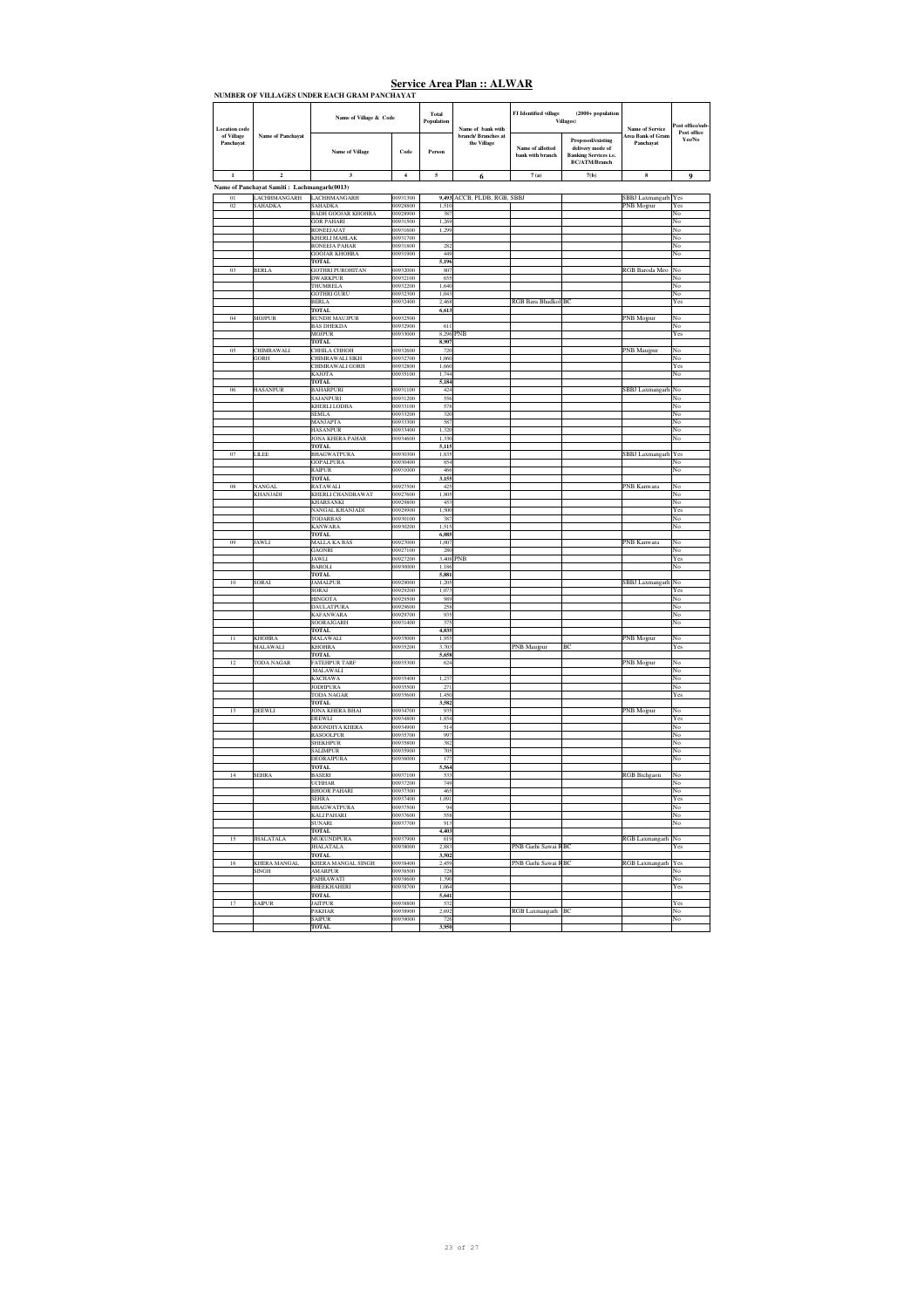|                                    | <b>Name of Panchayat</b>                    | Name of Village & Code                      |                      | Total<br>Population<br>Name of bank with<br>branch/ Branches at | FI Identified village<br>$(2000 + population$ |                                      |                                                                                                      |                                             |                                 |
|------------------------------------|---------------------------------------------|---------------------------------------------|----------------------|-----------------------------------------------------------------|-----------------------------------------------|--------------------------------------|------------------------------------------------------------------------------------------------------|---------------------------------------------|---------------------------------|
| <b>Location</b> code<br>of Village |                                             |                                             |                      |                                                                 |                                               | Villages)                            |                                                                                                      | <b>Name of Service</b><br>Area Bank of Gram | Post office/sub-<br>Post office |
| Panchayat                          |                                             | <b>Name of Village</b>                      | Code                 | Person                                                          | the Village                                   | Name of allotted<br>bank with branch | <b>Proposed/existing</b><br>delivery mode of<br><b>Banking Services i.e.</b><br><b>BC/ATM/Branch</b> | Panchayat                                   | Yes/No                          |
| $\mathbf 1$                        | $\mathbf 2$                                 | 3                                           | $\boldsymbol{4}$     | 5                                                               | 6                                             | $7\,\mathrm{(a)}$                    | 7(b)                                                                                                 | 8                                           | 9                               |
|                                    | Name of Panchayat Samiti: Lachmangarh(0013) |                                             |                      |                                                                 |                                               |                                      |                                                                                                      |                                             |                                 |
| 01                                 | LACHHMANGARH                                | LACHHMANGARH                                | 00931300             | 9.493                                                           | ACCB, PLDB, RGB, SBBJ                         |                                      |                                                                                                      | <b>SBBJ</b> Laxmangarh Yes                  |                                 |
| 02                                 | <b>SAHADKA</b>                              | <b>SAHADKA</b><br><b>BADH GOOJAR KHOHRA</b> | 00928800<br>00928900 | 1,510<br>387                                                    |                                               |                                      |                                                                                                      | <b>PNB</b> Mojpur                           | Yes<br>No                       |
|                                    |                                             | <b>GOR PAHARI</b>                           | 00931500             | 1,269                                                           |                                               |                                      |                                                                                                      |                                             | No                              |
|                                    |                                             | <b>RONEEJAJAT</b>                           | 00931600             | 1,299                                                           |                                               |                                      |                                                                                                      |                                             | No                              |
|                                    |                                             | KHERLI MAHLAK<br>RONEEJA PAHAR              | 00931700<br>00931800 | 282                                                             |                                               |                                      |                                                                                                      |                                             | No<br>No                        |
|                                    |                                             | <b>GOOJAR KHOHRA</b>                        | 00931900             | 449                                                             |                                               |                                      |                                                                                                      |                                             | No                              |
|                                    |                                             | <b>TOTAL</b>                                |                      | 5,196                                                           |                                               |                                      |                                                                                                      |                                             |                                 |
| 0 <sup>3</sup>                     | <b>BERLA</b>                                | <b>GOTHRI PUROHITAN</b><br><b>DWARKPUR</b>  | 00932000<br>00932100 | 807<br>655                                                      |                                               |                                      |                                                                                                      | RGB Baroda Meo                              | No<br>No                        |
|                                    |                                             | THUMRELA                                    | 00932200             | 1,640                                                           |                                               |                                      |                                                                                                      |                                             | No                              |
|                                    |                                             | <b>GOTHRI GURU</b>                          | 00932300<br>00932400 | 1,043                                                           |                                               | RGB Bara Bhadkol                     |                                                                                                      |                                             | No                              |
|                                    |                                             | <b>BERLA</b><br><b>TOTAL</b>                |                      | 2,468<br>6,613                                                  |                                               |                                      | BC                                                                                                   |                                             | Yes                             |
| $04\,$                             | <b>MOJPUR</b>                               | <b>RUNDH MAUJPUR</b>                        | 00932500             |                                                                 |                                               |                                      |                                                                                                      | PNB Mojpur                                  | No                              |
|                                    |                                             | <b>BAS DHEKDA</b><br>MOJPUR                 | 00932900<br>00933000 | 611<br>8,296                                                    | PNB                                           |                                      |                                                                                                      |                                             | No                              |
|                                    |                                             | <b>TOTAL</b>                                |                      | 8,907                                                           |                                               |                                      |                                                                                                      |                                             | Yes                             |
| $05\,$                             | CHIMRAWALI                                  | СННІLА СННОН                                | 00932600             | 720                                                             |                                               |                                      |                                                                                                      | PNB Maujpur                                 | $_{\rm No}$                     |
|                                    | <b>GORH</b>                                 | CHIMRAWALI SIKH<br>CHIMRAWALI GORH          | 00932700<br>0932800  | 1.060<br>1,660                                                  |                                               |                                      |                                                                                                      |                                             | No<br>Yes                       |
|                                    |                                             | KAJOTA                                      | 00935100             | 1,744                                                           |                                               |                                      |                                                                                                      |                                             | No                              |
|                                    |                                             | TOTAL                                       |                      | 5,184                                                           |                                               |                                      |                                                                                                      |                                             |                                 |
| 06                                 | <b>HASANPUR</b>                             | <b>BAHARPURI</b><br>SAJANPURI               | 00931100<br>00931200 | 424<br>556                                                      |                                               |                                      |                                                                                                      | <b>SBBJ</b> Laxmangarh                      | No<br>No                        |
|                                    |                                             | <b>KHERLI LODHA</b>                         | 00933100             | 578                                                             |                                               |                                      |                                                                                                      |                                             | No                              |
|                                    |                                             | <b>SEMLA</b>                                | 00933200             | 320                                                             |                                               |                                      |                                                                                                      |                                             | No                              |
|                                    |                                             | <b>MANJAPTA</b><br><b>HASANPUR</b>          | 00933300<br>00933400 | 587<br>1.320                                                    |                                               |                                      |                                                                                                      |                                             | No<br>No                        |
|                                    |                                             | <b>JONA KHERA PAHAR</b>                     | 00934600             | 1,330                                                           |                                               |                                      |                                                                                                      |                                             | No                              |
|                                    |                                             | <b>TOTAL</b>                                |                      | 5,115                                                           |                                               |                                      |                                                                                                      |                                             |                                 |
| 07                                 | LILEE                                       | <b>BHAGWATPURA</b><br><b>GOPALPURA</b>      | 00930300<br>00930400 | 1,835<br>854                                                    |                                               |                                      |                                                                                                      | SBBJ Laxmangarh                             | Yes<br>No                       |
|                                    |                                             | <b>RAIPUR</b>                               | 00931000             | 466                                                             |                                               |                                      |                                                                                                      |                                             | No                              |
|                                    |                                             | <b>TOTAL</b>                                |                      | 3,155                                                           |                                               |                                      |                                                                                                      |                                             |                                 |
| 08                                 | <b>NANGAL</b><br><b>KHANJADI</b>            | RATAWALI<br>KHERLI CHANDRAWAT               | 00927500<br>00927600 | 425<br>1,805                                                    |                                               |                                      |                                                                                                      | PNB Kanwara                                 | No<br>No                        |
|                                    |                                             | KHARSANKI                                   | 00929800             | 453                                                             |                                               |                                      |                                                                                                      |                                             | No                              |
|                                    |                                             | NANGAL KHANJADI                             | 00929900             | 1,500                                                           |                                               |                                      |                                                                                                      |                                             | Yes                             |
|                                    |                                             | <b>TODARBAS</b><br><b>KANWARA</b>           | 00930100<br>00930200 | 387<br>1.515                                                    |                                               |                                      |                                                                                                      |                                             | No<br>No                        |
|                                    |                                             | TOTAL                                       |                      | 6,085                                                           |                                               |                                      |                                                                                                      |                                             |                                 |
| 09                                 | JAWLI                                       | <b>MALLA KA BAS</b><br>GAONRI               | 00927000<br>00927100 | 1.007<br>280                                                    |                                               |                                      |                                                                                                      | PNB Kanwara                                 | No<br>No                        |
|                                    |                                             | <b>JAWLI</b>                                | 00927200             | 3,408                                                           | <b>PNB</b>                                    |                                      |                                                                                                      |                                             | Yes                             |
|                                    |                                             | <b>BAROLI</b>                               | 00930000             | 1,186                                                           |                                               |                                      |                                                                                                      |                                             | No                              |
| 10                                 | <b>SORAI</b>                                | <b>TOTAL</b><br><b>JAMALPUR</b>             | 00929000             | 5,881<br>1,205                                                  |                                               |                                      |                                                                                                      | SBBJ Laxmangarh                             | No                              |
|                                    |                                             | SORAI                                       | 00929200             | 1,073                                                           |                                               |                                      |                                                                                                      |                                             | Yes                             |
|                                    |                                             | <b>HINGOTA</b>                              | 00929500             | 989                                                             |                                               |                                      |                                                                                                      |                                             | No                              |
|                                    |                                             | DAULATPURA<br><b>KAFANWARA</b>              | 00929600<br>00929700 | 258<br>935                                                      |                                               |                                      |                                                                                                      |                                             | No<br>No                        |
|                                    |                                             | SOORAJGARH                                  | 00931400             | 375                                                             |                                               |                                      |                                                                                                      |                                             | No                              |
| 11                                 | <b>KHOHRA</b>                               | <b>TOTAL</b>                                | 00935000             | 4,835                                                           |                                               |                                      |                                                                                                      |                                             |                                 |
|                                    | MALAWALI                                    | MALAWALI<br>KHOHRA                          | 00935200             | 1.955<br>3,703                                                  |                                               | PNB Maujpur                          |                                                                                                      | PNB Mojpur                                  | No<br>Yes                       |
|                                    |                                             | TOTAL                                       |                      | 5,658                                                           |                                               |                                      |                                                                                                      |                                             |                                 |
| 12                                 | <b>TODA NAGAR</b>                           | <b>FATEHPUR TARF</b>                        | 00935300             | 624                                                             |                                               |                                      |                                                                                                      | PNB Mojpur                                  | No                              |
|                                    |                                             | <b>MALAWALI</b><br><b>KACHAWA</b>           | 00935400             | 1,237                                                           |                                               |                                      |                                                                                                      |                                             | No<br>No                        |
|                                    |                                             | <b>JODHPURA</b>                             | 00935500             | 271                                                             |                                               |                                      |                                                                                                      |                                             | No                              |
|                                    |                                             | <b>TODA NAGAR</b><br>TOTAL                  | 00935600             | 1,450<br>3,582                                                  |                                               |                                      |                                                                                                      |                                             | Yes                             |
| 13                                 | <b>DEEWLI</b>                               | JONA KHERA BHAI                             | 00934700             | 935                                                             |                                               |                                      |                                                                                                      | PNB Mojpur                                  | No                              |
|                                    |                                             | DEEWLI                                      | 00934800             | 1,854                                                           |                                               |                                      |                                                                                                      |                                             | Yes                             |
|                                    |                                             | MOONDIYA KHERA<br>RASOOLPUR                 | 00934900<br>00935700 | 514<br>997                                                      |                                               |                                      |                                                                                                      |                                             | No<br>No                        |
|                                    |                                             | <b>SHEKHPUR</b>                             | 00935800             | 382                                                             |                                               |                                      |                                                                                                      |                                             | No                              |
|                                    |                                             | <b>SALIMPUR</b><br><b>DEORAJPURA</b>        | 00935900<br>00936000 | 705<br>177                                                      |                                               |                                      |                                                                                                      |                                             | No<br>No                        |
|                                    |                                             | TOTAL                                       |                      | 5,564                                                           |                                               |                                      |                                                                                                      |                                             |                                 |
| 14                                 | <b>SEHRA</b>                                | <b>BASERI</b>                               | 00937100             | 533                                                             |                                               |                                      |                                                                                                      | <b>RGB</b> Bichgaon                         | No                              |
|                                    |                                             | <b>UCHHAR</b><br><b>BHOOR PAHARI</b>        | 00937200<br>00937300 | 749<br>465                                                      |                                               |                                      |                                                                                                      |                                             | No<br>No                        |
|                                    |                                             | <b>SEHRA</b>                                | 00937400             | 1,091                                                           |                                               |                                      |                                                                                                      |                                             | Yes                             |
|                                    |                                             | <b>BHAGWATPURA</b>                          | 00937500             | 94                                                              |                                               |                                      |                                                                                                      |                                             | No                              |
|                                    |                                             | <b>KALI PAHARI</b><br>SUNARI                | 00937600<br>00937700 | 558<br>913                                                      |                                               |                                      |                                                                                                      |                                             | No<br>No                        |
|                                    |                                             | <b>TOTAL</b>                                |                      | 4,403                                                           |                                               |                                      |                                                                                                      |                                             |                                 |
| 15                                 | <b>JHALATALA</b>                            | MUKUNDPURA                                  | 00937900             | 619                                                             |                                               |                                      |                                                                                                      | RGB Laxmangarh                              | $\mathrm{No}$                   |
|                                    |                                             | <b>JHALATALA</b><br>TOTAL                   | 00938000             | 2,883<br>3,502                                                  |                                               | PNB Garhi Sawai R                    | BС                                                                                                   |                                             | Yes                             |
| 16                                 | <b>KHERA MANGAL</b>                         | KHERA MANGAL SINGH                          | 00938400             | 2,459                                                           |                                               | PNB Garhi Sawai RBC                  |                                                                                                      | RGB Laxmangarh                              | Yes                             |
|                                    | SINGH                                       | <b>AMARPUR</b>                              | 00938500             | 728                                                             |                                               |                                      |                                                                                                      |                                             | No                              |
|                                    |                                             | PAHRAWATI<br><b>BHEEKHAHERI</b>             | 00938600<br>00938700 | 1,390<br>1.064                                                  |                                               |                                      |                                                                                                      |                                             | No<br>Yes                       |
|                                    |                                             | <b>TOTAL</b>                                |                      | 5,641                                                           |                                               |                                      |                                                                                                      |                                             |                                 |
| 17                                 | <b>SAIPUR</b>                               | <b>JAITPUR</b><br><b>PAKHAR</b>             | 00938800<br>00938900 | 532<br>2,692                                                    |                                               |                                      |                                                                                                      |                                             | Yes                             |
|                                    |                                             | <b>SAIPUR</b>                               | 00939000             | 726                                                             |                                               | RGB Laxmangarh BC                    |                                                                                                      |                                             | No<br>No                        |
|                                    |                                             | <b>TOTAL</b>                                |                      | 3,950                                                           |                                               |                                      |                                                                                                      |                                             |                                 |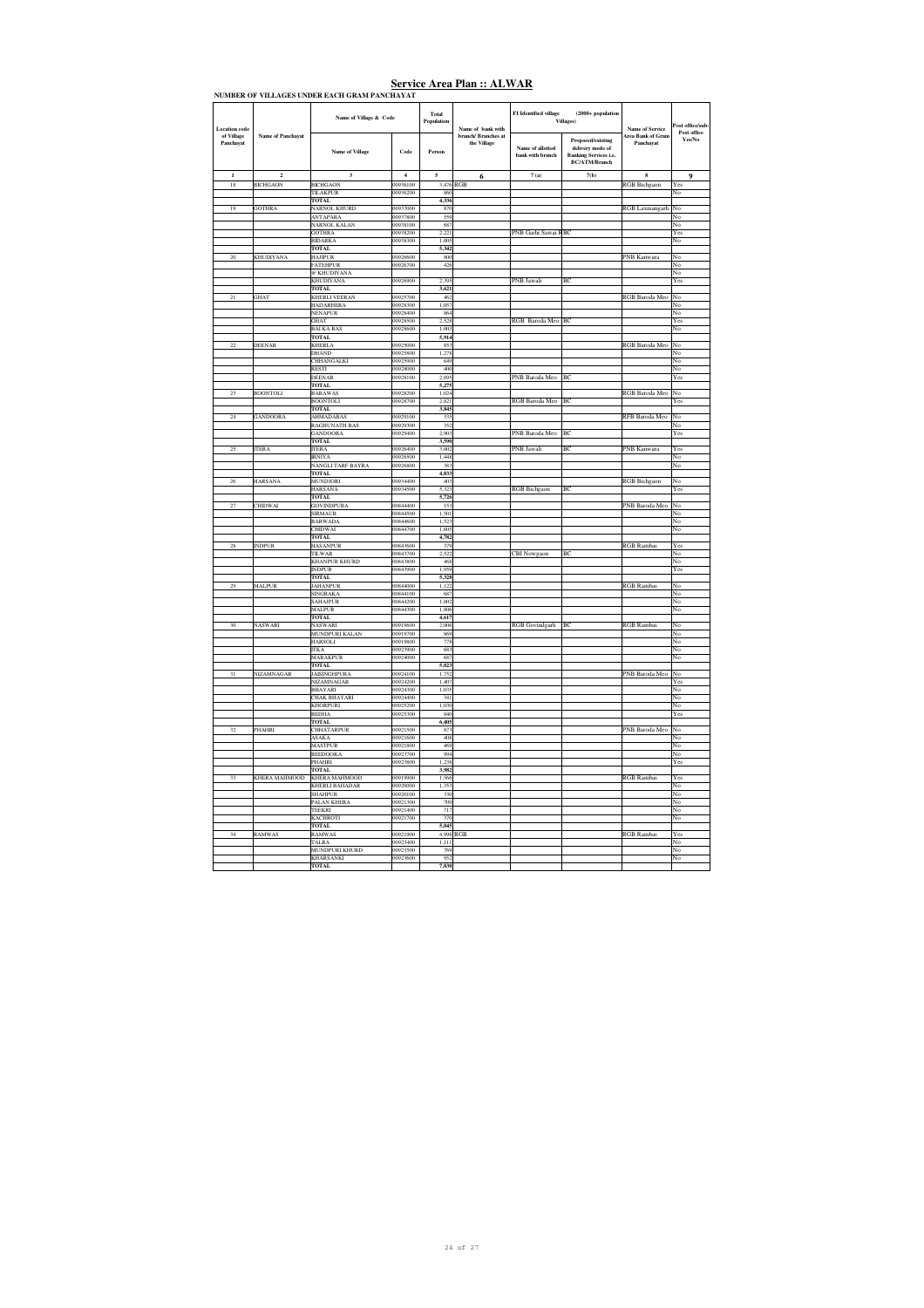| <b>Location</b> code    |                          | Name of Village & Code                 |                      | Total<br>Population<br>Name of bank with | FI Identified village              | $(2000 + population$<br><b>Villages</b> ) | <b>Name of Service</b>                                                                        | 'ost office/sub<br>Post office        |                                                                                 |
|-------------------------|--------------------------|----------------------------------------|----------------------|------------------------------------------|------------------------------------|-------------------------------------------|-----------------------------------------------------------------------------------------------|---------------------------------------|---------------------------------------------------------------------------------|
| of Village<br>Panchayat | <b>Name of Panchayat</b> | Name of Village                        | Code                 | Person                                   | branch/ Branches at<br>the Village | Name of allotted<br>bank with branch      | Proposed/existing<br>delivery mode of<br><b>Banking Services i.e.</b><br><b>BC/ATM/Branch</b> | <b>Area Bank of Gran</b><br>Panchayat | Yes/No                                                                          |
| 1                       | $\overline{2}$           | $\overline{\mathbf{3}}$                | $\overline{4}$       | $\mathbf{s}$                             | 6                                  | 7(a)                                      | 7(b)                                                                                          | 8                                     | 9                                                                               |
| 18                      | <b>BICHGAON</b>          | <b>BICHGAON</b>                        | 00936100             |                                          | 3,476 RGB                          |                                           |                                                                                               | <b>RGB</b> Bichgaon                   | $\operatorname*{Yes}% \left( X\right) \equiv\operatorname*{Yes}\left( X\right)$ |
|                         |                          | TILAKPUR                               | 00936200             | 860                                      |                                    |                                           |                                                                                               |                                       | No                                                                              |
|                         |                          | <b>TOTAL</b>                           |                      | 4,336                                    |                                    |                                           |                                                                                               |                                       |                                                                                 |
| 19                      | <b>GOTHRA</b>            | <b>NARNOL KHURD</b><br><b>ANTAPARA</b> | 00937000<br>00937800 | 870<br>559                               |                                    |                                           |                                                                                               | RGB Laxmangarh                        | No<br>No                                                                        |
|                         |                          | <b>NARNOL KALAN</b>                    | 00938100             | 687                                      |                                    |                                           |                                                                                               |                                       | No                                                                              |
|                         |                          | <b>GOTHRA</b>                          | 00938200             | 2.221                                    |                                    | PNB Garhi Sawai RBC                       |                                                                                               |                                       | Yes                                                                             |
|                         |                          | <b>BIDARKA</b>                         | 00938300             | 1.005                                    |                                    |                                           |                                                                                               |                                       | No                                                                              |
|                         |                          | TOTAL.                                 |                      | 5.342                                    |                                    |                                           |                                                                                               |                                       |                                                                                 |
| $\rm 20$                | <b>KHUDIYANA</b>         | <b>HAJIPUR</b>                         | 00926600             | 800                                      |                                    |                                           |                                                                                               | PNB Kanwara                           | No                                                                              |
|                         |                          | <b>FATEHPUR</b>                        | 00926700             | 426                                      |                                    |                                           |                                                                                               |                                       | No                                                                              |
|                         |                          | <b>EXHUDIYANA</b>                      |                      |                                          |                                    |                                           |                                                                                               |                                       | No                                                                              |
|                         |                          | KHUDIYANA<br>TOTAL                     | 00926900             | 2,395<br>3,621                           |                                    | PNB Jawali                                | BC                                                                                            |                                       | Yes                                                                             |
| $\overline{21}$         | GHAT                     | <b>KHERLI VEERAN</b>                   | 00925700             | 462                                      |                                    |                                           |                                                                                               | RGB Baroda Meo                        | No                                                                              |
|                         |                          | <b>HADARHERA</b>                       | 00928300             | 1.057                                    |                                    |                                           |                                                                                               |                                       | No                                                                              |
|                         |                          | <b>NENAPUR</b>                         | 00928400             | 864                                      |                                    |                                           |                                                                                               |                                       | No                                                                              |
|                         |                          | <b>GHAT</b>                            | 00928500             | 2.528                                    |                                    | RGB Baroda Meo BC                         |                                                                                               |                                       | Yes                                                                             |
|                         |                          | <b>BAI KA BAS</b>                      | 00928600             | 1,003                                    |                                    |                                           |                                                                                               |                                       | No                                                                              |
|                         |                          | <b>TOTAL</b>                           |                      | 5,914                                    |                                    |                                           |                                                                                               |                                       |                                                                                 |
| $^{22}$                 | DEENAR                   | KHERLA<br><b>DHAND</b>                 | 00925000<br>00925800 | 852<br>1.278                             |                                    |                                           |                                                                                               | RGB Baroda Meo                        | No                                                                              |
|                         |                          | CHHANGALKI                             | 00925900             | 649                                      |                                    |                                           |                                                                                               |                                       | No<br>No                                                                        |
|                         |                          | <b>RESTI</b>                           | 00928000             | 400                                      |                                    |                                           |                                                                                               |                                       | No                                                                              |
|                         |                          | <b>DEENAR</b>                          | 00928100             | 2.095                                    |                                    | PNB Baroda Meo BC                         |                                                                                               |                                       | Yes                                                                             |
|                         |                          | TOTAL.                                 |                      | 5.275                                    |                                    |                                           |                                                                                               |                                       |                                                                                 |
| $\bf 23$                | <b>BOONTOLI</b>          | <b>BARAWAS</b>                         | 00928200             | 1,024                                    |                                    |                                           |                                                                                               | RGB Baroda Meo                        | No                                                                              |
|                         |                          | <b>BOONTOLI</b>                        | 00928700             | 2,821                                    |                                    | RGB Baroda Meo BC                         |                                                                                               |                                       | Yes                                                                             |
|                         |                          | <b>TOTAL</b>                           |                      | 3,845                                    |                                    |                                           |                                                                                               |                                       |                                                                                 |
| 24                      | GANDOORA                 | AHMADABAS<br><b>RAGHUNATH BAS</b>      | 00929100<br>00929300 | 335<br>352                               |                                    |                                           |                                                                                               | RFB Baroda Meo                        | No                                                                              |
|                         |                          | <b>GANDOORA</b>                        | 00929400             | 2.903                                    |                                    | PNB Baroda Meo                            | <b>BC</b>                                                                                     |                                       | No<br>Yes                                                                       |
|                         |                          | <b>TOTAL</b>                           |                      | 3.590                                    |                                    |                                           |                                                                                               |                                       |                                                                                 |
| 25                      | <b>ITERA</b>             | <b>ITERA</b>                           | 00926400             | 3.002                                    |                                    | PNB Jawali                                | BC                                                                                            | PNB Kanwara                           | Yes                                                                             |
|                         |                          | <b>IRNIYA</b>                          | 00926500             | 1.448                                    |                                    |                                           |                                                                                               |                                       | No                                                                              |
|                         |                          | <b>NANGLI TARF BAYRA</b>               | 00926800             | 383                                      |                                    |                                           |                                                                                               |                                       | No                                                                              |
|                         |                          | <b>TOTAL</b>                           |                      | 4,833                                    |                                    |                                           |                                                                                               |                                       |                                                                                 |
| 26                      | <b>HARSANA</b>           | MUNDJORI                               | 00934400             | 403                                      |                                    |                                           | B <sub>C</sub>                                                                                | <b>RGB</b> Bichgaon                   | No                                                                              |
|                         |                          | <b>HARSANA</b><br><b>TOTAL</b>         | 00934500             | 5,323<br>5,726                           |                                    | <b>RGB</b> Bichgaon                       |                                                                                               |                                       | Yes                                                                             |
| 27                      | <b>CHIDWAI</b>           | <b>GOVINDPURA</b>                      | 00844400             | 153                                      |                                    |                                           |                                                                                               | PNB Baroda Meo                        | No                                                                              |
|                         |                          | <b>SIRMAUR</b>                         | 00844500             | 1.501                                    |                                    |                                           |                                                                                               |                                       | No                                                                              |
|                         |                          | <b>BARWADA</b>                         | 00844600             | 1.523                                    |                                    |                                           |                                                                                               |                                       | No                                                                              |
|                         |                          | <b>CHIDWAI</b>                         | 00844700             | 1,605                                    |                                    |                                           |                                                                                               |                                       | No                                                                              |
|                         |                          | <b>TOTAL</b>                           |                      | 4,782                                    |                                    |                                           |                                                                                               |                                       |                                                                                 |
| 28                      | <b>INDPUR</b>            | <b>HASANPUR</b>                        | 00843600             | 379                                      |                                    |                                           |                                                                                               | <b>RGB</b> Rambas                     | Yes                                                                             |
|                         |                          | TILWAR<br><b>KHANPUR KHURD</b>         | 00843700<br>00843800 | 2,522<br>468                             |                                    | CBI Nowgaon                               | BC                                                                                            |                                       | No<br>No                                                                        |
|                         |                          | <b>INDPUR</b>                          | 00843900             | 1,959                                    |                                    |                                           |                                                                                               |                                       | Yes                                                                             |
|                         |                          | <b>TOTAL</b>                           |                      | 5,328                                    |                                    |                                           |                                                                                               |                                       |                                                                                 |
| 29                      | <b>MALPUR</b>            | <b>JAHANPUR</b>                        | 00844000             | 1.122                                    |                                    |                                           |                                                                                               | <b>RGB</b> Rambas                     | No                                                                              |
|                         |                          | <b>SINGRAKA</b>                        | 00844100             | 687                                      |                                    |                                           |                                                                                               |                                       | No                                                                              |
|                         |                          | SAHAJPUR                               | 00844200             | 1,002                                    |                                    |                                           |                                                                                               |                                       | No                                                                              |
|                         |                          | <b>MALPUR</b>                          | 00844300             | 1,806                                    |                                    |                                           |                                                                                               |                                       | No                                                                              |
| 30                      |                          | <b>TOTAL</b>                           | 00919600             | 4,617                                    |                                    |                                           |                                                                                               |                                       |                                                                                 |
|                         | NASWARI                  | NASWARI<br>MUNDPURI KALAN              | 00919700             | 2,006<br>869                             |                                    | RGB Govindgarh BC                         |                                                                                               | <b>RGB</b> Rambas                     | No<br>No                                                                        |
|                         |                          | <b>HARSOLI</b>                         | 00919800             | 778                                      |                                    |                                           |                                                                                               |                                       | No                                                                              |
|                         |                          | <b>ITKA</b>                            | 00923900             | 683                                      |                                    |                                           |                                                                                               |                                       | No                                                                              |
|                         |                          | <b>MARAKPUR</b>                        | 00924000             | 687                                      |                                    |                                           |                                                                                               |                                       | No                                                                              |
|                         |                          | <b>TOTAL</b>                           |                      | 5,023                                    |                                    |                                           |                                                                                               |                                       |                                                                                 |
| 31                      | NIZAMNAGAR               | <b>JAISINGHPURA</b>                    | 00924100             | 1,752                                    |                                    |                                           |                                                                                               | PNB Baroda Meo                        | No                                                                              |
|                         |                          | NIZAMNAGAR                             | 00924200             | 1,407                                    |                                    |                                           |                                                                                               |                                       | Yes                                                                             |
|                         |                          | BHAYARI<br><b>CHAK BHAYARI</b>         | 00924300<br>00924400 | 1,035<br>341                             |                                    |                                           |                                                                                               |                                       | No<br>No                                                                        |
|                         |                          | <b>KHORPURI</b>                        | 00925200             | 1,030                                    |                                    |                                           |                                                                                               |                                       | No                                                                              |
|                         |                          | <b>BEDHA</b>                           | 00925300             | 840                                      |                                    |                                           |                                                                                               |                                       | Yes                                                                             |
|                         |                          | <b>TOTAL</b>                           |                      | 6,405                                    |                                    |                                           |                                                                                               |                                       |                                                                                 |
| 32                      | PHAHRI                   | <b>CHHATARPUR</b>                      | 00921500             | 873                                      |                                    |                                           |                                                                                               | PNB Baroda Meo                        | No                                                                              |
|                         |                          | ASAKA                                  | 00921600             | 408                                      |                                    |                                           |                                                                                               |                                       | No                                                                              |
|                         |                          | <b>MASTPUR</b>                         | 00921800             | 469                                      |                                    |                                           |                                                                                               |                                       | No                                                                              |
|                         |                          | <b>BEEDOOKA</b>                        | 00923700             | 994                                      |                                    |                                           |                                                                                               |                                       | No                                                                              |
|                         |                          | PHAHRI<br><b>TOTAL</b>                 | 00923800             | 1,238<br>3,982                           |                                    |                                           |                                                                                               |                                       | Yes                                                                             |
| 33                      | <b>KHERA MAHMOOD</b>     | <b>KHERA MAHMOOD</b>                   | 00919900             | 1.566                                    |                                    |                                           |                                                                                               | RGB Rambas                            | Yes                                                                             |
|                         |                          | <b>KHERLI BAHADAR</b>                  | 00920000             | 1.353                                    |                                    |                                           |                                                                                               |                                       | No                                                                              |
|                         |                          | <b>SHAHPUR</b>                         | 00920100             | 330                                      |                                    |                                           |                                                                                               |                                       | No                                                                              |
|                         |                          | PALAN KHERA                            | 00921300             | 709                                      |                                    |                                           |                                                                                               |                                       | No                                                                              |
|                         |                          | <b>TEEKRI</b>                          | 00921400             | 717                                      |                                    |                                           |                                                                                               |                                       | No                                                                              |
|                         |                          | KACHROTI                               | 00921700             | 370                                      |                                    |                                           |                                                                                               |                                       | No                                                                              |
| 34                      |                          | <b>TOTAL</b>                           |                      | 5,045                                    |                                    |                                           |                                                                                               |                                       |                                                                                 |
|                         | RAMWAS                   | RAMWAS<br>TALRA                        | 00921900<br>00923400 | 1.111                                    | 4,998 RGB                          |                                           |                                                                                               | <b>RGB</b> Rambas                     | Yes<br>No                                                                       |
|                         |                          | <b>MUNDPURI KHURD</b>                  | 00923500             | 769                                      |                                    |                                           |                                                                                               |                                       | No                                                                              |
|                         |                          | <b>KHARSANKI</b>                       | 00923600             | 952                                      |                                    |                                           |                                                                                               |                                       | No                                                                              |
|                         |                          | TOTAL                                  |                      | 7.830                                    |                                    |                                           |                                                                                               |                                       |                                                                                 |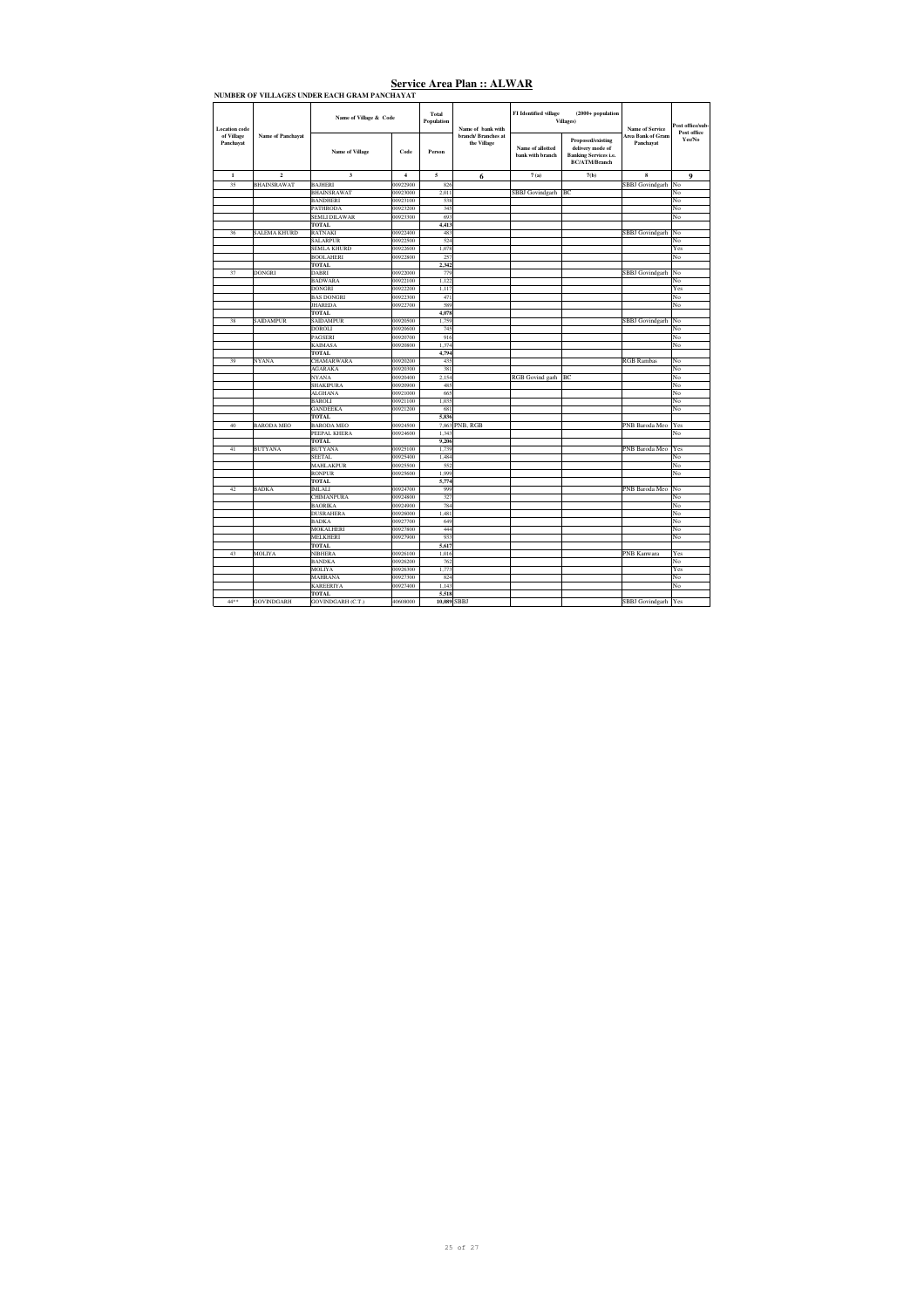| <b>Location</b> code    |                          | Name of Village & Code  |                         | Total<br>Population | Name of bank with                  | FI Identified village                | $(2000 + population$<br>Villages)                                                                    | <b>Name of Service</b>         | Post office/sub-<br>Post office |
|-------------------------|--------------------------|-------------------------|-------------------------|---------------------|------------------------------------|--------------------------------------|------------------------------------------------------------------------------------------------------|--------------------------------|---------------------------------|
| of Village<br>Panchayat | <b>Name of Panchayat</b> | <b>Name of Village</b>  | Code                    | Person              | branch/ Branches at<br>the Village | Name of allotted<br>bank with branch | <b>Proposed/existing</b><br>delivery mode of<br><b>Banking Services i.e.</b><br><b>BC/ATM/Branch</b> | Area Bank of Gram<br>Panchavat | Yes/No                          |
| $\mathbf 1$             | $\mathbf 2$              | $\overline{\mathbf{3}}$ | $\overline{\mathbf{4}}$ | 5                   | 6                                  | 7(a)                                 | 7(b)                                                                                                 | 8                              | 9                               |
| 35                      | <b>BHAINSRAWAT</b>       | <b>BAJHERI</b>          | 00922900                | 826                 |                                    |                                      |                                                                                                      | <b>SBBJ</b> Govindgarh         | No                              |
|                         |                          | <b>BHAINSRAWAT</b>      | 00923000                | 2,011               |                                    | SBBJ Govindgarh                      | BC                                                                                                   |                                | No                              |
|                         |                          | <b>BANDHERI</b>         | 00923100                | 538                 |                                    |                                      |                                                                                                      |                                | No                              |
|                         |                          | <b>PATHRODA</b>         | 00923200                | 345                 |                                    |                                      |                                                                                                      |                                | No                              |
|                         |                          | <b>SEMLI DILAWAR</b>    | 00923300                | 693                 |                                    |                                      |                                                                                                      |                                | No                              |
|                         |                          | TOTAL                   |                         | 4,413               |                                    |                                      |                                                                                                      |                                |                                 |
| 36                      | <b>SALEMA KHURD</b>      | <b>RATNAKI</b>          | 00922400                | 483                 |                                    |                                      |                                                                                                      | <b>SBBJ</b> Govindgarh         | No                              |
|                         |                          | <b>SALARPUR</b>         | 00922500                | 524                 |                                    |                                      |                                                                                                      |                                | No                              |
|                         |                          | <b>SEMLA KHURD</b>      | 00922600                | 1,078               |                                    |                                      |                                                                                                      |                                | Yes                             |
|                         |                          | <b>BOOLAHERI</b>        | 00922800                | 257                 |                                    |                                      |                                                                                                      |                                | No                              |
|                         |                          | <b>TOTAL</b>            |                         | 2,342               |                                    |                                      |                                                                                                      |                                |                                 |
| 37                      | <b>DONGRI</b>            | <b>DABRI</b>            | 00922000                | 779                 |                                    |                                      |                                                                                                      | <b>SBBJ</b> Govindgarh         | No                              |
|                         |                          | <b>BADWARA</b>          | 00922100                | 1,122               |                                    |                                      |                                                                                                      |                                | No                              |
|                         |                          | <b>DONGRI</b>           | 00922200                | 1,117               |                                    |                                      |                                                                                                      |                                | Yes                             |
|                         |                          | <b>BAS DONGRI</b>       | 00922300                | 471                 |                                    |                                      |                                                                                                      |                                | No                              |
|                         |                          | <b>JHAREDA</b>          | 00922700                | 589                 |                                    |                                      |                                                                                                      |                                | No                              |
|                         |                          | <b>TOTAL</b>            |                         | 4,078               |                                    |                                      |                                                                                                      |                                |                                 |
| 38                      | <b>SAIDAMPUR</b>         | <b>SAIDAMPUR</b>        | 00920500                | 1,759               |                                    |                                      |                                                                                                      | <b>SBBJ</b> Govindgarh         | No                              |
|                         |                          | DOROLI                  | 00920600                | 745                 |                                    |                                      |                                                                                                      |                                | No                              |
|                         |                          | PAGSERI                 | 00920700                | 916                 |                                    |                                      |                                                                                                      |                                | No                              |
|                         |                          | <b>KAIMASA</b>          | 00920800                | 1,374               |                                    |                                      |                                                                                                      |                                | No                              |
|                         |                          | <b>TOTAL</b>            |                         | 4,794               |                                    |                                      |                                                                                                      |                                |                                 |
| 39                      | <b>NYANA</b>             | CHAMARWARA              | 00920200                | 435                 |                                    |                                      |                                                                                                      | <b>RGB</b> Rambas              | No                              |
|                         |                          | AGARAKA                 | 00920300                | 381                 |                                    |                                      |                                                                                                      |                                | No                              |
|                         |                          | <b>NYANA</b>            | 00920400                | 2.154               |                                    | RGB Govind garh                      | BC                                                                                                   |                                | No                              |
|                         |                          | <b>SHAKIPURA</b>        | 00920900                | 485                 |                                    |                                      |                                                                                                      |                                | No                              |
|                         |                          | <b>ALGHANA</b>          | 00921000                | 665                 |                                    |                                      |                                                                                                      |                                | No                              |
|                         |                          | <b>BAROLI</b>           | 00921100                | 1,035               |                                    |                                      |                                                                                                      |                                | No                              |
|                         |                          | <b>GANDEEKA</b>         | 00921200                | 681                 |                                    |                                      |                                                                                                      |                                | No                              |
|                         |                          | <b>TOTAL</b>            |                         | 5,836               |                                    |                                      |                                                                                                      |                                |                                 |
| 40                      | <b>BARODA MEO</b>        | <b>BARODA MEO</b>       | 00924500                |                     | 7,863 PNB, RGB                     |                                      |                                                                                                      | PNB Baroda Meo                 | Yes                             |
|                         |                          | PEEPAL KHERA            | 00924600                | 1.343               |                                    |                                      |                                                                                                      |                                | No                              |
|                         |                          | <b>TOTAL</b>            |                         | 9,206               |                                    |                                      |                                                                                                      |                                |                                 |
| 41                      | <b>BUTYANA</b>           | <b>BUTYANA</b>          | 00925100                | 1,739               |                                    |                                      |                                                                                                      | PNB Baroda Meo                 | Yes                             |
|                         |                          | <b>SEETAL</b>           | 00925400                | 1,484               |                                    |                                      |                                                                                                      |                                | No                              |
|                         |                          | <b>MAHLAKPUR</b>        | 00925500                | 552                 |                                    |                                      |                                                                                                      |                                | No                              |
|                         |                          | <b>RONPUR</b>           | 00925600                | 1.999               |                                    |                                      |                                                                                                      |                                | No                              |
|                         |                          | <b>TOTAL</b>            |                         | 5,774               |                                    |                                      |                                                                                                      |                                |                                 |
| 42                      | <b>BADKA</b>             | <b>IMLALI</b>           | 00924700                | 999                 |                                    |                                      |                                                                                                      | PNB Baroda Meo                 | No                              |
|                         |                          | <b>CHIMANPURA</b>       | 00924800                | 327                 |                                    |                                      |                                                                                                      |                                | No                              |
|                         |                          | <b>BAORIKA</b>          | 00924900                | 784                 |                                    |                                      |                                                                                                      |                                | No                              |
|                         |                          | <b>DUSRAHERA</b>        | 00926000                | 1,481               |                                    |                                      |                                                                                                      |                                | No                              |
|                         |                          | <b>BADKA</b>            | 00927700                | 649                 |                                    |                                      |                                                                                                      |                                | No                              |
|                         |                          | <b>MOKALHERI</b>        | 00927800                | 444                 |                                    |                                      |                                                                                                      |                                | No                              |
|                         |                          | MELKHERI                | 00927900                | 933                 |                                    |                                      |                                                                                                      |                                | No                              |
|                         |                          | <b>TOTAL</b>            |                         | 5.617               |                                    |                                      |                                                                                                      |                                |                                 |
| 43                      | MOLIYA                   | <b>NIBHERA</b>          | 00926100                | 1,016               |                                    |                                      |                                                                                                      | PNB Kanwara                    | Yes                             |
|                         |                          | <b>BANDKA</b>           | 00926200                | 762                 |                                    |                                      |                                                                                                      |                                | No                              |
|                         |                          | <b>MOLIYA</b>           | 00926300                | 1,773               |                                    |                                      |                                                                                                      |                                | Yes                             |
|                         |                          | <b>MAHRANA</b>          | 00927300                | 824                 |                                    |                                      |                                                                                                      |                                | No                              |
|                         |                          | <b>KAREERIYA</b>        | 00927400                | 1,143               |                                    |                                      |                                                                                                      |                                | No                              |
|                         |                          | <b>TOTAL</b>            |                         | 5,518               |                                    |                                      |                                                                                                      |                                |                                 |
| 44**                    | <b>GOVINDGARH</b>        | GOVINDGARH (C.T.)       | 40608000                | 10,089 SBBJ         |                                    |                                      |                                                                                                      | SBBJ Govindgarh Yes            |                                 |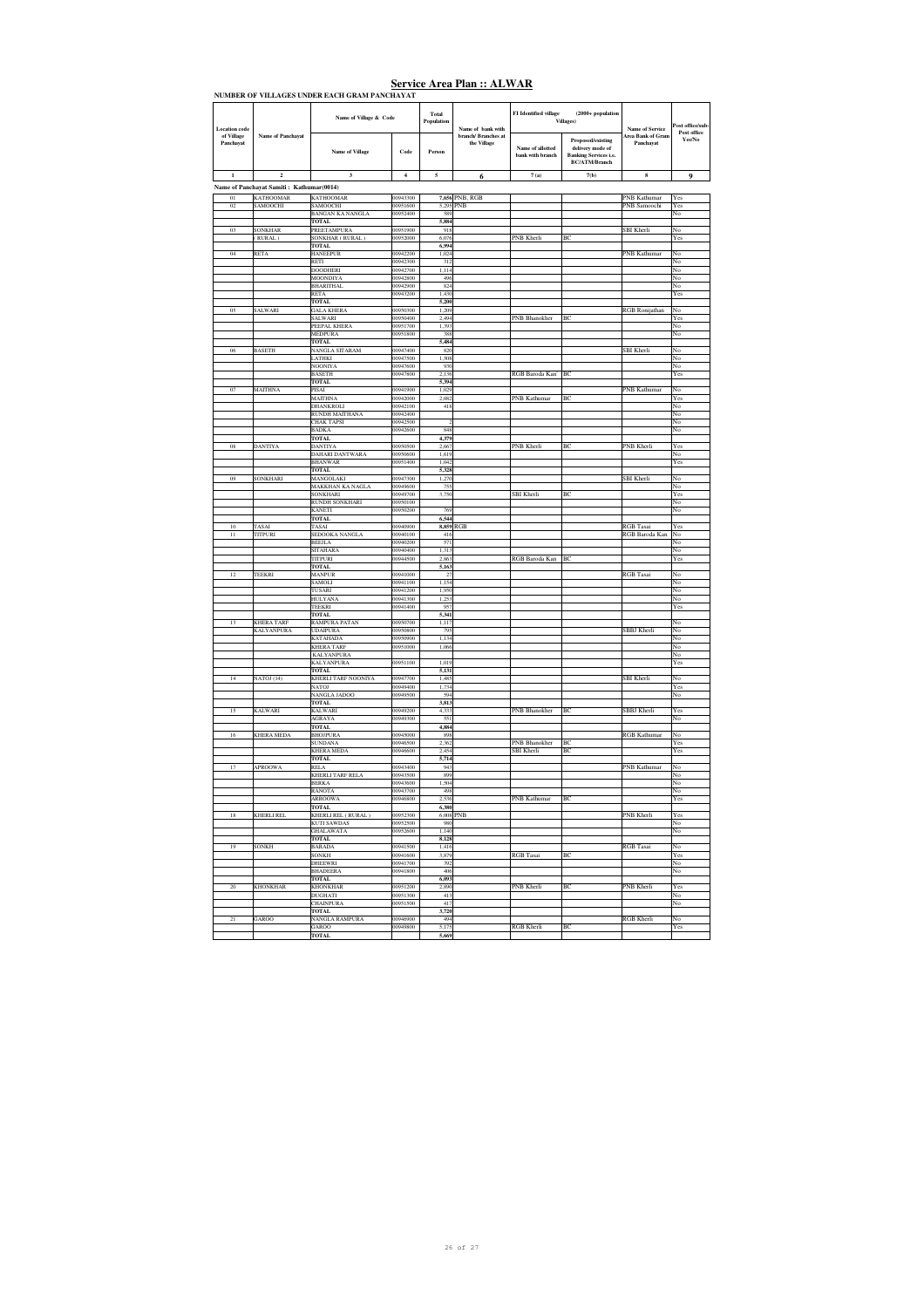| <b>Location</b> code    | <b>Name of Panchayat</b>                 | Name of Village & Code                   |                      | <b>Total</b><br>Population | Name of bank with                  | FI Identified village                | $(2000 + population$<br><b>Villages</b> )                                                            | <b>Name of Service</b>         | Post office/sub-<br>Post office |
|-------------------------|------------------------------------------|------------------------------------------|----------------------|----------------------------|------------------------------------|--------------------------------------|------------------------------------------------------------------------------------------------------|--------------------------------|---------------------------------|
| of Village<br>Panchayat |                                          | <b>Name of Village</b>                   | Code                 | Person                     | branch/ Branches at<br>the Village | Name of allotted<br>bank with branch | <b>Proposed/existing</b><br>delivery mode of<br><b>Banking Services i.e.</b><br><b>BC/ATM/Branch</b> | Area Bank of Gram<br>Panchayat | Yes/No                          |
| $\mathbf 1$             | $\mathbf 2$                              | $\mathbf 3$                              | $\bf{4}$             | 5                          | 6                                  | 7(a)                                 | 7(b)                                                                                                 | 8                              | 9                               |
|                         | Name of Panchayat Samiti: Kathumar(0014) |                                          |                      |                            |                                    |                                      |                                                                                                      |                                |                                 |
| 01                      | <b>KATHOOMAR</b>                         | <b>KATHOOMAR</b>                         | 00943300             |                            | 7,656 PNB, RGB                     |                                      |                                                                                                      | <b>PNB</b> Kathumar            | Yes                             |
| 02                      | SAMOOCHI                                 | SAMOOCHI<br><b>BANGAN KA NANGLA</b>      | 00951600<br>00952400 | 5,295 PNB<br>589           |                                    |                                      |                                                                                                      | PNB Samoochi                   | Yes<br>No                       |
|                         |                                          | TOTAL                                    |                      | 5,884                      |                                    |                                      |                                                                                                      |                                |                                 |
| 0 <sup>3</sup>          | <b>SONKHAR</b>                           | PREETAMPURA                              | 00951900             | 918                        |                                    |                                      |                                                                                                      | SBI Kherli                     | No                              |
|                         | (RURAL)                                  | SONKHAR (RURAL)<br><b>TOTAL</b>          | 00952000             | 6,076<br>6,994             |                                    | PNB Kherli                           | BC                                                                                                   |                                | Yes                             |
| 04                      | RETA                                     | <b>HANEEPUR</b>                          | 00942200             | 1,024                      |                                    |                                      |                                                                                                      | PNB Kathumar                   | No                              |
|                         |                                          | RETI<br>DOODHERI                         | 00942300<br>00942700 | 312<br>1.114               |                                    |                                      |                                                                                                      |                                | No<br>No                        |
|                         |                                          | MOONDIYA                                 | 00942800             | 496                        |                                    |                                      |                                                                                                      |                                | No                              |
|                         |                                          | <b>BHARITHAL</b>                         | 00942900             | 824                        |                                    |                                      |                                                                                                      |                                | No                              |
|                         |                                          | RETA<br><b>TOTAL</b>                     | 00943200             | 1,430<br>5,200             |                                    |                                      |                                                                                                      |                                | Yes                             |
| 05                      | SALWARI                                  | <b>GALA KHERA</b>                        | 00950300             | 1,209                      |                                    |                                      |                                                                                                      | RGB Ronijathan                 | No                              |
|                         |                                          | SALWARI<br>PEEPAL KHERA                  | 00950400<br>00951700 | 2,494<br>1,393             |                                    | PNB Bhanokher                        | BC                                                                                                   |                                | Yes<br>No                       |
|                         |                                          | MEDPURA                                  | 00951800             | 388                        |                                    |                                      |                                                                                                      |                                | No                              |
|                         |                                          | <b>TOTAL</b>                             |                      | 5.484                      |                                    |                                      |                                                                                                      |                                |                                 |
| 06                      | <b>BASETH</b>                            | <b>NANGLA SITARAM</b><br>LATHKI          | 00947400<br>00947500 | 820<br>1,508               |                                    |                                      |                                                                                                      | SBI Kherli                     | No<br>No                        |
|                         |                                          | <b>NOONIYA</b>                           | 0947600              | 930                        |                                    |                                      |                                                                                                      |                                | No                              |
|                         |                                          | <b>BASETH</b>                            | 00947800             | 2,136                      |                                    | RGB Baroda Kan`                      | BС                                                                                                   |                                | Yes                             |
| 07                      | <b>MAITHNA</b>                           | TOTAL<br>PISAI                           | 00941900             | 5,394<br>1,029             |                                    |                                      |                                                                                                      | PNB Kathumar                   | No                              |
|                         |                                          | MAITHNA                                  | 00942000             | 2,082                      |                                    | PNB Kathumar                         | BC                                                                                                   |                                | Yes                             |
|                         |                                          | DHANKROLI<br><b>RUNDH MAITHANA</b>       | 00942100<br>00942400 | 418                        |                                    |                                      |                                                                                                      |                                | No<br>No                        |
|                         |                                          | <b>CHAK TAPSI</b>                        | 00942500             | $\overline{2}$             |                                    |                                      |                                                                                                      |                                | No                              |
|                         |                                          | <b>BADKA</b>                             | 00942600             | 848                        |                                    |                                      |                                                                                                      |                                | $_{\rm No}$                     |
| 08                      | <b>DANTIYA</b>                           | TOTAL<br>DANTIYA                         | 0950500              | 4,379<br>2,667             |                                    | PNB Kherli                           | в                                                                                                    | PNB Kherli                     | Yes                             |
|                         |                                          | DAHARI DANTWARA                          | 00950600             | 1,619                      |                                    |                                      |                                                                                                      |                                | No                              |
|                         |                                          | <b>BHANWAR</b><br><b>TOTAL</b>           | 00951400             | 1,042<br>5.328             |                                    |                                      |                                                                                                      |                                | Yes                             |
|                         | SONKHARI                                 | MANGOLAKI                                | 00947300             | 1,270                      |                                    |                                      |                                                                                                      | SBI Kherli                     | No                              |
|                         |                                          | MAKKHAN KA NAGLA                         | 00949600             | 755                        |                                    |                                      |                                                                                                      |                                | No                              |
|                         |                                          | SONKHARI<br>RUNDH SONKHARI               | 00949700<br>0950100  | 3,750                      |                                    | SBI Kherli                           | ВC                                                                                                   |                                | Yes<br>No                       |
|                         |                                          | KANETI                                   | 00950200             | 769                        |                                    |                                      |                                                                                                      |                                | No                              |
| 10                      | TASAI                                    | <b>TOTAL</b><br>TASAI                    | 00940900             | 6,544<br>8,859 RGB         |                                    |                                      |                                                                                                      | <b>RGB</b> Tasai               | Yes                             |
| $\overline{11}$         | TITPURI                                  | SEDOOKA NANGLA                           | 00940100             | 416                        |                                    |                                      |                                                                                                      | RGB Baroda Kan                 | No                              |
|                         |                                          | <b>BEEJLA</b><br><b>SITAHARA</b>         | 00940200<br>00940400 | 571<br>1,313               |                                    |                                      |                                                                                                      |                                | No<br>No                        |
|                         |                                          | TITPURI                                  | 00944500             | 2.863                      |                                    | RGB Baroda Kan                       | BC                                                                                                   |                                | Yes                             |
|                         |                                          | TOTAL                                    |                      | 5,163                      |                                    |                                      |                                                                                                      |                                |                                 |
|                         | TEEKRI                                   | MANPUR<br><b>SAMOLI</b>                  | 00941000<br>00941100 | 27<br>1.154                |                                    |                                      |                                                                                                      | <b>RGB</b> Tasai               | No<br>No                        |
|                         |                                          | TUSARI                                   | 00941200             | 1,950                      |                                    |                                      |                                                                                                      |                                | No                              |
|                         |                                          | <b>HULYANA</b><br>TEEKRI                 | 00941300<br>00941400 | 1.253<br>957               |                                    |                                      |                                                                                                      |                                | No<br>Yes                       |
|                         |                                          | <b>TOTAL</b>                             |                      | 5,341                      |                                    |                                      |                                                                                                      |                                |                                 |
| 13                      | <b>KHERA TARF</b>                        | RAMPURA PATAN                            | 00950700             | 1,117                      |                                    |                                      |                                                                                                      |                                | No                              |
|                         | <b>KALYANPURA</b>                        | <b>UDAIPURA</b><br><b>KATAHADA</b>       | 00950800<br>00950900 | 795<br>1,134               |                                    |                                      |                                                                                                      | <b>SBBJ</b> Kherl              | No<br>No                        |
|                         |                                          | <b>KHERA TARF</b>                        | 0951000              | 1,066                      |                                    |                                      |                                                                                                      |                                | No                              |
|                         |                                          | <b>KALYANPURA</b><br><b>KALYANPURA</b>   | 00951100             | 1,019                      |                                    |                                      |                                                                                                      |                                | No<br>Yes                       |
|                         |                                          | <b>TOTAL</b>                             |                      | 5,131                      |                                    |                                      |                                                                                                      |                                |                                 |
| 14                      | NATOJ (14)                               | KHERLI TARF NOONIYA<br>NATOJ             | 00947700<br>00949400 | 1,485<br>1.734             |                                    |                                      |                                                                                                      | SBI Kherli                     | No<br>Yes                       |
|                         |                                          | <b>NANGLA JADOO</b>                      | 00949500             | 594                        |                                    |                                      |                                                                                                      |                                | No                              |
|                         |                                          | <b>TOTAL</b>                             |                      | 3,813                      |                                    |                                      |                                                                                                      |                                |                                 |
| 15                      | <b>KALWARI</b>                           | <b>KALWARI</b><br>AGRAYA                 | 00949200<br>00949300 | 4,333<br>551               |                                    | PNB Bhanokher                        | BC                                                                                                   | <b>SBBJ</b> Kherli             | Yes<br>No                       |
|                         |                                          | TOTAL                                    |                      | 4,884                      |                                    |                                      |                                                                                                      |                                |                                 |
| 16                      | KHERA MEDA                               | <b>BHOJPURA</b><br><b>SUNDANA</b>        | 00945000<br>00946500 | 898<br>2.362               |                                    | PNB Bhanokher                        | ВC                                                                                                   | RGB Kathumar                   | No<br>Yes                       |
|                         |                                          | <b>KHERA MEDA</b>                        | 00946600             | 2,454                      |                                    | SBI Kherli                           | ВC                                                                                                   |                                | Yes                             |
|                         |                                          | <b>TOTAL</b>                             |                      | 5.714                      |                                    |                                      |                                                                                                      |                                |                                 |
| 17                      | APROOWA                                  | <b>RELA</b><br><b>KHERLI TARF RELA</b>   | 0943400<br>00943500  | 943<br>899                 |                                    |                                      |                                                                                                      | PNB Kathumar                   | No<br>No                        |
|                         |                                          | <b>RERKA</b>                             | 00943600             | 1.504                      |                                    |                                      |                                                                                                      |                                | No                              |
|                         |                                          | RANOTA<br>ARROOWA                        | 00943700<br>00946800 | 498<br>2,536               |                                    | PNB Kathumar                         | ВC                                                                                                   |                                | No<br>Yes                       |
|                         |                                          | TOTAL                                    |                      | 6,380                      |                                    |                                      |                                                                                                      |                                |                                 |
| 18                      | <b>KHERLI REL</b>                        | KHERLI REL (RURAL)<br><b>KUTI SAWDAS</b> | 00952300<br>00952500 | 6,008 PNB<br>980           |                                    |                                      |                                                                                                      | PNB Kherli                     | Yes<br>No                       |
|                         |                                          | <b>GHALAWATA</b>                         | 00952600             | 1.140                      |                                    |                                      |                                                                                                      |                                | No                              |
|                         |                                          | TOTAL                                    |                      | 8,128                      |                                    |                                      |                                                                                                      |                                |                                 |
| 19                      | SONKH                                    | <b>BARADA</b><br>SONKH                   | 00941500<br>00941600 | 1,416<br>3,879             |                                    | RGB Tasai                            | BC                                                                                                   | RGB Tasai                      | No<br>Yes                       |
|                         |                                          | <b>DHEEWRI</b>                           | 00941700             | 392                        |                                    |                                      |                                                                                                      |                                | No                              |
|                         |                                          | <b>BHADEERA</b><br>TOTAL                 | 00941800             | 406<br>6,093               |                                    |                                      |                                                                                                      |                                | No                              |
| 20                      | <b>KHONKHAR</b>                          | <b>KHONKHAR</b>                          | 00951200             | 2.890                      |                                    | PNB Kherli                           | ВC                                                                                                   | PNB Kherli                     | Yes                             |
|                         |                                          | DUGHATI<br><b>CHAINPURA</b>              | 00951300<br>00951500 | 413<br>417                 |                                    |                                      |                                                                                                      |                                | No<br>No                        |
|                         |                                          | TOTAL                                    |                      | 3,720                      |                                    |                                      |                                                                                                      |                                |                                 |
| $^{21}$                 | <b>GAROO</b>                             | NANGLA RAMPURA                           | 00946900             | 494                        |                                    |                                      |                                                                                                      | <b>RGB</b> Kherli              | No                              |
|                         |                                          | GAROO<br><b>TOTAL</b>                    | 00949800             | 5,175<br>5,669             |                                    | RGB Kherli                           | BC                                                                                                   |                                | Yes                             |